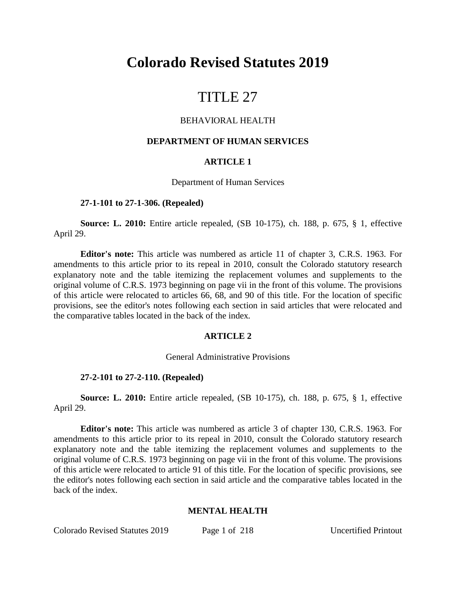# **Colorado Revised Statutes 2019**

# TITLE 27

## BEHAVIORAL HEALTH

#### **DEPARTMENT OF HUMAN SERVICES**

#### **ARTICLE 1**

#### Department of Human Services

#### **27-1-101 to 27-1-306. (Repealed)**

**Source: L. 2010:** Entire article repealed, (SB 10-175), ch. 188, p. 675, § 1, effective April 29.

**Editor's note:** This article was numbered as article 11 of chapter 3, C.R.S. 1963. For amendments to this article prior to its repeal in 2010, consult the Colorado statutory research explanatory note and the table itemizing the replacement volumes and supplements to the original volume of C.R.S. 1973 beginning on page vii in the front of this volume. The provisions of this article were relocated to articles 66, 68, and 90 of this title. For the location of specific provisions, see the editor's notes following each section in said articles that were relocated and the comparative tables located in the back of the index.

#### **ARTICLE 2**

#### General Administrative Provisions

#### **27-2-101 to 27-2-110. (Repealed)**

**Source: L. 2010:** Entire article repealed, (SB 10-175), ch. 188, p. 675, § 1, effective April 29.

**Editor's note:** This article was numbered as article 3 of chapter 130, C.R.S. 1963. For amendments to this article prior to its repeal in 2010, consult the Colorado statutory research explanatory note and the table itemizing the replacement volumes and supplements to the original volume of C.R.S. 1973 beginning on page vii in the front of this volume. The provisions of this article were relocated to article 91 of this title. For the location of specific provisions, see the editor's notes following each section in said article and the comparative tables located in the back of the index.

#### **MENTAL HEALTH**

Colorado Revised Statutes 2019 Page 1 of 218 Uncertified Printout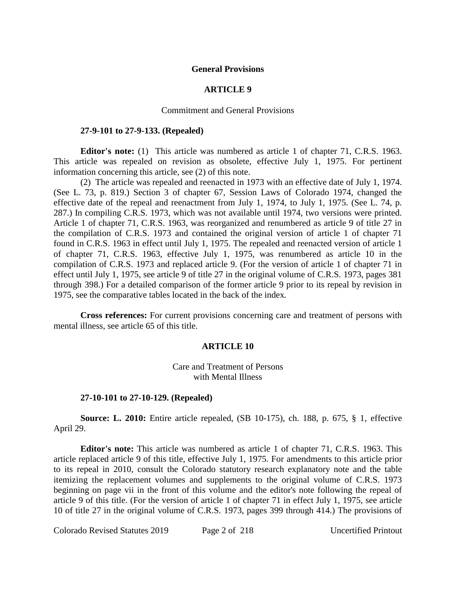#### **General Provisions**

# **ARTICLE 9**

#### Commitment and General Provisions

#### **27-9-101 to 27-9-133. (Repealed)**

**Editor's note:** (1) This article was numbered as article 1 of chapter 71, C.R.S. 1963. This article was repealed on revision as obsolete, effective July 1, 1975. For pertinent information concerning this article, see (2) of this note.

(2) The article was repealed and reenacted in 1973 with an effective date of July 1, 1974. (See L. 73, p. 819.) Section 3 of chapter 67, Session Laws of Colorado 1974, changed the effective date of the repeal and reenactment from July 1, 1974, to July 1, 1975. (See L. 74, p. 287.) In compiling C.R.S. 1973, which was not available until 1974, two versions were printed. Article 1 of chapter 71, C.R.S. 1963, was reorganized and renumbered as article 9 of title 27 in the compilation of C.R.S. 1973 and contained the original version of article 1 of chapter 71 found in C.R.S. 1963 in effect until July 1, 1975. The repealed and reenacted version of article 1 of chapter 71, C.R.S. 1963, effective July 1, 1975, was renumbered as article 10 in the compilation of C.R.S. 1973 and replaced article 9. (For the version of article 1 of chapter 71 in effect until July 1, 1975, see article 9 of title 27 in the original volume of C.R.S. 1973, pages 381 through 398.) For a detailed comparison of the former article 9 prior to its repeal by revision in 1975, see the comparative tables located in the back of the index.

**Cross references:** For current provisions concerning care and treatment of persons with mental illness, see article 65 of this title.

#### **ARTICLE 10**

#### Care and Treatment of Persons with Mental Illness

#### **27-10-101 to 27-10-129. (Repealed)**

**Source: L. 2010:** Entire article repealed, (SB 10-175), ch. 188, p. 675, § 1, effective April 29.

**Editor's note:** This article was numbered as article 1 of chapter 71, C.R.S. 1963. This article replaced article 9 of this title, effective July 1, 1975. For amendments to this article prior to its repeal in 2010, consult the Colorado statutory research explanatory note and the table itemizing the replacement volumes and supplements to the original volume of C.R.S. 1973 beginning on page vii in the front of this volume and the editor's note following the repeal of article 9 of this title. (For the version of article 1 of chapter 71 in effect July 1, 1975, see article 10 of title 27 in the original volume of C.R.S. 1973, pages 399 through 414.) The provisions of

Colorado Revised Statutes 2019 Page 2 of 218 Uncertified Printout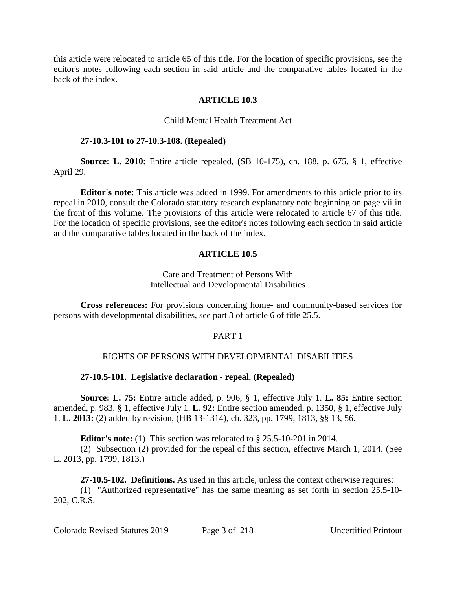this article were relocated to article 65 of this title. For the location of specific provisions, see the editor's notes following each section in said article and the comparative tables located in the back of the index.

## **ARTICLE 10.3**

## Child Mental Health Treatment Act

## **27-10.3-101 to 27-10.3-108. (Repealed)**

**Source: L. 2010:** Entire article repealed, (SB 10-175), ch. 188, p. 675, § 1, effective April 29.

**Editor's note:** This article was added in 1999. For amendments to this article prior to its repeal in 2010, consult the Colorado statutory research explanatory note beginning on page vii in the front of this volume. The provisions of this article were relocated to article 67 of this title. For the location of specific provisions, see the editor's notes following each section in said article and the comparative tables located in the back of the index.

# **ARTICLE 10.5**

# Care and Treatment of Persons With Intellectual and Developmental Disabilities

**Cross references:** For provisions concerning home- and community-based services for persons with developmental disabilities, see part 3 of article 6 of title 25.5.

## PART 1

# RIGHTS OF PERSONS WITH DEVELOPMENTAL DISABILITIES

## **27-10.5-101. Legislative declaration - repeal. (Repealed)**

**Source: L. 75:** Entire article added, p. 906, § 1, effective July 1. **L. 85:** Entire section amended, p. 983, § 1, effective July 1. **L. 92:** Entire section amended, p. 1350, § 1, effective July 1. **L. 2013:** (2) added by revision, (HB 13-1314), ch. 323, pp. 1799, 1813, §§ 13, 56.

**Editor's note:** (1) This section was relocated to § 25.5-10-201 in 2014.

(2) Subsection (2) provided for the repeal of this section, effective March 1, 2014. (See L. 2013, pp. 1799, 1813.)

**27-10.5-102. Definitions.** As used in this article, unless the context otherwise requires:

(1) "Authorized representative" has the same meaning as set forth in section 25.5-10- 202, C.R.S.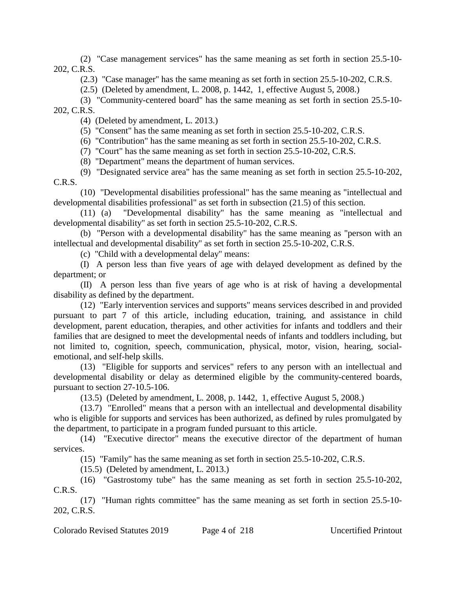(2) "Case management services" has the same meaning as set forth in section 25.5-10- 202, C.R.S.

(2.3) "Case manager" has the same meaning as set forth in section 25.5-10-202, C.R.S.

(2.5) (Deleted by amendment, L. 2008, p. 1442, 1, effective August 5, 2008.)

(3) "Community-centered board" has the same meaning as set forth in section 25.5-10- 202, C.R.S.

(4) (Deleted by amendment, L. 2013.)

(5) "Consent" has the same meaning as set forth in section 25.5-10-202, C.R.S.

(6) "Contribution" has the same meaning as set forth in section 25.5-10-202, C.R.S.

(7) "Court" has the same meaning as set forth in section 25.5-10-202, C.R.S.

(8) "Department" means the department of human services.

(9) "Designated service area" has the same meaning as set forth in section 25.5-10-202, C.R.S.

(10) "Developmental disabilities professional" has the same meaning as "intellectual and developmental disabilities professional" as set forth in subsection (21.5) of this section.

(11) (a) "Developmental disability" has the same meaning as "intellectual and developmental disability" as set forth in section 25.5-10-202, C.R.S.

(b) "Person with a developmental disability" has the same meaning as "person with an intellectual and developmental disability" as set forth in section 25.5-10-202, C.R.S.

(c) "Child with a developmental delay" means:

(I) A person less than five years of age with delayed development as defined by the department; or

(II) A person less than five years of age who is at risk of having a developmental disability as defined by the department.

(12) "Early intervention services and supports" means services described in and provided pursuant to part 7 of this article, including education, training, and assistance in child development, parent education, therapies, and other activities for infants and toddlers and their families that are designed to meet the developmental needs of infants and toddlers including, but not limited to, cognition, speech, communication, physical, motor, vision, hearing, socialemotional, and self-help skills.

(13) "Eligible for supports and services" refers to any person with an intellectual and developmental disability or delay as determined eligible by the community-centered boards, pursuant to section 27-10.5-106.

(13.5) (Deleted by amendment, L. 2008, p. 1442, 1, effective August 5, 2008.)

(13.7) "Enrolled" means that a person with an intellectual and developmental disability who is eligible for supports and services has been authorized, as defined by rules promulgated by the department, to participate in a program funded pursuant to this article.

(14) "Executive director" means the executive director of the department of human services.

(15) "Family" has the same meaning as set forth in section 25.5-10-202, C.R.S.

(15.5) (Deleted by amendment, L. 2013.)

(16) "Gastrostomy tube" has the same meaning as set forth in section 25.5-10-202, C.R.S.

(17) "Human rights committee" has the same meaning as set forth in section 25.5-10- 202, C.R.S.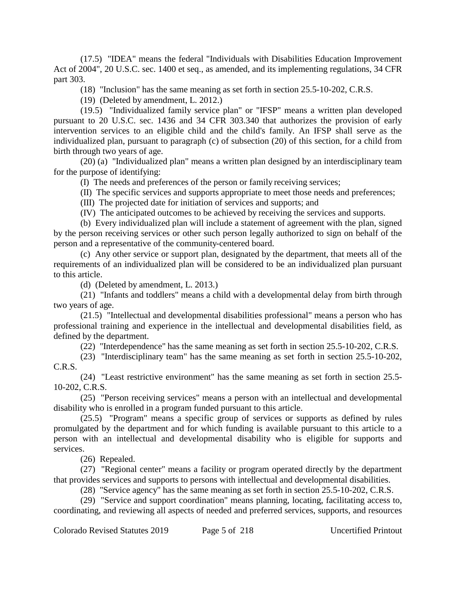(17.5) "IDEA" means the federal "Individuals with Disabilities Education Improvement Act of 2004", 20 U.S.C. sec. 1400 et seq., as amended, and its implementing regulations, 34 CFR part 303.

(18) "Inclusion" has the same meaning as set forth in section 25.5-10-202, C.R.S.

(19) (Deleted by amendment, L. 2012.)

(19.5) "Individualized family service plan" or "IFSP" means a written plan developed pursuant to 20 U.S.C. sec. 1436 and 34 CFR 303.340 that authorizes the provision of early intervention services to an eligible child and the child's family. An IFSP shall serve as the individualized plan, pursuant to paragraph (c) of subsection (20) of this section, for a child from birth through two years of age.

(20) (a) "Individualized plan" means a written plan designed by an interdisciplinary team for the purpose of identifying:

(I) The needs and preferences of the person or family receiving services;

(II) The specific services and supports appropriate to meet those needs and preferences;

(III) The projected date for initiation of services and supports; and

(IV) The anticipated outcomes to be achieved by receiving the services and supports.

(b) Every individualized plan will include a statement of agreement with the plan, signed by the person receiving services or other such person legally authorized to sign on behalf of the person and a representative of the community-centered board.

(c) Any other service or support plan, designated by the department, that meets all of the requirements of an individualized plan will be considered to be an individualized plan pursuant to this article.

(d) (Deleted by amendment, L. 2013.)

(21) "Infants and toddlers" means a child with a developmental delay from birth through two years of age.

(21.5) "Intellectual and developmental disabilities professional" means a person who has professional training and experience in the intellectual and developmental disabilities field, as defined by the department.

(22) "Interdependence" has the same meaning as set forth in section 25.5-10-202, C.R.S.

(23) "Interdisciplinary team" has the same meaning as set forth in section 25.5-10-202, C.R.S.

(24) "Least restrictive environment" has the same meaning as set forth in section 25.5- 10-202, C.R.S.

(25) "Person receiving services" means a person with an intellectual and developmental disability who is enrolled in a program funded pursuant to this article.

(25.5) "Program" means a specific group of services or supports as defined by rules promulgated by the department and for which funding is available pursuant to this article to a person with an intellectual and developmental disability who is eligible for supports and services.

(26) Repealed.

(27) "Regional center" means a facility or program operated directly by the department that provides services and supports to persons with intellectual and developmental disabilities.

(28) "Service agency" has the same meaning as set forth in section 25.5-10-202, C.R.S.

(29) "Service and support coordination" means planning, locating, facilitating access to, coordinating, and reviewing all aspects of needed and preferred services, supports, and resources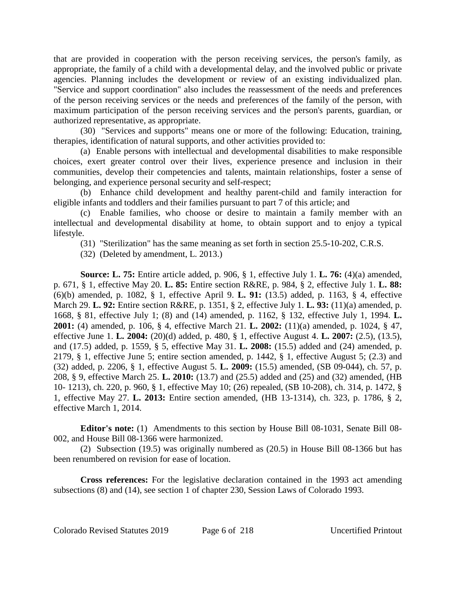that are provided in cooperation with the person receiving services, the person's family, as appropriate, the family of a child with a developmental delay, and the involved public or private agencies. Planning includes the development or review of an existing individualized plan. "Service and support coordination" also includes the reassessment of the needs and preferences of the person receiving services or the needs and preferences of the family of the person, with maximum participation of the person receiving services and the person's parents, guardian, or authorized representative, as appropriate.

(30) "Services and supports" means one or more of the following: Education, training, therapies, identification of natural supports, and other activities provided to:

(a) Enable persons with intellectual and developmental disabilities to make responsible choices, exert greater control over their lives, experience presence and inclusion in their communities, develop their competencies and talents, maintain relationships, foster a sense of belonging, and experience personal security and self-respect;

(b) Enhance child development and healthy parent-child and family interaction for eligible infants and toddlers and their families pursuant to part 7 of this article; and

(c) Enable families, who choose or desire to maintain a family member with an intellectual and developmental disability at home, to obtain support and to enjoy a typical lifestyle.

(31) "Sterilization" has the same meaning as set forth in section 25.5-10-202, C.R.S.

(32) (Deleted by amendment, L. 2013.)

**Source: L. 75:** Entire article added, p. 906, § 1, effective July 1. **L. 76:** (4)(a) amended, p. 671, § 1, effective May 20. **L. 85:** Entire section R&RE, p. 984, § 2, effective July 1. **L. 88:** (6)(b) amended, p. 1082, § 1, effective April 9. **L. 91:** (13.5) added, p. 1163, § 4, effective March 29. **L. 92:** Entire section R&RE, p. 1351, § 2, effective July 1. **L. 93:** (11)(a) amended, p. 1668, § 81, effective July 1; (8) and (14) amended, p. 1162, § 132, effective July 1, 1994. **L. 2001:** (4) amended, p. 106, § 4, effective March 21. **L. 2002:** (11)(a) amended, p. 1024, § 47, effective June 1. **L. 2004:** (20)(d) added, p. 480, § 1, effective August 4. **L. 2007:** (2.5), (13.5), and (17.5) added, p. 1559, § 5, effective May 31. **L. 2008:** (15.5) added and (24) amended, p. 2179, § 1, effective June 5; entire section amended, p. 1442, § 1, effective August 5; (2.3) and (32) added, p. 2206, § 1, effective August 5. **L. 2009:** (15.5) amended, (SB 09-044), ch. 57, p. 208, § 9, effective March 25. **L. 2010:** (13.7) and (25.5) added and (25) and (32) amended, (HB 10- 1213), ch. 220, p. 960, § 1, effective May 10; (26) repealed, (SB 10-208), ch. 314, p. 1472, § 1, effective May 27. **L. 2013:** Entire section amended, (HB 13-1314), ch. 323, p. 1786, § 2, effective March 1, 2014.

**Editor's note:** (1) Amendments to this section by House Bill 08-1031, Senate Bill 08- 002, and House Bill 08-1366 were harmonized.

(2) Subsection (19.5) was originally numbered as (20.5) in House Bill 08-1366 but has been renumbered on revision for ease of location.

**Cross references:** For the legislative declaration contained in the 1993 act amending subsections (8) and (14), see section 1 of chapter 230, Session Laws of Colorado 1993.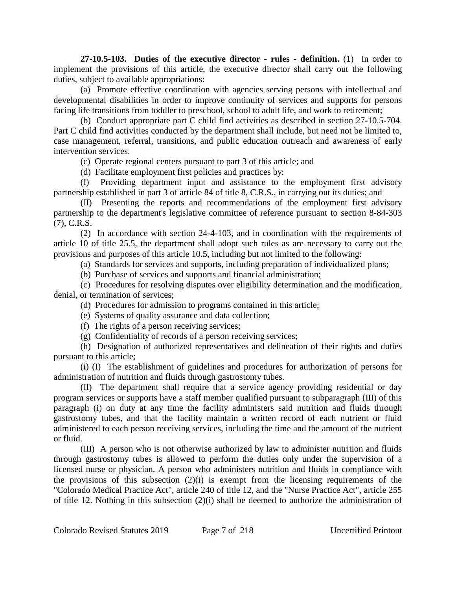**27-10.5-103. Duties of the executive director - rules - definition.** (1) In order to implement the provisions of this article, the executive director shall carry out the following duties, subject to available appropriations:

(a) Promote effective coordination with agencies serving persons with intellectual and developmental disabilities in order to improve continuity of services and supports for persons facing life transitions from toddler to preschool, school to adult life, and work to retirement;

(b) Conduct appropriate part C child find activities as described in section 27-10.5-704. Part C child find activities conducted by the department shall include, but need not be limited to, case management, referral, transitions, and public education outreach and awareness of early intervention services.

(c) Operate regional centers pursuant to part 3 of this article; and

(d) Facilitate employment first policies and practices by:

(I) Providing department input and assistance to the employment first advisory partnership established in part 3 of article 84 of title 8, C.R.S., in carrying out its duties; and

(II) Presenting the reports and recommendations of the employment first advisory partnership to the department's legislative committee of reference pursuant to section 8-84-303 (7), C.R.S.

(2) In accordance with section 24-4-103, and in coordination with the requirements of article 10 of title 25.5, the department shall adopt such rules as are necessary to carry out the provisions and purposes of this article 10.5, including but not limited to the following:

(a) Standards for services and supports, including preparation of individualized plans;

(b) Purchase of services and supports and financial administration;

(c) Procedures for resolving disputes over eligibility determination and the modification, denial, or termination of services;

(d) Procedures for admission to programs contained in this article;

(e) Systems of quality assurance and data collection;

(f) The rights of a person receiving services;

(g) Confidentiality of records of a person receiving services;

(h) Designation of authorized representatives and delineation of their rights and duties pursuant to this article;

(i) (I) The establishment of guidelines and procedures for authorization of persons for administration of nutrition and fluids through gastrostomy tubes.

(II) The department shall require that a service agency providing residential or day program services or supports have a staff member qualified pursuant to subparagraph (III) of this paragraph (i) on duty at any time the facility administers said nutrition and fluids through gastrostomy tubes, and that the facility maintain a written record of each nutrient or fluid administered to each person receiving services, including the time and the amount of the nutrient or fluid.

(III) A person who is not otherwise authorized by law to administer nutrition and fluids through gastrostomy tubes is allowed to perform the duties only under the supervision of a licensed nurse or physician. A person who administers nutrition and fluids in compliance with the provisions of this subsection  $(2)(i)$  is exempt from the licensing requirements of the "Colorado Medical Practice Act", article 240 of title 12, and the "Nurse Practice Act", article 255 of title 12. Nothing in this subsection (2)(i) shall be deemed to authorize the administration of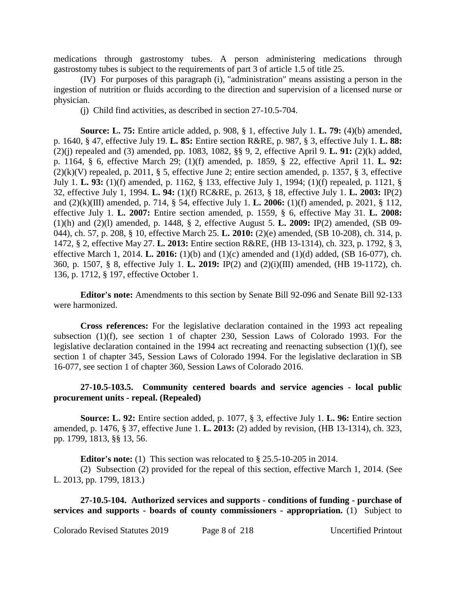medications through gastrostomy tubes. A person administering medications through gastrostomy tubes is subject to the requirements of part 3 of article 1.5 of title 25.

(IV) For purposes of this paragraph (i), "administration" means assisting a person in the ingestion of nutrition or fluids according to the direction and supervision of a licensed nurse or physician.

(j) Child find activities, as described in section 27-10.5-704.

**Source: L. 75:** Entire article added, p. 908, § 1, effective July 1. **L. 79:** (4)(b) amended, p. 1640, § 47, effective July 19. **L. 85:** Entire section R&RE, p. 987, § 3, effective July 1. **L. 88:** (2)(j) repealed and (3) amended, pp. 1083, 1082, §§ 9, 2, effective April 9. **L. 91:** (2)(k) added, p. 1164, § 6, effective March 29; (1)(f) amended, p. 1859, § 22, effective April 11. **L. 92:**  $(2)(k)(V)$  repealed, p. 2011, § 5, effective June 2; entire section amended, p. 1357, § 3, effective July 1. **L. 93:** (1)(f) amended, p. 1162, § 133, effective July 1, 1994; (1)(f) repealed, p. 1121, § 32, effective July 1, 1994. **L. 94:** (1)(f) RC&RE, p. 2613, § 18, effective July 1. **L. 2003:** IP(2) and (2)(k)(III) amended, p. 714, § 54, effective July 1. **L. 2006:** (1)(f) amended, p. 2021, § 112, effective July 1. **L. 2007:** Entire section amended, p. 1559, § 6, effective May 31. **L. 2008:** (1)(h) and (2)(l) amended, p. 1448, § 2, effective August 5. **L. 2009:** IP(2) amended, (SB 09- 044), ch. 57, p. 208, § 10, effective March 25. **L. 2010:** (2)(e) amended, (SB 10-208), ch. 314, p. 1472, § 2, effective May 27. **L. 2013:** Entire section R&RE, (HB 13-1314), ch. 323, p. 1792, § 3, effective March 1, 2014. **L. 2016:** (1)(b) and (1)(c) amended and (1)(d) added, (SB 16-077), ch. 360, p. 1507, § 8, effective July 1. **L. 2019:** IP(2) and (2)(i)(III) amended, (HB 19-1172), ch. 136, p. 1712, § 197, effective October 1.

**Editor's note:** Amendments to this section by Senate Bill 92-096 and Senate Bill 92-133 were harmonized.

**Cross references:** For the legislative declaration contained in the 1993 act repealing subsection (1)(f), see section 1 of chapter 230, Session Laws of Colorado 1993. For the legislative declaration contained in the 1994 act recreating and reenacting subsection (1)(f), see section 1 of chapter 345, Session Laws of Colorado 1994. For the legislative declaration in SB 16-077, see section 1 of chapter 360, Session Laws of Colorado 2016.

## **27-10.5-103.5. Community centered boards and service agencies - local public procurement units - repeal. (Repealed)**

**Source: L. 92:** Entire section added, p. 1077, § 3, effective July 1. **L. 96:** Entire section amended, p. 1476, § 37, effective June 1. **L. 2013:** (2) added by revision, (HB 13-1314), ch. 323, pp. 1799, 1813, §§ 13, 56.

**Editor's note:** (1) This section was relocated to § 25.5-10-205 in 2014.

(2) Subsection (2) provided for the repeal of this section, effective March 1, 2014. (See L. 2013, pp. 1799, 1813.)

**27-10.5-104. Authorized services and supports - conditions of funding - purchase of services and supports - boards of county commissioners - appropriation.** (1) Subject to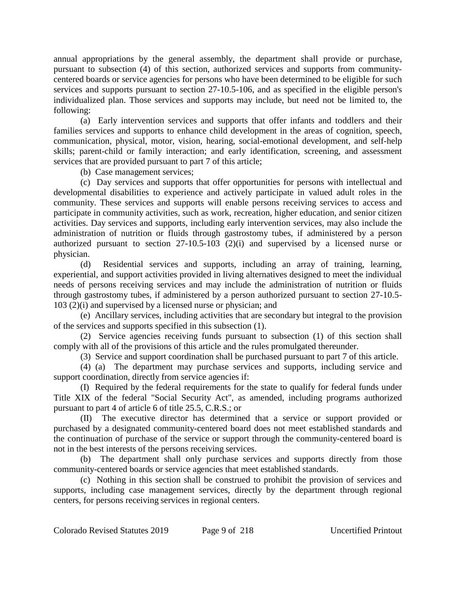annual appropriations by the general assembly, the department shall provide or purchase, pursuant to subsection (4) of this section, authorized services and supports from communitycentered boards or service agencies for persons who have been determined to be eligible for such services and supports pursuant to section 27-10.5-106, and as specified in the eligible person's individualized plan. Those services and supports may include, but need not be limited to, the following:

(a) Early intervention services and supports that offer infants and toddlers and their families services and supports to enhance child development in the areas of cognition, speech, communication, physical, motor, vision, hearing, social-emotional development, and self-help skills; parent-child or family interaction; and early identification, screening, and assessment services that are provided pursuant to part 7 of this article;

(b) Case management services;

(c) Day services and supports that offer opportunities for persons with intellectual and developmental disabilities to experience and actively participate in valued adult roles in the community. These services and supports will enable persons receiving services to access and participate in community activities, such as work, recreation, higher education, and senior citizen activities. Day services and supports, including early intervention services, may also include the administration of nutrition or fluids through gastrostomy tubes, if administered by a person authorized pursuant to section 27-10.5-103 (2)(i) and supervised by a licensed nurse or physician.

(d) Residential services and supports, including an array of training, learning, experiential, and support activities provided in living alternatives designed to meet the individual needs of persons receiving services and may include the administration of nutrition or fluids through gastrostomy tubes, if administered by a person authorized pursuant to section 27-10.5- 103 (2)(i) and supervised by a licensed nurse or physician; and

(e) Ancillary services, including activities that are secondary but integral to the provision of the services and supports specified in this subsection (1).

(2) Service agencies receiving funds pursuant to subsection (1) of this section shall comply with all of the provisions of this article and the rules promulgated thereunder.

(3) Service and support coordination shall be purchased pursuant to part 7 of this article.

(4) (a) The department may purchase services and supports, including service and support coordination, directly from service agencies if:

(I) Required by the federal requirements for the state to qualify for federal funds under Title XIX of the federal "Social Security Act", as amended, including programs authorized pursuant to part 4 of article 6 of title 25.5, C.R.S.; or

(II) The executive director has determined that a service or support provided or purchased by a designated community-centered board does not meet established standards and the continuation of purchase of the service or support through the community-centered board is not in the best interests of the persons receiving services.

(b) The department shall only purchase services and supports directly from those community-centered boards or service agencies that meet established standards.

(c) Nothing in this section shall be construed to prohibit the provision of services and supports, including case management services, directly by the department through regional centers, for persons receiving services in regional centers.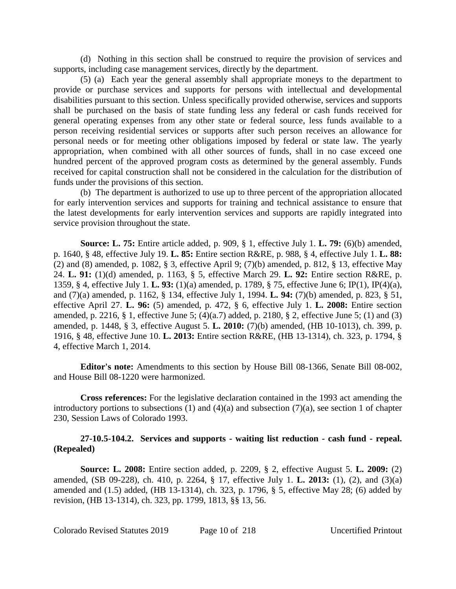(d) Nothing in this section shall be construed to require the provision of services and supports, including case management services, directly by the department.

(5) (a) Each year the general assembly shall appropriate moneys to the department to provide or purchase services and supports for persons with intellectual and developmental disabilities pursuant to this section. Unless specifically provided otherwise, services and supports shall be purchased on the basis of state funding less any federal or cash funds received for general operating expenses from any other state or federal source, less funds available to a person receiving residential services or supports after such person receives an allowance for personal needs or for meeting other obligations imposed by federal or state law. The yearly appropriation, when combined with all other sources of funds, shall in no case exceed one hundred percent of the approved program costs as determined by the general assembly. Funds received for capital construction shall not be considered in the calculation for the distribution of funds under the provisions of this section.

(b) The department is authorized to use up to three percent of the appropriation allocated for early intervention services and supports for training and technical assistance to ensure that the latest developments for early intervention services and supports are rapidly integrated into service provision throughout the state.

**Source: L. 75:** Entire article added, p. 909, § 1, effective July 1. **L. 79:** (6)(b) amended, p. 1640, § 48, effective July 19. **L. 85:** Entire section R&RE, p. 988, § 4, effective July 1. **L. 88:** (2) and (8) amended, p. 1082, § 3, effective April 9; (7)(b) amended, p. 812, § 13, effective May 24. **L. 91:** (1)(d) amended, p. 1163, § 5, effective March 29. **L. 92:** Entire section R&RE, p. 1359, § 4, effective July 1. **L. 93:** (1)(a) amended, p. 1789, § 75, effective June 6; IP(1), IP(4)(a), and (7)(a) amended, p. 1162, § 134, effective July 1, 1994. **L. 94:** (7)(b) amended, p. 823, § 51, effective April 27. **L. 96:** (5) amended, p. 472, § 6, effective July 1. **L. 2008:** Entire section amended, p. 2216, § 1, effective June 5; (4)(a.7) added, p. 2180, § 2, effective June 5; (1) and (3) amended, p. 1448, § 3, effective August 5. **L. 2010:** (7)(b) amended, (HB 10-1013), ch. 399, p. 1916, § 48, effective June 10. **L. 2013:** Entire section R&RE, (HB 13-1314), ch. 323, p. 1794, § 4, effective March 1, 2014.

**Editor's note:** Amendments to this section by House Bill 08-1366, Senate Bill 08-002, and House Bill 08-1220 were harmonized.

**Cross references:** For the legislative declaration contained in the 1993 act amending the introductory portions to subsections (1) and (4)(a) and subsection (7)(a), see section 1 of chapter 230, Session Laws of Colorado 1993.

## **27-10.5-104.2. Services and supports - waiting list reduction - cash fund - repeal. (Repealed)**

**Source: L. 2008:** Entire section added, p. 2209, § 2, effective August 5. **L. 2009:** (2) amended, (SB 09-228), ch. 410, p. 2264, § 17, effective July 1. **L. 2013:** (1), (2), and (3)(a) amended and (1.5) added, (HB 13-1314), ch. 323, p. 1796, § 5, effective May 28; (6) added by revision, (HB 13-1314), ch. 323, pp. 1799, 1813, §§ 13, 56.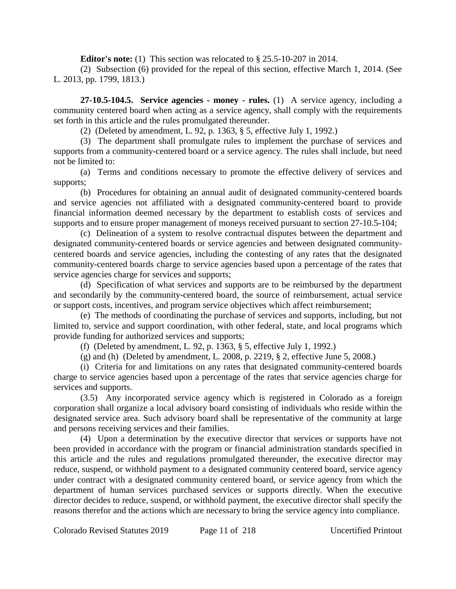**Editor's note:** (1) This section was relocated to § 25.5-10-207 in 2014.

(2) Subsection (6) provided for the repeal of this section, effective March 1, 2014. (See L. 2013, pp. 1799, 1813.)

**27-10.5-104.5. Service agencies - money - rules.** (1) A service agency, including a community centered board when acting as a service agency, shall comply with the requirements set forth in this article and the rules promulgated thereunder.

(2) (Deleted by amendment, L. 92, p. 1363, § 5, effective July 1, 1992.)

(3) The department shall promulgate rules to implement the purchase of services and supports from a community-centered board or a service agency. The rules shall include, but need not be limited to:

(a) Terms and conditions necessary to promote the effective delivery of services and supports;

(b) Procedures for obtaining an annual audit of designated community-centered boards and service agencies not affiliated with a designated community-centered board to provide financial information deemed necessary by the department to establish costs of services and supports and to ensure proper management of moneys received pursuant to section 27-10.5-104;

(c) Delineation of a system to resolve contractual disputes between the department and designated community-centered boards or service agencies and between designated communitycentered boards and service agencies, including the contesting of any rates that the designated community-centered boards charge to service agencies based upon a percentage of the rates that service agencies charge for services and supports;

(d) Specification of what services and supports are to be reimbursed by the department and secondarily by the community-centered board, the source of reimbursement, actual service or support costs, incentives, and program service objectives which affect reimbursement;

(e) The methods of coordinating the purchase of services and supports, including, but not limited to, service and support coordination, with other federal, state, and local programs which provide funding for authorized services and supports;

(f) (Deleted by amendment, L. 92, p. 1363, § 5, effective July 1, 1992.)

(g) and (h) (Deleted by amendment, L. 2008, p. 2219, § 2, effective June 5, 2008.)

(i) Criteria for and limitations on any rates that designated community-centered boards charge to service agencies based upon a percentage of the rates that service agencies charge for services and supports.

(3.5) Any incorporated service agency which is registered in Colorado as a foreign corporation shall organize a local advisory board consisting of individuals who reside within the designated service area. Such advisory board shall be representative of the community at large and persons receiving services and their families.

(4) Upon a determination by the executive director that services or supports have not been provided in accordance with the program or financial administration standards specified in this article and the rules and regulations promulgated thereunder, the executive director may reduce, suspend, or withhold payment to a designated community centered board, service agency under contract with a designated community centered board, or service agency from which the department of human services purchased services or supports directly. When the executive director decides to reduce, suspend, or withhold payment, the executive director shall specify the reasons therefor and the actions which are necessary to bring the service agency into compliance.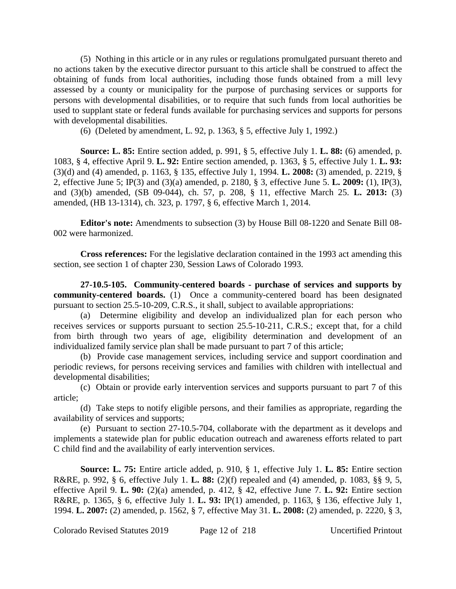(5) Nothing in this article or in any rules or regulations promulgated pursuant thereto and no actions taken by the executive director pursuant to this article shall be construed to affect the obtaining of funds from local authorities, including those funds obtained from a mill levy assessed by a county or municipality for the purpose of purchasing services or supports for persons with developmental disabilities, or to require that such funds from local authorities be used to supplant state or federal funds available for purchasing services and supports for persons with developmental disabilities.

(6) (Deleted by amendment, L. 92, p. 1363, § 5, effective July 1, 1992.)

**Source: L. 85:** Entire section added, p. 991, § 5, effective July 1. **L. 88:** (6) amended, p. 1083, § 4, effective April 9. **L. 92:** Entire section amended, p. 1363, § 5, effective July 1. **L. 93:** (3)(d) and (4) amended, p. 1163, § 135, effective July 1, 1994. **L. 2008:** (3) amended, p. 2219, § 2, effective June 5; IP(3) and (3)(a) amended, p. 2180, § 3, effective June 5. **L. 2009:** (1), IP(3), and (3)(b) amended, (SB 09-044), ch. 57, p. 208, § 11, effective March 25. **L. 2013:** (3) amended, (HB 13-1314), ch. 323, p. 1797, § 6, effective March 1, 2014.

**Editor's note:** Amendments to subsection (3) by House Bill 08-1220 and Senate Bill 08- 002 were harmonized.

**Cross references:** For the legislative declaration contained in the 1993 act amending this section, see section 1 of chapter 230, Session Laws of Colorado 1993.

**27-10.5-105. Community-centered boards - purchase of services and supports by community-centered boards.** (1) Once a community-centered board has been designated pursuant to section 25.5-10-209, C.R.S., it shall, subject to available appropriations:

(a) Determine eligibility and develop an individualized plan for each person who receives services or supports pursuant to section 25.5-10-211, C.R.S.; except that, for a child from birth through two years of age, eligibility determination and development of an individualized family service plan shall be made pursuant to part 7 of this article;

(b) Provide case management services, including service and support coordination and periodic reviews, for persons receiving services and families with children with intellectual and developmental disabilities;

(c) Obtain or provide early intervention services and supports pursuant to part 7 of this article;

(d) Take steps to notify eligible persons, and their families as appropriate, regarding the availability of services and supports;

(e) Pursuant to section 27-10.5-704, collaborate with the department as it develops and implements a statewide plan for public education outreach and awareness efforts related to part C child find and the availability of early intervention services.

**Source: L. 75:** Entire article added, p. 910, § 1, effective July 1. **L. 85:** Entire section R&RE, p. 992, § 6, effective July 1. **L. 88:** (2)(f) repealed and (4) amended, p. 1083, §§ 9, 5, effective April 9. **L. 90:** (2)(a) amended, p. 412, § 42, effective June 7. **L. 92:** Entire section R&RE, p. 1365, § 6, effective July 1. **L. 93:** IP(1) amended, p. 1163, § 136, effective July 1, 1994. **L. 2007:** (2) amended, p. 1562, § 7, effective May 31. **L. 2008:** (2) amended, p. 2220, § 3,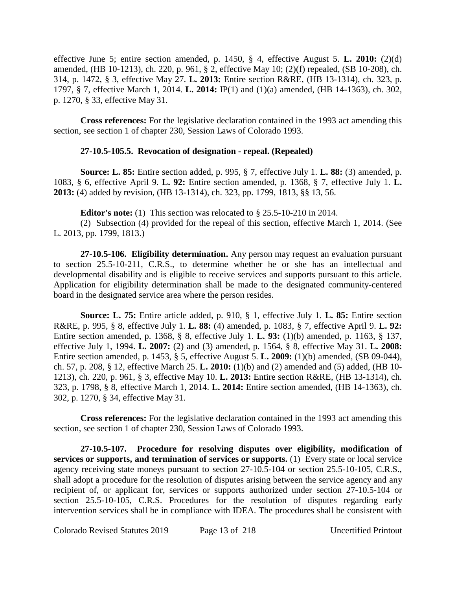effective June 5; entire section amended, p. 1450, § 4, effective August 5. **L. 2010:** (2)(d) amended, (HB 10-1213), ch. 220, p. 961, § 2, effective May 10; (2)(f) repealed, (SB 10-208), ch. 314, p. 1472, § 3, effective May 27. **L. 2013:** Entire section R&RE, (HB 13-1314), ch. 323, p. 1797, § 7, effective March 1, 2014. **L. 2014:** IP(1) and (1)(a) amended, (HB 14-1363), ch. 302, p. 1270, § 33, effective May 31.

**Cross references:** For the legislative declaration contained in the 1993 act amending this section, see section 1 of chapter 230, Session Laws of Colorado 1993.

# **27-10.5-105.5. Revocation of designation - repeal. (Repealed)**

**Source: L. 85:** Entire section added, p. 995, § 7, effective July 1. **L. 88:** (3) amended, p. 1083, § 6, effective April 9. **L. 92:** Entire section amended, p. 1368, § 7, effective July 1. **L. 2013:** (4) added by revision, (HB 13-1314), ch. 323, pp. 1799, 1813, §§ 13, 56.

**Editor's note:** (1) This section was relocated to § 25.5-10-210 in 2014.

(2) Subsection (4) provided for the repeal of this section, effective March 1, 2014. (See L. 2013, pp. 1799, 1813.)

**27-10.5-106. Eligibility determination.** Any person may request an evaluation pursuant to section 25.5-10-211, C.R.S., to determine whether he or she has an intellectual and developmental disability and is eligible to receive services and supports pursuant to this article. Application for eligibility determination shall be made to the designated community-centered board in the designated service area where the person resides.

**Source: L. 75:** Entire article added, p. 910, § 1, effective July 1. **L. 85:** Entire section R&RE, p. 995, § 8, effective July 1. **L. 88:** (4) amended, p. 1083, § 7, effective April 9. **L. 92:** Entire section amended, p. 1368, § 8, effective July 1. **L. 93:** (1)(b) amended, p. 1163, § 137, effective July 1, 1994. **L. 2007:** (2) and (3) amended, p. 1564, § 8, effective May 31. **L. 2008:** Entire section amended, p. 1453, § 5, effective August 5. **L. 2009:** (1)(b) amended, (SB 09-044), ch. 57, p. 208, § 12, effective March 25. **L. 2010:** (1)(b) and (2) amended and (5) added, (HB 10- 1213), ch. 220, p. 961, § 3, effective May 10. **L. 2013:** Entire section R&RE, (HB 13-1314), ch. 323, p. 1798, § 8, effective March 1, 2014. **L. 2014:** Entire section amended, (HB 14-1363), ch. 302, p. 1270, § 34, effective May 31.

**Cross references:** For the legislative declaration contained in the 1993 act amending this section, see section 1 of chapter 230, Session Laws of Colorado 1993.

**27-10.5-107. Procedure for resolving disputes over eligibility, modification of services or supports, and termination of services or supports.** (1) Every state or local service agency receiving state moneys pursuant to section 27-10.5-104 or section 25.5-10-105, C.R.S., shall adopt a procedure for the resolution of disputes arising between the service agency and any recipient of, or applicant for, services or supports authorized under section 27-10.5-104 or section 25.5-10-105, C.R.S. Procedures for the resolution of disputes regarding early intervention services shall be in compliance with IDEA. The procedures shall be consistent with

Colorado Revised Statutes 2019 Page 13 of 218 Uncertified Printout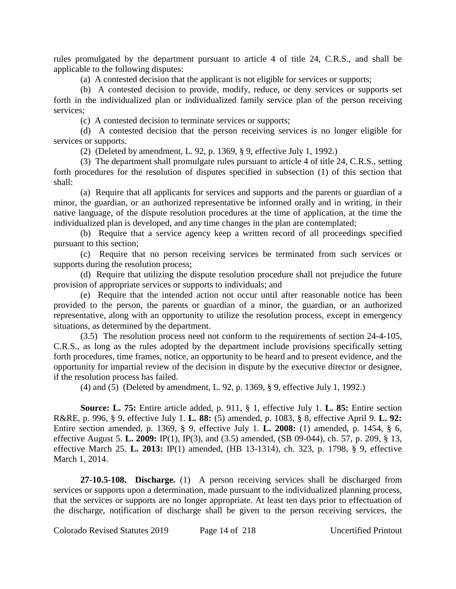rules promulgated by the department pursuant to article 4 of title 24, C.R.S., and shall be applicable to the following disputes:

(a) A contested decision that the applicant is not eligible for services or supports;

(b) A contested decision to provide, modify, reduce, or deny services or supports set forth in the individualized plan or individualized family service plan of the person receiving services;

(c) A contested decision to terminate services or supports;

(d) A contested decision that the person receiving services is no longer eligible for services or supports.

(2) (Deleted by amendment, L. 92, p. 1369, § 9, effective July 1, 1992.)

(3) The department shall promulgate rules pursuant to article 4 of title 24, C.R.S., setting forth procedures for the resolution of disputes specified in subsection (1) of this section that shall:

(a) Require that all applicants for services and supports and the parents or guardian of a minor, the guardian, or an authorized representative be informed orally and in writing, in their native language, of the dispute resolution procedures at the time of application, at the time the individualized plan is developed, and any time changes in the plan are contemplated;

(b) Require that a service agency keep a written record of all proceedings specified pursuant to this section;

(c) Require that no person receiving services be terminated from such services or supports during the resolution process;

(d) Require that utilizing the dispute resolution procedure shall not prejudice the future provision of appropriate services or supports to individuals; and

(e) Require that the intended action not occur until after reasonable notice has been provided to the person, the parents or guardian of a minor, the guardian, or an authorized representative, along with an opportunity to utilize the resolution process, except in emergency situations, as determined by the department.

(3.5) The resolution process need not conform to the requirements of section 24-4-105, C.R.S., as long as the rules adopted by the department include provisions specifically setting forth procedures, time frames, notice, an opportunity to be heard and to present evidence, and the opportunity for impartial review of the decision in dispute by the executive director or designee, if the resolution process has failed.

(4) and (5) (Deleted by amendment, L. 92, p. 1369, § 9, effective July 1, 1992.)

**Source: L. 75:** Entire article added, p. 911, § 1, effective July 1. **L. 85:** Entire section R&RE, p. 996, § 9, effective July 1. **L. 88:** (5) amended, p. 1083, § 8, effective April 9. **L. 92:** Entire section amended, p. 1369, § 9, effective July 1. **L. 2008:** (1) amended, p. 1454, § 6, effective August 5. **L. 2009:** IP(1), IP(3), and (3.5) amended, (SB 09-044), ch. 57, p. 209, § 13, effective March 25. **L. 2013:** IP(1) amended, (HB 13-1314), ch. 323, p. 1798, § 9, effective March 1, 2014.

**27-10.5-108. Discharge.** (1) A person receiving services shall be discharged from services or supports upon a determination, made pursuant to the individualized planning process, that the services or supports are no longer appropriate. At least ten days prior to effectuation of the discharge, notification of discharge shall be given to the person receiving services, the

Colorado Revised Statutes 2019 Page 14 of 218 Uncertified Printout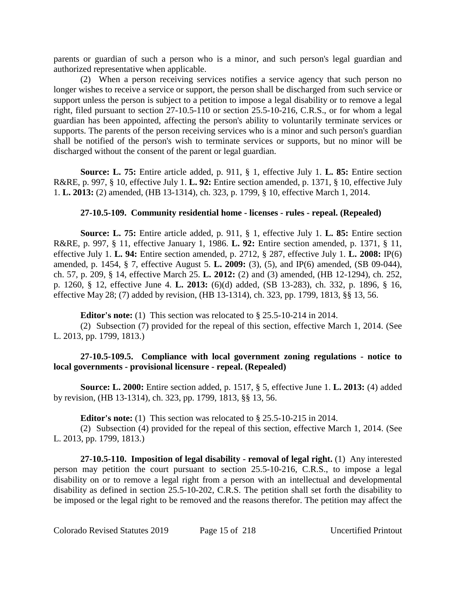parents or guardian of such a person who is a minor, and such person's legal guardian and authorized representative when applicable.

(2) When a person receiving services notifies a service agency that such person no longer wishes to receive a service or support, the person shall be discharged from such service or support unless the person is subject to a petition to impose a legal disability or to remove a legal right, filed pursuant to section 27-10.5-110 or section 25.5-10-216, C.R.S., or for whom a legal guardian has been appointed, affecting the person's ability to voluntarily terminate services or supports. The parents of the person receiving services who is a minor and such person's guardian shall be notified of the person's wish to terminate services or supports, but no minor will be discharged without the consent of the parent or legal guardian.

**Source: L. 75:** Entire article added, p. 911, § 1, effective July 1. **L. 85:** Entire section R&RE, p. 997, § 10, effective July 1. **L. 92:** Entire section amended, p. 1371, § 10, effective July 1. **L. 2013:** (2) amended, (HB 13-1314), ch. 323, p. 1799, § 10, effective March 1, 2014.

# **27-10.5-109. Community residential home - licenses - rules - repeal. (Repealed)**

**Source: L. 75:** Entire article added, p. 911, § 1, effective July 1. **L. 85:** Entire section R&RE, p. 997, § 11, effective January 1, 1986. **L. 92:** Entire section amended, p. 1371, § 11, effective July 1. **L. 94:** Entire section amended, p. 2712, § 287, effective July 1. **L. 2008:** IP(6) amended, p. 1454, § 7, effective August 5. **L. 2009:** (3), (5), and IP(6) amended, (SB 09-044), ch. 57, p. 209, § 14, effective March 25. **L. 2012:** (2) and (3) amended, (HB 12-1294), ch. 252, p. 1260, § 12, effective June 4. **L. 2013:** (6)(d) added, (SB 13-283), ch. 332, p. 1896, § 16, effective May 28; (7) added by revision, (HB 13-1314), ch. 323, pp. 1799, 1813, §§ 13, 56.

**Editor's note:** (1) This section was relocated to § 25.5-10-214 in 2014.

(2) Subsection (7) provided for the repeal of this section, effective March 1, 2014. (See L. 2013, pp. 1799, 1813.)

# **27-10.5-109.5. Compliance with local government zoning regulations - notice to local governments - provisional licensure - repeal. (Repealed)**

**Source: L. 2000:** Entire section added, p. 1517, § 5, effective June 1. **L. 2013:** (4) added by revision, (HB 13-1314), ch. 323, pp. 1799, 1813, §§ 13, 56.

**Editor's note:** (1) This section was relocated to § 25.5-10-215 in 2014.

(2) Subsection (4) provided for the repeal of this section, effective March 1, 2014. (See L. 2013, pp. 1799, 1813.)

**27-10.5-110. Imposition of legal disability - removal of legal right.** (1) Any interested person may petition the court pursuant to section 25.5-10-216, C.R.S., to impose a legal disability on or to remove a legal right from a person with an intellectual and developmental disability as defined in section 25.5-10-202, C.R.S. The petition shall set forth the disability to be imposed or the legal right to be removed and the reasons therefor. The petition may affect the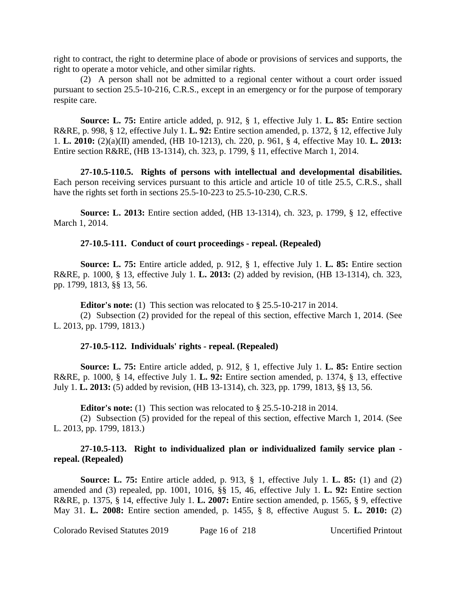right to contract, the right to determine place of abode or provisions of services and supports, the right to operate a motor vehicle, and other similar rights.

(2) A person shall not be admitted to a regional center without a court order issued pursuant to section 25.5-10-216, C.R.S., except in an emergency or for the purpose of temporary respite care.

**Source: L. 75:** Entire article added, p. 912, § 1, effective July 1. **L. 85:** Entire section R&RE, p. 998, § 12, effective July 1. **L. 92:** Entire section amended, p. 1372, § 12, effective July 1. **L. 2010:** (2)(a)(II) amended, (HB 10-1213), ch. 220, p. 961, § 4, effective May 10. **L. 2013:** Entire section R&RE, (HB 13-1314), ch. 323, p. 1799, § 11, effective March 1, 2014.

**27-10.5-110.5. Rights of persons with intellectual and developmental disabilities.** Each person receiving services pursuant to this article and article 10 of title 25.5, C.R.S., shall have the rights set forth in sections 25.5-10-223 to 25.5-10-230, C.R.S.

**Source: L. 2013:** Entire section added, (HB 13-1314), ch. 323, p. 1799, § 12, effective March 1, 2014.

#### **27-10.5-111. Conduct of court proceedings - repeal. (Repealed)**

**Source: L. 75:** Entire article added, p. 912, § 1, effective July 1. **L. 85:** Entire section R&RE, p. 1000, § 13, effective July 1. **L. 2013:** (2) added by revision, (HB 13-1314), ch. 323, pp. 1799, 1813, §§ 13, 56.

**Editor's note:** (1) This section was relocated to § 25.5-10-217 in 2014.

(2) Subsection (2) provided for the repeal of this section, effective March 1, 2014. (See L. 2013, pp. 1799, 1813.)

#### **27-10.5-112. Individuals' rights - repeal. (Repealed)**

**Source: L. 75:** Entire article added, p. 912, § 1, effective July 1. **L. 85:** Entire section R&RE, p. 1000, § 14, effective July 1. **L. 92:** Entire section amended, p. 1374, § 13, effective July 1. **L. 2013:** (5) added by revision, (HB 13-1314), ch. 323, pp. 1799, 1813, §§ 13, 56.

**Editor's note:** (1) This section was relocated to § 25.5-10-218 in 2014.

(2) Subsection (5) provided for the repeal of this section, effective March 1, 2014. (See L. 2013, pp. 1799, 1813.)

# **27-10.5-113. Right to individualized plan or individualized family service plan repeal. (Repealed)**

**Source: L. 75:** Entire article added, p. 913, § 1, effective July 1. **L. 85:** (1) and (2) amended and (3) repealed, pp. 1001, 1016, §§ 15, 46, effective July 1. **L. 92:** Entire section R&RE, p. 1375, § 14, effective July 1. **L. 2007:** Entire section amended, p. 1565, § 9, effective May 31. **L. 2008:** Entire section amended, p. 1455, § 8, effective August 5. **L. 2010:** (2)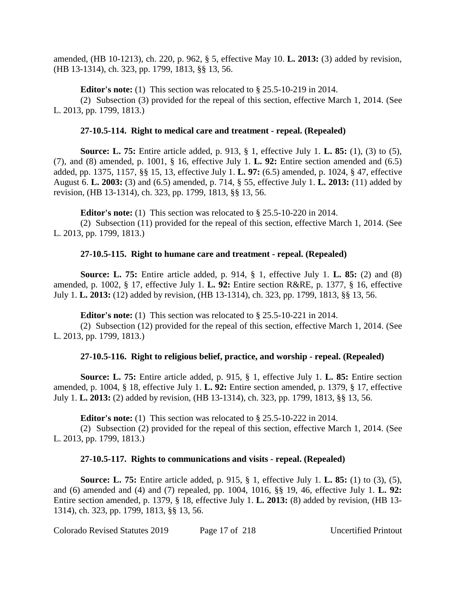amended, (HB 10-1213), ch. 220, p. 962, § 5, effective May 10. **L. 2013:** (3) added by revision, (HB 13-1314), ch. 323, pp. 1799, 1813, §§ 13, 56.

**Editor's note:** (1) This section was relocated to § 25.5-10-219 in 2014.

(2) Subsection (3) provided for the repeal of this section, effective March 1, 2014. (See L. 2013, pp. 1799, 1813.)

# **27-10.5-114. Right to medical care and treatment - repeal. (Repealed)**

**Source: L. 75:** Entire article added, p. 913, § 1, effective July 1. **L. 85:** (1), (3) to (5), (7), and (8) amended, p. 1001, § 16, effective July 1. **L. 92:** Entire section amended and (6.5) added, pp. 1375, 1157, §§ 15, 13, effective July 1. **L. 97:** (6.5) amended, p. 1024, § 47, effective August 6. **L. 2003:** (3) and (6.5) amended, p. 714, § 55, effective July 1. **L. 2013:** (11) added by revision, (HB 13-1314), ch. 323, pp. 1799, 1813, §§ 13, 56.

**Editor's note:** (1) This section was relocated to § 25.5-10-220 in 2014.

(2) Subsection (11) provided for the repeal of this section, effective March 1, 2014. (See L. 2013, pp. 1799, 1813.)

# **27-10.5-115. Right to humane care and treatment - repeal. (Repealed)**

**Source: L. 75:** Entire article added, p. 914, § 1, effective July 1. **L. 85:** (2) and (8) amended, p. 1002, § 17, effective July 1. **L. 92:** Entire section R&RE, p. 1377, § 16, effective July 1. **L. 2013:** (12) added by revision, (HB 13-1314), ch. 323, pp. 1799, 1813, §§ 13, 56.

**Editor's note:** (1) This section was relocated to § 25.5-10-221 in 2014.

(2) Subsection (12) provided for the repeal of this section, effective March 1, 2014. (See L. 2013, pp. 1799, 1813.)

# **27-10.5-116. Right to religious belief, practice, and worship - repeal. (Repealed)**

**Source: L. 75:** Entire article added, p. 915, § 1, effective July 1. **L. 85:** Entire section amended, p. 1004, § 18, effective July 1. **L. 92:** Entire section amended, p. 1379, § 17, effective July 1. **L. 2013:** (2) added by revision, (HB 13-1314), ch. 323, pp. 1799, 1813, §§ 13, 56.

**Editor's note:** (1) This section was relocated to § 25.5-10-222 in 2014.

(2) Subsection (2) provided for the repeal of this section, effective March 1, 2014. (See L. 2013, pp. 1799, 1813.)

# **27-10.5-117. Rights to communications and visits - repeal. (Repealed)**

**Source: L. 75:** Entire article added, p. 915, § 1, effective July 1. **L. 85:** (1) to (3), (5), and (6) amended and (4) and (7) repealed, pp. 1004, 1016, §§ 19, 46, effective July 1. **L. 92:** Entire section amended, p. 1379, § 18, effective July 1. **L. 2013:** (8) added by revision, (HB 13- 1314), ch. 323, pp. 1799, 1813, §§ 13, 56.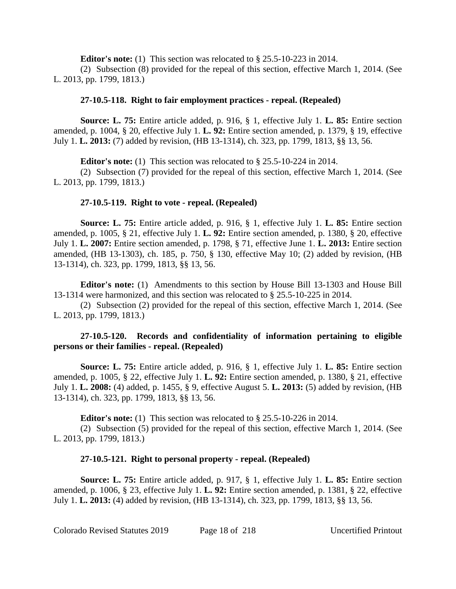**Editor's note:** (1) This section was relocated to § 25.5-10-223 in 2014.

(2) Subsection (8) provided for the repeal of this section, effective March 1, 2014. (See L. 2013, pp. 1799, 1813.)

## **27-10.5-118. Right to fair employment practices - repeal. (Repealed)**

**Source: L. 75:** Entire article added, p. 916, § 1, effective July 1. **L. 85:** Entire section amended, p. 1004, § 20, effective July 1. **L. 92:** Entire section amended, p. 1379, § 19, effective July 1. **L. 2013:** (7) added by revision, (HB 13-1314), ch. 323, pp. 1799, 1813, §§ 13, 56.

**Editor's note:** (1) This section was relocated to § 25.5-10-224 in 2014.

(2) Subsection (7) provided for the repeal of this section, effective March 1, 2014. (See L. 2013, pp. 1799, 1813.)

# **27-10.5-119. Right to vote - repeal. (Repealed)**

**Source: L. 75:** Entire article added, p. 916, § 1, effective July 1. **L. 85:** Entire section amended, p. 1005, § 21, effective July 1. **L. 92:** Entire section amended, p. 1380, § 20, effective July 1. **L. 2007:** Entire section amended, p. 1798, § 71, effective June 1. **L. 2013:** Entire section amended, (HB 13-1303), ch. 185, p. 750, § 130, effective May 10; (2) added by revision, (HB 13-1314), ch. 323, pp. 1799, 1813, §§ 13, 56.

**Editor's note:** (1) Amendments to this section by House Bill 13-1303 and House Bill 13-1314 were harmonized, and this section was relocated to § 25.5-10-225 in 2014.

(2) Subsection (2) provided for the repeal of this section, effective March 1, 2014. (See L. 2013, pp. 1799, 1813.)

# **27-10.5-120. Records and confidentiality of information pertaining to eligible persons or their families - repeal. (Repealed)**

**Source: L. 75:** Entire article added, p. 916, § 1, effective July 1. **L. 85:** Entire section amended, p. 1005, § 22, effective July 1. **L. 92:** Entire section amended, p. 1380, § 21, effective July 1. **L. 2008:** (4) added, p. 1455, § 9, effective August 5. **L. 2013:** (5) added by revision, (HB 13-1314), ch. 323, pp. 1799, 1813, §§ 13, 56.

**Editor's note:** (1) This section was relocated to § 25.5-10-226 in 2014.

(2) Subsection (5) provided for the repeal of this section, effective March 1, 2014. (See L. 2013, pp. 1799, 1813.)

# **27-10.5-121. Right to personal property - repeal. (Repealed)**

**Source: L. 75:** Entire article added, p. 917, § 1, effective July 1. **L. 85:** Entire section amended, p. 1006, § 23, effective July 1. **L. 92:** Entire section amended, p. 1381, § 22, effective July 1. **L. 2013:** (4) added by revision, (HB 13-1314), ch. 323, pp. 1799, 1813, §§ 13, 56.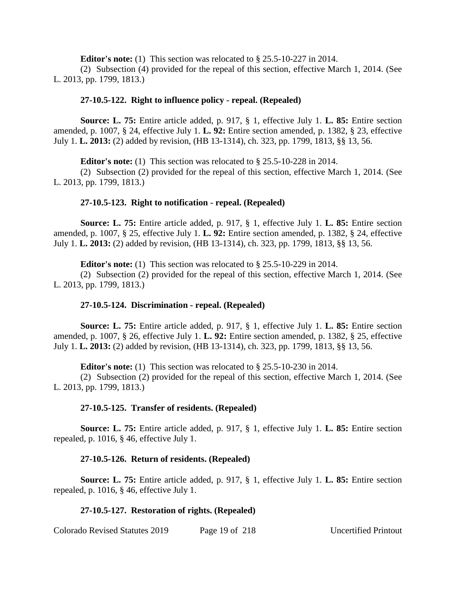**Editor's note:** (1) This section was relocated to § 25.5-10-227 in 2014.

(2) Subsection (4) provided for the repeal of this section, effective March 1, 2014. (See L. 2013, pp. 1799, 1813.)

## **27-10.5-122. Right to influence policy - repeal. (Repealed)**

**Source: L. 75:** Entire article added, p. 917, § 1, effective July 1. **L. 85:** Entire section amended, p. 1007, § 24, effective July 1. **L. 92:** Entire section amended, p. 1382, § 23, effective July 1. **L. 2013:** (2) added by revision, (HB 13-1314), ch. 323, pp. 1799, 1813, §§ 13, 56.

**Editor's note:** (1) This section was relocated to § 25.5-10-228 in 2014.

(2) Subsection (2) provided for the repeal of this section, effective March 1, 2014. (See L. 2013, pp. 1799, 1813.)

#### **27-10.5-123. Right to notification - repeal. (Repealed)**

**Source: L. 75:** Entire article added, p. 917, § 1, effective July 1. **L. 85:** Entire section amended, p. 1007, § 25, effective July 1. **L. 92:** Entire section amended, p. 1382, § 24, effective July 1. **L. 2013:** (2) added by revision, (HB 13-1314), ch. 323, pp. 1799, 1813, §§ 13, 56.

**Editor's note:** (1) This section was relocated to § 25.5-10-229 in 2014.

(2) Subsection (2) provided for the repeal of this section, effective March 1, 2014. (See L. 2013, pp. 1799, 1813.)

## **27-10.5-124. Discrimination - repeal. (Repealed)**

**Source: L. 75:** Entire article added, p. 917, § 1, effective July 1. **L. 85:** Entire section amended, p. 1007, § 26, effective July 1. **L. 92:** Entire section amended, p. 1382, § 25, effective July 1. **L. 2013:** (2) added by revision, (HB 13-1314), ch. 323, pp. 1799, 1813, §§ 13, 56.

**Editor's note:** (1) This section was relocated to § 25.5-10-230 in 2014.

(2) Subsection (2) provided for the repeal of this section, effective March 1, 2014. (See L. 2013, pp. 1799, 1813.)

## **27-10.5-125. Transfer of residents. (Repealed)**

**Source: L. 75:** Entire article added, p. 917, § 1, effective July 1. **L. 85:** Entire section repealed, p. 1016, § 46, effective July 1.

## **27-10.5-126. Return of residents. (Repealed)**

**Source: L. 75:** Entire article added, p. 917, § 1, effective July 1. **L. 85:** Entire section repealed, p. 1016, § 46, effective July 1.

## **27-10.5-127. Restoration of rights. (Repealed)**

Colorado Revised Statutes 2019 Page 19 of 218 Uncertified Printout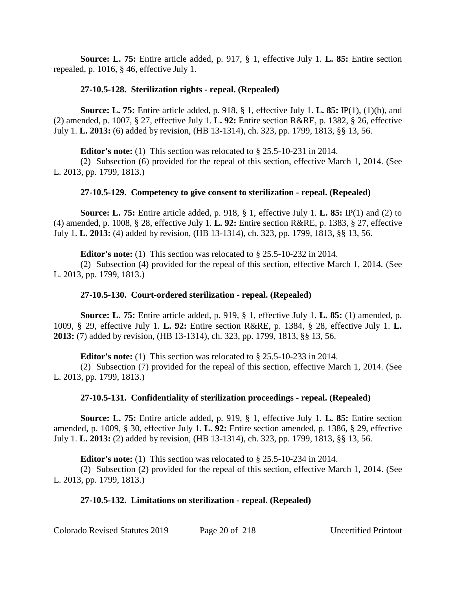**Source: L. 75:** Entire article added, p. 917, § 1, effective July 1. **L. 85:** Entire section repealed, p. 1016, § 46, effective July 1.

# **27-10.5-128. Sterilization rights - repeal. (Repealed)**

**Source: L. 75:** Entire article added, p. 918, § 1, effective July 1. **L. 85:** IP(1), (1)(b), and (2) amended, p. 1007, § 27, effective July 1. **L. 92:** Entire section R&RE, p. 1382, § 26, effective July 1. **L. 2013:** (6) added by revision, (HB 13-1314), ch. 323, pp. 1799, 1813, §§ 13, 56.

**Editor's note:** (1) This section was relocated to § 25.5-10-231 in 2014.

(2) Subsection (6) provided for the repeal of this section, effective March 1, 2014. (See L. 2013, pp. 1799, 1813.)

# **27-10.5-129. Competency to give consent to sterilization - repeal. (Repealed)**

**Source: L. 75:** Entire article added, p. 918, § 1, effective July 1. **L. 85:** IP(1) and (2) to (4) amended, p. 1008, § 28, effective July 1. **L. 92:** Entire section R&RE, p. 1383, § 27, effective July 1. **L. 2013:** (4) added by revision, (HB 13-1314), ch. 323, pp. 1799, 1813, §§ 13, 56.

**Editor's note:** (1) This section was relocated to § 25.5-10-232 in 2014.

(2) Subsection (4) provided for the repeal of this section, effective March 1, 2014. (See L. 2013, pp. 1799, 1813.)

## **27-10.5-130. Court-ordered sterilization - repeal. (Repealed)**

**Source: L. 75:** Entire article added, p. 919, § 1, effective July 1. **L. 85:** (1) amended, p. 1009, § 29, effective July 1. **L. 92:** Entire section R&RE, p. 1384, § 28, effective July 1. **L. 2013:** (7) added by revision, (HB 13-1314), ch. 323, pp. 1799, 1813, §§ 13, 56.

**Editor's note:** (1) This section was relocated to § 25.5-10-233 in 2014.

(2) Subsection (7) provided for the repeal of this section, effective March 1, 2014. (See L. 2013, pp. 1799, 1813.)

# **27-10.5-131. Confidentiality of sterilization proceedings - repeal. (Repealed)**

**Source: L. 75:** Entire article added, p. 919, § 1, effective July 1. **L. 85:** Entire section amended, p. 1009, § 30, effective July 1. **L. 92:** Entire section amended, p. 1386, § 29, effective July 1. **L. 2013:** (2) added by revision, (HB 13-1314), ch. 323, pp. 1799, 1813, §§ 13, 56.

**Editor's note:** (1) This section was relocated to § 25.5-10-234 in 2014.

(2) Subsection (2) provided for the repeal of this section, effective March 1, 2014. (See L. 2013, pp. 1799, 1813.)

## **27-10.5-132. Limitations on sterilization - repeal. (Repealed)**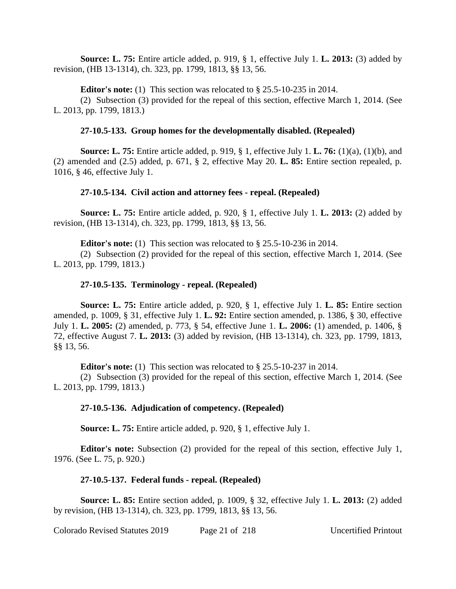**Source: L. 75:** Entire article added, p. 919, § 1, effective July 1. **L. 2013:** (3) added by revision, (HB 13-1314), ch. 323, pp. 1799, 1813, §§ 13, 56.

**Editor's note:** (1) This section was relocated to § 25.5-10-235 in 2014.

(2) Subsection (3) provided for the repeal of this section, effective March 1, 2014. (See L. 2013, pp. 1799, 1813.)

# **27-10.5-133. Group homes for the developmentally disabled. (Repealed)**

**Source: L. 75:** Entire article added, p. 919, § 1, effective July 1. **L. 76:** (1)(a), (1)(b), and (2) amended and (2.5) added, p. 671, § 2, effective May 20. **L. 85:** Entire section repealed, p. 1016, § 46, effective July 1.

# **27-10.5-134. Civil action and attorney fees - repeal. (Repealed)**

**Source: L. 75:** Entire article added, p. 920, § 1, effective July 1. **L. 2013:** (2) added by revision, (HB 13-1314), ch. 323, pp. 1799, 1813, §§ 13, 56.

**Editor's note:** (1) This section was relocated to § 25.5-10-236 in 2014.

(2) Subsection (2) provided for the repeal of this section, effective March 1, 2014. (See L. 2013, pp. 1799, 1813.)

# **27-10.5-135. Terminology - repeal. (Repealed)**

**Source: L. 75:** Entire article added, p. 920, § 1, effective July 1. **L. 85:** Entire section amended, p. 1009, § 31, effective July 1. **L. 92:** Entire section amended, p. 1386, § 30, effective July 1. **L. 2005:** (2) amended, p. 773, § 54, effective June 1. **L. 2006:** (1) amended, p. 1406, § 72, effective August 7. **L. 2013:** (3) added by revision, (HB 13-1314), ch. 323, pp. 1799, 1813, §§ 13, 56.

**Editor's note:** (1) This section was relocated to § 25.5-10-237 in 2014.

(2) Subsection (3) provided for the repeal of this section, effective March 1, 2014. (See L. 2013, pp. 1799, 1813.)

# **27-10.5-136. Adjudication of competency. (Repealed)**

**Source: L. 75:** Entire article added, p. 920, § 1, effective July 1.

**Editor's note:** Subsection (2) provided for the repeal of this section, effective July 1, 1976. (See L. 75, p. 920.)

# **27-10.5-137. Federal funds - repeal. (Repealed)**

**Source: L. 85:** Entire section added, p. 1009, § 32, effective July 1. **L. 2013:** (2) added by revision, (HB 13-1314), ch. 323, pp. 1799, 1813, §§ 13, 56.

Colorado Revised Statutes 2019 Page 21 of 218 Uncertified Printout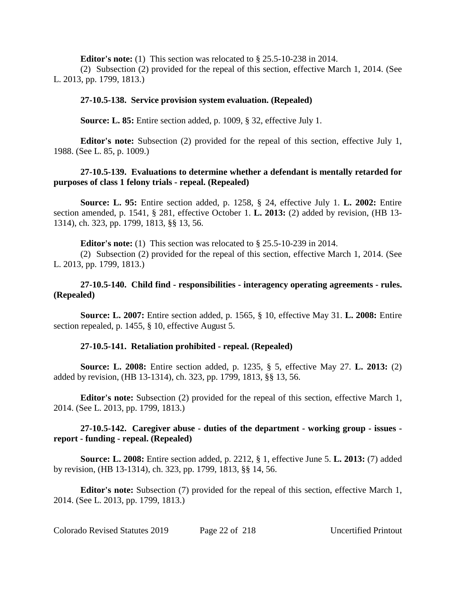**Editor's note:** (1) This section was relocated to § 25.5-10-238 in 2014.

(2) Subsection (2) provided for the repeal of this section, effective March 1, 2014. (See L. 2013, pp. 1799, 1813.)

# **27-10.5-138. Service provision system evaluation. (Repealed)**

**Source: L. 85:** Entire section added, p. 1009, § 32, effective July 1.

**Editor's note:** Subsection (2) provided for the repeal of this section, effective July 1, 1988. (See L. 85, p. 1009.)

# **27-10.5-139. Evaluations to determine whether a defendant is mentally retarded for purposes of class 1 felony trials - repeal. (Repealed)**

**Source: L. 95:** Entire section added, p. 1258, § 24, effective July 1. **L. 2002:** Entire section amended, p. 1541, § 281, effective October 1. **L. 2013:** (2) added by revision, (HB 13- 1314), ch. 323, pp. 1799, 1813, §§ 13, 56.

**Editor's note:** (1) This section was relocated to § 25.5-10-239 in 2014.

(2) Subsection (2) provided for the repeal of this section, effective March 1, 2014. (See L. 2013, pp. 1799, 1813.)

# **27-10.5-140. Child find - responsibilities - interagency operating agreements - rules. (Repealed)**

**Source: L. 2007:** Entire section added, p. 1565, § 10, effective May 31. **L. 2008:** Entire section repealed, p. 1455, § 10, effective August 5.

## **27-10.5-141. Retaliation prohibited - repeal. (Repealed)**

**Source: L. 2008:** Entire section added, p. 1235, § 5, effective May 27. **L. 2013:** (2) added by revision, (HB 13-1314), ch. 323, pp. 1799, 1813, §§ 13, 56.

**Editor's note:** Subsection (2) provided for the repeal of this section, effective March 1, 2014. (See L. 2013, pp. 1799, 1813.)

# **27-10.5-142. Caregiver abuse - duties of the department - working group - issues report - funding - repeal. (Repealed)**

**Source: L. 2008:** Entire section added, p. 2212, § 1, effective June 5. **L. 2013:** (7) added by revision, (HB 13-1314), ch. 323, pp. 1799, 1813, §§ 14, 56.

**Editor's note:** Subsection (7) provided for the repeal of this section, effective March 1, 2014. (See L. 2013, pp. 1799, 1813.)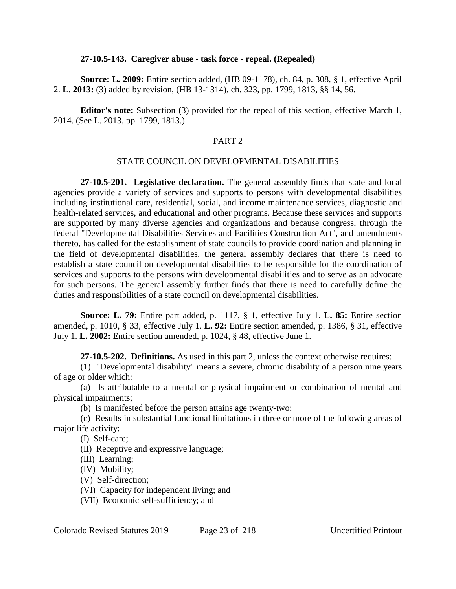#### **27-10.5-143. Caregiver abuse - task force - repeal. (Repealed)**

**Source: L. 2009:** Entire section added, (HB 09-1178), ch. 84, p. 308, § 1, effective April 2. **L. 2013:** (3) added by revision, (HB 13-1314), ch. 323, pp. 1799, 1813, §§ 14, 56.

**Editor's note:** Subsection (3) provided for the repeal of this section, effective March 1, 2014. (See L. 2013, pp. 1799, 1813.)

# PART 2

# STATE COUNCIL ON DEVELOPMENTAL DISABILITIES

**27-10.5-201. Legislative declaration.** The general assembly finds that state and local agencies provide a variety of services and supports to persons with developmental disabilities including institutional care, residential, social, and income maintenance services, diagnostic and health-related services, and educational and other programs. Because these services and supports are supported by many diverse agencies and organizations and because congress, through the federal "Developmental Disabilities Services and Facilities Construction Act", and amendments thereto, has called for the establishment of state councils to provide coordination and planning in the field of developmental disabilities, the general assembly declares that there is need to establish a state council on developmental disabilities to be responsible for the coordination of services and supports to the persons with developmental disabilities and to serve as an advocate for such persons. The general assembly further finds that there is need to carefully define the duties and responsibilities of a state council on developmental disabilities.

**Source: L. 79:** Entire part added, p. 1117, § 1, effective July 1. **L. 85:** Entire section amended, p. 1010, § 33, effective July 1. **L. 92:** Entire section amended, p. 1386, § 31, effective July 1. **L. 2002:** Entire section amended, p. 1024, § 48, effective June 1.

**27-10.5-202. Definitions.** As used in this part 2, unless the context otherwise requires:

(1) "Developmental disability" means a severe, chronic disability of a person nine years of age or older which:

(a) Is attributable to a mental or physical impairment or combination of mental and physical impairments;

(b) Is manifested before the person attains age twenty-two;

(c) Results in substantial functional limitations in three or more of the following areas of major life activity:

(I) Self-care;

(II) Receptive and expressive language;

(III) Learning;

(IV) Mobility;

(V) Self-direction;

(VI) Capacity for independent living; and

(VII) Economic self-sufficiency; and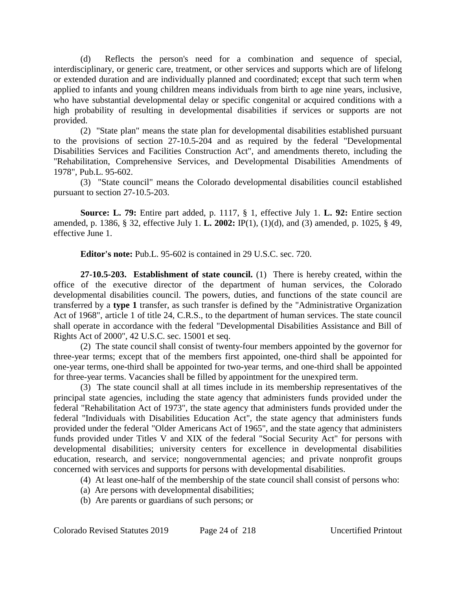(d) Reflects the person's need for a combination and sequence of special, interdisciplinary, or generic care, treatment, or other services and supports which are of lifelong or extended duration and are individually planned and coordinated; except that such term when applied to infants and young children means individuals from birth to age nine years, inclusive, who have substantial developmental delay or specific congenital or acquired conditions with a high probability of resulting in developmental disabilities if services or supports are not provided.

(2) "State plan" means the state plan for developmental disabilities established pursuant to the provisions of section 27-10.5-204 and as required by the federal "Developmental Disabilities Services and Facilities Construction Act", and amendments thereto, including the "Rehabilitation, Comprehensive Services, and Developmental Disabilities Amendments of 1978", Pub.L. 95-602.

(3) "State council" means the Colorado developmental disabilities council established pursuant to section 27-10.5-203.

**Source: L. 79:** Entire part added, p. 1117, § 1, effective July 1. **L. 92:** Entire section amended, p. 1386, § 32, effective July 1. **L. 2002:** IP(1), (1)(d), and (3) amended, p. 1025, § 49, effective June 1.

**Editor's note:** Pub.L. 95-602 is contained in 29 U.S.C. sec. 720.

**27-10.5-203. Establishment of state council.** (1) There is hereby created, within the office of the executive director of the department of human services, the Colorado developmental disabilities council. The powers, duties, and functions of the state council are transferred by a **type 1** transfer, as such transfer is defined by the "Administrative Organization Act of 1968", article 1 of title 24, C.R.S., to the department of human services. The state council shall operate in accordance with the federal "Developmental Disabilities Assistance and Bill of Rights Act of 2000", 42 U.S.C. sec. 15001 et seq.

(2) The state council shall consist of twenty-four members appointed by the governor for three-year terms; except that of the members first appointed, one-third shall be appointed for one-year terms, one-third shall be appointed for two-year terms, and one-third shall be appointed for three-year terms. Vacancies shall be filled by appointment for the unexpired term.

(3) The state council shall at all times include in its membership representatives of the principal state agencies, including the state agency that administers funds provided under the federal "Rehabilitation Act of 1973", the state agency that administers funds provided under the federal "Individuals with Disabilities Education Act", the state agency that administers funds provided under the federal "Older Americans Act of 1965", and the state agency that administers funds provided under Titles V and XIX of the federal "Social Security Act" for persons with developmental disabilities; university centers for excellence in developmental disabilities education, research, and service; nongovernmental agencies; and private nonprofit groups concerned with services and supports for persons with developmental disabilities.

- (4) At least one-half of the membership of the state council shall consist of persons who:
- (a) Are persons with developmental disabilities;
- (b) Are parents or guardians of such persons; or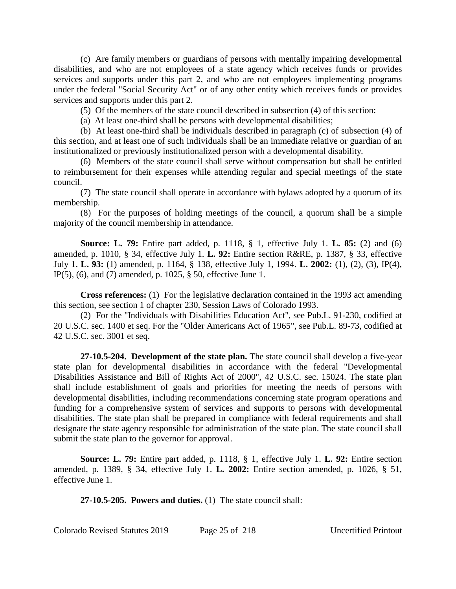(c) Are family members or guardians of persons with mentally impairing developmental disabilities, and who are not employees of a state agency which receives funds or provides services and supports under this part 2, and who are not employees implementing programs under the federal "Social Security Act" or of any other entity which receives funds or provides services and supports under this part 2.

(5) Of the members of the state council described in subsection (4) of this section:

(a) At least one-third shall be persons with developmental disabilities;

(b) At least one-third shall be individuals described in paragraph (c) of subsection (4) of this section, and at least one of such individuals shall be an immediate relative or guardian of an institutionalized or previously institutionalized person with a developmental disability.

(6) Members of the state council shall serve without compensation but shall be entitled to reimbursement for their expenses while attending regular and special meetings of the state council.

(7) The state council shall operate in accordance with bylaws adopted by a quorum of its membership.

(8) For the purposes of holding meetings of the council, a quorum shall be a simple majority of the council membership in attendance.

**Source: L. 79:** Entire part added, p. 1118, § 1, effective July 1. **L. 85:** (2) and (6) amended, p. 1010, § 34, effective July 1. **L. 92:** Entire section R&RE, p. 1387, § 33, effective July 1. **L. 93:** (1) amended, p. 1164, § 138, effective July 1, 1994. **L. 2002:** (1), (2), (3), IP(4), IP(5), (6), and (7) amended, p. 1025, § 50, effective June 1.

**Cross references:** (1) For the legislative declaration contained in the 1993 act amending this section, see section 1 of chapter 230, Session Laws of Colorado 1993.

(2) For the "Individuals with Disabilities Education Act", see Pub.L. 91-230, codified at 20 U.S.C. sec. 1400 et seq. For the "Older Americans Act of 1965", see Pub.L. 89-73, codified at 42 U.S.C. sec. 3001 et seq.

**27-10.5-204. Development of the state plan.** The state council shall develop a five-year state plan for developmental disabilities in accordance with the federal "Developmental Disabilities Assistance and Bill of Rights Act of 2000", 42 U.S.C. sec. 15024. The state plan shall include establishment of goals and priorities for meeting the needs of persons with developmental disabilities, including recommendations concerning state program operations and funding for a comprehensive system of services and supports to persons with developmental disabilities. The state plan shall be prepared in compliance with federal requirements and shall designate the state agency responsible for administration of the state plan. The state council shall submit the state plan to the governor for approval.

**Source: L. 79:** Entire part added, p. 1118, § 1, effective July 1. **L. 92:** Entire section amended, p. 1389, § 34, effective July 1. **L. 2002:** Entire section amended, p. 1026, § 51, effective June 1.

**27-10.5-205. Powers and duties.** (1) The state council shall:

Colorado Revised Statutes 2019 Page 25 of 218 Uncertified Printout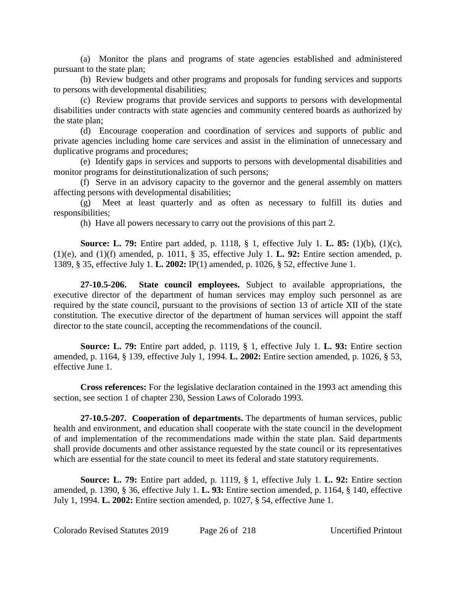(a) Monitor the plans and programs of state agencies established and administered pursuant to the state plan;

(b) Review budgets and other programs and proposals for funding services and supports to persons with developmental disabilities;

(c) Review programs that provide services and supports to persons with developmental disabilities under contracts with state agencies and community centered boards as authorized by the state plan;

(d) Encourage cooperation and coordination of services and supports of public and private agencies including home care services and assist in the elimination of unnecessary and duplicative programs and procedures;

(e) Identify gaps in services and supports to persons with developmental disabilities and monitor programs for deinstitutionalization of such persons;

(f) Serve in an advisory capacity to the governor and the general assembly on matters affecting persons with developmental disabilities;

(g) Meet at least quarterly and as often as necessary to fulfill its duties and responsibilities;

(h) Have all powers necessary to carry out the provisions of this part 2.

**Source: L. 79:** Entire part added, p. 1118, § 1, effective July 1. **L. 85:** (1)(b), (1)(c), (1)(e), and (1)(f) amended, p. 1011, § 35, effective July 1. **L. 92:** Entire section amended, p. 1389, § 35, effective July 1. **L. 2002:** IP(1) amended, p. 1026, § 52, effective June 1.

**27-10.5-206. State council employees.** Subject to available appropriations, the executive director of the department of human services may employ such personnel as are required by the state council, pursuant to the provisions of section 13 of article XII of the state constitution. The executive director of the department of human services will appoint the staff director to the state council, accepting the recommendations of the council.

**Source: L. 79:** Entire part added, p. 1119, § 1, effective July 1. **L. 93:** Entire section amended, p. 1164, § 139, effective July 1, 1994. **L. 2002:** Entire section amended, p. 1026, § 53, effective June 1.

**Cross references:** For the legislative declaration contained in the 1993 act amending this section, see section 1 of chapter 230, Session Laws of Colorado 1993.

**27-10.5-207. Cooperation of departments.** The departments of human services, public health and environment, and education shall cooperate with the state council in the development of and implementation of the recommendations made within the state plan. Said departments shall provide documents and other assistance requested by the state council or its representatives which are essential for the state council to meet its federal and state statutory requirements.

**Source: L. 79:** Entire part added, p. 1119, § 1, effective July 1. **L. 92:** Entire section amended, p. 1390, § 36, effective July 1. **L. 93:** Entire section amended, p. 1164, § 140, effective July 1, 1994. **L. 2002:** Entire section amended, p. 1027, § 54, effective June 1.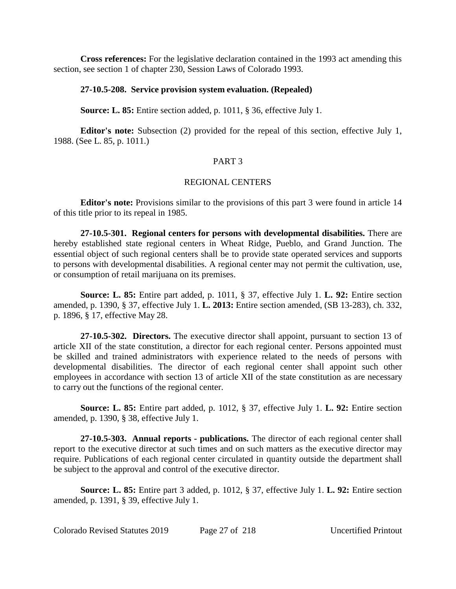**Cross references:** For the legislative declaration contained in the 1993 act amending this section, see section 1 of chapter 230, Session Laws of Colorado 1993.

#### **27-10.5-208. Service provision system evaluation. (Repealed)**

**Source: L. 85:** Entire section added, p. 1011, § 36, effective July 1.

**Editor's note:** Subsection (2) provided for the repeal of this section, effective July 1, 1988. (See L. 85, p. 1011.)

# PART 3

## REGIONAL CENTERS

**Editor's note:** Provisions similar to the provisions of this part 3 were found in article 14 of this title prior to its repeal in 1985.

**27-10.5-301. Regional centers for persons with developmental disabilities.** There are hereby established state regional centers in Wheat Ridge, Pueblo, and Grand Junction. The essential object of such regional centers shall be to provide state operated services and supports to persons with developmental disabilities. A regional center may not permit the cultivation, use, or consumption of retail marijuana on its premises.

**Source: L. 85:** Entire part added, p. 1011, § 37, effective July 1. **L. 92:** Entire section amended, p. 1390, § 37, effective July 1. **L. 2013:** Entire section amended, (SB 13-283), ch. 332, p. 1896, § 17, effective May 28.

**27-10.5-302. Directors.** The executive director shall appoint, pursuant to section 13 of article XII of the state constitution, a director for each regional center. Persons appointed must be skilled and trained administrators with experience related to the needs of persons with developmental disabilities. The director of each regional center shall appoint such other employees in accordance with section 13 of article XII of the state constitution as are necessary to carry out the functions of the regional center.

**Source: L. 85:** Entire part added, p. 1012, § 37, effective July 1. **L. 92:** Entire section amended, p. 1390, § 38, effective July 1.

**27-10.5-303. Annual reports - publications.** The director of each regional center shall report to the executive director at such times and on such matters as the executive director may require. Publications of each regional center circulated in quantity outside the department shall be subject to the approval and control of the executive director.

**Source: L. 85:** Entire part 3 added, p. 1012, § 37, effective July 1. **L. 92:** Entire section amended, p. 1391, § 39, effective July 1.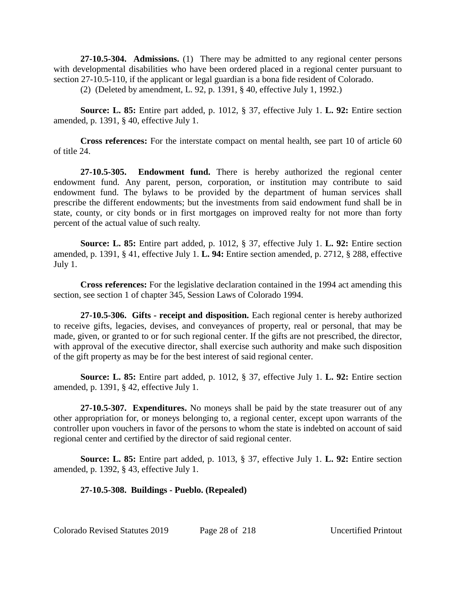**27-10.5-304. Admissions.** (1) There may be admitted to any regional center persons with developmental disabilities who have been ordered placed in a regional center pursuant to section 27-10.5-110, if the applicant or legal guardian is a bona fide resident of Colorado.

(2) (Deleted by amendment, L. 92, p. 1391, § 40, effective July 1, 1992.)

**Source: L. 85:** Entire part added, p. 1012, § 37, effective July 1. **L. 92:** Entire section amended, p. 1391, § 40, effective July 1.

**Cross references:** For the interstate compact on mental health, see part 10 of article 60 of title 24.

**27-10.5-305. Endowment fund.** There is hereby authorized the regional center endowment fund. Any parent, person, corporation, or institution may contribute to said endowment fund. The bylaws to be provided by the department of human services shall prescribe the different endowments; but the investments from said endowment fund shall be in state, county, or city bonds or in first mortgages on improved realty for not more than forty percent of the actual value of such realty.

**Source: L. 85:** Entire part added, p. 1012, § 37, effective July 1. **L. 92:** Entire section amended, p. 1391, § 41, effective July 1. **L. 94:** Entire section amended, p. 2712, § 288, effective July 1.

**Cross references:** For the legislative declaration contained in the 1994 act amending this section, see section 1 of chapter 345, Session Laws of Colorado 1994.

**27-10.5-306. Gifts - receipt and disposition.** Each regional center is hereby authorized to receive gifts, legacies, devises, and conveyances of property, real or personal, that may be made, given, or granted to or for such regional center. If the gifts are not prescribed, the director, with approval of the executive director, shall exercise such authority and make such disposition of the gift property as may be for the best interest of said regional center.

**Source: L. 85:** Entire part added, p. 1012, § 37, effective July 1. **L. 92:** Entire section amended, p. 1391, § 42, effective July 1.

**27-10.5-307. Expenditures.** No moneys shall be paid by the state treasurer out of any other appropriation for, or moneys belonging to, a regional center, except upon warrants of the controller upon vouchers in favor of the persons to whom the state is indebted on account of said regional center and certified by the director of said regional center.

**Source: L. 85:** Entire part added, p. 1013, § 37, effective July 1. **L. 92:** Entire section amended, p. 1392, § 43, effective July 1.

## **27-10.5-308. Buildings - Pueblo. (Repealed)**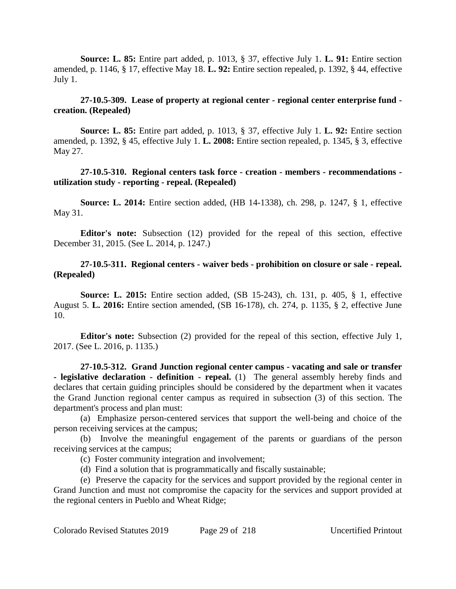**Source: L. 85:** Entire part added, p. 1013, § 37, effective July 1. **L. 91:** Entire section amended, p. 1146, § 17, effective May 18. **L. 92:** Entire section repealed, p. 1392, § 44, effective July 1.

# **27-10.5-309. Lease of property at regional center - regional center enterprise fund creation. (Repealed)**

**Source: L. 85:** Entire part added, p. 1013, § 37, effective July 1. **L. 92:** Entire section amended, p. 1392, § 45, effective July 1. **L. 2008:** Entire section repealed, p. 1345, § 3, effective May 27.

# **27-10.5-310. Regional centers task force - creation - members - recommendations utilization study - reporting - repeal. (Repealed)**

**Source: L. 2014:** Entire section added, (HB 14-1338), ch. 298, p. 1247, § 1, effective May 31.

**Editor's note:** Subsection (12) provided for the repeal of this section, effective December 31, 2015. (See L. 2014, p. 1247.)

## **27-10.5-311. Regional centers - waiver beds - prohibition on closure or sale - repeal. (Repealed)**

**Source: L. 2015:** Entire section added, (SB 15-243), ch. 131, p. 405, § 1, effective August 5. **L. 2016:** Entire section amended, (SB 16-178), ch. 274, p. 1135, § 2, effective June 10.

**Editor's note:** Subsection (2) provided for the repeal of this section, effective July 1, 2017. (See L. 2016, p. 1135.)

**27-10.5-312. Grand Junction regional center campus - vacating and sale or transfer - legislative declaration - definition - repeal.** (1) The general assembly hereby finds and declares that certain guiding principles should be considered by the department when it vacates the Grand Junction regional center campus as required in subsection (3) of this section. The department's process and plan must:

(a) Emphasize person-centered services that support the well-being and choice of the person receiving services at the campus;

(b) Involve the meaningful engagement of the parents or guardians of the person receiving services at the campus;

(c) Foster community integration and involvement;

(d) Find a solution that is programmatically and fiscally sustainable;

(e) Preserve the capacity for the services and support provided by the regional center in Grand Junction and must not compromise the capacity for the services and support provided at the regional centers in Pueblo and Wheat Ridge;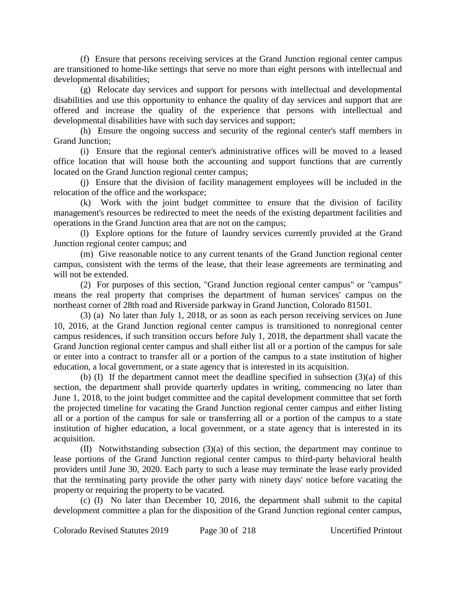(f) Ensure that persons receiving services at the Grand Junction regional center campus are transitioned to home-like settings that serve no more than eight persons with intellectual and developmental disabilities;

(g) Relocate day services and support for persons with intellectual and developmental disabilities and use this opportunity to enhance the quality of day services and support that are offered and increase the quality of the experience that persons with intellectual and developmental disabilities have with such day services and support;

(h) Ensure the ongoing success and security of the regional center's staff members in Grand Junction;

(i) Ensure that the regional center's administrative offices will be moved to a leased office location that will house both the accounting and support functions that are currently located on the Grand Junction regional center campus;

(j) Ensure that the division of facility management employees will be included in the relocation of the office and the workspace;

(k) Work with the joint budget committee to ensure that the division of facility management's resources be redirected to meet the needs of the existing department facilities and operations in the Grand Junction area that are not on the campus;

(l) Explore options for the future of laundry services currently provided at the Grand Junction regional center campus; and

(m) Give reasonable notice to any current tenants of the Grand Junction regional center campus, consistent with the terms of the lease, that their lease agreements are terminating and will not be extended.

(2) For purposes of this section, "Grand Junction regional center campus" or "campus" means the real property that comprises the department of human services' campus on the northeast corner of 28th road and Riverside parkway in Grand Junction, Colorado 81501.

(3) (a) No later than July 1, 2018, or as soon as each person receiving services on June 10, 2016, at the Grand Junction regional center campus is transitioned to nonregional center campus residences, if such transition occurs before July 1, 2018, the department shall vacate the Grand Junction regional center campus and shall either list all or a portion of the campus for sale or enter into a contract to transfer all or a portion of the campus to a state institution of higher education, a local government, or a state agency that is interested in its acquisition.

(b) (I) If the department cannot meet the deadline specified in subsection (3)(a) of this section, the department shall provide quarterly updates in writing, commencing no later than June 1, 2018, to the joint budget committee and the capital development committee that set forth the projected timeline for vacating the Grand Junction regional center campus and either listing all or a portion of the campus for sale or transferring all or a portion of the campus to a state institution of higher education, a local government, or a state agency that is interested in its acquisition.

(II) Notwithstanding subsection (3)(a) of this section, the department may continue to lease portions of the Grand Junction regional center campus to third-party behavioral health providers until June 30, 2020. Each party to such a lease may terminate the lease early provided that the terminating party provide the other party with ninety days' notice before vacating the property or requiring the property to be vacated.

(c) (I) No later than December 10, 2016, the department shall submit to the capital development committee a plan for the disposition of the Grand Junction regional center campus,

Colorado Revised Statutes 2019 Page 30 of 218 Uncertified Printout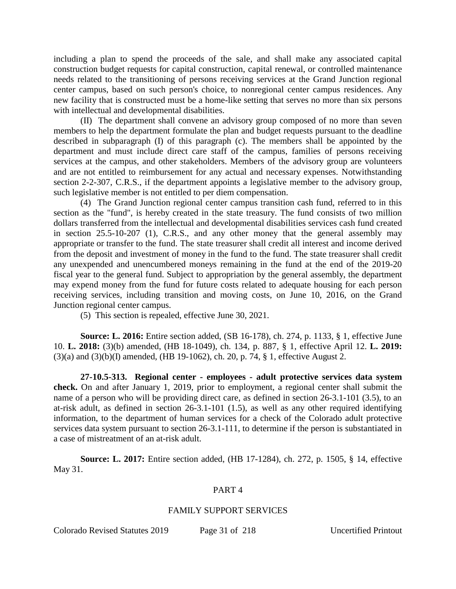including a plan to spend the proceeds of the sale, and shall make any associated capital construction budget requests for capital construction, capital renewal, or controlled maintenance needs related to the transitioning of persons receiving services at the Grand Junction regional center campus, based on such person's choice, to nonregional center campus residences. Any new facility that is constructed must be a home-like setting that serves no more than six persons with intellectual and developmental disabilities.

(II) The department shall convene an advisory group composed of no more than seven members to help the department formulate the plan and budget requests pursuant to the deadline described in subparagraph (I) of this paragraph (c). The members shall be appointed by the department and must include direct care staff of the campus, families of persons receiving services at the campus, and other stakeholders. Members of the advisory group are volunteers and are not entitled to reimbursement for any actual and necessary expenses. Notwithstanding section 2-2-307, C.R.S., if the department appoints a legislative member to the advisory group, such legislative member is not entitled to per diem compensation.

(4) The Grand Junction regional center campus transition cash fund, referred to in this section as the "fund", is hereby created in the state treasury. The fund consists of two million dollars transferred from the intellectual and developmental disabilities services cash fund created in section 25.5-10-207 (1), C.R.S., and any other money that the general assembly may appropriate or transfer to the fund. The state treasurer shall credit all interest and income derived from the deposit and investment of money in the fund to the fund. The state treasurer shall credit any unexpended and unencumbered moneys remaining in the fund at the end of the 2019-20 fiscal year to the general fund. Subject to appropriation by the general assembly, the department may expend money from the fund for future costs related to adequate housing for each person receiving services, including transition and moving costs, on June 10, 2016, on the Grand Junction regional center campus.

(5) This section is repealed, effective June 30, 2021.

**Source: L. 2016:** Entire section added, (SB 16-178), ch. 274, p. 1133, § 1, effective June 10. **L. 2018:** (3)(b) amended, (HB 18-1049), ch. 134, p. 887, § 1, effective April 12. **L. 2019:** (3)(a) and (3)(b)(I) amended, (HB 19-1062), ch. 20, p. 74, § 1, effective August 2.

**27-10.5-313. Regional center - employees - adult protective services data system check.** On and after January 1, 2019, prior to employment, a regional center shall submit the name of a person who will be providing direct care, as defined in section 26-3.1-101 (3.5), to an at-risk adult, as defined in section 26-3.1-101 (1.5), as well as any other required identifying information, to the department of human services for a check of the Colorado adult protective services data system pursuant to section 26-3.1-111, to determine if the person is substantiated in a case of mistreatment of an at-risk adult.

**Source: L. 2017:** Entire section added, (HB 17-1284), ch. 272, p. 1505, § 14, effective May 31.

## PART 4

#### FAMILY SUPPORT SERVICES

Colorado Revised Statutes 2019 Page 31 of 218 Uncertified Printout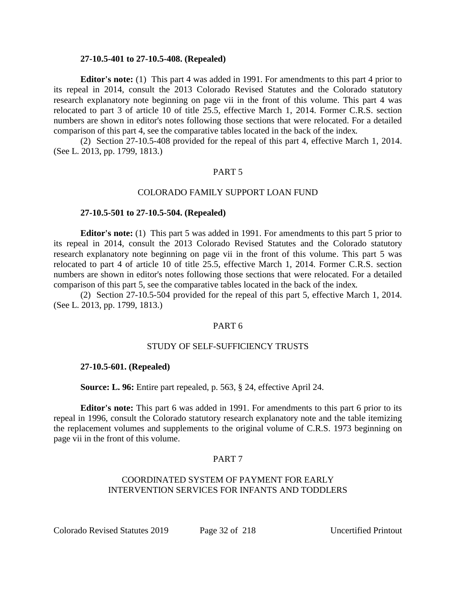#### **27-10.5-401 to 27-10.5-408. (Repealed)**

**Editor's note:** (1) This part 4 was added in 1991. For amendments to this part 4 prior to its repeal in 2014, consult the 2013 Colorado Revised Statutes and the Colorado statutory research explanatory note beginning on page vii in the front of this volume. This part 4 was relocated to part 3 of article 10 of title 25.5, effective March 1, 2014. Former C.R.S. section numbers are shown in editor's notes following those sections that were relocated. For a detailed comparison of this part 4, see the comparative tables located in the back of the index.

(2) Section 27-10.5-408 provided for the repeal of this part 4, effective March 1, 2014. (See L. 2013, pp. 1799, 1813.)

#### PART 5

#### COLORADO FAMILY SUPPORT LOAN FUND

#### **27-10.5-501 to 27-10.5-504. (Repealed)**

**Editor's note:** (1) This part 5 was added in 1991. For amendments to this part 5 prior to its repeal in 2014, consult the 2013 Colorado Revised Statutes and the Colorado statutory research explanatory note beginning on page vii in the front of this volume. This part 5 was relocated to part 4 of article 10 of title 25.5, effective March 1, 2014. Former C.R.S. section numbers are shown in editor's notes following those sections that were relocated. For a detailed comparison of this part 5, see the comparative tables located in the back of the index.

(2) Section 27-10.5-504 provided for the repeal of this part 5, effective March 1, 2014. (See L. 2013, pp. 1799, 1813.)

#### PART 6

## STUDY OF SELF-SUFFICIENCY TRUSTS

#### **27-10.5-601. (Repealed)**

**Source: L. 96:** Entire part repealed, p. 563, § 24, effective April 24.

**Editor's note:** This part 6 was added in 1991. For amendments to this part 6 prior to its repeal in 1996, consult the Colorado statutory research explanatory note and the table itemizing the replacement volumes and supplements to the original volume of C.R.S. 1973 beginning on page vii in the front of this volume.

## PART 7

# COORDINATED SYSTEM OF PAYMENT FOR EARLY INTERVENTION SERVICES FOR INFANTS AND TODDLERS

Colorado Revised Statutes 2019 Page 32 of 218 Uncertified Printout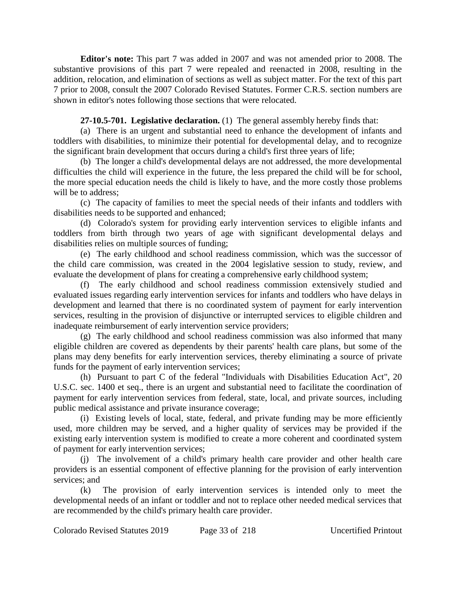**Editor's note:** This part 7 was added in 2007 and was not amended prior to 2008. The substantive provisions of this part 7 were repealed and reenacted in 2008, resulting in the addition, relocation, and elimination of sections as well as subject matter. For the text of this part 7 prior to 2008, consult the 2007 Colorado Revised Statutes. Former C.R.S. section numbers are shown in editor's notes following those sections that were relocated.

# **27-10.5-701. Legislative declaration.** (1) The general assembly hereby finds that:

(a) There is an urgent and substantial need to enhance the development of infants and toddlers with disabilities, to minimize their potential for developmental delay, and to recognize the significant brain development that occurs during a child's first three years of life;

(b) The longer a child's developmental delays are not addressed, the more developmental difficulties the child will experience in the future, the less prepared the child will be for school, the more special education needs the child is likely to have, and the more costly those problems will be to address:

(c) The capacity of families to meet the special needs of their infants and toddlers with disabilities needs to be supported and enhanced;

(d) Colorado's system for providing early intervention services to eligible infants and toddlers from birth through two years of age with significant developmental delays and disabilities relies on multiple sources of funding;

(e) The early childhood and school readiness commission, which was the successor of the child care commission, was created in the 2004 legislative session to study, review, and evaluate the development of plans for creating a comprehensive early childhood system;

(f) The early childhood and school readiness commission extensively studied and evaluated issues regarding early intervention services for infants and toddlers who have delays in development and learned that there is no coordinated system of payment for early intervention services, resulting in the provision of disjunctive or interrupted services to eligible children and inadequate reimbursement of early intervention service providers;

(g) The early childhood and school readiness commission was also informed that many eligible children are covered as dependents by their parents' health care plans, but some of the plans may deny benefits for early intervention services, thereby eliminating a source of private funds for the payment of early intervention services;

(h) Pursuant to part C of the federal "Individuals with Disabilities Education Act", 20 U.S.C. sec. 1400 et seq., there is an urgent and substantial need to facilitate the coordination of payment for early intervention services from federal, state, local, and private sources, including public medical assistance and private insurance coverage;

(i) Existing levels of local, state, federal, and private funding may be more efficiently used, more children may be served, and a higher quality of services may be provided if the existing early intervention system is modified to create a more coherent and coordinated system of payment for early intervention services;

(j) The involvement of a child's primary health care provider and other health care providers is an essential component of effective planning for the provision of early intervention services; and

(k) The provision of early intervention services is intended only to meet the developmental needs of an infant or toddler and not to replace other needed medical services that are recommended by the child's primary health care provider.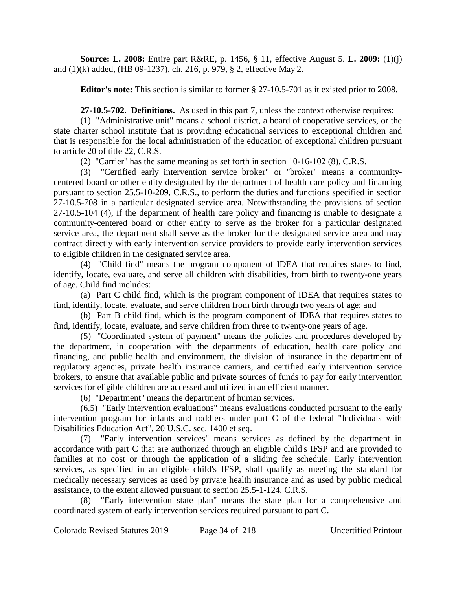**Source: L. 2008:** Entire part R&RE, p. 1456, § 11, effective August 5. **L. 2009:** (1)(j) and (1)(k) added, (HB 09-1237), ch. 216, p. 979, § 2, effective May 2.

**Editor's note:** This section is similar to former § 27-10.5-701 as it existed prior to 2008.

**27-10.5-702. Definitions.** As used in this part 7, unless the context otherwise requires:

(1) "Administrative unit" means a school district, a board of cooperative services, or the state charter school institute that is providing educational services to exceptional children and that is responsible for the local administration of the education of exceptional children pursuant to article 20 of title 22, C.R.S.

(2) "Carrier" has the same meaning as set forth in section 10-16-102 (8), C.R.S.

(3) "Certified early intervention service broker" or "broker" means a communitycentered board or other entity designated by the department of health care policy and financing pursuant to section 25.5-10-209, C.R.S., to perform the duties and functions specified in section 27-10.5-708 in a particular designated service area. Notwithstanding the provisions of section 27-10.5-104 (4), if the department of health care policy and financing is unable to designate a community-centered board or other entity to serve as the broker for a particular designated service area, the department shall serve as the broker for the designated service area and may contract directly with early intervention service providers to provide early intervention services to eligible children in the designated service area.

(4) "Child find" means the program component of IDEA that requires states to find, identify, locate, evaluate, and serve all children with disabilities, from birth to twenty-one years of age. Child find includes:

(a) Part C child find, which is the program component of IDEA that requires states to find, identify, locate, evaluate, and serve children from birth through two years of age; and

(b) Part B child find, which is the program component of IDEA that requires states to find, identify, locate, evaluate, and serve children from three to twenty-one years of age.

(5) "Coordinated system of payment" means the policies and procedures developed by the department, in cooperation with the departments of education, health care policy and financing, and public health and environment, the division of insurance in the department of regulatory agencies, private health insurance carriers, and certified early intervention service brokers, to ensure that available public and private sources of funds to pay for early intervention services for eligible children are accessed and utilized in an efficient manner.

(6) "Department" means the department of human services.

(6.5) "Early intervention evaluations" means evaluations conducted pursuant to the early intervention program for infants and toddlers under part C of the federal "Individuals with Disabilities Education Act", 20 U.S.C. sec. 1400 et seq.

(7) "Early intervention services" means services as defined by the department in accordance with part C that are authorized through an eligible child's IFSP and are provided to families at no cost or through the application of a sliding fee schedule. Early intervention services, as specified in an eligible child's IFSP, shall qualify as meeting the standard for medically necessary services as used by private health insurance and as used by public medical assistance, to the extent allowed pursuant to section 25.5-1-124, C.R.S.

"Early intervention state plan" means the state plan for a comprehensive and coordinated system of early intervention services required pursuant to part C.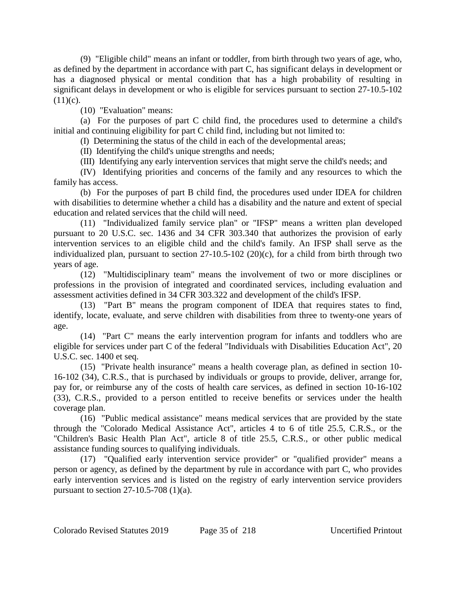(9) "Eligible child" means an infant or toddler, from birth through two years of age, who, as defined by the department in accordance with part C, has significant delays in development or has a diagnosed physical or mental condition that has a high probability of resulting in significant delays in development or who is eligible for services pursuant to section 27-10.5-102  $(11)(c)$ .

(10) "Evaluation" means:

(a) For the purposes of part C child find, the procedures used to determine a child's initial and continuing eligibility for part C child find, including but not limited to:

(I) Determining the status of the child in each of the developmental areas;

(II) Identifying the child's unique strengths and needs;

(III) Identifying any early intervention services that might serve the child's needs; and

(IV) Identifying priorities and concerns of the family and any resources to which the family has access.

(b) For the purposes of part B child find, the procedures used under IDEA for children with disabilities to determine whether a child has a disability and the nature and extent of special education and related services that the child will need.

(11) "Individualized family service plan" or "IFSP" means a written plan developed pursuant to 20 U.S.C. sec. 1436 and 34 CFR 303.340 that authorizes the provision of early intervention services to an eligible child and the child's family. An IFSP shall serve as the individualized plan, pursuant to section 27-10.5-102 (20)(c), for a child from birth through two years of age.

(12) "Multidisciplinary team" means the involvement of two or more disciplines or professions in the provision of integrated and coordinated services, including evaluation and assessment activities defined in 34 CFR 303.322 and development of the child's IFSP.

(13) "Part B" means the program component of IDEA that requires states to find, identify, locate, evaluate, and serve children with disabilities from three to twenty-one years of age.

(14) "Part C" means the early intervention program for infants and toddlers who are eligible for services under part C of the federal "Individuals with Disabilities Education Act", 20 U.S.C. sec. 1400 et seq.

(15) "Private health insurance" means a health coverage plan, as defined in section 10- 16-102 (34), C.R.S., that is purchased by individuals or groups to provide, deliver, arrange for, pay for, or reimburse any of the costs of health care services, as defined in section 10-16-102 (33), C.R.S., provided to a person entitled to receive benefits or services under the health coverage plan.

(16) "Public medical assistance" means medical services that are provided by the state through the "Colorado Medical Assistance Act", articles 4 to 6 of title 25.5, C.R.S., or the "Children's Basic Health Plan Act", article 8 of title 25.5, C.R.S., or other public medical assistance funding sources to qualifying individuals.

(17) "Qualified early intervention service provider" or "qualified provider" means a person or agency, as defined by the department by rule in accordance with part C, who provides early intervention services and is listed on the registry of early intervention service providers pursuant to section 27-10.5-708 (1)(a).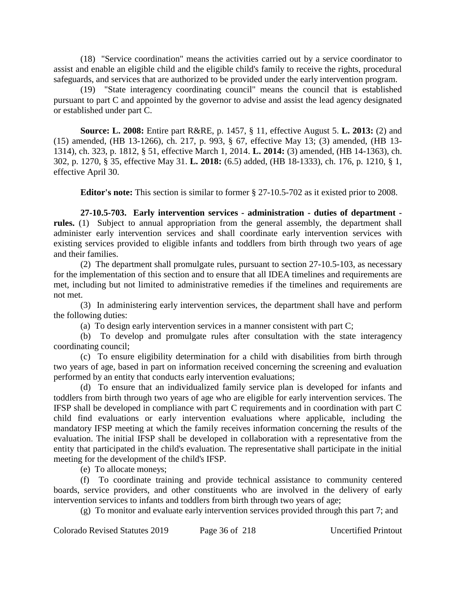(18) "Service coordination" means the activities carried out by a service coordinator to assist and enable an eligible child and the eligible child's family to receive the rights, procedural safeguards, and services that are authorized to be provided under the early intervention program.

(19) "State interagency coordinating council" means the council that is established pursuant to part C and appointed by the governor to advise and assist the lead agency designated or established under part C.

**Source: L. 2008:** Entire part R&RE, p. 1457, § 11, effective August 5. **L. 2013:** (2) and (15) amended, (HB 13-1266), ch. 217, p. 993, § 67, effective May 13; (3) amended, (HB 13- 1314), ch. 323, p. 1812, § 51, effective March 1, 2014. **L. 2014:** (3) amended, (HB 14-1363), ch. 302, p. 1270, § 35, effective May 31. **L. 2018:** (6.5) added, (HB 18-1333), ch. 176, p. 1210, § 1, effective April 30.

**Editor's note:** This section is similar to former § 27-10.5-702 as it existed prior to 2008.

**27-10.5-703. Early intervention services - administration - duties of department rules.** (1) Subject to annual appropriation from the general assembly, the department shall administer early intervention services and shall coordinate early intervention services with existing services provided to eligible infants and toddlers from birth through two years of age and their families.

(2) The department shall promulgate rules, pursuant to section 27-10.5-103, as necessary for the implementation of this section and to ensure that all IDEA timelines and requirements are met, including but not limited to administrative remedies if the timelines and requirements are not met.

(3) In administering early intervention services, the department shall have and perform the following duties:

(a) To design early intervention services in a manner consistent with part C;

(b) To develop and promulgate rules after consultation with the state interagency coordinating council;

(c) To ensure eligibility determination for a child with disabilities from birth through two years of age, based in part on information received concerning the screening and evaluation performed by an entity that conducts early intervention evaluations;

(d) To ensure that an individualized family service plan is developed for infants and toddlers from birth through two years of age who are eligible for early intervention services. The IFSP shall be developed in compliance with part C requirements and in coordination with part C child find evaluations or early intervention evaluations where applicable, including the mandatory IFSP meeting at which the family receives information concerning the results of the evaluation. The initial IFSP shall be developed in collaboration with a representative from the entity that participated in the child's evaluation. The representative shall participate in the initial meeting for the development of the child's IFSP.

(e) To allocate moneys;

(f) To coordinate training and provide technical assistance to community centered boards, service providers, and other constituents who are involved in the delivery of early intervention services to infants and toddlers from birth through two years of age;

(g) To monitor and evaluate early intervention services provided through this part 7; and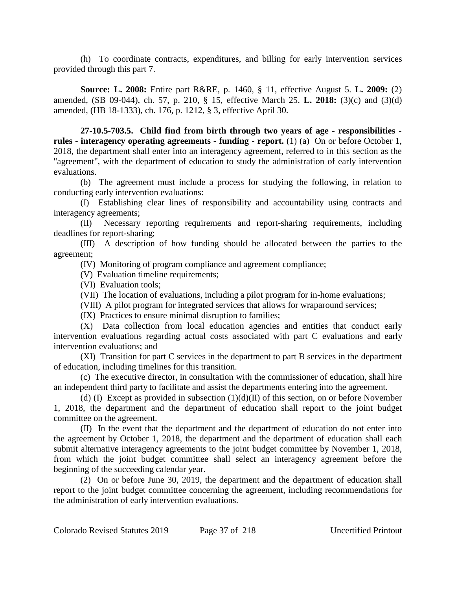(h) To coordinate contracts, expenditures, and billing for early intervention services provided through this part 7.

**Source: L. 2008:** Entire part R&RE, p. 1460, § 11, effective August 5. **L. 2009:** (2) amended, (SB 09-044), ch. 57, p. 210, § 15, effective March 25. **L. 2018:** (3)(c) and (3)(d) amended, (HB 18-1333), ch. 176, p. 1212, § 3, effective April 30.

**27-10.5-703.5. Child find from birth through two years of age - responsibilities rules - interagency operating agreements - funding - report.** (1) (a) On or before October 1, 2018, the department shall enter into an interagency agreement, referred to in this section as the "agreement", with the department of education to study the administration of early intervention evaluations.

(b) The agreement must include a process for studying the following, in relation to conducting early intervention evaluations:

(I) Establishing clear lines of responsibility and accountability using contracts and interagency agreements;

(II) Necessary reporting requirements and report-sharing requirements, including deadlines for report-sharing;

(III) A description of how funding should be allocated between the parties to the agreement;

(IV) Monitoring of program compliance and agreement compliance;

(V) Evaluation timeline requirements;

(VI) Evaluation tools;

(VII) The location of evaluations, including a pilot program for in-home evaluations;

(VIII) A pilot program for integrated services that allows for wraparound services;

(IX) Practices to ensure minimal disruption to families;

(X) Data collection from local education agencies and entities that conduct early intervention evaluations regarding actual costs associated with part C evaluations and early intervention evaluations; and

(XI) Transition for part C services in the department to part B services in the department of education, including timelines for this transition.

(c) The executive director, in consultation with the commissioner of education, shall hire an independent third party to facilitate and assist the departments entering into the agreement.

(d) (I) Except as provided in subsection  $(1)(d)(II)$  of this section, on or before November 1, 2018, the department and the department of education shall report to the joint budget committee on the agreement.

(II) In the event that the department and the department of education do not enter into the agreement by October 1, 2018, the department and the department of education shall each submit alternative interagency agreements to the joint budget committee by November 1, 2018, from which the joint budget committee shall select an interagency agreement before the beginning of the succeeding calendar year.

(2) On or before June 30, 2019, the department and the department of education shall report to the joint budget committee concerning the agreement, including recommendations for the administration of early intervention evaluations.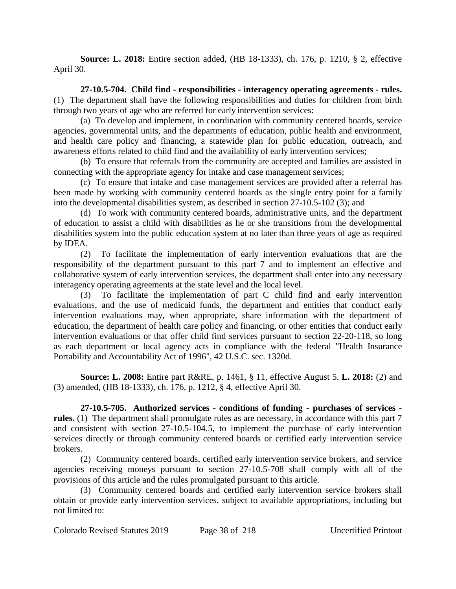**Source: L. 2018:** Entire section added, (HB 18-1333), ch. 176, p. 1210, § 2, effective April 30.

**27-10.5-704. Child find - responsibilities - interagency operating agreements - rules.** (1) The department shall have the following responsibilities and duties for children from birth through two years of age who are referred for early intervention services:

(a) To develop and implement, in coordination with community centered boards, service agencies, governmental units, and the departments of education, public health and environment, and health care policy and financing, a statewide plan for public education, outreach, and awareness efforts related to child find and the availability of early intervention services;

(b) To ensure that referrals from the community are accepted and families are assisted in connecting with the appropriate agency for intake and case management services;

(c) To ensure that intake and case management services are provided after a referral has been made by working with community centered boards as the single entry point for a family into the developmental disabilities system, as described in section 27-10.5-102 (3); and

(d) To work with community centered boards, administrative units, and the department of education to assist a child with disabilities as he or she transitions from the developmental disabilities system into the public education system at no later than three years of age as required by IDEA.

(2) To facilitate the implementation of early intervention evaluations that are the responsibility of the department pursuant to this part 7 and to implement an effective and collaborative system of early intervention services, the department shall enter into any necessary interagency operating agreements at the state level and the local level.

(3) To facilitate the implementation of part C child find and early intervention evaluations, and the use of medicaid funds, the department and entities that conduct early intervention evaluations may, when appropriate, share information with the department of education, the department of health care policy and financing, or other entities that conduct early intervention evaluations or that offer child find services pursuant to section 22-20-118, so long as each department or local agency acts in compliance with the federal "Health Insurance Portability and Accountability Act of 1996", 42 U.S.C. sec. 1320d.

**Source: L. 2008:** Entire part R&RE, p. 1461, § 11, effective August 5. **L. 2018:** (2) and (3) amended, (HB 18-1333), ch. 176, p. 1212, § 4, effective April 30.

**27-10.5-705. Authorized services - conditions of funding - purchases of services rules.** (1) The department shall promulgate rules as are necessary, in accordance with this part 7 and consistent with section 27-10.5-104.5, to implement the purchase of early intervention services directly or through community centered boards or certified early intervention service brokers.

(2) Community centered boards, certified early intervention service brokers, and service agencies receiving moneys pursuant to section 27-10.5-708 shall comply with all of the provisions of this article and the rules promulgated pursuant to this article.

(3) Community centered boards and certified early intervention service brokers shall obtain or provide early intervention services, subject to available appropriations, including but not limited to: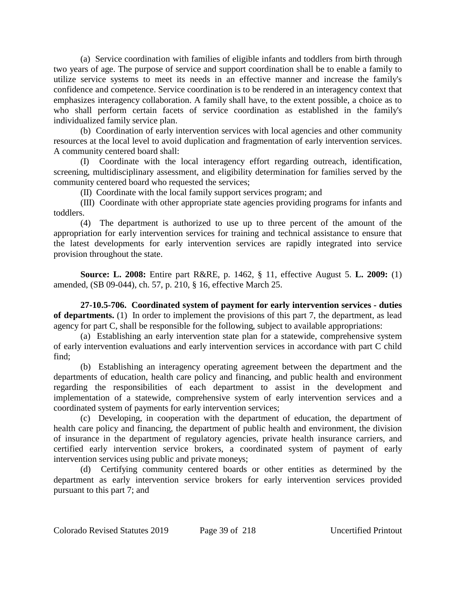(a) Service coordination with families of eligible infants and toddlers from birth through two years of age. The purpose of service and support coordination shall be to enable a family to utilize service systems to meet its needs in an effective manner and increase the family's confidence and competence. Service coordination is to be rendered in an interagency context that emphasizes interagency collaboration. A family shall have, to the extent possible, a choice as to who shall perform certain facets of service coordination as established in the family's individualized family service plan.

(b) Coordination of early intervention services with local agencies and other community resources at the local level to avoid duplication and fragmentation of early intervention services. A community centered board shall:

(I) Coordinate with the local interagency effort regarding outreach, identification, screening, multidisciplinary assessment, and eligibility determination for families served by the community centered board who requested the services;

(II) Coordinate with the local family support services program; and

(III) Coordinate with other appropriate state agencies providing programs for infants and toddlers.

(4) The department is authorized to use up to three percent of the amount of the appropriation for early intervention services for training and technical assistance to ensure that the latest developments for early intervention services are rapidly integrated into service provision throughout the state.

**Source: L. 2008:** Entire part R&RE, p. 1462, § 11, effective August 5. **L. 2009:** (1) amended, (SB 09-044), ch. 57, p. 210, § 16, effective March 25.

**27-10.5-706. Coordinated system of payment for early intervention services - duties of departments.** (1) In order to implement the provisions of this part 7, the department, as lead agency for part C, shall be responsible for the following, subject to available appropriations:

(a) Establishing an early intervention state plan for a statewide, comprehensive system of early intervention evaluations and early intervention services in accordance with part C child find;

(b) Establishing an interagency operating agreement between the department and the departments of education, health care policy and financing, and public health and environment regarding the responsibilities of each department to assist in the development and implementation of a statewide, comprehensive system of early intervention services and a coordinated system of payments for early intervention services;

(c) Developing, in cooperation with the department of education, the department of health care policy and financing, the department of public health and environment, the division of insurance in the department of regulatory agencies, private health insurance carriers, and certified early intervention service brokers, a coordinated system of payment of early intervention services using public and private moneys;

(d) Certifying community centered boards or other entities as determined by the department as early intervention service brokers for early intervention services provided pursuant to this part 7; and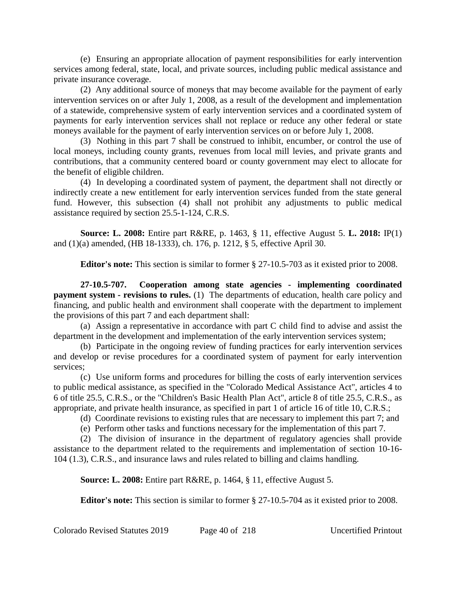(e) Ensuring an appropriate allocation of payment responsibilities for early intervention services among federal, state, local, and private sources, including public medical assistance and private insurance coverage.

(2) Any additional source of moneys that may become available for the payment of early intervention services on or after July 1, 2008, as a result of the development and implementation of a statewide, comprehensive system of early intervention services and a coordinated system of payments for early intervention services shall not replace or reduce any other federal or state moneys available for the payment of early intervention services on or before July 1, 2008.

(3) Nothing in this part 7 shall be construed to inhibit, encumber, or control the use of local moneys, including county grants, revenues from local mill levies, and private grants and contributions, that a community centered board or county government may elect to allocate for the benefit of eligible children.

(4) In developing a coordinated system of payment, the department shall not directly or indirectly create a new entitlement for early intervention services funded from the state general fund. However, this subsection (4) shall not prohibit any adjustments to public medical assistance required by section 25.5-1-124, C.R.S.

**Source: L. 2008:** Entire part R&RE, p. 1463, § 11, effective August 5. **L. 2018:** IP(1) and (1)(a) amended, (HB 18-1333), ch. 176, p. 1212, § 5, effective April 30.

**Editor's note:** This section is similar to former § 27-10.5-703 as it existed prior to 2008.

**27-10.5-707. Cooperation among state agencies - implementing coordinated payment system - revisions to rules.** (1) The departments of education, health care policy and financing, and public health and environment shall cooperate with the department to implement the provisions of this part 7 and each department shall:

(a) Assign a representative in accordance with part C child find to advise and assist the department in the development and implementation of the early intervention services system;

(b) Participate in the ongoing review of funding practices for early intervention services and develop or revise procedures for a coordinated system of payment for early intervention services;

(c) Use uniform forms and procedures for billing the costs of early intervention services to public medical assistance, as specified in the "Colorado Medical Assistance Act", articles 4 to 6 of title 25.5, C.R.S., or the "Children's Basic Health Plan Act", article 8 of title 25.5, C.R.S., as appropriate, and private health insurance, as specified in part 1 of article 16 of title 10, C.R.S.;

(d) Coordinate revisions to existing rules that are necessary to implement this part 7; and

(e) Perform other tasks and functions necessary for the implementation of this part 7.

(2) The division of insurance in the department of regulatory agencies shall provide assistance to the department related to the requirements and implementation of section 10-16- 104 (1.3), C.R.S., and insurance laws and rules related to billing and claims handling.

**Source: L. 2008:** Entire part R&RE, p. 1464, § 11, effective August 5.

**Editor's note:** This section is similar to former § 27-10.5-704 as it existed prior to 2008.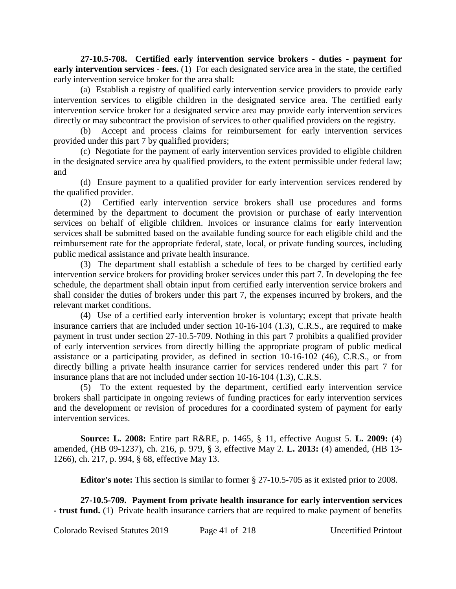**27-10.5-708. Certified early intervention service brokers - duties - payment for early intervention services - fees.** (1) For each designated service area in the state, the certified early intervention service broker for the area shall:

(a) Establish a registry of qualified early intervention service providers to provide early intervention services to eligible children in the designated service area. The certified early intervention service broker for a designated service area may provide early intervention services directly or may subcontract the provision of services to other qualified providers on the registry.

(b) Accept and process claims for reimbursement for early intervention services provided under this part 7 by qualified providers;

(c) Negotiate for the payment of early intervention services provided to eligible children in the designated service area by qualified providers, to the extent permissible under federal law; and

(d) Ensure payment to a qualified provider for early intervention services rendered by the qualified provider.

(2) Certified early intervention service brokers shall use procedures and forms determined by the department to document the provision or purchase of early intervention services on behalf of eligible children. Invoices or insurance claims for early intervention services shall be submitted based on the available funding source for each eligible child and the reimbursement rate for the appropriate federal, state, local, or private funding sources, including public medical assistance and private health insurance.

(3) The department shall establish a schedule of fees to be charged by certified early intervention service brokers for providing broker services under this part 7. In developing the fee schedule, the department shall obtain input from certified early intervention service brokers and shall consider the duties of brokers under this part 7, the expenses incurred by brokers, and the relevant market conditions.

(4) Use of a certified early intervention broker is voluntary; except that private health insurance carriers that are included under section 10-16-104 (1.3), C.R.S., are required to make payment in trust under section 27-10.5-709. Nothing in this part 7 prohibits a qualified provider of early intervention services from directly billing the appropriate program of public medical assistance or a participating provider, as defined in section 10-16-102 (46), C.R.S., or from directly billing a private health insurance carrier for services rendered under this part 7 for insurance plans that are not included under section 10-16-104 (1.3), C.R.S.

(5) To the extent requested by the department, certified early intervention service brokers shall participate in ongoing reviews of funding practices for early intervention services and the development or revision of procedures for a coordinated system of payment for early intervention services.

**Source: L. 2008:** Entire part R&RE, p. 1465, § 11, effective August 5. **L. 2009:** (4) amended, (HB 09-1237), ch. 216, p. 979, § 3, effective May 2. **L. 2013:** (4) amended, (HB 13- 1266), ch. 217, p. 994, § 68, effective May 13.

**Editor's note:** This section is similar to former § 27-10.5-705 as it existed prior to 2008.

**27-10.5-709. Payment from private health insurance for early intervention services - trust fund.** (1) Private health insurance carriers that are required to make payment of benefits

Colorado Revised Statutes 2019 Page 41 of 218 Uncertified Printout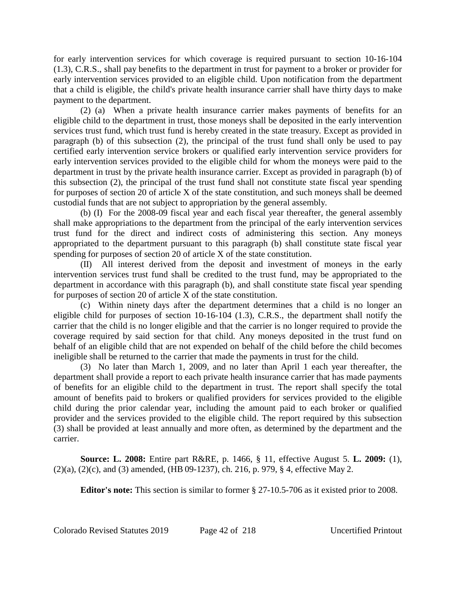for early intervention services for which coverage is required pursuant to section 10-16-104 (1.3), C.R.S., shall pay benefits to the department in trust for payment to a broker or provider for early intervention services provided to an eligible child. Upon notification from the department that a child is eligible, the child's private health insurance carrier shall have thirty days to make payment to the department.

(2) (a) When a private health insurance carrier makes payments of benefits for an eligible child to the department in trust, those moneys shall be deposited in the early intervention services trust fund, which trust fund is hereby created in the state treasury. Except as provided in paragraph (b) of this subsection (2), the principal of the trust fund shall only be used to pay certified early intervention service brokers or qualified early intervention service providers for early intervention services provided to the eligible child for whom the moneys were paid to the department in trust by the private health insurance carrier. Except as provided in paragraph (b) of this subsection (2), the principal of the trust fund shall not constitute state fiscal year spending for purposes of section 20 of article X of the state constitution, and such moneys shall be deemed custodial funds that are not subject to appropriation by the general assembly.

(b) (I) For the 2008-09 fiscal year and each fiscal year thereafter, the general assembly shall make appropriations to the department from the principal of the early intervention services trust fund for the direct and indirect costs of administering this section. Any moneys appropriated to the department pursuant to this paragraph (b) shall constitute state fiscal year spending for purposes of section 20 of article X of the state constitution.

(II) All interest derived from the deposit and investment of moneys in the early intervention services trust fund shall be credited to the trust fund, may be appropriated to the department in accordance with this paragraph (b), and shall constitute state fiscal year spending for purposes of section 20 of article X of the state constitution.

(c) Within ninety days after the department determines that a child is no longer an eligible child for purposes of section 10-16-104 (1.3), C.R.S., the department shall notify the carrier that the child is no longer eligible and that the carrier is no longer required to provide the coverage required by said section for that child. Any moneys deposited in the trust fund on behalf of an eligible child that are not expended on behalf of the child before the child becomes ineligible shall be returned to the carrier that made the payments in trust for the child.

(3) No later than March 1, 2009, and no later than April 1 each year thereafter, the department shall provide a report to each private health insurance carrier that has made payments of benefits for an eligible child to the department in trust. The report shall specify the total amount of benefits paid to brokers or qualified providers for services provided to the eligible child during the prior calendar year, including the amount paid to each broker or qualified provider and the services provided to the eligible child. The report required by this subsection (3) shall be provided at least annually and more often, as determined by the department and the carrier.

**Source: L. 2008:** Entire part R&RE, p. 1466, § 11, effective August 5. **L. 2009:** (1), (2)(a), (2)(c), and (3) amended, (HB 09-1237), ch. 216, p. 979, § 4, effective May 2.

**Editor's note:** This section is similar to former § 27-10.5-706 as it existed prior to 2008.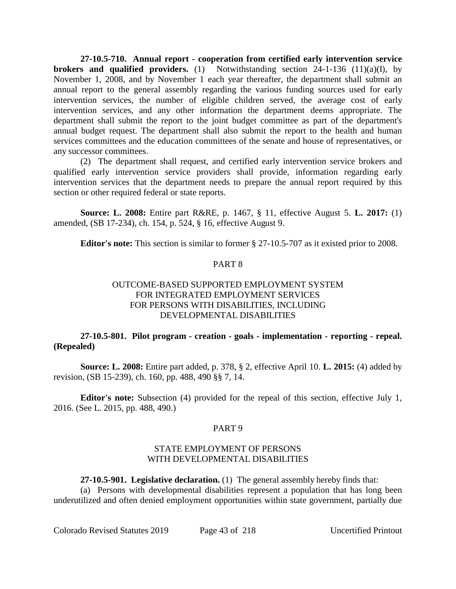**27-10.5-710. Annual report - cooperation from certified early intervention service brokers and qualified providers.** (1) Notwithstanding section 24-1-136 (11)(a)(I), by November 1, 2008, and by November 1 each year thereafter, the department shall submit an annual report to the general assembly regarding the various funding sources used for early intervention services, the number of eligible children served, the average cost of early intervention services, and any other information the department deems appropriate. The department shall submit the report to the joint budget committee as part of the department's annual budget request. The department shall also submit the report to the health and human services committees and the education committees of the senate and house of representatives, or any successor committees.

(2) The department shall request, and certified early intervention service brokers and qualified early intervention service providers shall provide, information regarding early intervention services that the department needs to prepare the annual report required by this section or other required federal or state reports.

**Source: L. 2008:** Entire part R&RE, p. 1467, § 11, effective August 5. **L. 2017:** (1) amended, (SB 17-234), ch. 154, p. 524, § 16, effective August 9.

**Editor's note:** This section is similar to former § 27-10.5-707 as it existed prior to 2008.

# PART 8

# OUTCOME-BASED SUPPORTED EMPLOYMENT SYSTEM FOR INTEGRATED EMPLOYMENT SERVICES FOR PERSONS WITH DISABILITIES, INCLUDING DEVELOPMENTAL DISABILITIES

# **27-10.5-801. Pilot program - creation - goals - implementation - reporting - repeal. (Repealed)**

**Source: L. 2008:** Entire part added, p. 378, § 2, effective April 10. **L. 2015:** (4) added by revision, (SB 15-239), ch. 160, pp. 488, 490 §§ 7, 14.

**Editor's note:** Subsection (4) provided for the repeal of this section, effective July 1, 2016. (See L. 2015, pp. 488, 490.)

# PART 9

# STATE EMPLOYMENT OF PERSONS WITH DEVELOPMENTAL DISABILITIES

**27-10.5-901. Legislative declaration.** (1) The general assembly hereby finds that:

(a) Persons with developmental disabilities represent a population that has long been underutilized and often denied employment opportunities within state government, partially due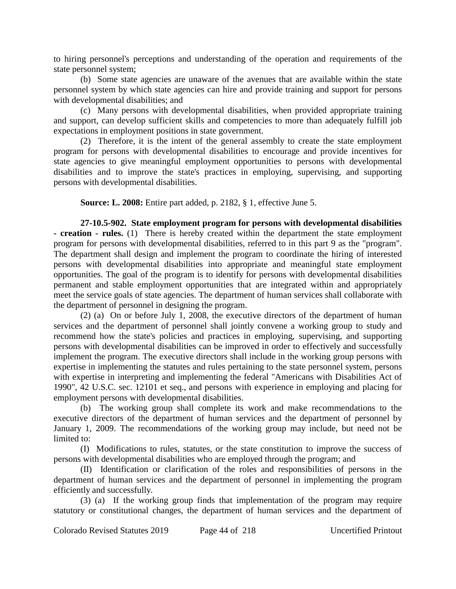to hiring personnel's perceptions and understanding of the operation and requirements of the state personnel system;

(b) Some state agencies are unaware of the avenues that are available within the state personnel system by which state agencies can hire and provide training and support for persons with developmental disabilities; and

(c) Many persons with developmental disabilities, when provided appropriate training and support, can develop sufficient skills and competencies to more than adequately fulfill job expectations in employment positions in state government.

(2) Therefore, it is the intent of the general assembly to create the state employment program for persons with developmental disabilities to encourage and provide incentives for state agencies to give meaningful employment opportunities to persons with developmental disabilities and to improve the state's practices in employing, supervising, and supporting persons with developmental disabilities.

**Source: L. 2008:** Entire part added, p. 2182, § 1, effective June 5.

**27-10.5-902. State employment program for persons with developmental disabilities - creation - rules.** (1) There is hereby created within the department the state employment program for persons with developmental disabilities, referred to in this part 9 as the "program". The department shall design and implement the program to coordinate the hiring of interested persons with developmental disabilities into appropriate and meaningful state employment opportunities. The goal of the program is to identify for persons with developmental disabilities permanent and stable employment opportunities that are integrated within and appropriately meet the service goals of state agencies. The department of human services shall collaborate with the department of personnel in designing the program.

(2) (a) On or before July 1, 2008, the executive directors of the department of human services and the department of personnel shall jointly convene a working group to study and recommend how the state's policies and practices in employing, supervising, and supporting persons with developmental disabilities can be improved in order to effectively and successfully implement the program. The executive directors shall include in the working group persons with expertise in implementing the statutes and rules pertaining to the state personnel system, persons with expertise in interpreting and implementing the federal "Americans with Disabilities Act of 1990", 42 U.S.C. sec. 12101 et seq., and persons with experience in employing and placing for employment persons with developmental disabilities.

(b) The working group shall complete its work and make recommendations to the executive directors of the department of human services and the department of personnel by January 1, 2009. The recommendations of the working group may include, but need not be limited to:

(I) Modifications to rules, statutes, or the state constitution to improve the success of persons with developmental disabilities who are employed through the program; and

(II) Identification or clarification of the roles and responsibilities of persons in the department of human services and the department of personnel in implementing the program efficiently and successfully.

(3) (a) If the working group finds that implementation of the program may require statutory or constitutional changes, the department of human services and the department of

Colorado Revised Statutes 2019 Page 44 of 218 Uncertified Printout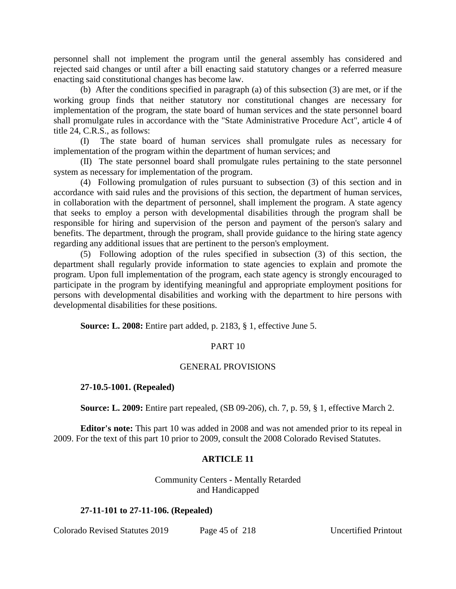personnel shall not implement the program until the general assembly has considered and rejected said changes or until after a bill enacting said statutory changes or a referred measure enacting said constitutional changes has become law.

(b) After the conditions specified in paragraph (a) of this subsection (3) are met, or if the working group finds that neither statutory nor constitutional changes are necessary for implementation of the program, the state board of human services and the state personnel board shall promulgate rules in accordance with the "State Administrative Procedure Act", article 4 of title 24, C.R.S., as follows:

(I) The state board of human services shall promulgate rules as necessary for implementation of the program within the department of human services; and

(II) The state personnel board shall promulgate rules pertaining to the state personnel system as necessary for implementation of the program.

(4) Following promulgation of rules pursuant to subsection (3) of this section and in accordance with said rules and the provisions of this section, the department of human services, in collaboration with the department of personnel, shall implement the program. A state agency that seeks to employ a person with developmental disabilities through the program shall be responsible for hiring and supervision of the person and payment of the person's salary and benefits. The department, through the program, shall provide guidance to the hiring state agency regarding any additional issues that are pertinent to the person's employment.

(5) Following adoption of the rules specified in subsection (3) of this section, the department shall regularly provide information to state agencies to explain and promote the program. Upon full implementation of the program, each state agency is strongly encouraged to participate in the program by identifying meaningful and appropriate employment positions for persons with developmental disabilities and working with the department to hire persons with developmental disabilities for these positions.

**Source: L. 2008:** Entire part added, p. 2183, § 1, effective June 5.

# PART 10

# GENERAL PROVISIONS

# **27-10.5-1001. (Repealed)**

**Source: L. 2009:** Entire part repealed, (SB 09-206), ch. 7, p. 59, § 1, effective March 2.

**Editor's note:** This part 10 was added in 2008 and was not amended prior to its repeal in 2009. For the text of this part 10 prior to 2009, consult the 2008 Colorado Revised Statutes.

# **ARTICLE 11**

Community Centers - Mentally Retarded and Handicapped

# **27-11-101 to 27-11-106. (Repealed)**

Colorado Revised Statutes 2019 Page 45 of 218 Uncertified Printout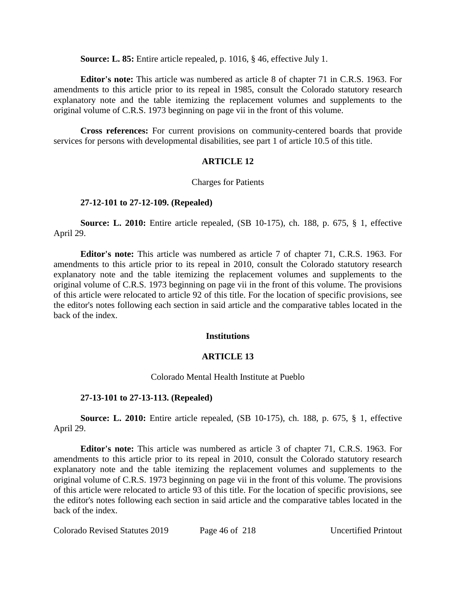**Source: L. 85:** Entire article repealed, p. 1016, § 46, effective July 1.

**Editor's note:** This article was numbered as article 8 of chapter 71 in C.R.S. 1963. For amendments to this article prior to its repeal in 1985, consult the Colorado statutory research explanatory note and the table itemizing the replacement volumes and supplements to the original volume of C.R.S. 1973 beginning on page vii in the front of this volume.

**Cross references:** For current provisions on community-centered boards that provide services for persons with developmental disabilities, see part 1 of article 10.5 of this title.

# **ARTICLE 12**

Charges for Patients

# **27-12-101 to 27-12-109. (Repealed)**

**Source: L. 2010:** Entire article repealed, (SB 10-175), ch. 188, p. 675, § 1, effective April 29.

**Editor's note:** This article was numbered as article 7 of chapter 71, C.R.S. 1963. For amendments to this article prior to its repeal in 2010, consult the Colorado statutory research explanatory note and the table itemizing the replacement volumes and supplements to the original volume of C.R.S. 1973 beginning on page vii in the front of this volume. The provisions of this article were relocated to article 92 of this title. For the location of specific provisions, see the editor's notes following each section in said article and the comparative tables located in the back of the index.

# **Institutions**

# **ARTICLE 13**

# Colorado Mental Health Institute at Pueblo

# **27-13-101 to 27-13-113. (Repealed)**

**Source: L. 2010:** Entire article repealed, (SB 10-175), ch. 188, p. 675, § 1, effective April 29.

**Editor's note:** This article was numbered as article 3 of chapter 71, C.R.S. 1963. For amendments to this article prior to its repeal in 2010, consult the Colorado statutory research explanatory note and the table itemizing the replacement volumes and supplements to the original volume of C.R.S. 1973 beginning on page vii in the front of this volume. The provisions of this article were relocated to article 93 of this title. For the location of specific provisions, see the editor's notes following each section in said article and the comparative tables located in the back of the index.

Colorado Revised Statutes 2019 Page 46 of 218 Uncertified Printout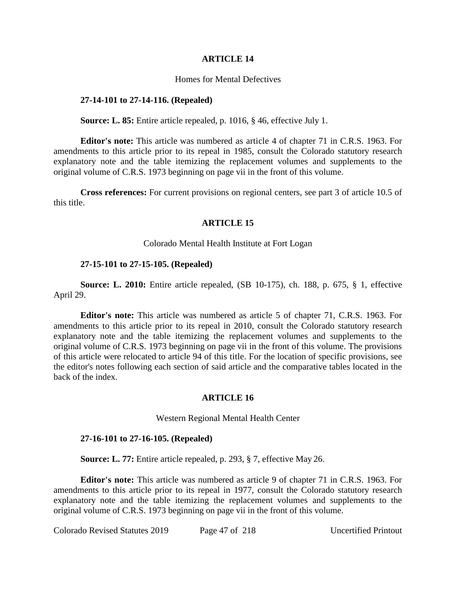### **ARTICLE 14**

### Homes for Mental Defectives

### **27-14-101 to 27-14-116. (Repealed)**

#### **Source: L. 85:** Entire article repealed, p. 1016, § 46, effective July 1.

**Editor's note:** This article was numbered as article 4 of chapter 71 in C.R.S. 1963. For amendments to this article prior to its repeal in 1985, consult the Colorado statutory research explanatory note and the table itemizing the replacement volumes and supplements to the original volume of C.R.S. 1973 beginning on page vii in the front of this volume.

**Cross references:** For current provisions on regional centers, see part 3 of article 10.5 of this title.

# **ARTICLE 15**

#### Colorado Mental Health Institute at Fort Logan

#### **27-15-101 to 27-15-105. (Repealed)**

**Source: L. 2010:** Entire article repealed, (SB 10-175), ch. 188, p. 675, § 1, effective April 29.

**Editor's note:** This article was numbered as article 5 of chapter 71, C.R.S. 1963. For amendments to this article prior to its repeal in 2010, consult the Colorado statutory research explanatory note and the table itemizing the replacement volumes and supplements to the original volume of C.R.S. 1973 beginning on page vii in the front of this volume. The provisions of this article were relocated to article 94 of this title. For the location of specific provisions, see the editor's notes following each section of said article and the comparative tables located in the back of the index.

# **ARTICLE 16**

#### Western Regional Mental Health Center

#### **27-16-101 to 27-16-105. (Repealed)**

**Source: L. 77:** Entire article repealed, p. 293, § 7, effective May 26.

**Editor's note:** This article was numbered as article 9 of chapter 71 in C.R.S. 1963. For amendments to this article prior to its repeal in 1977, consult the Colorado statutory research explanatory note and the table itemizing the replacement volumes and supplements to the original volume of C.R.S. 1973 beginning on page vii in the front of this volume.

Colorado Revised Statutes 2019 Page 47 of 218 Uncertified Printout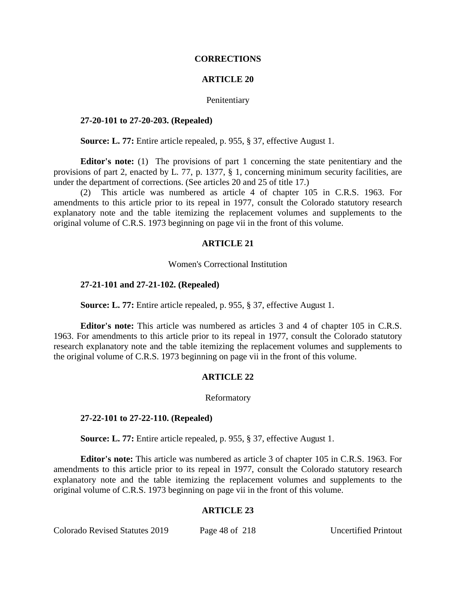#### **CORRECTIONS**

#### **ARTICLE 20**

#### Penitentiary

#### **27-20-101 to 27-20-203. (Repealed)**

**Source: L. 77:** Entire article repealed, p. 955, § 37, effective August 1.

**Editor's note:** (1) The provisions of part 1 concerning the state penitentiary and the provisions of part 2, enacted by L. 77, p. 1377, § 1, concerning minimum security facilities, are under the department of corrections. (See articles 20 and 25 of title 17.)

(2) This article was numbered as article 4 of chapter 105 in C.R.S. 1963. For amendments to this article prior to its repeal in 1977, consult the Colorado statutory research explanatory note and the table itemizing the replacement volumes and supplements to the original volume of C.R.S. 1973 beginning on page vii in the front of this volume.

#### **ARTICLE 21**

Women's Correctional Institution

#### **27-21-101 and 27-21-102. (Repealed)**

**Source: L. 77:** Entire article repealed, p. 955, § 37, effective August 1.

**Editor's note:** This article was numbered as articles 3 and 4 of chapter 105 in C.R.S. 1963. For amendments to this article prior to its repeal in 1977, consult the Colorado statutory research explanatory note and the table itemizing the replacement volumes and supplements to the original volume of C.R.S. 1973 beginning on page vii in the front of this volume.

#### **ARTICLE 22**

#### Reformatory

#### **27-22-101 to 27-22-110. (Repealed)**

**Source: L. 77:** Entire article repealed, p. 955, § 37, effective August 1.

**Editor's note:** This article was numbered as article 3 of chapter 105 in C.R.S. 1963. For amendments to this article prior to its repeal in 1977, consult the Colorado statutory research explanatory note and the table itemizing the replacement volumes and supplements to the original volume of C.R.S. 1973 beginning on page vii in the front of this volume.

#### **ARTICLE 23**

Colorado Revised Statutes 2019 Page 48 of 218 Uncertified Printout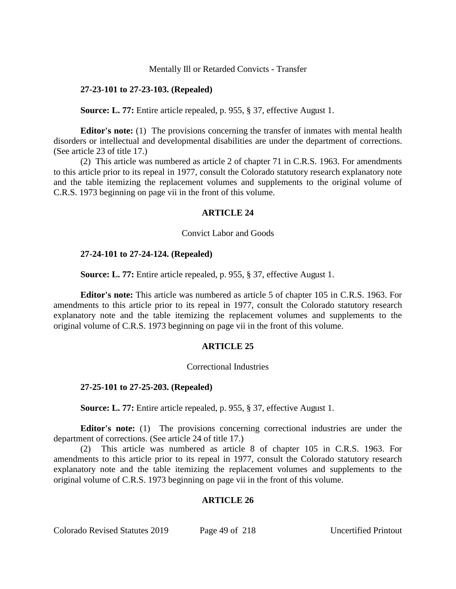### Mentally Ill or Retarded Convicts - Transfer

## **27-23-101 to 27-23-103. (Repealed)**

**Source: L. 77:** Entire article repealed, p. 955, § 37, effective August 1.

**Editor's note:** (1) The provisions concerning the transfer of inmates with mental health disorders or intellectual and developmental disabilities are under the department of corrections. (See article 23 of title 17.)

(2) This article was numbered as article 2 of chapter 71 in C.R.S. 1963. For amendments to this article prior to its repeal in 1977, consult the Colorado statutory research explanatory note and the table itemizing the replacement volumes and supplements to the original volume of C.R.S. 1973 beginning on page vii in the front of this volume.

### **ARTICLE 24**

#### Convict Labor and Goods

### **27-24-101 to 27-24-124. (Repealed)**

**Source: L. 77:** Entire article repealed, p. 955, § 37, effective August 1.

**Editor's note:** This article was numbered as article 5 of chapter 105 in C.R.S. 1963. For amendments to this article prior to its repeal in 1977, consult the Colorado statutory research explanatory note and the table itemizing the replacement volumes and supplements to the original volume of C.R.S. 1973 beginning on page vii in the front of this volume.

# **ARTICLE 25**

#### Correctional Industries

# **27-25-101 to 27-25-203. (Repealed)**

**Source: L. 77:** Entire article repealed, p. 955, § 37, effective August 1.

**Editor's note:** (1) The provisions concerning correctional industries are under the department of corrections. (See article 24 of title 17.)

(2) This article was numbered as article 8 of chapter 105 in C.R.S. 1963. For amendments to this article prior to its repeal in 1977, consult the Colorado statutory research explanatory note and the table itemizing the replacement volumes and supplements to the original volume of C.R.S. 1973 beginning on page vii in the front of this volume.

# **ARTICLE 26**

Colorado Revised Statutes 2019 Page 49 of 218 Uncertified Printout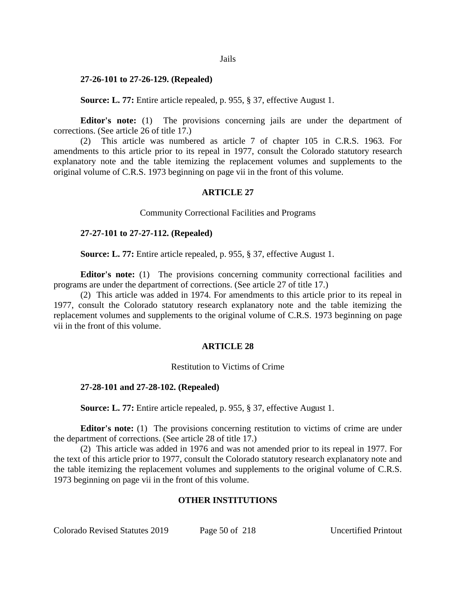#### Jails

### **27-26-101 to 27-26-129. (Repealed)**

**Source: L. 77:** Entire article repealed, p. 955, § 37, effective August 1.

**Editor's note:** (1) The provisions concerning jails are under the department of corrections. (See article 26 of title 17.)

(2) This article was numbered as article 7 of chapter 105 in C.R.S. 1963. For amendments to this article prior to its repeal in 1977, consult the Colorado statutory research explanatory note and the table itemizing the replacement volumes and supplements to the original volume of C.R.S. 1973 beginning on page vii in the front of this volume.

# **ARTICLE 27**

Community Correctional Facilities and Programs

# **27-27-101 to 27-27-112. (Repealed)**

**Source: L. 77:** Entire article repealed, p. 955, § 37, effective August 1.

**Editor's note:** (1) The provisions concerning community correctional facilities and programs are under the department of corrections. (See article 27 of title 17.)

(2) This article was added in 1974. For amendments to this article prior to its repeal in 1977, consult the Colorado statutory research explanatory note and the table itemizing the replacement volumes and supplements to the original volume of C.R.S. 1973 beginning on page vii in the front of this volume.

# **ARTICLE 28**

Restitution to Victims of Crime

# **27-28-101 and 27-28-102. (Repealed)**

**Source: L. 77:** Entire article repealed, p. 955, § 37, effective August 1.

**Editor's note:** (1) The provisions concerning restitution to victims of crime are under the department of corrections. (See article 28 of title 17.)

(2) This article was added in 1976 and was not amended prior to its repeal in 1977. For the text of this article prior to 1977, consult the Colorado statutory research explanatory note and the table itemizing the replacement volumes and supplements to the original volume of C.R.S. 1973 beginning on page vii in the front of this volume.

# **OTHER INSTITUTIONS**

Colorado Revised Statutes 2019 Page 50 of 218 Uncertified Printout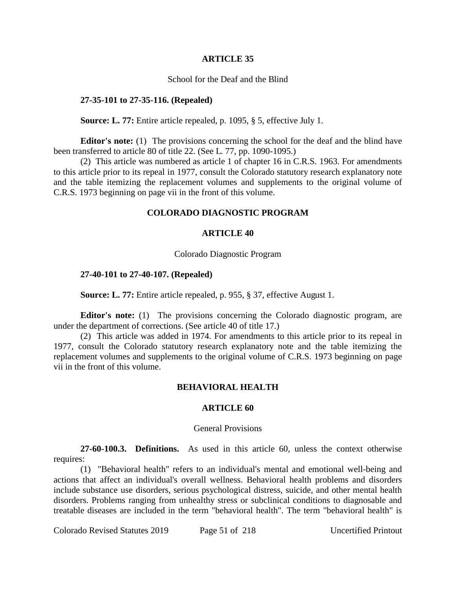#### **ARTICLE 35**

## School for the Deaf and the Blind

### **27-35-101 to 27-35-116. (Repealed)**

#### **Source: L. 77:** Entire article repealed, p. 1095, § 5, effective July 1.

**Editor's note:** (1) The provisions concerning the school for the deaf and the blind have been transferred to article 80 of title 22. (See L. 77, pp. 1090-1095.)

(2) This article was numbered as article 1 of chapter 16 in C.R.S. 1963. For amendments to this article prior to its repeal in 1977, consult the Colorado statutory research explanatory note and the table itemizing the replacement volumes and supplements to the original volume of C.R.S. 1973 beginning on page vii in the front of this volume.

## **COLORADO DIAGNOSTIC PROGRAM**

### **ARTICLE 40**

#### Colorado Diagnostic Program

### **27-40-101 to 27-40-107. (Repealed)**

**Source: L. 77:** Entire article repealed, p. 955, § 37, effective August 1.

**Editor's note:** (1) The provisions concerning the Colorado diagnostic program, are under the department of corrections. (See article 40 of title 17.)

(2) This article was added in 1974. For amendments to this article prior to its repeal in 1977, consult the Colorado statutory research explanatory note and the table itemizing the replacement volumes and supplements to the original volume of C.R.S. 1973 beginning on page vii in the front of this volume.

# **BEHAVIORAL HEALTH**

### **ARTICLE 60**

#### General Provisions

**27-60-100.3. Definitions.** As used in this article 60, unless the context otherwise requires:

(1) "Behavioral health" refers to an individual's mental and emotional well-being and actions that affect an individual's overall wellness. Behavioral health problems and disorders include substance use disorders, serious psychological distress, suicide, and other mental health disorders. Problems ranging from unhealthy stress or subclinical conditions to diagnosable and treatable diseases are included in the term "behavioral health". The term "behavioral health" is

Colorado Revised Statutes 2019 Page 51 of 218 Uncertified Printout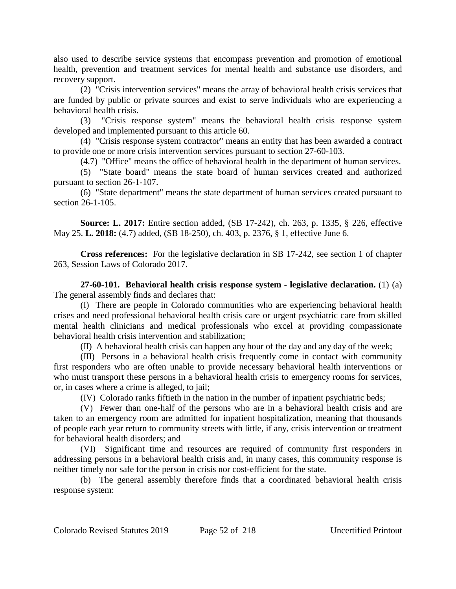also used to describe service systems that encompass prevention and promotion of emotional health, prevention and treatment services for mental health and substance use disorders, and recovery support.

(2) "Crisis intervention services" means the array of behavioral health crisis services that are funded by public or private sources and exist to serve individuals who are experiencing a behavioral health crisis.

(3) "Crisis response system" means the behavioral health crisis response system developed and implemented pursuant to this article 60.

(4) "Crisis response system contractor" means an entity that has been awarded a contract to provide one or more crisis intervention services pursuant to section 27-60-103.

(4.7) "Office" means the office of behavioral health in the department of human services.

(5) "State board" means the state board of human services created and authorized pursuant to section 26-1-107.

(6) "State department" means the state department of human services created pursuant to section 26-1-105.

**Source: L. 2017:** Entire section added, (SB 17-242), ch. 263, p. 1335, § 226, effective May 25. **L. 2018:** (4.7) added, (SB 18-250), ch. 403, p. 2376, § 1, effective June 6.

**Cross references:** For the legislative declaration in SB 17-242, see section 1 of chapter 263, Session Laws of Colorado 2017.

**27-60-101. Behavioral health crisis response system - legislative declaration.** (1) (a) The general assembly finds and declares that:

(I) There are people in Colorado communities who are experiencing behavioral health crises and need professional behavioral health crisis care or urgent psychiatric care from skilled mental health clinicians and medical professionals who excel at providing compassionate behavioral health crisis intervention and stabilization;

(II) A behavioral health crisis can happen any hour of the day and any day of the week;

(III) Persons in a behavioral health crisis frequently come in contact with community first responders who are often unable to provide necessary behavioral health interventions or who must transport these persons in a behavioral health crisis to emergency rooms for services, or, in cases where a crime is alleged, to jail;

(IV) Colorado ranks fiftieth in the nation in the number of inpatient psychiatric beds;

(V) Fewer than one-half of the persons who are in a behavioral health crisis and are taken to an emergency room are admitted for inpatient hospitalization, meaning that thousands of people each year return to community streets with little, if any, crisis intervention or treatment for behavioral health disorders; and

(VI) Significant time and resources are required of community first responders in addressing persons in a behavioral health crisis and, in many cases, this community response is neither timely nor safe for the person in crisis nor cost-efficient for the state.

(b) The general assembly therefore finds that a coordinated behavioral health crisis response system: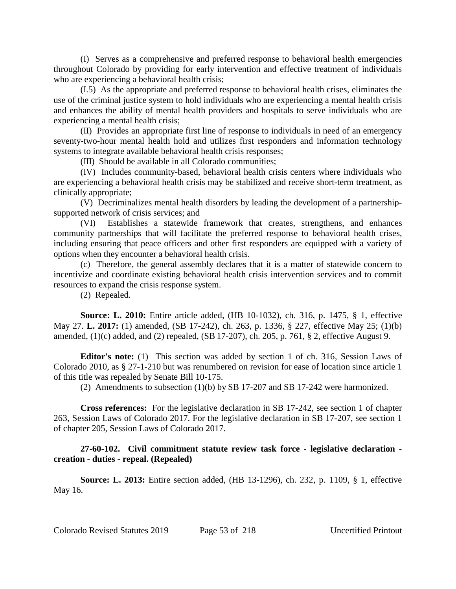(I) Serves as a comprehensive and preferred response to behavioral health emergencies throughout Colorado by providing for early intervention and effective treatment of individuals who are experiencing a behavioral health crisis;

(I.5) As the appropriate and preferred response to behavioral health crises, eliminates the use of the criminal justice system to hold individuals who are experiencing a mental health crisis and enhances the ability of mental health providers and hospitals to serve individuals who are experiencing a mental health crisis;

(II) Provides an appropriate first line of response to individuals in need of an emergency seventy-two-hour mental health hold and utilizes first responders and information technology systems to integrate available behavioral health crisis responses;

(III) Should be available in all Colorado communities;

(IV) Includes community-based, behavioral health crisis centers where individuals who are experiencing a behavioral health crisis may be stabilized and receive short-term treatment, as clinically appropriate;

(V) Decriminalizes mental health disorders by leading the development of a partnershipsupported network of crisis services; and

(VI) Establishes a statewide framework that creates, strengthens, and enhances community partnerships that will facilitate the preferred response to behavioral health crises, including ensuring that peace officers and other first responders are equipped with a variety of options when they encounter a behavioral health crisis.

(c) Therefore, the general assembly declares that it is a matter of statewide concern to incentivize and coordinate existing behavioral health crisis intervention services and to commit resources to expand the crisis response system.

(2) Repealed.

**Source: L. 2010:** Entire article added, (HB 10-1032), ch. 316, p. 1475, § 1, effective May 27. **L. 2017:** (1) amended, (SB 17-242), ch. 263, p. 1336, § 227, effective May 25; (1)(b) amended, (1)(c) added, and (2) repealed, (SB 17-207), ch. 205, p. 761, § 2, effective August 9.

**Editor's note:** (1) This section was added by section 1 of ch. 316, Session Laws of Colorado 2010, as § 27-1-210 but was renumbered on revision for ease of location since article 1 of this title was repealed by Senate Bill 10-175.

(2) Amendments to subsection (1)(b) by SB 17-207 and SB 17-242 were harmonized.

**Cross references:** For the legislative declaration in SB 17-242, see section 1 of chapter 263, Session Laws of Colorado 2017. For the legislative declaration in SB 17-207, see section 1 of chapter 205, Session Laws of Colorado 2017.

# **27-60-102. Civil commitment statute review task force - legislative declaration creation - duties - repeal. (Repealed)**

**Source: L. 2013:** Entire section added, (HB 13-1296), ch. 232, p. 1109, § 1, effective May 16.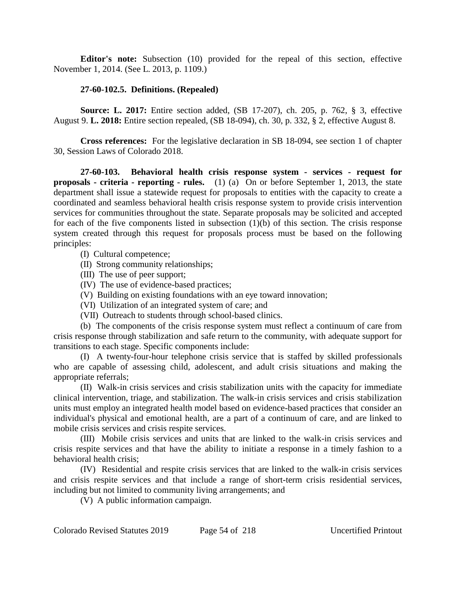**Editor's note:** Subsection (10) provided for the repeal of this section, effective November 1, 2014. (See L. 2013, p. 1109.)

# **27-60-102.5. Definitions. (Repealed)**

**Source: L. 2017:** Entire section added, (SB 17-207), ch. 205, p. 762, § 3, effective August 9. **L. 2018:** Entire section repealed, (SB 18-094), ch. 30, p. 332, § 2, effective August 8.

**Cross references:** For the legislative declaration in SB 18-094, see section 1 of chapter 30, Session Laws of Colorado 2018.

**27-60-103. Behavioral health crisis response system - services - request for proposals - criteria - reporting - rules.** (1) (a) On or before September 1, 2013, the state department shall issue a statewide request for proposals to entities with the capacity to create a coordinated and seamless behavioral health crisis response system to provide crisis intervention services for communities throughout the state. Separate proposals may be solicited and accepted for each of the five components listed in subsection (1)(b) of this section. The crisis response system created through this request for proposals process must be based on the following principles:

(I) Cultural competence;

(II) Strong community relationships;

(III) The use of peer support;

(IV) The use of evidence-based practices;

(V) Building on existing foundations with an eye toward innovation;

(VI) Utilization of an integrated system of care; and

(VII) Outreach to students through school-based clinics.

(b) The components of the crisis response system must reflect a continuum of care from crisis response through stabilization and safe return to the community, with adequate support for transitions to each stage. Specific components include:

(I) A twenty-four-hour telephone crisis service that is staffed by skilled professionals who are capable of assessing child, adolescent, and adult crisis situations and making the appropriate referrals;

(II) Walk-in crisis services and crisis stabilization units with the capacity for immediate clinical intervention, triage, and stabilization. The walk-in crisis services and crisis stabilization units must employ an integrated health model based on evidence-based practices that consider an individual's physical and emotional health, are a part of a continuum of care, and are linked to mobile crisis services and crisis respite services.

(III) Mobile crisis services and units that are linked to the walk-in crisis services and crisis respite services and that have the ability to initiate a response in a timely fashion to a behavioral health crisis;

(IV) Residential and respite crisis services that are linked to the walk-in crisis services and crisis respite services and that include a range of short-term crisis residential services, including but not limited to community living arrangements; and

(V) A public information campaign.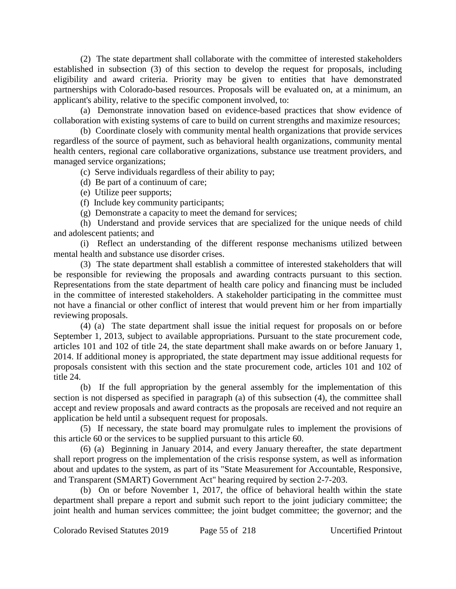(2) The state department shall collaborate with the committee of interested stakeholders established in subsection (3) of this section to develop the request for proposals, including eligibility and award criteria. Priority may be given to entities that have demonstrated partnerships with Colorado-based resources. Proposals will be evaluated on, at a minimum, an applicant's ability, relative to the specific component involved, to:

(a) Demonstrate innovation based on evidence-based practices that show evidence of collaboration with existing systems of care to build on current strengths and maximize resources;

(b) Coordinate closely with community mental health organizations that provide services regardless of the source of payment, such as behavioral health organizations, community mental health centers, regional care collaborative organizations, substance use treatment providers, and managed service organizations;

(c) Serve individuals regardless of their ability to pay;

(d) Be part of a continuum of care;

(e) Utilize peer supports;

(f) Include key community participants;

(g) Demonstrate a capacity to meet the demand for services;

(h) Understand and provide services that are specialized for the unique needs of child and adolescent patients; and

(i) Reflect an understanding of the different response mechanisms utilized between mental health and substance use disorder crises.

(3) The state department shall establish a committee of interested stakeholders that will be responsible for reviewing the proposals and awarding contracts pursuant to this section. Representations from the state department of health care policy and financing must be included in the committee of interested stakeholders. A stakeholder participating in the committee must not have a financial or other conflict of interest that would prevent him or her from impartially reviewing proposals.

(4) (a) The state department shall issue the initial request for proposals on or before September 1, 2013, subject to available appropriations. Pursuant to the state procurement code, articles 101 and 102 of title 24, the state department shall make awards on or before January 1, 2014. If additional money is appropriated, the state department may issue additional requests for proposals consistent with this section and the state procurement code, articles 101 and 102 of title 24.

(b) If the full appropriation by the general assembly for the implementation of this section is not dispersed as specified in paragraph (a) of this subsection (4), the committee shall accept and review proposals and award contracts as the proposals are received and not require an application be held until a subsequent request for proposals.

(5) If necessary, the state board may promulgate rules to implement the provisions of this article 60 or the services to be supplied pursuant to this article 60.

(6) (a) Beginning in January 2014, and every January thereafter, the state department shall report progress on the implementation of the crisis response system, as well as information about and updates to the system, as part of its "State Measurement for Accountable, Responsive, and Transparent (SMART) Government Act" hearing required by section 2-7-203.

(b) On or before November 1, 2017, the office of behavioral health within the state department shall prepare a report and submit such report to the joint judiciary committee; the joint health and human services committee; the joint budget committee; the governor; and the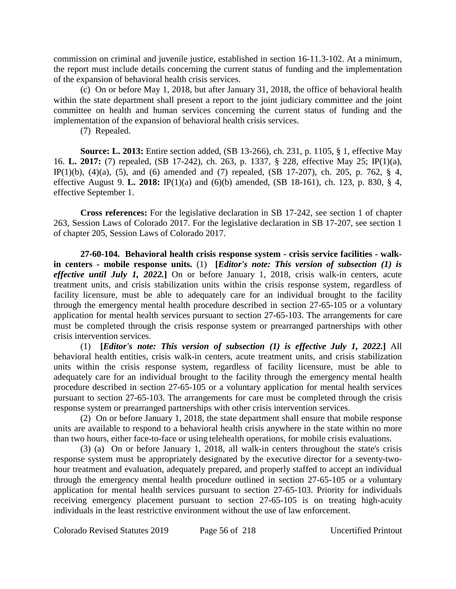commission on criminal and juvenile justice, established in section 16-11.3-102. At a minimum, the report must include details concerning the current status of funding and the implementation of the expansion of behavioral health crisis services.

(c) On or before May 1, 2018, but after January 31, 2018, the office of behavioral health within the state department shall present a report to the joint judiciary committee and the joint committee on health and human services concerning the current status of funding and the implementation of the expansion of behavioral health crisis services.

(7) Repealed.

**Source: L. 2013:** Entire section added, (SB 13-266), ch. 231, p. 1105, § 1, effective May 16. **L. 2017:** (7) repealed, (SB 17-242), ch. 263, p. 1337, § 228, effective May 25; IP(1)(a), IP(1)(b), (4)(a), (5), and (6) amended and (7) repealed, (SB 17-207), ch. 205, p. 762, § 4, effective August 9. **L. 2018:** IP(1)(a) and (6)(b) amended, (SB 18-161), ch. 123, p. 830, § 4, effective September 1.

**Cross references:** For the legislative declaration in SB 17-242, see section 1 of chapter 263, Session Laws of Colorado 2017. For the legislative declaration in SB 17-207, see section 1 of chapter 205, Session Laws of Colorado 2017.

**27-60-104. Behavioral health crisis response system - crisis service facilities - walkin centers - mobile response units.** (1) **[***Editor's note: This version of subsection (1) is effective until July 1, 2022.***]** On or before January 1, 2018, crisis walk-in centers, acute treatment units, and crisis stabilization units within the crisis response system, regardless of facility licensure, must be able to adequately care for an individual brought to the facility through the emergency mental health procedure described in section 27-65-105 or a voluntary application for mental health services pursuant to section 27-65-103. The arrangements for care must be completed through the crisis response system or prearranged partnerships with other crisis intervention services.

(1) **[***Editor's note: This version of subsection (1) is effective July 1, 2022.***]** All behavioral health entities, crisis walk-in centers, acute treatment units, and crisis stabilization units within the crisis response system, regardless of facility licensure, must be able to adequately care for an individual brought to the facility through the emergency mental health procedure described in section 27-65-105 or a voluntary application for mental health services pursuant to section 27-65-103. The arrangements for care must be completed through the crisis response system or prearranged partnerships with other crisis intervention services.

(2) On or before January 1, 2018, the state department shall ensure that mobile response units are available to respond to a behavioral health crisis anywhere in the state within no more than two hours, either face-to-face or using telehealth operations, for mobile crisis evaluations.

(3) (a) On or before January 1, 2018, all walk-in centers throughout the state's crisis response system must be appropriately designated by the executive director for a seventy-twohour treatment and evaluation, adequately prepared, and properly staffed to accept an individual through the emergency mental health procedure outlined in section 27-65-105 or a voluntary application for mental health services pursuant to section 27-65-103. Priority for individuals receiving emergency placement pursuant to section 27-65-105 is on treating high-acuity individuals in the least restrictive environment without the use of law enforcement.

Colorado Revised Statutes 2019 Page 56 of 218 Uncertified Printout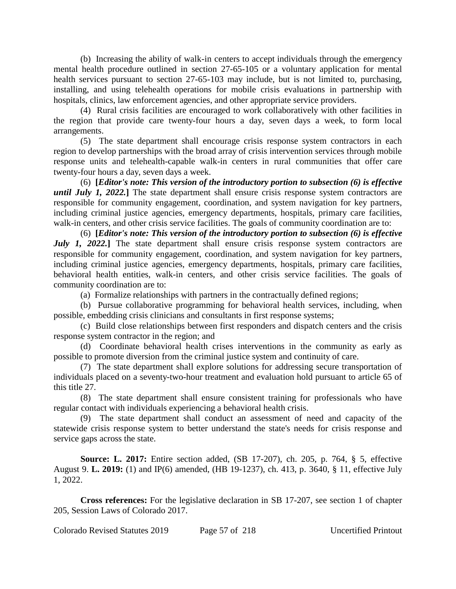(b) Increasing the ability of walk-in centers to accept individuals through the emergency mental health procedure outlined in section 27-65-105 or a voluntary application for mental health services pursuant to section 27-65-103 may include, but is not limited to, purchasing, installing, and using telehealth operations for mobile crisis evaluations in partnership with hospitals, clinics, law enforcement agencies, and other appropriate service providers.

(4) Rural crisis facilities are encouraged to work collaboratively with other facilities in the region that provide care twenty-four hours a day, seven days a week, to form local arrangements.

(5) The state department shall encourage crisis response system contractors in each region to develop partnerships with the broad array of crisis intervention services through mobile response units and telehealth-capable walk-in centers in rural communities that offer care twenty-four hours a day, seven days a week.

(6) **[***Editor's note: This version of the introductory portion to subsection (6) is effective until July 1, 2022.***]** The state department shall ensure crisis response system contractors are responsible for community engagement, coordination, and system navigation for key partners, including criminal justice agencies, emergency departments, hospitals, primary care facilities, walk-in centers, and other crisis service facilities. The goals of community coordination are to:

(6) **[***Editor's note: This version of the introductory portion to subsection (6) is effective July 1, 2022.* The state department shall ensure crisis response system contractors are responsible for community engagement, coordination, and system navigation for key partners, including criminal justice agencies, emergency departments, hospitals, primary care facilities, behavioral health entities, walk-in centers, and other crisis service facilities. The goals of community coordination are to:

(a) Formalize relationships with partners in the contractually defined regions;

(b) Pursue collaborative programming for behavioral health services, including, when possible, embedding crisis clinicians and consultants in first response systems;

(c) Build close relationships between first responders and dispatch centers and the crisis response system contractor in the region; and

(d) Coordinate behavioral health crises interventions in the community as early as possible to promote diversion from the criminal justice system and continuity of care.

(7) The state department shall explore solutions for addressing secure transportation of individuals placed on a seventy-two-hour treatment and evaluation hold pursuant to article 65 of this title 27.

(8) The state department shall ensure consistent training for professionals who have regular contact with individuals experiencing a behavioral health crisis.

(9) The state department shall conduct an assessment of need and capacity of the statewide crisis response system to better understand the state's needs for crisis response and service gaps across the state.

**Source: L. 2017:** Entire section added, (SB 17-207), ch. 205, p. 764, § 5, effective August 9. **L. 2019:** (1) and IP(6) amended, (HB 19-1237), ch. 413, p. 3640, § 11, effective July 1, 2022.

**Cross references:** For the legislative declaration in SB 17-207, see section 1 of chapter 205, Session Laws of Colorado 2017.

Colorado Revised Statutes 2019 Page 57 of 218 Uncertified Printout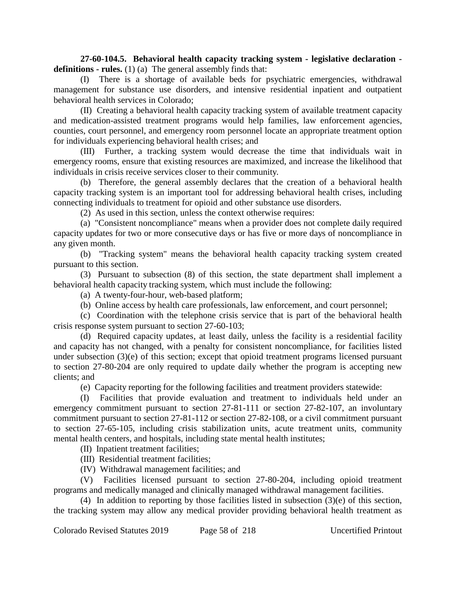**27-60-104.5. Behavioral health capacity tracking system - legislative declaration definitions - rules.** (1) (a) The general assembly finds that:

(I) There is a shortage of available beds for psychiatric emergencies, withdrawal management for substance use disorders, and intensive residential inpatient and outpatient behavioral health services in Colorado;

(II) Creating a behavioral health capacity tracking system of available treatment capacity and medication-assisted treatment programs would help families, law enforcement agencies, counties, court personnel, and emergency room personnel locate an appropriate treatment option for individuals experiencing behavioral health crises; and

(III) Further, a tracking system would decrease the time that individuals wait in emergency rooms, ensure that existing resources are maximized, and increase the likelihood that individuals in crisis receive services closer to their community.

(b) Therefore, the general assembly declares that the creation of a behavioral health capacity tracking system is an important tool for addressing behavioral health crises, including connecting individuals to treatment for opioid and other substance use disorders.

(2) As used in this section, unless the context otherwise requires:

(a) "Consistent noncompliance" means when a provider does not complete daily required capacity updates for two or more consecutive days or has five or more days of noncompliance in any given month.

(b) "Tracking system" means the behavioral health capacity tracking system created pursuant to this section.

(3) Pursuant to subsection (8) of this section, the state department shall implement a behavioral health capacity tracking system, which must include the following:

(a) A twenty-four-hour, web-based platform;

(b) Online access by health care professionals, law enforcement, and court personnel;

(c) Coordination with the telephone crisis service that is part of the behavioral health crisis response system pursuant to section 27-60-103;

(d) Required capacity updates, at least daily, unless the facility is a residential facility and capacity has not changed, with a penalty for consistent noncompliance, for facilities listed under subsection (3)(e) of this section; except that opioid treatment programs licensed pursuant to section 27-80-204 are only required to update daily whether the program is accepting new clients; and

(e) Capacity reporting for the following facilities and treatment providers statewide:

(I) Facilities that provide evaluation and treatment to individuals held under an emergency commitment pursuant to section 27-81-111 or section 27-82-107, an involuntary commitment pursuant to section 27-81-112 or section 27-82-108, or a civil commitment pursuant to section 27-65-105, including crisis stabilization units, acute treatment units, community mental health centers, and hospitals, including state mental health institutes;

(II) Inpatient treatment facilities;

(III) Residential treatment facilities;

(IV) Withdrawal management facilities; and

(V) Facilities licensed pursuant to section 27-80-204, including opioid treatment programs and medically managed and clinically managed withdrawal management facilities.

(4) In addition to reporting by those facilities listed in subsection (3)(e) of this section, the tracking system may allow any medical provider providing behavioral health treatment as

Colorado Revised Statutes 2019 Page 58 of 218 Uncertified Printout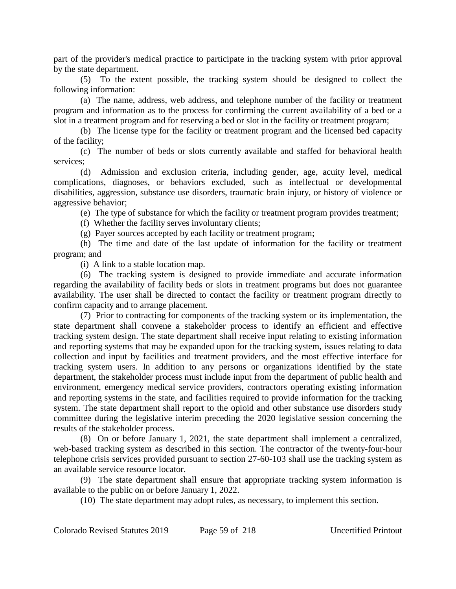part of the provider's medical practice to participate in the tracking system with prior approval by the state department.

(5) To the extent possible, the tracking system should be designed to collect the following information:

(a) The name, address, web address, and telephone number of the facility or treatment program and information as to the process for confirming the current availability of a bed or a slot in a treatment program and for reserving a bed or slot in the facility or treatment program;

(b) The license type for the facility or treatment program and the licensed bed capacity of the facility;

(c) The number of beds or slots currently available and staffed for behavioral health services;

(d) Admission and exclusion criteria, including gender, age, acuity level, medical complications, diagnoses, or behaviors excluded, such as intellectual or developmental disabilities, aggression, substance use disorders, traumatic brain injury, or history of violence or aggressive behavior;

(e) The type of substance for which the facility or treatment program provides treatment;

(f) Whether the facility serves involuntary clients;

(g) Payer sources accepted by each facility or treatment program;

(h) The time and date of the last update of information for the facility or treatment program; and

(i) A link to a stable location map.

(6) The tracking system is designed to provide immediate and accurate information regarding the availability of facility beds or slots in treatment programs but does not guarantee availability. The user shall be directed to contact the facility or treatment program directly to confirm capacity and to arrange placement.

(7) Prior to contracting for components of the tracking system or its implementation, the state department shall convene a stakeholder process to identify an efficient and effective tracking system design. The state department shall receive input relating to existing information and reporting systems that may be expanded upon for the tracking system, issues relating to data collection and input by facilities and treatment providers, and the most effective interface for tracking system users. In addition to any persons or organizations identified by the state department, the stakeholder process must include input from the department of public health and environment, emergency medical service providers, contractors operating existing information and reporting systems in the state, and facilities required to provide information for the tracking system. The state department shall report to the opioid and other substance use disorders study committee during the legislative interim preceding the 2020 legislative session concerning the results of the stakeholder process.

(8) On or before January 1, 2021, the state department shall implement a centralized, web-based tracking system as described in this section. The contractor of the twenty-four-hour telephone crisis services provided pursuant to section 27-60-103 shall use the tracking system as an available service resource locator.

(9) The state department shall ensure that appropriate tracking system information is available to the public on or before January 1, 2022.

(10) The state department may adopt rules, as necessary, to implement this section.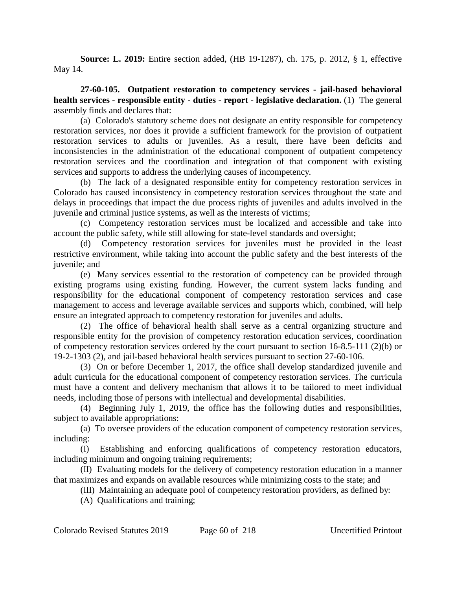**Source: L. 2019:** Entire section added, (HB 19-1287), ch. 175, p. 2012, § 1, effective May 14.

**27-60-105. Outpatient restoration to competency services - jail-based behavioral health services - responsible entity - duties - report - legislative declaration.** (1) The general assembly finds and declares that:

(a) Colorado's statutory scheme does not designate an entity responsible for competency restoration services, nor does it provide a sufficient framework for the provision of outpatient restoration services to adults or juveniles. As a result, there have been deficits and inconsistencies in the administration of the educational component of outpatient competency restoration services and the coordination and integration of that component with existing services and supports to address the underlying causes of incompetency.

(b) The lack of a designated responsible entity for competency restoration services in Colorado has caused inconsistency in competency restoration services throughout the state and delays in proceedings that impact the due process rights of juveniles and adults involved in the juvenile and criminal justice systems, as well as the interests of victims;

(c) Competency restoration services must be localized and accessible and take into account the public safety, while still allowing for state-level standards and oversight;

(d) Competency restoration services for juveniles must be provided in the least restrictive environment, while taking into account the public safety and the best interests of the juvenile; and

(e) Many services essential to the restoration of competency can be provided through existing programs using existing funding. However, the current system lacks funding and responsibility for the educational component of competency restoration services and case management to access and leverage available services and supports which, combined, will help ensure an integrated approach to competency restoration for juveniles and adults.

(2) The office of behavioral health shall serve as a central organizing structure and responsible entity for the provision of competency restoration education services, coordination of competency restoration services ordered by the court pursuant to section 16-8.5-111 (2)(b) or 19-2-1303 (2), and jail-based behavioral health services pursuant to section 27-60-106.

(3) On or before December 1, 2017, the office shall develop standardized juvenile and adult curricula for the educational component of competency restoration services. The curricula must have a content and delivery mechanism that allows it to be tailored to meet individual needs, including those of persons with intellectual and developmental disabilities.

(4) Beginning July 1, 2019, the office has the following duties and responsibilities, subject to available appropriations:

(a) To oversee providers of the education component of competency restoration services, including:

(I) Establishing and enforcing qualifications of competency restoration educators, including minimum and ongoing training requirements;

(II) Evaluating models for the delivery of competency restoration education in a manner that maximizes and expands on available resources while minimizing costs to the state; and

(III) Maintaining an adequate pool of competency restoration providers, as defined by:

(A) Qualifications and training;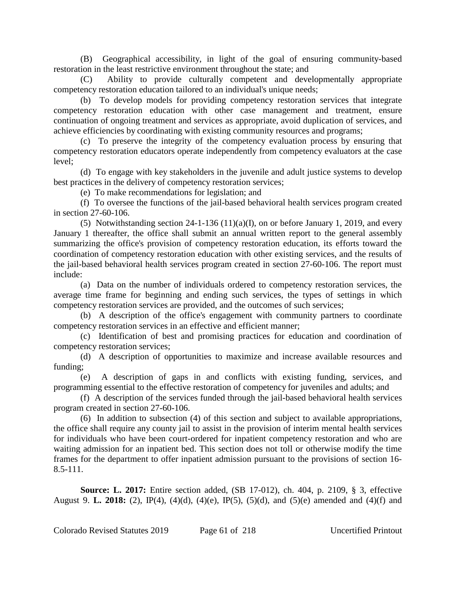(B) Geographical accessibility, in light of the goal of ensuring community-based restoration in the least restrictive environment throughout the state; and

(C) Ability to provide culturally competent and developmentally appropriate competency restoration education tailored to an individual's unique needs;

(b) To develop models for providing competency restoration services that integrate competency restoration education with other case management and treatment, ensure continuation of ongoing treatment and services as appropriate, avoid duplication of services, and achieve efficiencies by coordinating with existing community resources and programs;

(c) To preserve the integrity of the competency evaluation process by ensuring that competency restoration educators operate independently from competency evaluators at the case level;

(d) To engage with key stakeholders in the juvenile and adult justice systems to develop best practices in the delivery of competency restoration services;

(e) To make recommendations for legislation; and

(f) To oversee the functions of the jail-based behavioral health services program created in section 27-60-106.

(5) Notwithstanding section 24-1-136 (11)(a)(I), on or before January 1, 2019, and every January 1 thereafter, the office shall submit an annual written report to the general assembly summarizing the office's provision of competency restoration education, its efforts toward the coordination of competency restoration education with other existing services, and the results of the jail-based behavioral health services program created in section 27-60-106. The report must include:

(a) Data on the number of individuals ordered to competency restoration services, the average time frame for beginning and ending such services, the types of settings in which competency restoration services are provided, and the outcomes of such services;

(b) A description of the office's engagement with community partners to coordinate competency restoration services in an effective and efficient manner;

(c) Identification of best and promising practices for education and coordination of competency restoration services;

(d) A description of opportunities to maximize and increase available resources and funding;

(e) A description of gaps in and conflicts with existing funding, services, and programming essential to the effective restoration of competency for juveniles and adults; and

(f) A description of the services funded through the jail-based behavioral health services program created in section 27-60-106.

(6) In addition to subsection (4) of this section and subject to available appropriations, the office shall require any county jail to assist in the provision of interim mental health services for individuals who have been court-ordered for inpatient competency restoration and who are waiting admission for an inpatient bed. This section does not toll or otherwise modify the time frames for the department to offer inpatient admission pursuant to the provisions of section 16- 8.5-111.

**Source: L. 2017:** Entire section added, (SB 17-012), ch. 404, p. 2109, § 3, effective August 9. **L. 2018:** (2), IP(4), (4)(d), (4)(e), IP(5), (5)(d), and (5)(e) amended and (4)(f) and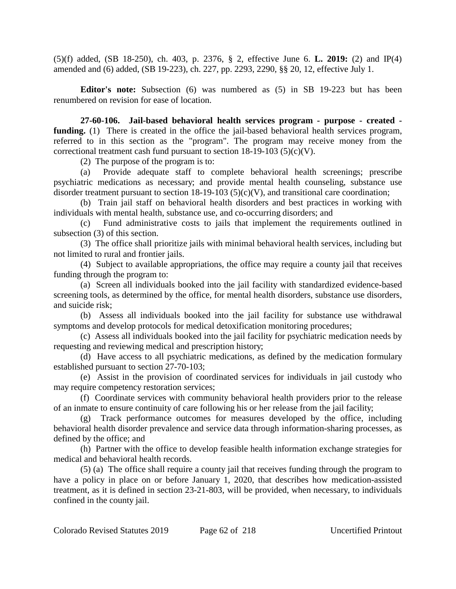(5)(f) added, (SB 18-250), ch. 403, p. 2376, § 2, effective June 6. **L. 2019:** (2) and IP(4) amended and (6) added, (SB 19-223), ch. 227, pp. 2293, 2290, §§ 20, 12, effective July 1.

**Editor's note:** Subsection (6) was numbered as (5) in SB 19-223 but has been renumbered on revision for ease of location.

**27-60-106. Jail-based behavioral health services program - purpose - created funding.** (1) There is created in the office the jail-based behavioral health services program, referred to in this section as the "program". The program may receive money from the correctional treatment cash fund pursuant to section  $18-19-103$  (5)(c)(V).

(2) The purpose of the program is to:

(a) Provide adequate staff to complete behavioral health screenings; prescribe psychiatric medications as necessary; and provide mental health counseling, substance use disorder treatment pursuant to section 18-19-103 (5)(c)(V), and transitional care coordination;

(b) Train jail staff on behavioral health disorders and best practices in working with individuals with mental health, substance use, and co-occurring disorders; and

(c) Fund administrative costs to jails that implement the requirements outlined in subsection (3) of this section.

(3) The office shall prioritize jails with minimal behavioral health services, including but not limited to rural and frontier jails.

(4) Subject to available appropriations, the office may require a county jail that receives funding through the program to:

(a) Screen all individuals booked into the jail facility with standardized evidence-based screening tools, as determined by the office, for mental health disorders, substance use disorders, and suicide risk;

(b) Assess all individuals booked into the jail facility for substance use withdrawal symptoms and develop protocols for medical detoxification monitoring procedures;

(c) Assess all individuals booked into the jail facility for psychiatric medication needs by requesting and reviewing medical and prescription history;

(d) Have access to all psychiatric medications, as defined by the medication formulary established pursuant to section 27-70-103;

(e) Assist in the provision of coordinated services for individuals in jail custody who may require competency restoration services;

(f) Coordinate services with community behavioral health providers prior to the release of an inmate to ensure continuity of care following his or her release from the jail facility;

(g) Track performance outcomes for measures developed by the office, including behavioral health disorder prevalence and service data through information-sharing processes, as defined by the office; and

(h) Partner with the office to develop feasible health information exchange strategies for medical and behavioral health records.

(5) (a) The office shall require a county jail that receives funding through the program to have a policy in place on or before January 1, 2020, that describes how medication-assisted treatment, as it is defined in section 23-21-803, will be provided, when necessary, to individuals confined in the county jail.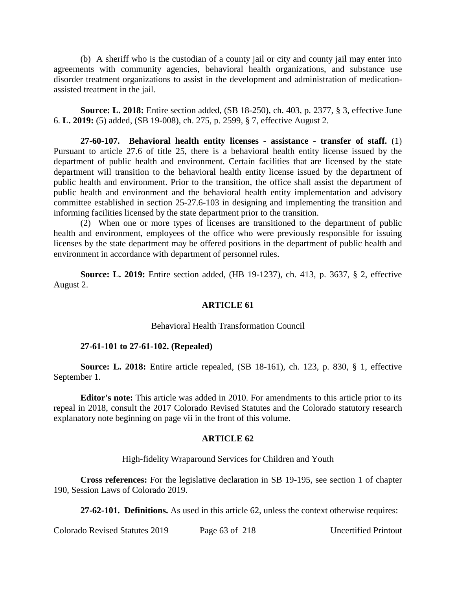(b) A sheriff who is the custodian of a county jail or city and county jail may enter into agreements with community agencies, behavioral health organizations, and substance use disorder treatment organizations to assist in the development and administration of medicationassisted treatment in the jail.

**Source: L. 2018:** Entire section added, (SB 18-250), ch. 403, p. 2377, § 3, effective June 6. **L. 2019:** (5) added, (SB 19-008), ch. 275, p. 2599, § 7, effective August 2.

**27-60-107. Behavioral health entity licenses - assistance - transfer of staff.** (1) Pursuant to article 27.6 of title 25, there is a behavioral health entity license issued by the department of public health and environment. Certain facilities that are licensed by the state department will transition to the behavioral health entity license issued by the department of public health and environment. Prior to the transition, the office shall assist the department of public health and environment and the behavioral health entity implementation and advisory committee established in section 25-27.6-103 in designing and implementing the transition and informing facilities licensed by the state department prior to the transition.

(2) When one or more types of licenses are transitioned to the department of public health and environment, employees of the office who were previously responsible for issuing licenses by the state department may be offered positions in the department of public health and environment in accordance with department of personnel rules.

**Source: L. 2019:** Entire section added, (HB 19-1237), ch. 413, p. 3637, § 2, effective August 2.

# **ARTICLE 61**

# Behavioral Health Transformation Council

# **27-61-101 to 27-61-102. (Repealed)**

**Source: L. 2018:** Entire article repealed, (SB 18-161), ch. 123, p. 830, § 1, effective September 1.

**Editor's note:** This article was added in 2010. For amendments to this article prior to its repeal in 2018, consult the 2017 Colorado Revised Statutes and the Colorado statutory research explanatory note beginning on page vii in the front of this volume.

# **ARTICLE 62**

High-fidelity Wraparound Services for Children and Youth

**Cross references:** For the legislative declaration in SB 19-195, see section 1 of chapter 190, Session Laws of Colorado 2019.

**27-62-101. Definitions.** As used in this article 62, unless the context otherwise requires:

Colorado Revised Statutes 2019 Page 63 of 218 Uncertified Printout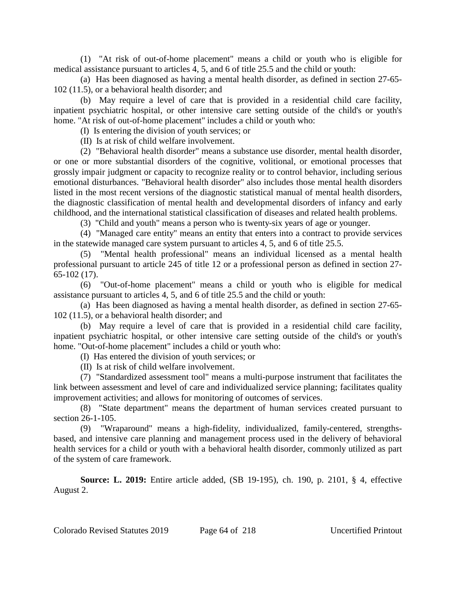(1) "At risk of out-of-home placement" means a child or youth who is eligible for medical assistance pursuant to articles 4, 5, and 6 of title 25.5 and the child or youth:

(a) Has been diagnosed as having a mental health disorder, as defined in section 27-65- 102 (11.5), or a behavioral health disorder; and

(b) May require a level of care that is provided in a residential child care facility, inpatient psychiatric hospital, or other intensive care setting outside of the child's or youth's home. "At risk of out-of-home placement" includes a child or youth who:

(I) Is entering the division of youth services; or

(II) Is at risk of child welfare involvement.

(2) "Behavioral health disorder" means a substance use disorder, mental health disorder, or one or more substantial disorders of the cognitive, volitional, or emotional processes that grossly impair judgment or capacity to recognize reality or to control behavior, including serious emotional disturbances. "Behavioral health disorder" also includes those mental health disorders listed in the most recent versions of the diagnostic statistical manual of mental health disorders, the diagnostic classification of mental health and developmental disorders of infancy and early childhood, and the international statistical classification of diseases and related health problems.

(3) "Child and youth" means a person who is twenty-six years of age or younger.

(4) "Managed care entity" means an entity that enters into a contract to provide services in the statewide managed care system pursuant to articles 4, 5, and 6 of title 25.5.

(5) "Mental health professional" means an individual licensed as a mental health professional pursuant to article 245 of title 12 or a professional person as defined in section 27- 65-102 (17).

(6) "Out-of-home placement" means a child or youth who is eligible for medical assistance pursuant to articles 4, 5, and 6 of title 25.5 and the child or youth:

(a) Has been diagnosed as having a mental health disorder, as defined in section 27-65- 102 (11.5), or a behavioral health disorder; and

(b) May require a level of care that is provided in a residential child care facility, inpatient psychiatric hospital, or other intensive care setting outside of the child's or youth's home. "Out-of-home placement" includes a child or youth who:

(I) Has entered the division of youth services; or

(II) Is at risk of child welfare involvement.

(7) "Standardized assessment tool" means a multi-purpose instrument that facilitates the link between assessment and level of care and individualized service planning; facilitates quality improvement activities; and allows for monitoring of outcomes of services.

(8) "State department" means the department of human services created pursuant to section 26-1-105.

(9) "Wraparound" means a high-fidelity, individualized, family-centered, strengthsbased, and intensive care planning and management process used in the delivery of behavioral health services for a child or youth with a behavioral health disorder, commonly utilized as part of the system of care framework.

**Source: L. 2019:** Entire article added, (SB 19-195), ch. 190, p. 2101, § 4, effective August 2.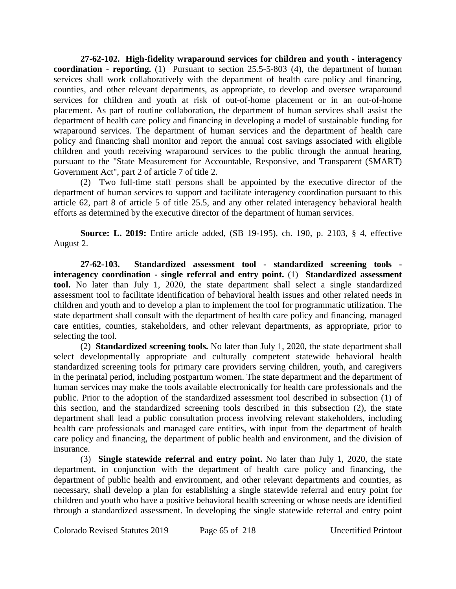**27-62-102. High-fidelity wraparound services for children and youth - interagency coordination - reporting.** (1) Pursuant to section 25.5-5-803 (4), the department of human services shall work collaboratively with the department of health care policy and financing, counties, and other relevant departments, as appropriate, to develop and oversee wraparound services for children and youth at risk of out-of-home placement or in an out-of-home placement. As part of routine collaboration, the department of human services shall assist the department of health care policy and financing in developing a model of sustainable funding for wraparound services. The department of human services and the department of health care policy and financing shall monitor and report the annual cost savings associated with eligible children and youth receiving wraparound services to the public through the annual hearing, pursuant to the "State Measurement for Accountable, Responsive, and Transparent (SMART) Government Act", part 2 of article 7 of title 2.

(2) Two full-time staff persons shall be appointed by the executive director of the department of human services to support and facilitate interagency coordination pursuant to this article 62, part 8 of article 5 of title 25.5, and any other related interagency behavioral health efforts as determined by the executive director of the department of human services.

**Source: L. 2019:** Entire article added, (SB 19-195), ch. 190, p. 2103, § 4, effective August 2.

**27-62-103. Standardized assessment tool - standardized screening tools interagency coordination - single referral and entry point.** (1) **Standardized assessment tool.** No later than July 1, 2020, the state department shall select a single standardized assessment tool to facilitate identification of behavioral health issues and other related needs in children and youth and to develop a plan to implement the tool for programmatic utilization. The state department shall consult with the department of health care policy and financing, managed care entities, counties, stakeholders, and other relevant departments, as appropriate, prior to selecting the tool.

(2) **Standardized screening tools.** No later than July 1, 2020, the state department shall select developmentally appropriate and culturally competent statewide behavioral health standardized screening tools for primary care providers serving children, youth, and caregivers in the perinatal period, including postpartum women. The state department and the department of human services may make the tools available electronically for health care professionals and the public. Prior to the adoption of the standardized assessment tool described in subsection (1) of this section, and the standardized screening tools described in this subsection (2), the state department shall lead a public consultation process involving relevant stakeholders, including health care professionals and managed care entities, with input from the department of health care policy and financing, the department of public health and environment, and the division of insurance.

(3) **Single statewide referral and entry point.** No later than July 1, 2020, the state department, in conjunction with the department of health care policy and financing, the department of public health and environment, and other relevant departments and counties, as necessary, shall develop a plan for establishing a single statewide referral and entry point for children and youth who have a positive behavioral health screening or whose needs are identified through a standardized assessment. In developing the single statewide referral and entry point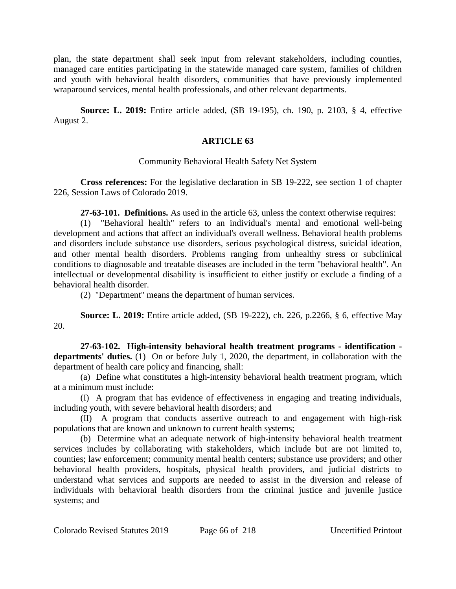plan, the state department shall seek input from relevant stakeholders, including counties, managed care entities participating in the statewide managed care system, families of children and youth with behavioral health disorders, communities that have previously implemented wraparound services, mental health professionals, and other relevant departments.

**Source: L. 2019:** Entire article added, (SB 19-195), ch. 190, p. 2103, § 4, effective August 2.

# **ARTICLE 63**

# Community Behavioral Health Safety Net System

**Cross references:** For the legislative declaration in SB 19-222, see section 1 of chapter 226, Session Laws of Colorado 2019.

**27-63-101. Definitions.** As used in the article 63, unless the context otherwise requires:

(1) "Behavioral health" refers to an individual's mental and emotional well-being development and actions that affect an individual's overall wellness. Behavioral health problems and disorders include substance use disorders, serious psychological distress, suicidal ideation, and other mental health disorders. Problems ranging from unhealthy stress or subclinical conditions to diagnosable and treatable diseases are included in the term "behavioral health". An intellectual or developmental disability is insufficient to either justify or exclude a finding of a behavioral health disorder.

(2) "Department" means the department of human services.

**Source: L. 2019:** Entire article added, (SB 19-222), ch. 226, p.2266, § 6, effective May 20.

**27-63-102. High-intensity behavioral health treatment programs - identification departments' duties.** (1) On or before July 1, 2020, the department, in collaboration with the department of health care policy and financing, shall:

(a) Define what constitutes a high-intensity behavioral health treatment program, which at a minimum must include:

(I) A program that has evidence of effectiveness in engaging and treating individuals, including youth, with severe behavioral health disorders; and

(II) A program that conducts assertive outreach to and engagement with high-risk populations that are known and unknown to current health systems;

(b) Determine what an adequate network of high-intensity behavioral health treatment services includes by collaborating with stakeholders, which include but are not limited to, counties; law enforcement; community mental health centers; substance use providers; and other behavioral health providers, hospitals, physical health providers, and judicial districts to understand what services and supports are needed to assist in the diversion and release of individuals with behavioral health disorders from the criminal justice and juvenile justice systems; and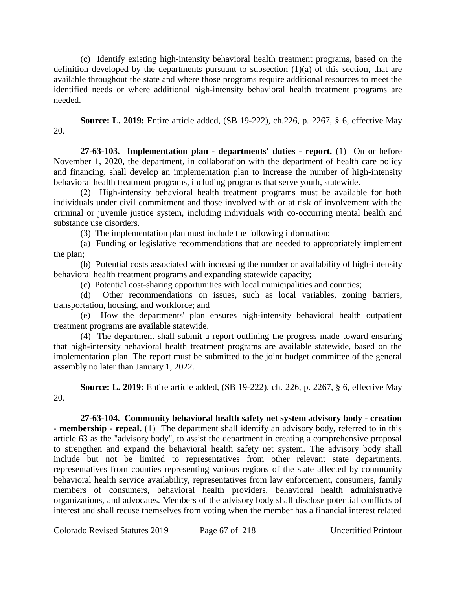(c) Identify existing high-intensity behavioral health treatment programs, based on the definition developed by the departments pursuant to subsection  $(1)(a)$  of this section, that are available throughout the state and where those programs require additional resources to meet the identified needs or where additional high-intensity behavioral health treatment programs are needed.

**Source: L. 2019:** Entire article added, (SB 19-222), ch.226, p. 2267, § 6, effective May 20.

**27-63-103. Implementation plan - departments' duties - report.** (1) On or before November 1, 2020, the department, in collaboration with the department of health care policy and financing, shall develop an implementation plan to increase the number of high-intensity behavioral health treatment programs, including programs that serve youth, statewide.

(2) High-intensity behavioral health treatment programs must be available for both individuals under civil commitment and those involved with or at risk of involvement with the criminal or juvenile justice system, including individuals with co-occurring mental health and substance use disorders.

(3) The implementation plan must include the following information:

(a) Funding or legislative recommendations that are needed to appropriately implement the plan;

(b) Potential costs associated with increasing the number or availability of high-intensity behavioral health treatment programs and expanding statewide capacity;

(c) Potential cost-sharing opportunities with local municipalities and counties;

(d) Other recommendations on issues, such as local variables, zoning barriers, transportation, housing, and workforce; and

(e) How the departments' plan ensures high-intensity behavioral health outpatient treatment programs are available statewide.

(4) The department shall submit a report outlining the progress made toward ensuring that high-intensity behavioral health treatment programs are available statewide, based on the implementation plan. The report must be submitted to the joint budget committee of the general assembly no later than January 1, 2022.

**Source: L. 2019:** Entire article added, (SB 19-222), ch. 226, p. 2267, § 6, effective May 20.

**27-63-104. Community behavioral health safety net system advisory body - creation - membership - repeal.** (1) The department shall identify an advisory body, referred to in this article 63 as the "advisory body", to assist the department in creating a comprehensive proposal to strengthen and expand the behavioral health safety net system. The advisory body shall include but not be limited to representatives from other relevant state departments, representatives from counties representing various regions of the state affected by community behavioral health service availability, representatives from law enforcement, consumers, family members of consumers, behavioral health providers, behavioral health administrative organizations, and advocates. Members of the advisory body shall disclose potential conflicts of interest and shall recuse themselves from voting when the member has a financial interest related

Colorado Revised Statutes 2019 Page 67 of 218 Uncertified Printout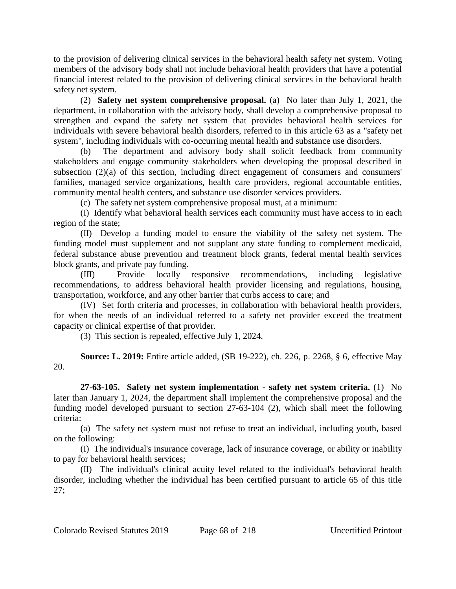to the provision of delivering clinical services in the behavioral health safety net system. Voting members of the advisory body shall not include behavioral health providers that have a potential financial interest related to the provision of delivering clinical services in the behavioral health safety net system.

(2) **Safety net system comprehensive proposal.** (a) No later than July 1, 2021, the department, in collaboration with the advisory body, shall develop a comprehensive proposal to strengthen and expand the safety net system that provides behavioral health services for individuals with severe behavioral health disorders, referred to in this article 63 as a "safety net system", including individuals with co-occurring mental health and substance use disorders.

The department and advisory body shall solicit feedback from community stakeholders and engage community stakeholders when developing the proposal described in subsection  $(2)(a)$  of this section, including direct engagement of consumers and consumers' families, managed service organizations, health care providers, regional accountable entities, community mental health centers, and substance use disorder services providers.

(c) The safety net system comprehensive proposal must, at a minimum:

(I) Identify what behavioral health services each community must have access to in each region of the state;

(II) Develop a funding model to ensure the viability of the safety net system. The funding model must supplement and not supplant any state funding to complement medicaid, federal substance abuse prevention and treatment block grants, federal mental health services block grants, and private pay funding.

(III) Provide locally responsive recommendations, including legislative recommendations, to address behavioral health provider licensing and regulations, housing, transportation, workforce, and any other barrier that curbs access to care; and

(IV) Set forth criteria and processes, in collaboration with behavioral health providers, for when the needs of an individual referred to a safety net provider exceed the treatment capacity or clinical expertise of that provider.

(3) This section is repealed, effective July 1, 2024.

**Source: L. 2019:** Entire article added, (SB 19-222), ch. 226, p. 2268, § 6, effective May 20.

**27-63-105. Safety net system implementation - safety net system criteria.** (1) No later than January 1, 2024, the department shall implement the comprehensive proposal and the funding model developed pursuant to section 27-63-104 (2), which shall meet the following criteria:

(a) The safety net system must not refuse to treat an individual, including youth, based on the following:

(I) The individual's insurance coverage, lack of insurance coverage, or ability or inability to pay for behavioral health services;

(II) The individual's clinical acuity level related to the individual's behavioral health disorder, including whether the individual has been certified pursuant to article 65 of this title 27;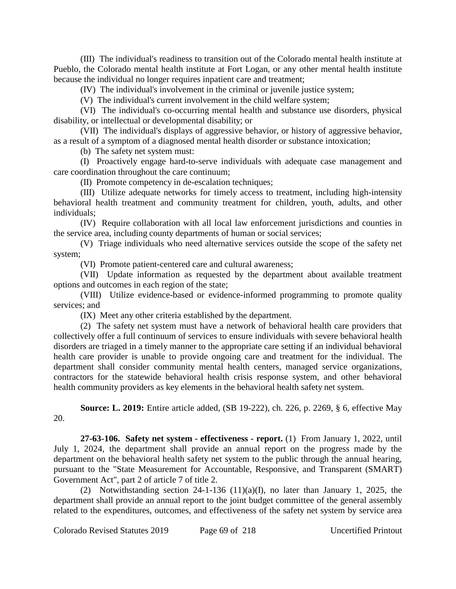(III) The individual's readiness to transition out of the Colorado mental health institute at Pueblo, the Colorado mental health institute at Fort Logan, or any other mental health institute because the individual no longer requires inpatient care and treatment;

(IV) The individual's involvement in the criminal or juvenile justice system;

(V) The individual's current involvement in the child welfare system;

(VI) The individual's co-occurring mental health and substance use disorders, physical disability, or intellectual or developmental disability; or

(VII) The individual's displays of aggressive behavior, or history of aggressive behavior, as a result of a symptom of a diagnosed mental health disorder or substance intoxication;

(b) The safety net system must:

(I) Proactively engage hard-to-serve individuals with adequate case management and care coordination throughout the care continuum;

(II) Promote competency in de-escalation techniques;

(III) Utilize adequate networks for timely access to treatment, including high-intensity behavioral health treatment and community treatment for children, youth, adults, and other individuals;

(IV) Require collaboration with all local law enforcement jurisdictions and counties in the service area, including county departments of human or social services;

(V) Triage individuals who need alternative services outside the scope of the safety net system;

(VI) Promote patient-centered care and cultural awareness;

(VII) Update information as requested by the department about available treatment options and outcomes in each region of the state;

(VIII) Utilize evidence-based or evidence-informed programming to promote quality services; and

(IX) Meet any other criteria established by the department.

(2) The safety net system must have a network of behavioral health care providers that collectively offer a full continuum of services to ensure individuals with severe behavioral health disorders are triaged in a timely manner to the appropriate care setting if an individual behavioral health care provider is unable to provide ongoing care and treatment for the individual. The department shall consider community mental health centers, managed service organizations, contractors for the statewide behavioral health crisis response system, and other behavioral health community providers as key elements in the behavioral health safety net system.

**Source: L. 2019:** Entire article added, (SB 19-222), ch. 226, p. 2269, § 6, effective May 20.

**27-63-106. Safety net system - effectiveness - report.** (1) From January 1, 2022, until July 1, 2024, the department shall provide an annual report on the progress made by the department on the behavioral health safety net system to the public through the annual hearing, pursuant to the "State Measurement for Accountable, Responsive, and Transparent (SMART) Government Act", part 2 of article 7 of title 2.

(2) Notwithstanding section 24-1-136 (11)(a)(I), no later than January 1, 2025, the department shall provide an annual report to the joint budget committee of the general assembly related to the expenditures, outcomes, and effectiveness of the safety net system by service area

Colorado Revised Statutes 2019 Page 69 of 218 Uncertified Printout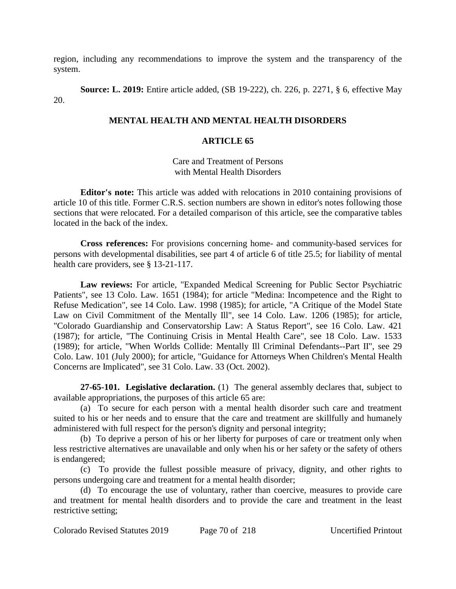region, including any recommendations to improve the system and the transparency of the system.

**Source: L. 2019:** Entire article added, (SB 19-222), ch. 226, p. 2271, § 6, effective May 20.

# **MENTAL HEALTH AND MENTAL HEALTH DISORDERS**

# **ARTICLE 65**

Care and Treatment of Persons with Mental Health Disorders

**Editor's note:** This article was added with relocations in 2010 containing provisions of article 10 of this title. Former C.R.S. section numbers are shown in editor's notes following those sections that were relocated. For a detailed comparison of this article, see the comparative tables located in the back of the index.

**Cross references:** For provisions concerning home- and community-based services for persons with developmental disabilities, see part 4 of article 6 of title 25.5; for liability of mental health care providers, see § 13-21-117.

**Law reviews:** For article, "Expanded Medical Screening for Public Sector Psychiatric Patients", see 13 Colo. Law. 1651 (1984); for article "Medina: Incompetence and the Right to Refuse Medication", see 14 Colo. Law. 1998 (1985); for article, "A Critique of the Model State Law on Civil Commitment of the Mentally Ill", see 14 Colo. Law. 1206 (1985); for article, "Colorado Guardianship and Conservatorship Law: A Status Report", see 16 Colo. Law. 421 (1987); for article, "The Continuing Crisis in Mental Health Care", see 18 Colo. Law. 1533 (1989); for article, "When Worlds Collide: Mentally Ill Criminal Defendants--Part II", see 29 Colo. Law. 101 (July 2000); for article, "Guidance for Attorneys When Children's Mental Health Concerns are Implicated", see 31 Colo. Law. 33 (Oct. 2002).

**27-65-101. Legislative declaration.** (1) The general assembly declares that, subject to available appropriations, the purposes of this article 65 are:

(a) To secure for each person with a mental health disorder such care and treatment suited to his or her needs and to ensure that the care and treatment are skillfully and humanely administered with full respect for the person's dignity and personal integrity;

(b) To deprive a person of his or her liberty for purposes of care or treatment only when less restrictive alternatives are unavailable and only when his or her safety or the safety of others is endangered;

(c) To provide the fullest possible measure of privacy, dignity, and other rights to persons undergoing care and treatment for a mental health disorder;

(d) To encourage the use of voluntary, rather than coercive, measures to provide care and treatment for mental health disorders and to provide the care and treatment in the least restrictive setting;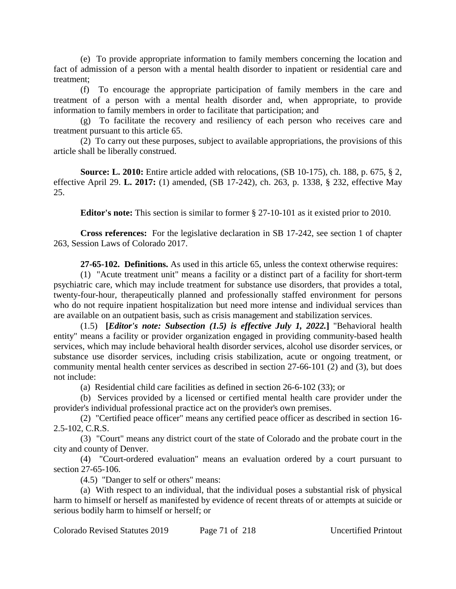(e) To provide appropriate information to family members concerning the location and fact of admission of a person with a mental health disorder to inpatient or residential care and treatment;

(f) To encourage the appropriate participation of family members in the care and treatment of a person with a mental health disorder and, when appropriate, to provide information to family members in order to facilitate that participation; and

(g) To facilitate the recovery and resiliency of each person who receives care and treatment pursuant to this article 65.

(2) To carry out these purposes, subject to available appropriations, the provisions of this article shall be liberally construed.

**Source: L. 2010:** Entire article added with relocations, (SB 10-175), ch. 188, p. 675, § 2, effective April 29. **L. 2017:** (1) amended, (SB 17-242), ch. 263, p. 1338, § 232, effective May 25.

**Editor's note:** This section is similar to former § 27-10-101 as it existed prior to 2010.

**Cross references:** For the legislative declaration in SB 17-242, see section 1 of chapter 263, Session Laws of Colorado 2017.

**27-65-102. Definitions.** As used in this article 65, unless the context otherwise requires:

(1) "Acute treatment unit" means a facility or a distinct part of a facility for short-term psychiatric care, which may include treatment for substance use disorders, that provides a total, twenty-four-hour, therapeutically planned and professionally staffed environment for persons who do not require inpatient hospitalization but need more intense and individual services than are available on an outpatient basis, such as crisis management and stabilization services.

(1.5) **[***Editor's note: Subsection (1.5) is effective July 1, 2022.***]** "Behavioral health entity" means a facility or provider organization engaged in providing community-based health services, which may include behavioral health disorder services, alcohol use disorder services, or substance use disorder services, including crisis stabilization, acute or ongoing treatment, or community mental health center services as described in section 27-66-101 (2) and (3), but does not include:

(a) Residential child care facilities as defined in section 26-6-102 (33); or

(b) Services provided by a licensed or certified mental health care provider under the provider's individual professional practice act on the provider's own premises.

(2) "Certified peace officer" means any certified peace officer as described in section 16- 2.5-102, C.R.S.

(3) "Court" means any district court of the state of Colorado and the probate court in the city and county of Denver.

(4) "Court-ordered evaluation" means an evaluation ordered by a court pursuant to section 27-65-106.

(4.5) "Danger to self or others" means:

(a) With respect to an individual, that the individual poses a substantial risk of physical harm to himself or herself as manifested by evidence of recent threats of or attempts at suicide or serious bodily harm to himself or herself; or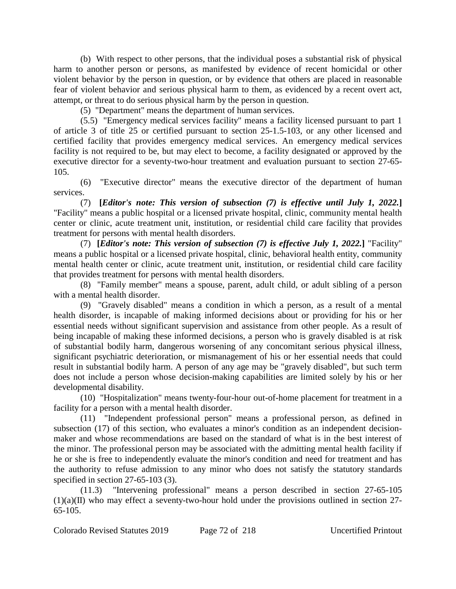(b) With respect to other persons, that the individual poses a substantial risk of physical harm to another person or persons, as manifested by evidence of recent homicidal or other violent behavior by the person in question, or by evidence that others are placed in reasonable fear of violent behavior and serious physical harm to them, as evidenced by a recent overt act, attempt, or threat to do serious physical harm by the person in question.

(5) "Department" means the department of human services.

(5.5) "Emergency medical services facility" means a facility licensed pursuant to part 1 of article 3 of title 25 or certified pursuant to section 25-1.5-103, or any other licensed and certified facility that provides emergency medical services. An emergency medical services facility is not required to be, but may elect to become, a facility designated or approved by the executive director for a seventy-two-hour treatment and evaluation pursuant to section 27-65- 105.

(6) "Executive director" means the executive director of the department of human services.

(7) **[***Editor's note: This version of subsection (7) is effective until July 1, 2022.***]** "Facility" means a public hospital or a licensed private hospital, clinic, community mental health center or clinic, acute treatment unit, institution, or residential child care facility that provides treatment for persons with mental health disorders.

(7) **[***Editor's note: This version of subsection (7) is effective July 1, 2022.***]** "Facility" means a public hospital or a licensed private hospital, clinic, behavioral health entity, community mental health center or clinic, acute treatment unit, institution, or residential child care facility that provides treatment for persons with mental health disorders.

(8) "Family member" means a spouse, parent, adult child, or adult sibling of a person with a mental health disorder.

(9) "Gravely disabled" means a condition in which a person, as a result of a mental health disorder, is incapable of making informed decisions about or providing for his or her essential needs without significant supervision and assistance from other people. As a result of being incapable of making these informed decisions, a person who is gravely disabled is at risk of substantial bodily harm, dangerous worsening of any concomitant serious physical illness, significant psychiatric deterioration, or mismanagement of his or her essential needs that could result in substantial bodily harm. A person of any age may be "gravely disabled", but such term does not include a person whose decision-making capabilities are limited solely by his or her developmental disability.

(10) "Hospitalization" means twenty-four-hour out-of-home placement for treatment in a facility for a person with a mental health disorder.

(11) "Independent professional person" means a professional person, as defined in subsection (17) of this section, who evaluates a minor's condition as an independent decisionmaker and whose recommendations are based on the standard of what is in the best interest of the minor. The professional person may be associated with the admitting mental health facility if he or she is free to independently evaluate the minor's condition and need for treatment and has the authority to refuse admission to any minor who does not satisfy the statutory standards specified in section 27-65-103 (3).

(11.3) "Intervening professional" means a person described in section 27-65-105  $(1)(a)(II)$  who may effect a seventy-two-hour hold under the provisions outlined in section 27-65-105.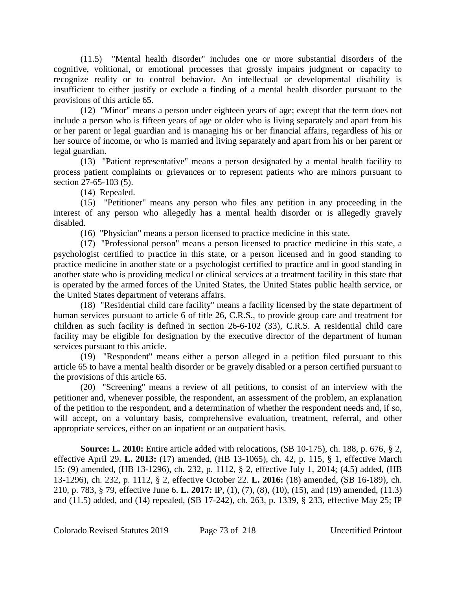(11.5) "Mental health disorder" includes one or more substantial disorders of the cognitive, volitional, or emotional processes that grossly impairs judgment or capacity to recognize reality or to control behavior. An intellectual or developmental disability is insufficient to either justify or exclude a finding of a mental health disorder pursuant to the provisions of this article 65.

(12) "Minor" means a person under eighteen years of age; except that the term does not include a person who is fifteen years of age or older who is living separately and apart from his or her parent or legal guardian and is managing his or her financial affairs, regardless of his or her source of income, or who is married and living separately and apart from his or her parent or legal guardian.

(13) "Patient representative" means a person designated by a mental health facility to process patient complaints or grievances or to represent patients who are minors pursuant to section 27-65-103 (5).

(14) Repealed.

(15) "Petitioner" means any person who files any petition in any proceeding in the interest of any person who allegedly has a mental health disorder or is allegedly gravely disabled.

(16) "Physician" means a person licensed to practice medicine in this state.

(17) "Professional person" means a person licensed to practice medicine in this state, a psychologist certified to practice in this state, or a person licensed and in good standing to practice medicine in another state or a psychologist certified to practice and in good standing in another state who is providing medical or clinical services at a treatment facility in this state that is operated by the armed forces of the United States, the United States public health service, or the United States department of veterans affairs.

(18) "Residential child care facility" means a facility licensed by the state department of human services pursuant to article 6 of title 26, C.R.S., to provide group care and treatment for children as such facility is defined in section 26-6-102 (33), C.R.S. A residential child care facility may be eligible for designation by the executive director of the department of human services pursuant to this article.

(19) "Respondent" means either a person alleged in a petition filed pursuant to this article 65 to have a mental health disorder or be gravely disabled or a person certified pursuant to the provisions of this article 65.

(20) "Screening" means a review of all petitions, to consist of an interview with the petitioner and, whenever possible, the respondent, an assessment of the problem, an explanation of the petition to the respondent, and a determination of whether the respondent needs and, if so, will accept, on a voluntary basis, comprehensive evaluation, treatment, referral, and other appropriate services, either on an inpatient or an outpatient basis.

**Source: L. 2010:** Entire article added with relocations, (SB 10-175), ch. 188, p. 676, § 2, effective April 29. **L. 2013:** (17) amended, (HB 13-1065), ch. 42, p. 115, § 1, effective March 15; (9) amended, (HB 13-1296), ch. 232, p. 1112, § 2, effective July 1, 2014; (4.5) added, (HB 13-1296), ch. 232, p. 1112, § 2, effective October 22. **L. 2016:** (18) amended, (SB 16-189), ch. 210, p. 783, § 79, effective June 6. **L. 2017:** IP, (1), (7), (8), (10), (15), and (19) amended, (11.3) and (11.5) added, and (14) repealed, (SB 17-242), ch. 263, p. 1339, § 233, effective May 25; IP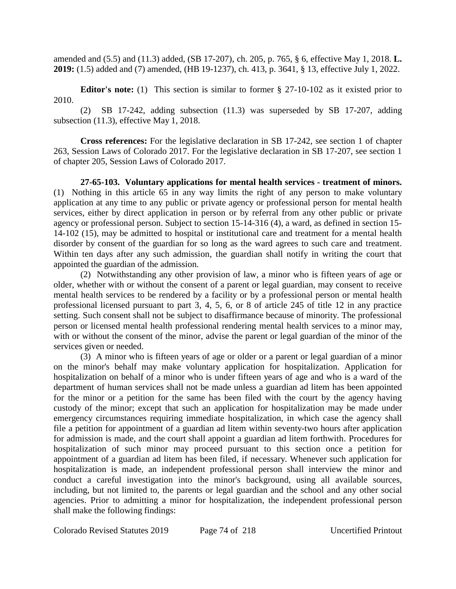amended and (5.5) and (11.3) added, (SB 17-207), ch. 205, p. 765, § 6, effective May 1, 2018. **L. 2019:** (1.5) added and (7) amended, (HB 19-1237), ch. 413, p. 3641, § 13, effective July 1, 2022.

**Editor's note:** (1) This section is similar to former § 27-10-102 as it existed prior to 2010.

(2) SB 17-242, adding subsection (11.3) was superseded by SB 17-207, adding subsection (11.3), effective May 1, 2018.

**Cross references:** For the legislative declaration in SB 17-242, see section 1 of chapter 263, Session Laws of Colorado 2017. For the legislative declaration in SB 17-207, see section 1 of chapter 205, Session Laws of Colorado 2017.

**27-65-103. Voluntary applications for mental health services - treatment of minors.** (1) Nothing in this article 65 in any way limits the right of any person to make voluntary application at any time to any public or private agency or professional person for mental health services, either by direct application in person or by referral from any other public or private agency or professional person. Subject to section 15-14-316 (4), a ward, as defined in section 15- 14-102 (15), may be admitted to hospital or institutional care and treatment for a mental health disorder by consent of the guardian for so long as the ward agrees to such care and treatment. Within ten days after any such admission, the guardian shall notify in writing the court that appointed the guardian of the admission.

(2) Notwithstanding any other provision of law, a minor who is fifteen years of age or older, whether with or without the consent of a parent or legal guardian, may consent to receive mental health services to be rendered by a facility or by a professional person or mental health professional licensed pursuant to part 3, 4, 5, 6, or 8 of article 245 of title 12 in any practice setting. Such consent shall not be subject to disaffirmance because of minority. The professional person or licensed mental health professional rendering mental health services to a minor may, with or without the consent of the minor, advise the parent or legal guardian of the minor of the services given or needed.

(3) A minor who is fifteen years of age or older or a parent or legal guardian of a minor on the minor's behalf may make voluntary application for hospitalization. Application for hospitalization on behalf of a minor who is under fifteen years of age and who is a ward of the department of human services shall not be made unless a guardian ad litem has been appointed for the minor or a petition for the same has been filed with the court by the agency having custody of the minor; except that such an application for hospitalization may be made under emergency circumstances requiring immediate hospitalization, in which case the agency shall file a petition for appointment of a guardian ad litem within seventy-two hours after application for admission is made, and the court shall appoint a guardian ad litem forthwith. Procedures for hospitalization of such minor may proceed pursuant to this section once a petition for appointment of a guardian ad litem has been filed, if necessary. Whenever such application for hospitalization is made, an independent professional person shall interview the minor and conduct a careful investigation into the minor's background, using all available sources, including, but not limited to, the parents or legal guardian and the school and any other social agencies. Prior to admitting a minor for hospitalization, the independent professional person shall make the following findings:

Colorado Revised Statutes 2019 Page 74 of 218 Uncertified Printout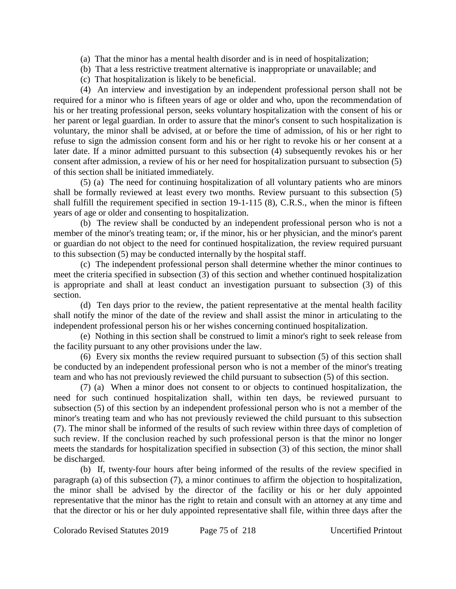- (a) That the minor has a mental health disorder and is in need of hospitalization;
- (b) That a less restrictive treatment alternative is inappropriate or unavailable; and
- (c) That hospitalization is likely to be beneficial.

(4) An interview and investigation by an independent professional person shall not be required for a minor who is fifteen years of age or older and who, upon the recommendation of his or her treating professional person, seeks voluntary hospitalization with the consent of his or her parent or legal guardian. In order to assure that the minor's consent to such hospitalization is voluntary, the minor shall be advised, at or before the time of admission, of his or her right to refuse to sign the admission consent form and his or her right to revoke his or her consent at a later date. If a minor admitted pursuant to this subsection (4) subsequently revokes his or her consent after admission, a review of his or her need for hospitalization pursuant to subsection (5) of this section shall be initiated immediately.

(5) (a) The need for continuing hospitalization of all voluntary patients who are minors shall be formally reviewed at least every two months. Review pursuant to this subsection (5) shall fulfill the requirement specified in section 19-1-115 (8), C.R.S., when the minor is fifteen years of age or older and consenting to hospitalization.

(b) The review shall be conducted by an independent professional person who is not a member of the minor's treating team; or, if the minor, his or her physician, and the minor's parent or guardian do not object to the need for continued hospitalization, the review required pursuant to this subsection (5) may be conducted internally by the hospital staff.

(c) The independent professional person shall determine whether the minor continues to meet the criteria specified in subsection (3) of this section and whether continued hospitalization is appropriate and shall at least conduct an investigation pursuant to subsection (3) of this section.

(d) Ten days prior to the review, the patient representative at the mental health facility shall notify the minor of the date of the review and shall assist the minor in articulating to the independent professional person his or her wishes concerning continued hospitalization.

(e) Nothing in this section shall be construed to limit a minor's right to seek release from the facility pursuant to any other provisions under the law.

(6) Every six months the review required pursuant to subsection (5) of this section shall be conducted by an independent professional person who is not a member of the minor's treating team and who has not previously reviewed the child pursuant to subsection (5) of this section.

(7) (a) When a minor does not consent to or objects to continued hospitalization, the need for such continued hospitalization shall, within ten days, be reviewed pursuant to subsection (5) of this section by an independent professional person who is not a member of the minor's treating team and who has not previously reviewed the child pursuant to this subsection (7). The minor shall be informed of the results of such review within three days of completion of such review. If the conclusion reached by such professional person is that the minor no longer meets the standards for hospitalization specified in subsection (3) of this section, the minor shall be discharged.

(b) If, twenty-four hours after being informed of the results of the review specified in paragraph (a) of this subsection (7), a minor continues to affirm the objection to hospitalization, the minor shall be advised by the director of the facility or his or her duly appointed representative that the minor has the right to retain and consult with an attorney at any time and that the director or his or her duly appointed representative shall file, within three days after the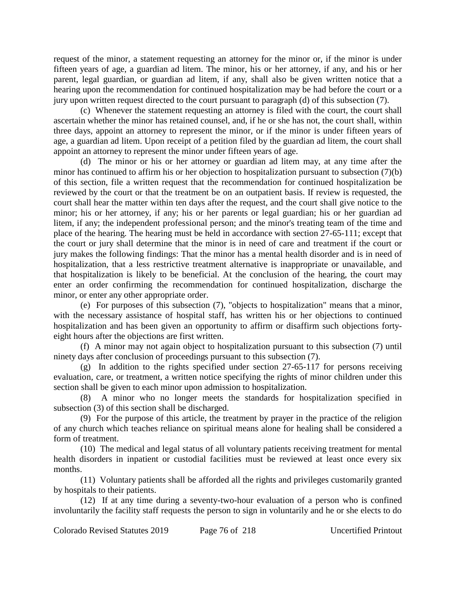request of the minor, a statement requesting an attorney for the minor or, if the minor is under fifteen years of age, a guardian ad litem. The minor, his or her attorney, if any, and his or her parent, legal guardian, or guardian ad litem, if any, shall also be given written notice that a hearing upon the recommendation for continued hospitalization may be had before the court or a jury upon written request directed to the court pursuant to paragraph (d) of this subsection (7).

(c) Whenever the statement requesting an attorney is filed with the court, the court shall ascertain whether the minor has retained counsel, and, if he or she has not, the court shall, within three days, appoint an attorney to represent the minor, or if the minor is under fifteen years of age, a guardian ad litem. Upon receipt of a petition filed by the guardian ad litem, the court shall appoint an attorney to represent the minor under fifteen years of age.

(d) The minor or his or her attorney or guardian ad litem may, at any time after the minor has continued to affirm his or her objection to hospitalization pursuant to subsection (7)(b) of this section, file a written request that the recommendation for continued hospitalization be reviewed by the court or that the treatment be on an outpatient basis. If review is requested, the court shall hear the matter within ten days after the request, and the court shall give notice to the minor; his or her attorney, if any; his or her parents or legal guardian; his or her guardian ad litem, if any; the independent professional person; and the minor's treating team of the time and place of the hearing. The hearing must be held in accordance with section 27-65-111; except that the court or jury shall determine that the minor is in need of care and treatment if the court or jury makes the following findings: That the minor has a mental health disorder and is in need of hospitalization, that a less restrictive treatment alternative is inappropriate or unavailable, and that hospitalization is likely to be beneficial. At the conclusion of the hearing, the court may enter an order confirming the recommendation for continued hospitalization, discharge the minor, or enter any other appropriate order.

(e) For purposes of this subsection (7), "objects to hospitalization" means that a minor, with the necessary assistance of hospital staff, has written his or her objections to continued hospitalization and has been given an opportunity to affirm or disaffirm such objections fortyeight hours after the objections are first written.

(f) A minor may not again object to hospitalization pursuant to this subsection (7) until ninety days after conclusion of proceedings pursuant to this subsection (7).

(g) In addition to the rights specified under section 27-65-117 for persons receiving evaluation, care, or treatment, a written notice specifying the rights of minor children under this section shall be given to each minor upon admission to hospitalization.

(8) A minor who no longer meets the standards for hospitalization specified in subsection (3) of this section shall be discharged.

(9) For the purpose of this article, the treatment by prayer in the practice of the religion of any church which teaches reliance on spiritual means alone for healing shall be considered a form of treatment.

(10) The medical and legal status of all voluntary patients receiving treatment for mental health disorders in inpatient or custodial facilities must be reviewed at least once every six months.

(11) Voluntary patients shall be afforded all the rights and privileges customarily granted by hospitals to their patients.

(12) If at any time during a seventy-two-hour evaluation of a person who is confined involuntarily the facility staff requests the person to sign in voluntarily and he or she elects to do

Colorado Revised Statutes 2019 Page 76 of 218 Uncertified Printout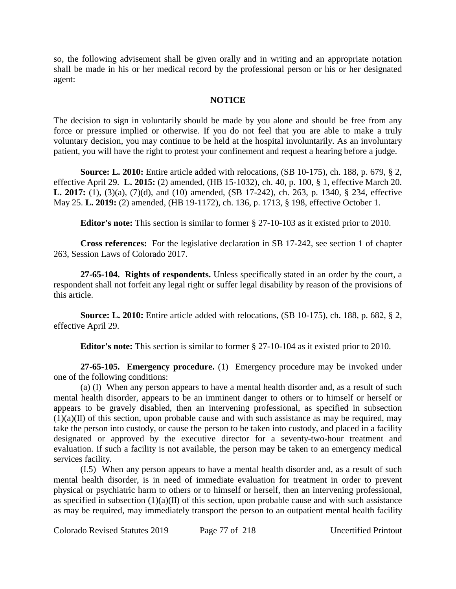so, the following advisement shall be given orally and in writing and an appropriate notation shall be made in his or her medical record by the professional person or his or her designated agent:

### **NOTICE**

The decision to sign in voluntarily should be made by you alone and should be free from any force or pressure implied or otherwise. If you do not feel that you are able to make a truly voluntary decision, you may continue to be held at the hospital involuntarily. As an involuntary patient, you will have the right to protest your confinement and request a hearing before a judge.

**Source: L. 2010:** Entire article added with relocations, (SB 10-175), ch. 188, p. 679, § 2, effective April 29. **L. 2015:** (2) amended, (HB 15-1032), ch. 40, p. 100, § 1, effective March 20. **L. 2017:** (1), (3)(a), (7)(d), and (10) amended, (SB 17-242), ch. 263, p. 1340, § 234, effective May 25. **L. 2019:** (2) amended, (HB 19-1172), ch. 136, p. 1713, § 198, effective October 1.

**Editor's note:** This section is similar to former § 27-10-103 as it existed prior to 2010.

**Cross references:** For the legislative declaration in SB 17-242, see section 1 of chapter 263, Session Laws of Colorado 2017.

**27-65-104. Rights of respondents.** Unless specifically stated in an order by the court, a respondent shall not forfeit any legal right or suffer legal disability by reason of the provisions of this article.

**Source: L. 2010:** Entire article added with relocations, (SB 10-175), ch. 188, p. 682, § 2, effective April 29.

**Editor's note:** This section is similar to former § 27-10-104 as it existed prior to 2010.

**27-65-105. Emergency procedure.** (1) Emergency procedure may be invoked under one of the following conditions:

(a) (I) When any person appears to have a mental health disorder and, as a result of such mental health disorder, appears to be an imminent danger to others or to himself or herself or appears to be gravely disabled, then an intervening professional, as specified in subsection  $(1)(a)(II)$  of this section, upon probable cause and with such assistance as may be required, may take the person into custody, or cause the person to be taken into custody, and placed in a facility designated or approved by the executive director for a seventy-two-hour treatment and evaluation. If such a facility is not available, the person may be taken to an emergency medical services facility.

(I.5) When any person appears to have a mental health disorder and, as a result of such mental health disorder, is in need of immediate evaluation for treatment in order to prevent physical or psychiatric harm to others or to himself or herself, then an intervening professional, as specified in subsection  $(1)(a)(II)$  of this section, upon probable cause and with such assistance as may be required, may immediately transport the person to an outpatient mental health facility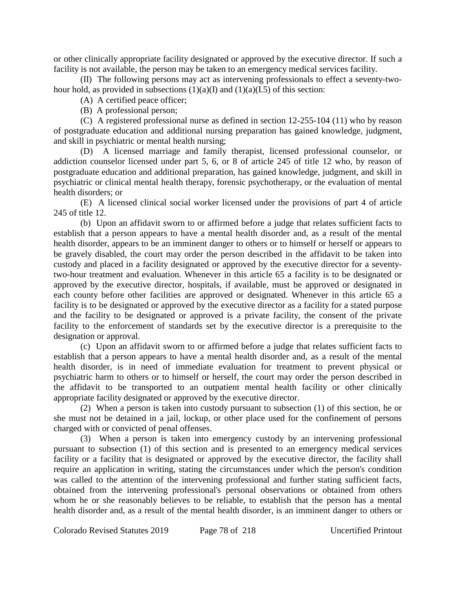or other clinically appropriate facility designated or approved by the executive director. If such a facility is not available, the person may be taken to an emergency medical services facility.

(II) The following persons may act as intervening professionals to effect a seventy-twohour hold, as provided in subsections  $(1)(a)(I)$  and  $(1)(a)(I.5)$  of this section:

(A) A certified peace officer;

(B) A professional person;

(C) A registered professional nurse as defined in section 12-255-104 (11) who by reason of postgraduate education and additional nursing preparation has gained knowledge, judgment, and skill in psychiatric or mental health nursing;

(D) A licensed marriage and family therapist, licensed professional counselor, or addiction counselor licensed under part 5, 6, or 8 of article 245 of title 12 who, by reason of postgraduate education and additional preparation, has gained knowledge, judgment, and skill in psychiatric or clinical mental health therapy, forensic psychotherapy, or the evaluation of mental health disorders; or

(E) A licensed clinical social worker licensed under the provisions of part 4 of article 245 of title 12.

(b) Upon an affidavit sworn to or affirmed before a judge that relates sufficient facts to establish that a person appears to have a mental health disorder and, as a result of the mental health disorder, appears to be an imminent danger to others or to himself or herself or appears to be gravely disabled, the court may order the person described in the affidavit to be taken into custody and placed in a facility designated or approved by the executive director for a seventytwo-hour treatment and evaluation. Whenever in this article 65 a facility is to be designated or approved by the executive director, hospitals, if available, must be approved or designated in each county before other facilities are approved or designated. Whenever in this article 65 a facility is to be designated or approved by the executive director as a facility for a stated purpose and the facility to be designated or approved is a private facility, the consent of the private facility to the enforcement of standards set by the executive director is a prerequisite to the designation or approval.

(c) Upon an affidavit sworn to or affirmed before a judge that relates sufficient facts to establish that a person appears to have a mental health disorder and, as a result of the mental health disorder, is in need of immediate evaluation for treatment to prevent physical or psychiatric harm to others or to himself or herself, the court may order the person described in the affidavit to be transported to an outpatient mental health facility or other clinically appropriate facility designated or approved by the executive director.

(2) When a person is taken into custody pursuant to subsection (1) of this section, he or she must not be detained in a jail, lockup, or other place used for the confinement of persons charged with or convicted of penal offenses.

(3) When a person is taken into emergency custody by an intervening professional pursuant to subsection (1) of this section and is presented to an emergency medical services facility or a facility that is designated or approved by the executive director, the facility shall require an application in writing, stating the circumstances under which the person's condition was called to the attention of the intervening professional and further stating sufficient facts, obtained from the intervening professional's personal observations or obtained from others whom he or she reasonably believes to be reliable, to establish that the person has a mental health disorder and, as a result of the mental health disorder, is an imminent danger to others or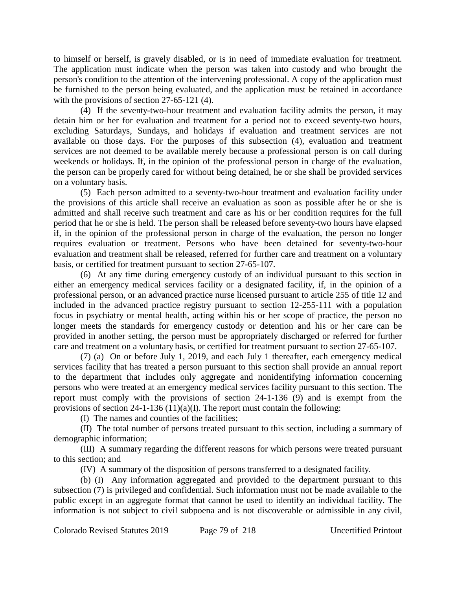to himself or herself, is gravely disabled, or is in need of immediate evaluation for treatment. The application must indicate when the person was taken into custody and who brought the person's condition to the attention of the intervening professional. A copy of the application must be furnished to the person being evaluated, and the application must be retained in accordance with the provisions of section 27-65-121 (4).

(4) If the seventy-two-hour treatment and evaluation facility admits the person, it may detain him or her for evaluation and treatment for a period not to exceed seventy-two hours, excluding Saturdays, Sundays, and holidays if evaluation and treatment services are not available on those days. For the purposes of this subsection (4), evaluation and treatment services are not deemed to be available merely because a professional person is on call during weekends or holidays. If, in the opinion of the professional person in charge of the evaluation, the person can be properly cared for without being detained, he or she shall be provided services on a voluntary basis.

(5) Each person admitted to a seventy-two-hour treatment and evaluation facility under the provisions of this article shall receive an evaluation as soon as possible after he or she is admitted and shall receive such treatment and care as his or her condition requires for the full period that he or she is held. The person shall be released before seventy-two hours have elapsed if, in the opinion of the professional person in charge of the evaluation, the person no longer requires evaluation or treatment. Persons who have been detained for seventy-two-hour evaluation and treatment shall be released, referred for further care and treatment on a voluntary basis, or certified for treatment pursuant to section 27-65-107.

(6) At any time during emergency custody of an individual pursuant to this section in either an emergency medical services facility or a designated facility, if, in the opinion of a professional person, or an advanced practice nurse licensed pursuant to article 255 of title 12 and included in the advanced practice registry pursuant to section 12-255-111 with a population focus in psychiatry or mental health, acting within his or her scope of practice, the person no longer meets the standards for emergency custody or detention and his or her care can be provided in another setting, the person must be appropriately discharged or referred for further care and treatment on a voluntary basis, or certified for treatment pursuant to section 27-65-107.

(7) (a) On or before July 1, 2019, and each July 1 thereafter, each emergency medical services facility that has treated a person pursuant to this section shall provide an annual report to the department that includes only aggregate and nonidentifying information concerning persons who were treated at an emergency medical services facility pursuant to this section. The report must comply with the provisions of section 24-1-136 (9) and is exempt from the provisions of section 24-1-136 (11)(a)(I). The report must contain the following:

(I) The names and counties of the facilities;

(II) The total number of persons treated pursuant to this section, including a summary of demographic information;

(III) A summary regarding the different reasons for which persons were treated pursuant to this section; and

(IV) A summary of the disposition of persons transferred to a designated facility.

(b) (I) Any information aggregated and provided to the department pursuant to this subsection (7) is privileged and confidential. Such information must not be made available to the public except in an aggregate format that cannot be used to identify an individual facility. The information is not subject to civil subpoena and is not discoverable or admissible in any civil,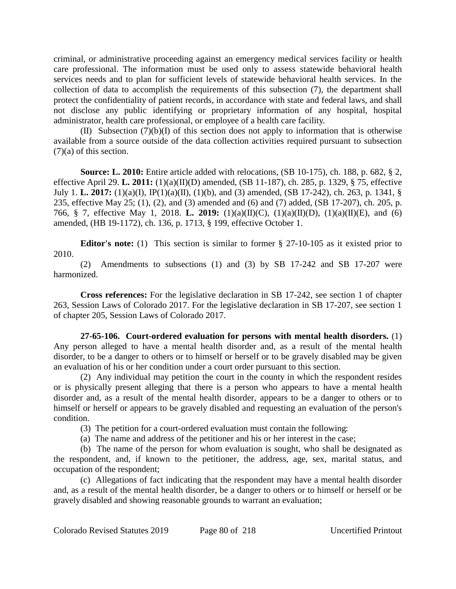criminal, or administrative proceeding against an emergency medical services facility or health care professional. The information must be used only to assess statewide behavioral health services needs and to plan for sufficient levels of statewide behavioral health services. In the collection of data to accomplish the requirements of this subsection (7), the department shall protect the confidentiality of patient records, in accordance with state and federal laws, and shall not disclose any public identifying or proprietary information of any hospital, hospital administrator, health care professional, or employee of a health care facility.

(II) Subsection (7)(b)(I) of this section does not apply to information that is otherwise available from a source outside of the data collection activities required pursuant to subsection (7)(a) of this section.

**Source: L. 2010:** Entire article added with relocations, (SB 10-175), ch. 188, p. 682, § 2, effective April 29. **L. 2011:** (1)(a)(II)(D) amended, (SB 11-187), ch. 285, p. 1329, § 75, effective July 1. **L. 2017:** (1)(a)(I), IP(1)(a)(II), (1)(b), and (3) amended, (SB 17-242), ch. 263, p. 1341, § 235, effective May 25; (1), (2), and (3) amended and (6) and (7) added, (SB 17-207), ch. 205, p. 766, § 7, effective May 1, 2018. **L. 2019:** (1)(a)(II)(C), (1)(a)(II)(D), (1)(a)(II)(E), and (6) amended, (HB 19-1172), ch. 136, p. 1713, § 199, effective October 1.

**Editor's note:** (1) This section is similar to former § 27-10-105 as it existed prior to 2010.

(2) Amendments to subsections (1) and (3) by SB 17-242 and SB 17-207 were harmonized.

**Cross references:** For the legislative declaration in SB 17-242, see section 1 of chapter 263, Session Laws of Colorado 2017. For the legislative declaration in SB 17-207, see section 1 of chapter 205, Session Laws of Colorado 2017.

**27-65-106. Court-ordered evaluation for persons with mental health disorders.** (1) Any person alleged to have a mental health disorder and, as a result of the mental health disorder, to be a danger to others or to himself or herself or to be gravely disabled may be given an evaluation of his or her condition under a court order pursuant to this section.

(2) Any individual may petition the court in the county in which the respondent resides or is physically present alleging that there is a person who appears to have a mental health disorder and, as a result of the mental health disorder, appears to be a danger to others or to himself or herself or appears to be gravely disabled and requesting an evaluation of the person's condition.

(3) The petition for a court-ordered evaluation must contain the following:

(a) The name and address of the petitioner and his or her interest in the case;

(b) The name of the person for whom evaluation is sought, who shall be designated as the respondent, and, if known to the petitioner, the address, age, sex, marital status, and occupation of the respondent;

(c) Allegations of fact indicating that the respondent may have a mental health disorder and, as a result of the mental health disorder, be a danger to others or to himself or herself or be gravely disabled and showing reasonable grounds to warrant an evaluation;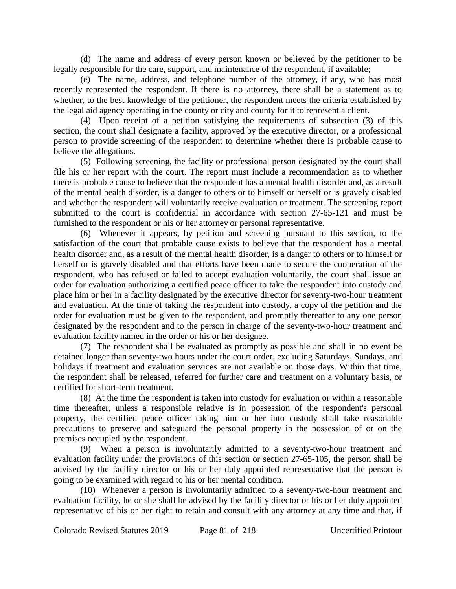(d) The name and address of every person known or believed by the petitioner to be legally responsible for the care, support, and maintenance of the respondent, if available;

(e) The name, address, and telephone number of the attorney, if any, who has most recently represented the respondent. If there is no attorney, there shall be a statement as to whether, to the best knowledge of the petitioner, the respondent meets the criteria established by the legal aid agency operating in the county or city and county for it to represent a client.

(4) Upon receipt of a petition satisfying the requirements of subsection (3) of this section, the court shall designate a facility, approved by the executive director, or a professional person to provide screening of the respondent to determine whether there is probable cause to believe the allegations.

(5) Following screening, the facility or professional person designated by the court shall file his or her report with the court. The report must include a recommendation as to whether there is probable cause to believe that the respondent has a mental health disorder and, as a result of the mental health disorder, is a danger to others or to himself or herself or is gravely disabled and whether the respondent will voluntarily receive evaluation or treatment. The screening report submitted to the court is confidential in accordance with section 27-65-121 and must be furnished to the respondent or his or her attorney or personal representative.

(6) Whenever it appears, by petition and screening pursuant to this section, to the satisfaction of the court that probable cause exists to believe that the respondent has a mental health disorder and, as a result of the mental health disorder, is a danger to others or to himself or herself or is gravely disabled and that efforts have been made to secure the cooperation of the respondent, who has refused or failed to accept evaluation voluntarily, the court shall issue an order for evaluation authorizing a certified peace officer to take the respondent into custody and place him or her in a facility designated by the executive director for seventy-two-hour treatment and evaluation. At the time of taking the respondent into custody, a copy of the petition and the order for evaluation must be given to the respondent, and promptly thereafter to any one person designated by the respondent and to the person in charge of the seventy-two-hour treatment and evaluation facility named in the order or his or her designee.

(7) The respondent shall be evaluated as promptly as possible and shall in no event be detained longer than seventy-two hours under the court order, excluding Saturdays, Sundays, and holidays if treatment and evaluation services are not available on those days. Within that time, the respondent shall be released, referred for further care and treatment on a voluntary basis, or certified for short-term treatment.

(8) At the time the respondent is taken into custody for evaluation or within a reasonable time thereafter, unless a responsible relative is in possession of the respondent's personal property, the certified peace officer taking him or her into custody shall take reasonable precautions to preserve and safeguard the personal property in the possession of or on the premises occupied by the respondent.

(9) When a person is involuntarily admitted to a seventy-two-hour treatment and evaluation facility under the provisions of this section or section 27-65-105, the person shall be advised by the facility director or his or her duly appointed representative that the person is going to be examined with regard to his or her mental condition.

(10) Whenever a person is involuntarily admitted to a seventy-two-hour treatment and evaluation facility, he or she shall be advised by the facility director or his or her duly appointed representative of his or her right to retain and consult with any attorney at any time and that, if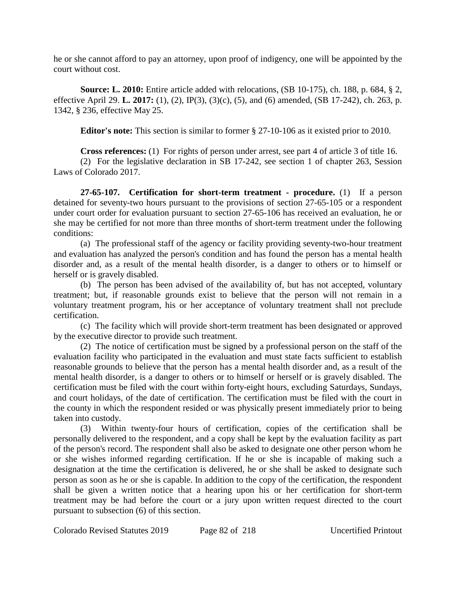he or she cannot afford to pay an attorney, upon proof of indigency, one will be appointed by the court without cost.

**Source: L. 2010:** Entire article added with relocations, (SB 10-175), ch. 188, p. 684, § 2, effective April 29. **L. 2017:** (1), (2), IP(3), (3)(c), (5), and (6) amended, (SB 17-242), ch. 263, p. 1342, § 236, effective May 25.

**Editor's note:** This section is similar to former § 27-10-106 as it existed prior to 2010.

**Cross references:** (1) For rights of person under arrest, see part 4 of article 3 of title 16.

(2) For the legislative declaration in SB 17-242, see section 1 of chapter 263, Session Laws of Colorado 2017.

**27-65-107. Certification for short-term treatment - procedure.** (1) If a person detained for seventy-two hours pursuant to the provisions of section 27-65-105 or a respondent under court order for evaluation pursuant to section 27-65-106 has received an evaluation, he or she may be certified for not more than three months of short-term treatment under the following conditions:

(a) The professional staff of the agency or facility providing seventy-two-hour treatment and evaluation has analyzed the person's condition and has found the person has a mental health disorder and, as a result of the mental health disorder, is a danger to others or to himself or herself or is gravely disabled.

(b) The person has been advised of the availability of, but has not accepted, voluntary treatment; but, if reasonable grounds exist to believe that the person will not remain in a voluntary treatment program, his or her acceptance of voluntary treatment shall not preclude certification.

(c) The facility which will provide short-term treatment has been designated or approved by the executive director to provide such treatment.

(2) The notice of certification must be signed by a professional person on the staff of the evaluation facility who participated in the evaluation and must state facts sufficient to establish reasonable grounds to believe that the person has a mental health disorder and, as a result of the mental health disorder, is a danger to others or to himself or herself or is gravely disabled. The certification must be filed with the court within forty-eight hours, excluding Saturdays, Sundays, and court holidays, of the date of certification. The certification must be filed with the court in the county in which the respondent resided or was physically present immediately prior to being taken into custody.

(3) Within twenty-four hours of certification, copies of the certification shall be personally delivered to the respondent, and a copy shall be kept by the evaluation facility as part of the person's record. The respondent shall also be asked to designate one other person whom he or she wishes informed regarding certification. If he or she is incapable of making such a designation at the time the certification is delivered, he or she shall be asked to designate such person as soon as he or she is capable. In addition to the copy of the certification, the respondent shall be given a written notice that a hearing upon his or her certification for short-term treatment may be had before the court or a jury upon written request directed to the court pursuant to subsection (6) of this section.

Colorado Revised Statutes 2019 Page 82 of 218 Uncertified Printout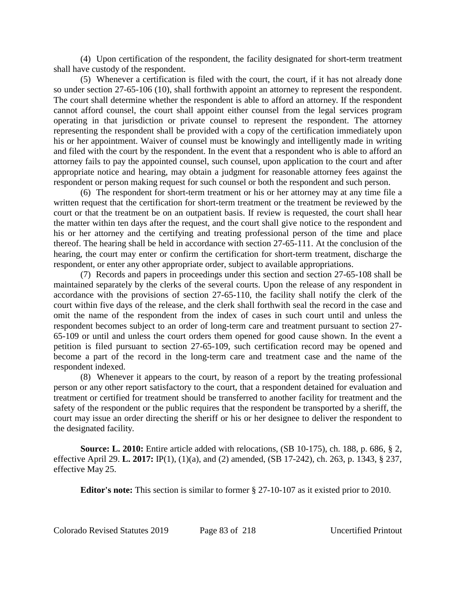(4) Upon certification of the respondent, the facility designated for short-term treatment shall have custody of the respondent.

(5) Whenever a certification is filed with the court, the court, if it has not already done so under section 27-65-106 (10), shall forthwith appoint an attorney to represent the respondent. The court shall determine whether the respondent is able to afford an attorney. If the respondent cannot afford counsel, the court shall appoint either counsel from the legal services program operating in that jurisdiction or private counsel to represent the respondent. The attorney representing the respondent shall be provided with a copy of the certification immediately upon his or her appointment. Waiver of counsel must be knowingly and intelligently made in writing and filed with the court by the respondent. In the event that a respondent who is able to afford an attorney fails to pay the appointed counsel, such counsel, upon application to the court and after appropriate notice and hearing, may obtain a judgment for reasonable attorney fees against the respondent or person making request for such counsel or both the respondent and such person.

(6) The respondent for short-term treatment or his or her attorney may at any time file a written request that the certification for short-term treatment or the treatment be reviewed by the court or that the treatment be on an outpatient basis. If review is requested, the court shall hear the matter within ten days after the request, and the court shall give notice to the respondent and his or her attorney and the certifying and treating professional person of the time and place thereof. The hearing shall be held in accordance with section 27-65-111. At the conclusion of the hearing, the court may enter or confirm the certification for short-term treatment, discharge the respondent, or enter any other appropriate order, subject to available appropriations.

(7) Records and papers in proceedings under this section and section 27-65-108 shall be maintained separately by the clerks of the several courts. Upon the release of any respondent in accordance with the provisions of section 27-65-110, the facility shall notify the clerk of the court within five days of the release, and the clerk shall forthwith seal the record in the case and omit the name of the respondent from the index of cases in such court until and unless the respondent becomes subject to an order of long-term care and treatment pursuant to section 27- 65-109 or until and unless the court orders them opened for good cause shown. In the event a petition is filed pursuant to section 27-65-109, such certification record may be opened and become a part of the record in the long-term care and treatment case and the name of the respondent indexed.

(8) Whenever it appears to the court, by reason of a report by the treating professional person or any other report satisfactory to the court, that a respondent detained for evaluation and treatment or certified for treatment should be transferred to another facility for treatment and the safety of the respondent or the public requires that the respondent be transported by a sheriff, the court may issue an order directing the sheriff or his or her designee to deliver the respondent to the designated facility.

**Source: L. 2010:** Entire article added with relocations, (SB 10-175), ch. 188, p. 686, § 2, effective April 29. **L. 2017:** IP(1), (1)(a), and (2) amended, (SB 17-242), ch. 263, p. 1343, § 237, effective May 25.

**Editor's note:** This section is similar to former § 27-10-107 as it existed prior to 2010.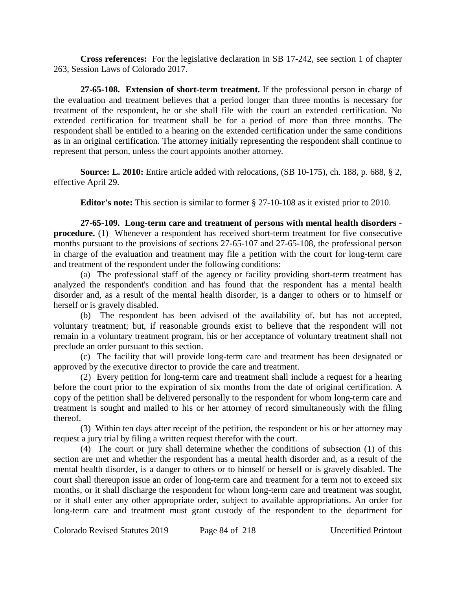**Cross references:** For the legislative declaration in SB 17-242, see section 1 of chapter 263, Session Laws of Colorado 2017.

**27-65-108. Extension of short-term treatment.** If the professional person in charge of the evaluation and treatment believes that a period longer than three months is necessary for treatment of the respondent, he or she shall file with the court an extended certification. No extended certification for treatment shall be for a period of more than three months. The respondent shall be entitled to a hearing on the extended certification under the same conditions as in an original certification. The attorney initially representing the respondent shall continue to represent that person, unless the court appoints another attorney.

**Source: L. 2010:** Entire article added with relocations, (SB 10-175), ch. 188, p. 688, § 2, effective April 29.

**Editor's note:** This section is similar to former § 27-10-108 as it existed prior to 2010.

**27-65-109. Long-term care and treatment of persons with mental health disorders procedure.** (1) Whenever a respondent has received short-term treatment for five consecutive months pursuant to the provisions of sections 27-65-107 and 27-65-108, the professional person in charge of the evaluation and treatment may file a petition with the court for long-term care and treatment of the respondent under the following conditions:

(a) The professional staff of the agency or facility providing short-term treatment has analyzed the respondent's condition and has found that the respondent has a mental health disorder and, as a result of the mental health disorder, is a danger to others or to himself or herself or is gravely disabled.

(b) The respondent has been advised of the availability of, but has not accepted, voluntary treatment; but, if reasonable grounds exist to believe that the respondent will not remain in a voluntary treatment program, his or her acceptance of voluntary treatment shall not preclude an order pursuant to this section.

(c) The facility that will provide long-term care and treatment has been designated or approved by the executive director to provide the care and treatment.

(2) Every petition for long-term care and treatment shall include a request for a hearing before the court prior to the expiration of six months from the date of original certification. A copy of the petition shall be delivered personally to the respondent for whom long-term care and treatment is sought and mailed to his or her attorney of record simultaneously with the filing thereof.

(3) Within ten days after receipt of the petition, the respondent or his or her attorney may request a jury trial by filing a written request therefor with the court.

(4) The court or jury shall determine whether the conditions of subsection (1) of this section are met and whether the respondent has a mental health disorder and, as a result of the mental health disorder, is a danger to others or to himself or herself or is gravely disabled. The court shall thereupon issue an order of long-term care and treatment for a term not to exceed six months, or it shall discharge the respondent for whom long-term care and treatment was sought, or it shall enter any other appropriate order, subject to available appropriations. An order for long-term care and treatment must grant custody of the respondent to the department for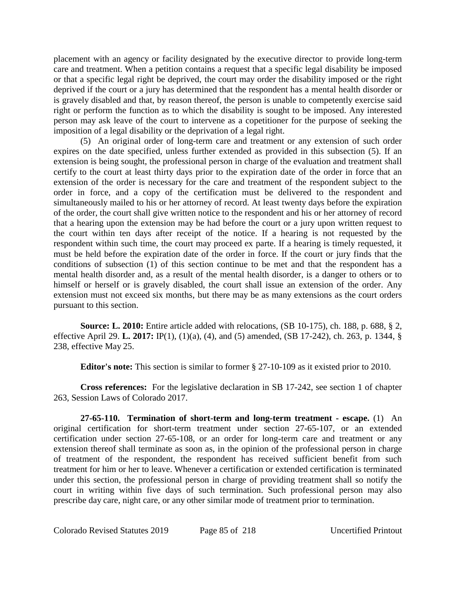placement with an agency or facility designated by the executive director to provide long-term care and treatment. When a petition contains a request that a specific legal disability be imposed or that a specific legal right be deprived, the court may order the disability imposed or the right deprived if the court or a jury has determined that the respondent has a mental health disorder or is gravely disabled and that, by reason thereof, the person is unable to competently exercise said right or perform the function as to which the disability is sought to be imposed. Any interested person may ask leave of the court to intervene as a copetitioner for the purpose of seeking the imposition of a legal disability or the deprivation of a legal right.

(5) An original order of long-term care and treatment or any extension of such order expires on the date specified, unless further extended as provided in this subsection (5). If an extension is being sought, the professional person in charge of the evaluation and treatment shall certify to the court at least thirty days prior to the expiration date of the order in force that an extension of the order is necessary for the care and treatment of the respondent subject to the order in force, and a copy of the certification must be delivered to the respondent and simultaneously mailed to his or her attorney of record. At least twenty days before the expiration of the order, the court shall give written notice to the respondent and his or her attorney of record that a hearing upon the extension may be had before the court or a jury upon written request to the court within ten days after receipt of the notice. If a hearing is not requested by the respondent within such time, the court may proceed ex parte. If a hearing is timely requested, it must be held before the expiration date of the order in force. If the court or jury finds that the conditions of subsection (1) of this section continue to be met and that the respondent has a mental health disorder and, as a result of the mental health disorder, is a danger to others or to himself or herself or is gravely disabled, the court shall issue an extension of the order. Any extension must not exceed six months, but there may be as many extensions as the court orders pursuant to this section.

**Source: L. 2010:** Entire article added with relocations, (SB 10-175), ch. 188, p. 688, § 2, effective April 29. **L. 2017:** IP(1), (1)(a), (4), and (5) amended, (SB 17-242), ch. 263, p. 1344, § 238, effective May 25.

**Editor's note:** This section is similar to former § 27-10-109 as it existed prior to 2010.

**Cross references:** For the legislative declaration in SB 17-242, see section 1 of chapter 263, Session Laws of Colorado 2017.

**27-65-110. Termination of short-term and long-term treatment - escape.** (1) An original certification for short-term treatment under section 27-65-107, or an extended certification under section 27-65-108, or an order for long-term care and treatment or any extension thereof shall terminate as soon as, in the opinion of the professional person in charge of treatment of the respondent, the respondent has received sufficient benefit from such treatment for him or her to leave. Whenever a certification or extended certification is terminated under this section, the professional person in charge of providing treatment shall so notify the court in writing within five days of such termination. Such professional person may also prescribe day care, night care, or any other similar mode of treatment prior to termination.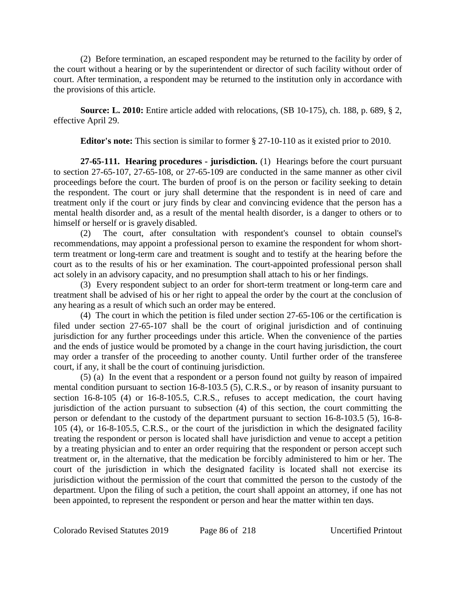(2) Before termination, an escaped respondent may be returned to the facility by order of the court without a hearing or by the superintendent or director of such facility without order of court. After termination, a respondent may be returned to the institution only in accordance with the provisions of this article.

**Source: L. 2010:** Entire article added with relocations, (SB 10-175), ch. 188, p. 689, § 2, effective April 29.

**Editor's note:** This section is similar to former § 27-10-110 as it existed prior to 2010.

**27-65-111. Hearing procedures - jurisdiction.** (1) Hearings before the court pursuant to section 27-65-107, 27-65-108, or 27-65-109 are conducted in the same manner as other civil proceedings before the court. The burden of proof is on the person or facility seeking to detain the respondent. The court or jury shall determine that the respondent is in need of care and treatment only if the court or jury finds by clear and convincing evidence that the person has a mental health disorder and, as a result of the mental health disorder, is a danger to others or to himself or herself or is gravely disabled.

(2) The court, after consultation with respondent's counsel to obtain counsel's recommendations, may appoint a professional person to examine the respondent for whom shortterm treatment or long-term care and treatment is sought and to testify at the hearing before the court as to the results of his or her examination. The court-appointed professional person shall act solely in an advisory capacity, and no presumption shall attach to his or her findings.

(3) Every respondent subject to an order for short-term treatment or long-term care and treatment shall be advised of his or her right to appeal the order by the court at the conclusion of any hearing as a result of which such an order may be entered.

(4) The court in which the petition is filed under section 27-65-106 or the certification is filed under section 27-65-107 shall be the court of original jurisdiction and of continuing jurisdiction for any further proceedings under this article. When the convenience of the parties and the ends of justice would be promoted by a change in the court having jurisdiction, the court may order a transfer of the proceeding to another county. Until further order of the transferee court, if any, it shall be the court of continuing jurisdiction.

(5) (a) In the event that a respondent or a person found not guilty by reason of impaired mental condition pursuant to section 16-8-103.5 (5), C.R.S., or by reason of insanity pursuant to section 16-8-105 (4) or 16-8-105.5, C.R.S., refuses to accept medication, the court having jurisdiction of the action pursuant to subsection (4) of this section, the court committing the person or defendant to the custody of the department pursuant to section 16-8-103.5 (5), 16-8- 105 (4), or 16-8-105.5, C.R.S., or the court of the jurisdiction in which the designated facility treating the respondent or person is located shall have jurisdiction and venue to accept a petition by a treating physician and to enter an order requiring that the respondent or person accept such treatment or, in the alternative, that the medication be forcibly administered to him or her. The court of the jurisdiction in which the designated facility is located shall not exercise its jurisdiction without the permission of the court that committed the person to the custody of the department. Upon the filing of such a petition, the court shall appoint an attorney, if one has not been appointed, to represent the respondent or person and hear the matter within ten days.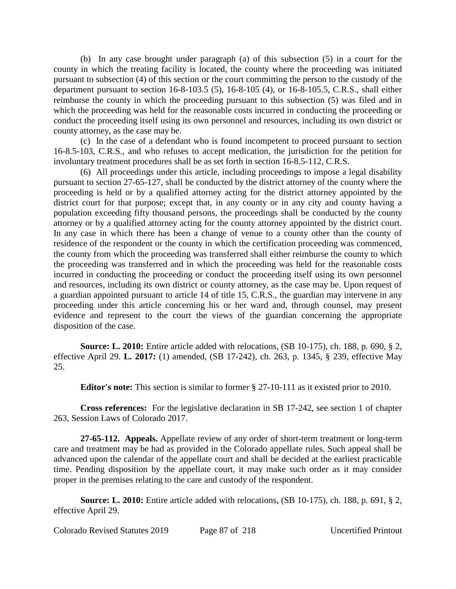(b) In any case brought under paragraph (a) of this subsection (5) in a court for the county in which the treating facility is located, the county where the proceeding was initiated pursuant to subsection (4) of this section or the court committing the person to the custody of the department pursuant to section 16-8-103.5 (5), 16-8-105 (4), or 16-8-105.5, C.R.S., shall either reimburse the county in which the proceeding pursuant to this subsection (5) was filed and in which the proceeding was held for the reasonable costs incurred in conducting the proceeding or conduct the proceeding itself using its own personnel and resources, including its own district or county attorney, as the case may be.

(c) In the case of a defendant who is found incompetent to proceed pursuant to section 16-8.5-103, C.R.S., and who refuses to accept medication, the jurisdiction for the petition for involuntary treatment procedures shall be as set forth in section 16-8.5-112, C.R.S.

(6) All proceedings under this article, including proceedings to impose a legal disability pursuant to section 27-65-127, shall be conducted by the district attorney of the county where the proceeding is held or by a qualified attorney acting for the district attorney appointed by the district court for that purpose; except that, in any county or in any city and county having a population exceeding fifty thousand persons, the proceedings shall be conducted by the county attorney or by a qualified attorney acting for the county attorney appointed by the district court. In any case in which there has been a change of venue to a county other than the county of residence of the respondent or the county in which the certification proceeding was commenced, the county from which the proceeding was transferred shall either reimburse the county to which the proceeding was transferred and in which the proceeding was held for the reasonable costs incurred in conducting the proceeding or conduct the proceeding itself using its own personnel and resources, including its own district or county attorney, as the case may be. Upon request of a guardian appointed pursuant to article 14 of title 15, C.R.S., the guardian may intervene in any proceeding under this article concerning his or her ward and, through counsel, may present evidence and represent to the court the views of the guardian concerning the appropriate disposition of the case.

**Source: L. 2010:** Entire article added with relocations, (SB 10-175), ch. 188, p. 690, § 2, effective April 29. **L. 2017:** (1) amended, (SB 17-242), ch. 263, p. 1345, § 239, effective May 25.

**Editor's note:** This section is similar to former § 27-10-111 as it existed prior to 2010.

**Cross references:** For the legislative declaration in SB 17-242, see section 1 of chapter 263, Session Laws of Colorado 2017.

**27-65-112. Appeals.** Appellate review of any order of short-term treatment or long-term care and treatment may be had as provided in the Colorado appellate rules. Such appeal shall be advanced upon the calendar of the appellate court and shall be decided at the earliest practicable time. Pending disposition by the appellate court, it may make such order as it may consider proper in the premises relating to the care and custody of the respondent.

**Source: L. 2010:** Entire article added with relocations, (SB 10-175), ch. 188, p. 691, § 2, effective April 29.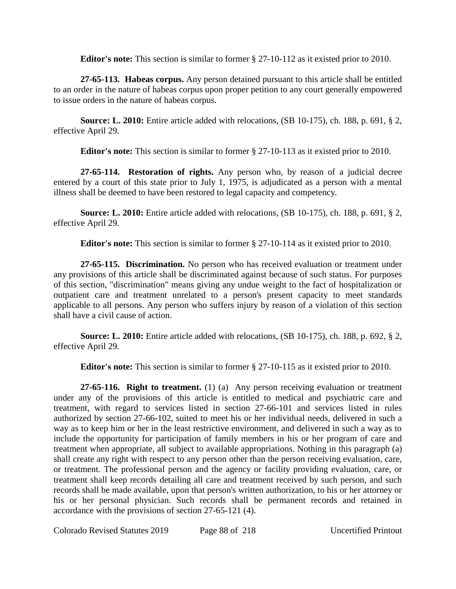**Editor's note:** This section is similar to former § 27-10-112 as it existed prior to 2010.

**27-65-113. Habeas corpus.** Any person detained pursuant to this article shall be entitled to an order in the nature of habeas corpus upon proper petition to any court generally empowered to issue orders in the nature of habeas corpus.

**Source: L. 2010:** Entire article added with relocations, (SB 10-175), ch. 188, p. 691, § 2, effective April 29.

**Editor's note:** This section is similar to former § 27-10-113 as it existed prior to 2010.

**27-65-114. Restoration of rights.** Any person who, by reason of a judicial decree entered by a court of this state prior to July 1, 1975, is adjudicated as a person with a mental illness shall be deemed to have been restored to legal capacity and competency.

**Source: L. 2010:** Entire article added with relocations, (SB 10-175), ch. 188, p. 691, § 2, effective April 29.

**Editor's note:** This section is similar to former § 27-10-114 as it existed prior to 2010.

**27-65-115. Discrimination.** No person who has received evaluation or treatment under any provisions of this article shall be discriminated against because of such status. For purposes of this section, "discrimination" means giving any undue weight to the fact of hospitalization or outpatient care and treatment unrelated to a person's present capacity to meet standards applicable to all persons. Any person who suffers injury by reason of a violation of this section shall have a civil cause of action.

**Source: L. 2010:** Entire article added with relocations, (SB 10-175), ch. 188, p. 692, § 2, effective April 29.

**Editor's note:** This section is similar to former § 27-10-115 as it existed prior to 2010.

**27-65-116. Right to treatment.** (1) (a) Any person receiving evaluation or treatment under any of the provisions of this article is entitled to medical and psychiatric care and treatment, with regard to services listed in section 27-66-101 and services listed in rules authorized by section 27-66-102, suited to meet his or her individual needs, delivered in such a way as to keep him or her in the least restrictive environment, and delivered in such a way as to include the opportunity for participation of family members in his or her program of care and treatment when appropriate, all subject to available appropriations. Nothing in this paragraph (a) shall create any right with respect to any person other than the person receiving evaluation, care, or treatment. The professional person and the agency or facility providing evaluation, care, or treatment shall keep records detailing all care and treatment received by such person, and such records shall be made available, upon that person's written authorization, to his or her attorney or his or her personal physician. Such records shall be permanent records and retained in accordance with the provisions of section 27-65-121 (4).

Colorado Revised Statutes 2019 Page 88 of 218 Uncertified Printout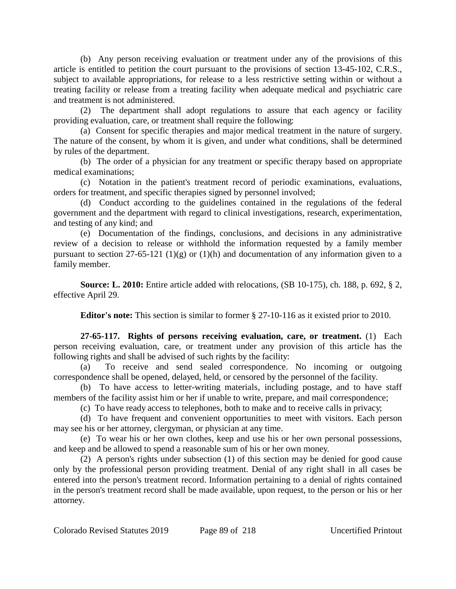(b) Any person receiving evaluation or treatment under any of the provisions of this article is entitled to petition the court pursuant to the provisions of section 13-45-102, C.R.S., subject to available appropriations, for release to a less restrictive setting within or without a treating facility or release from a treating facility when adequate medical and psychiatric care and treatment is not administered.

(2) The department shall adopt regulations to assure that each agency or facility providing evaluation, care, or treatment shall require the following:

(a) Consent for specific therapies and major medical treatment in the nature of surgery. The nature of the consent, by whom it is given, and under what conditions, shall be determined by rules of the department.

(b) The order of a physician for any treatment or specific therapy based on appropriate medical examinations;

(c) Notation in the patient's treatment record of periodic examinations, evaluations, orders for treatment, and specific therapies signed by personnel involved;

(d) Conduct according to the guidelines contained in the regulations of the federal government and the department with regard to clinical investigations, research, experimentation, and testing of any kind; and

(e) Documentation of the findings, conclusions, and decisions in any administrative review of a decision to release or withhold the information requested by a family member pursuant to section 27-65-121 (1)(g) or (1)(h) and documentation of any information given to a family member.

**Source: L. 2010:** Entire article added with relocations, (SB 10-175), ch. 188, p. 692, § 2, effective April 29.

**Editor's note:** This section is similar to former § 27-10-116 as it existed prior to 2010.

**27-65-117. Rights of persons receiving evaluation, care, or treatment.** (1) Each person receiving evaluation, care, or treatment under any provision of this article has the following rights and shall be advised of such rights by the facility:

(a) To receive and send sealed correspondence. No incoming or outgoing correspondence shall be opened, delayed, held, or censored by the personnel of the facility.

(b) To have access to letter-writing materials, including postage, and to have staff members of the facility assist him or her if unable to write, prepare, and mail correspondence;

(c) To have ready access to telephones, both to make and to receive calls in privacy;

(d) To have frequent and convenient opportunities to meet with visitors. Each person may see his or her attorney, clergyman, or physician at any time.

(e) To wear his or her own clothes, keep and use his or her own personal possessions, and keep and be allowed to spend a reasonable sum of his or her own money.

(2) A person's rights under subsection (1) of this section may be denied for good cause only by the professional person providing treatment. Denial of any right shall in all cases be entered into the person's treatment record. Information pertaining to a denial of rights contained in the person's treatment record shall be made available, upon request, to the person or his or her attorney.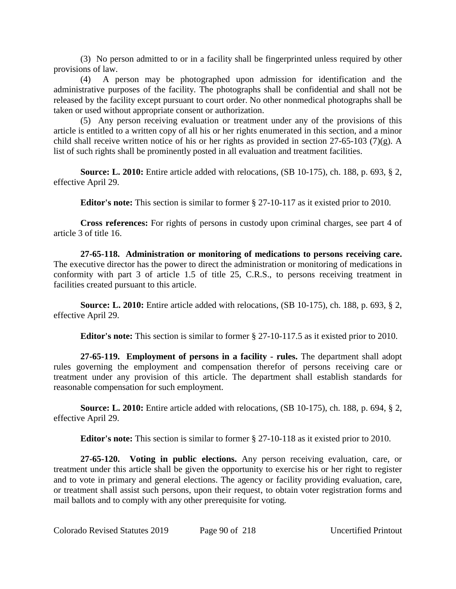(3) No person admitted to or in a facility shall be fingerprinted unless required by other provisions of law.

(4) A person may be photographed upon admission for identification and the administrative purposes of the facility. The photographs shall be confidential and shall not be released by the facility except pursuant to court order. No other nonmedical photographs shall be taken or used without appropriate consent or authorization.

(5) Any person receiving evaluation or treatment under any of the provisions of this article is entitled to a written copy of all his or her rights enumerated in this section, and a minor child shall receive written notice of his or her rights as provided in section 27-65-103 (7)(g). A list of such rights shall be prominently posted in all evaluation and treatment facilities.

**Source: L. 2010:** Entire article added with relocations, (SB 10-175), ch. 188, p. 693, § 2, effective April 29.

**Editor's note:** This section is similar to former § 27-10-117 as it existed prior to 2010.

**Cross references:** For rights of persons in custody upon criminal charges, see part 4 of article 3 of title 16.

**27-65-118. Administration or monitoring of medications to persons receiving care.** The executive director has the power to direct the administration or monitoring of medications in conformity with part 3 of article 1.5 of title 25, C.R.S., to persons receiving treatment in facilities created pursuant to this article.

**Source: L. 2010:** Entire article added with relocations, (SB 10-175), ch. 188, p. 693, § 2, effective April 29.

**Editor's note:** This section is similar to former § 27-10-117.5 as it existed prior to 2010.

**27-65-119. Employment of persons in a facility - rules.** The department shall adopt rules governing the employment and compensation therefor of persons receiving care or treatment under any provision of this article. The department shall establish standards for reasonable compensation for such employment.

**Source: L. 2010:** Entire article added with relocations, (SB 10-175), ch. 188, p. 694, § 2, effective April 29.

**Editor's note:** This section is similar to former § 27-10-118 as it existed prior to 2010.

**27-65-120. Voting in public elections.** Any person receiving evaluation, care, or treatment under this article shall be given the opportunity to exercise his or her right to register and to vote in primary and general elections. The agency or facility providing evaluation, care, or treatment shall assist such persons, upon their request, to obtain voter registration forms and mail ballots and to comply with any other prerequisite for voting.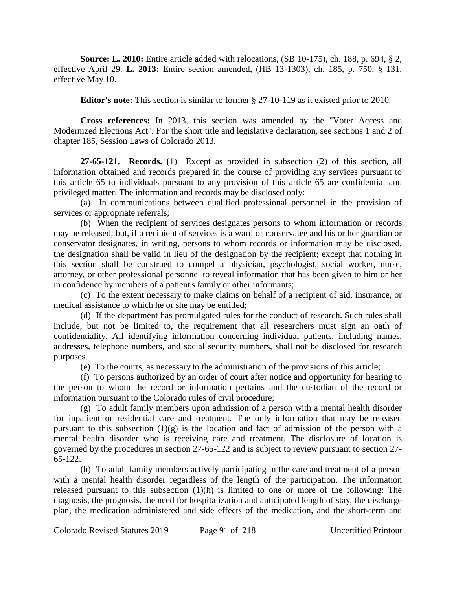**Source: L. 2010:** Entire article added with relocations, (SB 10-175), ch. 188, p. 694, § 2, effective April 29. **L. 2013:** Entire section amended, (HB 13-1303), ch. 185, p. 750, § 131, effective May 10.

**Editor's note:** This section is similar to former § 27-10-119 as it existed prior to 2010.

**Cross references:** In 2013, this section was amended by the "Voter Access and Modernized Elections Act". For the short title and legislative declaration, see sections 1 and 2 of chapter 185, Session Laws of Colorado 2013.

**27-65-121. Records.** (1) Except as provided in subsection (2) of this section, all information obtained and records prepared in the course of providing any services pursuant to this article 65 to individuals pursuant to any provision of this article 65 are confidential and privileged matter. The information and records may be disclosed only:

(a) In communications between qualified professional personnel in the provision of services or appropriate referrals;

(b) When the recipient of services designates persons to whom information or records may be released; but, if a recipient of services is a ward or conservatee and his or her guardian or conservator designates, in writing, persons to whom records or information may be disclosed, the designation shall be valid in lieu of the designation by the recipient; except that nothing in this section shall be construed to compel a physician, psychologist, social worker, nurse, attorney, or other professional personnel to reveal information that has been given to him or her in confidence by members of a patient's family or other informants;

(c) To the extent necessary to make claims on behalf of a recipient of aid, insurance, or medical assistance to which he or she may be entitled;

(d) If the department has promulgated rules for the conduct of research. Such rules shall include, but not be limited to, the requirement that all researchers must sign an oath of confidentiality. All identifying information concerning individual patients, including names, addresses, telephone numbers, and social security numbers, shall not be disclosed for research purposes.

(e) To the courts, as necessary to the administration of the provisions of this article;

(f) To persons authorized by an order of court after notice and opportunity for hearing to the person to whom the record or information pertains and the custodian of the record or information pursuant to the Colorado rules of civil procedure;

(g) To adult family members upon admission of a person with a mental health disorder for inpatient or residential care and treatment. The only information that may be released pursuant to this subsection  $(1)(g)$  is the location and fact of admission of the person with a mental health disorder who is receiving care and treatment. The disclosure of location is governed by the procedures in section 27-65-122 and is subject to review pursuant to section 27- 65-122.

(h) To adult family members actively participating in the care and treatment of a person with a mental health disorder regardless of the length of the participation. The information released pursuant to this subsection (1)(h) is limited to one or more of the following: The diagnosis, the prognosis, the need for hospitalization and anticipated length of stay, the discharge plan, the medication administered and side effects of the medication, and the short-term and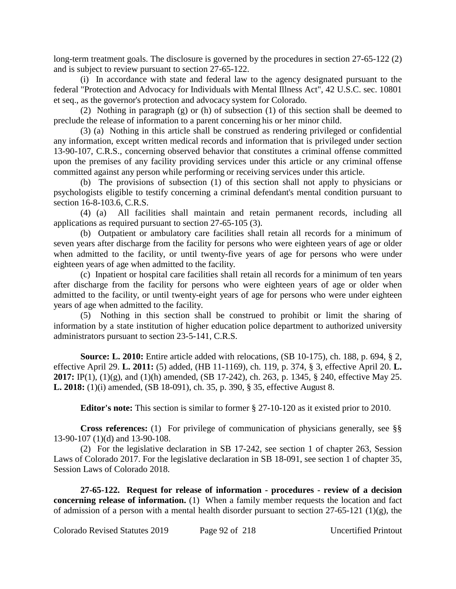long-term treatment goals. The disclosure is governed by the procedures in section 27-65-122 (2) and is subject to review pursuant to section 27-65-122.

(i) In accordance with state and federal law to the agency designated pursuant to the federal "Protection and Advocacy for Individuals with Mental Illness Act", 42 U.S.C. sec. 10801 et seq., as the governor's protection and advocacy system for Colorado.

(2) Nothing in paragraph (g) or (h) of subsection (1) of this section shall be deemed to preclude the release of information to a parent concerning his or her minor child.

(3) (a) Nothing in this article shall be construed as rendering privileged or confidential any information, except written medical records and information that is privileged under section 13-90-107, C.R.S., concerning observed behavior that constitutes a criminal offense committed upon the premises of any facility providing services under this article or any criminal offense committed against any person while performing or receiving services under this article.

(b) The provisions of subsection (1) of this section shall not apply to physicians or psychologists eligible to testify concerning a criminal defendant's mental condition pursuant to section 16-8-103.6, C.R.S.

(4) (a) All facilities shall maintain and retain permanent records, including all applications as required pursuant to section 27-65-105 (3).

(b) Outpatient or ambulatory care facilities shall retain all records for a minimum of seven years after discharge from the facility for persons who were eighteen years of age or older when admitted to the facility, or until twenty-five years of age for persons who were under eighteen years of age when admitted to the facility.

(c) Inpatient or hospital care facilities shall retain all records for a minimum of ten years after discharge from the facility for persons who were eighteen years of age or older when admitted to the facility, or until twenty-eight years of age for persons who were under eighteen years of age when admitted to the facility.

(5) Nothing in this section shall be construed to prohibit or limit the sharing of information by a state institution of higher education police department to authorized university administrators pursuant to section 23-5-141, C.R.S.

**Source: L. 2010:** Entire article added with relocations, (SB 10-175), ch. 188, p. 694, § 2, effective April 29. **L. 2011:** (5) added, (HB 11-1169), ch. 119, p. 374, § 3, effective April 20. **L. 2017:** IP(1), (1)(g), and (1)(h) amended, (SB 17-242), ch. 263, p. 1345, § 240, effective May 25. **L. 2018:** (1)(i) amended, (SB 18-091), ch. 35, p. 390, § 35, effective August 8.

**Editor's note:** This section is similar to former § 27-10-120 as it existed prior to 2010.

**Cross references:** (1) For privilege of communication of physicians generally, see §§ 13-90-107 (1)(d) and 13-90-108.

(2) For the legislative declaration in SB 17-242, see section 1 of chapter 263, Session Laws of Colorado 2017. For the legislative declaration in SB 18-091, see section 1 of chapter 35, Session Laws of Colorado 2018.

**27-65-122. Request for release of information - procedures - review of a decision concerning release of <b>information.** (1) When a family member requests the location and fact of admission of a person with a mental health disorder pursuant to section  $27-65-121$  (1)(g), the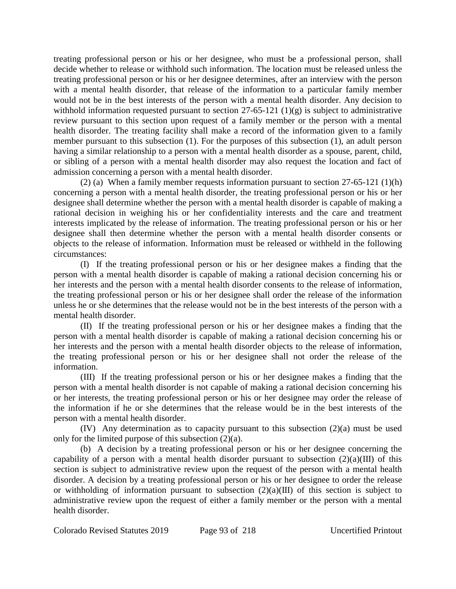treating professional person or his or her designee, who must be a professional person, shall decide whether to release or withhold such information. The location must be released unless the treating professional person or his or her designee determines, after an interview with the person with a mental health disorder, that release of the information to a particular family member would not be in the best interests of the person with a mental health disorder. Any decision to withhold information requested pursuant to section 27-65-121 (1)(g) is subject to administrative review pursuant to this section upon request of a family member or the person with a mental health disorder. The treating facility shall make a record of the information given to a family member pursuant to this subsection (1). For the purposes of this subsection (1), an adult person having a similar relationship to a person with a mental health disorder as a spouse, parent, child, or sibling of a person with a mental health disorder may also request the location and fact of admission concerning a person with a mental health disorder.

(2) (a) When a family member requests information pursuant to section 27-65-121 (1)(h) concerning a person with a mental health disorder, the treating professional person or his or her designee shall determine whether the person with a mental health disorder is capable of making a rational decision in weighing his or her confidentiality interests and the care and treatment interests implicated by the release of information. The treating professional person or his or her designee shall then determine whether the person with a mental health disorder consents or objects to the release of information. Information must be released or withheld in the following circumstances:

(I) If the treating professional person or his or her designee makes a finding that the person with a mental health disorder is capable of making a rational decision concerning his or her interests and the person with a mental health disorder consents to the release of information, the treating professional person or his or her designee shall order the release of the information unless he or she determines that the release would not be in the best interests of the person with a mental health disorder.

(II) If the treating professional person or his or her designee makes a finding that the person with a mental health disorder is capable of making a rational decision concerning his or her interests and the person with a mental health disorder objects to the release of information, the treating professional person or his or her designee shall not order the release of the information.

(III) If the treating professional person or his or her designee makes a finding that the person with a mental health disorder is not capable of making a rational decision concerning his or her interests, the treating professional person or his or her designee may order the release of the information if he or she determines that the release would be in the best interests of the person with a mental health disorder.

(IV) Any determination as to capacity pursuant to this subsection (2)(a) must be used only for the limited purpose of this subsection (2)(a).

(b) A decision by a treating professional person or his or her designee concerning the capability of a person with a mental health disorder pursuant to subsection  $(2)(a)(III)$  of this section is subject to administrative review upon the request of the person with a mental health disorder. A decision by a treating professional person or his or her designee to order the release or withholding of information pursuant to subsection  $(2)(a)(III)$  of this section is subject to administrative review upon the request of either a family member or the person with a mental health disorder.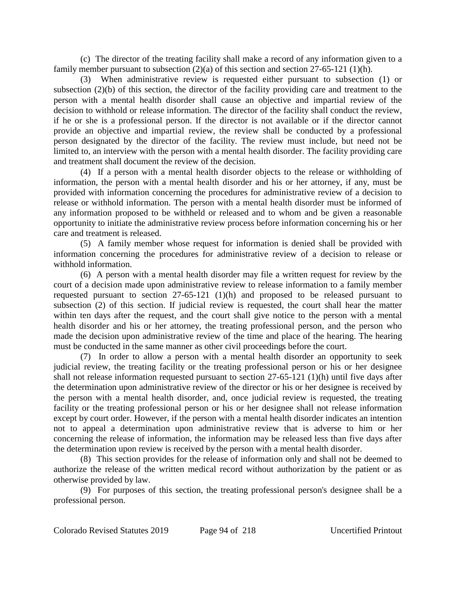(c) The director of the treating facility shall make a record of any information given to a family member pursuant to subsection  $(2)(a)$  of this section and section 27-65-121  $(1)(h)$ .

(3) When administrative review is requested either pursuant to subsection (1) or subsection (2)(b) of this section, the director of the facility providing care and treatment to the person with a mental health disorder shall cause an objective and impartial review of the decision to withhold or release information. The director of the facility shall conduct the review, if he or she is a professional person. If the director is not available or if the director cannot provide an objective and impartial review, the review shall be conducted by a professional person designated by the director of the facility. The review must include, but need not be limited to, an interview with the person with a mental health disorder. The facility providing care and treatment shall document the review of the decision.

(4) If a person with a mental health disorder objects to the release or withholding of information, the person with a mental health disorder and his or her attorney, if any, must be provided with information concerning the procedures for administrative review of a decision to release or withhold information. The person with a mental health disorder must be informed of any information proposed to be withheld or released and to whom and be given a reasonable opportunity to initiate the administrative review process before information concerning his or her care and treatment is released.

(5) A family member whose request for information is denied shall be provided with information concerning the procedures for administrative review of a decision to release or withhold information.

(6) A person with a mental health disorder may file a written request for review by the court of a decision made upon administrative review to release information to a family member requested pursuant to section 27-65-121 (1)(h) and proposed to be released pursuant to subsection (2) of this section. If judicial review is requested, the court shall hear the matter within ten days after the request, and the court shall give notice to the person with a mental health disorder and his or her attorney, the treating professional person, and the person who made the decision upon administrative review of the time and place of the hearing. The hearing must be conducted in the same manner as other civil proceedings before the court.

(7) In order to allow a person with a mental health disorder an opportunity to seek judicial review, the treating facility or the treating professional person or his or her designee shall not release information requested pursuant to section 27-65-121 (1)(h) until five days after the determination upon administrative review of the director or his or her designee is received by the person with a mental health disorder, and, once judicial review is requested, the treating facility or the treating professional person or his or her designee shall not release information except by court order. However, if the person with a mental health disorder indicates an intention not to appeal a determination upon administrative review that is adverse to him or her concerning the release of information, the information may be released less than five days after the determination upon review is received by the person with a mental health disorder.

(8) This section provides for the release of information only and shall not be deemed to authorize the release of the written medical record without authorization by the patient or as otherwise provided by law.

(9) For purposes of this section, the treating professional person's designee shall be a professional person.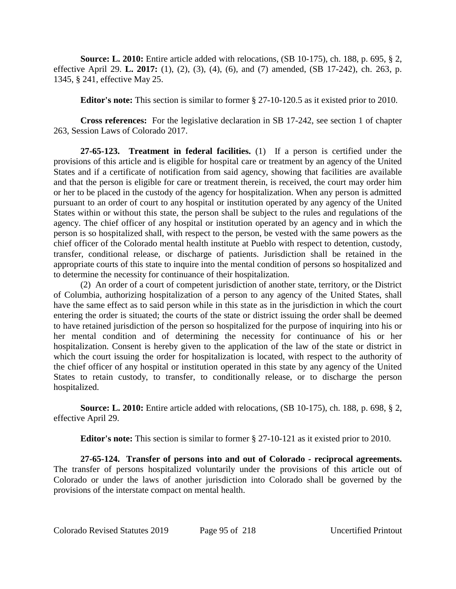**Source: L. 2010:** Entire article added with relocations, (SB 10-175), ch. 188, p. 695, § 2, effective April 29. **L. 2017:** (1), (2), (3), (4), (6), and (7) amended, (SB 17-242), ch. 263, p. 1345, § 241, effective May 25.

**Editor's note:** This section is similar to former § 27-10-120.5 as it existed prior to 2010.

**Cross references:** For the legislative declaration in SB 17-242, see section 1 of chapter 263, Session Laws of Colorado 2017.

**27-65-123. Treatment in federal facilities.** (1) If a person is certified under the provisions of this article and is eligible for hospital care or treatment by an agency of the United States and if a certificate of notification from said agency, showing that facilities are available and that the person is eligible for care or treatment therein, is received, the court may order him or her to be placed in the custody of the agency for hospitalization. When any person is admitted pursuant to an order of court to any hospital or institution operated by any agency of the United States within or without this state, the person shall be subject to the rules and regulations of the agency. The chief officer of any hospital or institution operated by an agency and in which the person is so hospitalized shall, with respect to the person, be vested with the same powers as the chief officer of the Colorado mental health institute at Pueblo with respect to detention, custody, transfer, conditional release, or discharge of patients. Jurisdiction shall be retained in the appropriate courts of this state to inquire into the mental condition of persons so hospitalized and to determine the necessity for continuance of their hospitalization.

(2) An order of a court of competent jurisdiction of another state, territory, or the District of Columbia, authorizing hospitalization of a person to any agency of the United States, shall have the same effect as to said person while in this state as in the jurisdiction in which the court entering the order is situated; the courts of the state or district issuing the order shall be deemed to have retained jurisdiction of the person so hospitalized for the purpose of inquiring into his or her mental condition and of determining the necessity for continuance of his or her hospitalization. Consent is hereby given to the application of the law of the state or district in which the court issuing the order for hospitalization is located, with respect to the authority of the chief officer of any hospital or institution operated in this state by any agency of the United States to retain custody, to transfer, to conditionally release, or to discharge the person hospitalized.

**Source: L. 2010:** Entire article added with relocations, (SB 10-175), ch. 188, p. 698, § 2, effective April 29.

**Editor's note:** This section is similar to former § 27-10-121 as it existed prior to 2010.

**27-65-124. Transfer of persons into and out of Colorado - reciprocal agreements.** The transfer of persons hospitalized voluntarily under the provisions of this article out of Colorado or under the laws of another jurisdiction into Colorado shall be governed by the provisions of the interstate compact on mental health.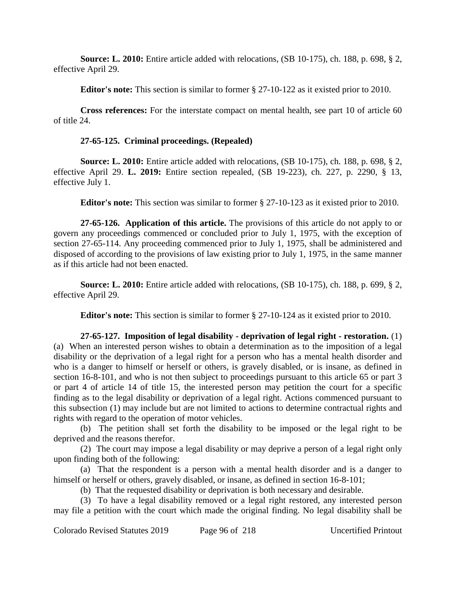**Source: L. 2010:** Entire article added with relocations, (SB 10-175), ch. 188, p. 698, § 2, effective April 29.

**Editor's note:** This section is similar to former § 27-10-122 as it existed prior to 2010.

**Cross references:** For the interstate compact on mental health, see part 10 of article 60 of title 24.

### **27-65-125. Criminal proceedings. (Repealed)**

**Source: L. 2010:** Entire article added with relocations, (SB 10-175), ch. 188, p. 698, § 2, effective April 29. **L. 2019:** Entire section repealed, (SB 19-223), ch. 227, p. 2290, § 13, effective July 1.

**Editor's note:** This section was similar to former § 27-10-123 as it existed prior to 2010.

**27-65-126. Application of this article.** The provisions of this article do not apply to or govern any proceedings commenced or concluded prior to July 1, 1975, with the exception of section 27-65-114. Any proceeding commenced prior to July 1, 1975, shall be administered and disposed of according to the provisions of law existing prior to July 1, 1975, in the same manner as if this article had not been enacted.

**Source: L. 2010:** Entire article added with relocations, (SB 10-175), ch. 188, p. 699, § 2, effective April 29.

**Editor's note:** This section is similar to former § 27-10-124 as it existed prior to 2010.

**27-65-127. Imposition of legal disability - deprivation of legal right - restoration.** (1) (a) When an interested person wishes to obtain a determination as to the imposition of a legal disability or the deprivation of a legal right for a person who has a mental health disorder and who is a danger to himself or herself or others, is gravely disabled, or is insane, as defined in section 16-8-101, and who is not then subject to proceedings pursuant to this article 65 or part 3 or part 4 of article 14 of title 15, the interested person may petition the court for a specific finding as to the legal disability or deprivation of a legal right. Actions commenced pursuant to this subsection (1) may include but are not limited to actions to determine contractual rights and rights with regard to the operation of motor vehicles.

(b) The petition shall set forth the disability to be imposed or the legal right to be deprived and the reasons therefor.

(2) The court may impose a legal disability or may deprive a person of a legal right only upon finding both of the following:

(a) That the respondent is a person with a mental health disorder and is a danger to himself or herself or others, gravely disabled, or insane, as defined in section 16-8-101;

(b) That the requested disability or deprivation is both necessary and desirable.

(3) To have a legal disability removed or a legal right restored, any interested person may file a petition with the court which made the original finding. No legal disability shall be

Colorado Revised Statutes 2019 Page 96 of 218 Uncertified Printout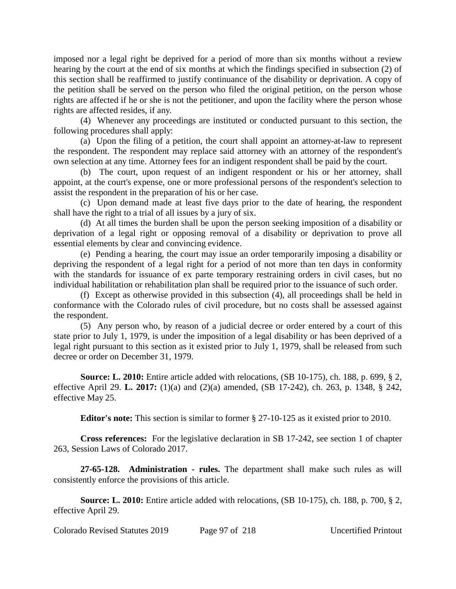imposed nor a legal right be deprived for a period of more than six months without a review hearing by the court at the end of six months at which the findings specified in subsection (2) of this section shall be reaffirmed to justify continuance of the disability or deprivation. A copy of the petition shall be served on the person who filed the original petition, on the person whose rights are affected if he or she is not the petitioner, and upon the facility where the person whose rights are affected resides, if any.

(4) Whenever any proceedings are instituted or conducted pursuant to this section, the following procedures shall apply:

(a) Upon the filing of a petition, the court shall appoint an attorney-at-law to represent the respondent. The respondent may replace said attorney with an attorney of the respondent's own selection at any time. Attorney fees for an indigent respondent shall be paid by the court.

(b) The court, upon request of an indigent respondent or his or her attorney, shall appoint, at the court's expense, one or more professional persons of the respondent's selection to assist the respondent in the preparation of his or her case.

(c) Upon demand made at least five days prior to the date of hearing, the respondent shall have the right to a trial of all issues by a jury of six.

(d) At all times the burden shall be upon the person seeking imposition of a disability or deprivation of a legal right or opposing removal of a disability or deprivation to prove all essential elements by clear and convincing evidence.

(e) Pending a hearing, the court may issue an order temporarily imposing a disability or depriving the respondent of a legal right for a period of not more than ten days in conformity with the standards for issuance of ex parte temporary restraining orders in civil cases, but no individual habilitation or rehabilitation plan shall be required prior to the issuance of such order.

(f) Except as otherwise provided in this subsection (4), all proceedings shall be held in conformance with the Colorado rules of civil procedure, but no costs shall be assessed against the respondent.

(5) Any person who, by reason of a judicial decree or order entered by a court of this state prior to July 1, 1979, is under the imposition of a legal disability or has been deprived of a legal right pursuant to this section as it existed prior to July 1, 1979, shall be released from such decree or order on December 31, 1979.

**Source: L. 2010:** Entire article added with relocations, (SB 10-175), ch. 188, p. 699, § 2, effective April 29. **L. 2017:** (1)(a) and (2)(a) amended, (SB 17-242), ch. 263, p. 1348, § 242, effective May 25.

**Editor's note:** This section is similar to former § 27-10-125 as it existed prior to 2010.

**Cross references:** For the legislative declaration in SB 17-242, see section 1 of chapter 263, Session Laws of Colorado 2017.

**27-65-128. Administration - rules.** The department shall make such rules as will consistently enforce the provisions of this article.

**Source: L. 2010:** Entire article added with relocations, (SB 10-175), ch. 188, p. 700, § 2, effective April 29.

Colorado Revised Statutes 2019 Page 97 of 218 Uncertified Printout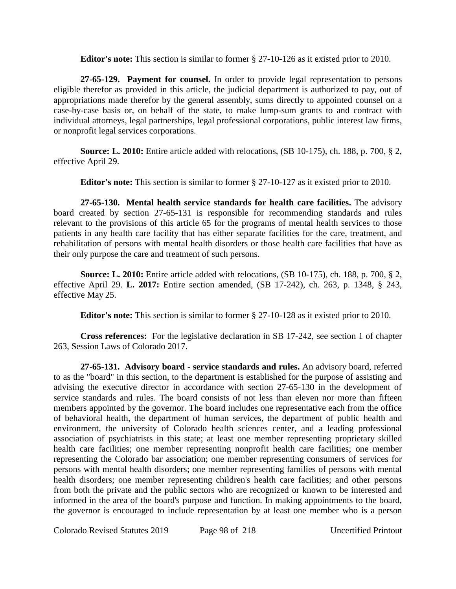**Editor's note:** This section is similar to former § 27-10-126 as it existed prior to 2010.

**27-65-129. Payment for counsel.** In order to provide legal representation to persons eligible therefor as provided in this article, the judicial department is authorized to pay, out of appropriations made therefor by the general assembly, sums directly to appointed counsel on a case-by-case basis or, on behalf of the state, to make lump-sum grants to and contract with individual attorneys, legal partnerships, legal professional corporations, public interest law firms, or nonprofit legal services corporations.

**Source: L. 2010:** Entire article added with relocations, (SB 10-175), ch. 188, p. 700, § 2, effective April 29.

**Editor's note:** This section is similar to former § 27-10-127 as it existed prior to 2010.

**27-65-130. Mental health service standards for health care facilities.** The advisory board created by section 27-65-131 is responsible for recommending standards and rules relevant to the provisions of this article 65 for the programs of mental health services to those patients in any health care facility that has either separate facilities for the care, treatment, and rehabilitation of persons with mental health disorders or those health care facilities that have as their only purpose the care and treatment of such persons.

**Source: L. 2010:** Entire article added with relocations, (SB 10-175), ch. 188, p. 700, § 2, effective April 29. **L. 2017:** Entire section amended, (SB 17-242), ch. 263, p. 1348, § 243, effective May 25.

**Editor's note:** This section is similar to former § 27-10-128 as it existed prior to 2010.

**Cross references:** For the legislative declaration in SB 17-242, see section 1 of chapter 263, Session Laws of Colorado 2017.

**27-65-131. Advisory board - service standards and rules.** An advisory board, referred to as the "board" in this section, to the department is established for the purpose of assisting and advising the executive director in accordance with section 27-65-130 in the development of service standards and rules. The board consists of not less than eleven nor more than fifteen members appointed by the governor. The board includes one representative each from the office of behavioral health, the department of human services, the department of public health and environment, the university of Colorado health sciences center, and a leading professional association of psychiatrists in this state; at least one member representing proprietary skilled health care facilities; one member representing nonprofit health care facilities; one member representing the Colorado bar association; one member representing consumers of services for persons with mental health disorders; one member representing families of persons with mental health disorders; one member representing children's health care facilities; and other persons from both the private and the public sectors who are recognized or known to be interested and informed in the area of the board's purpose and function. In making appointments to the board, the governor is encouraged to include representation by at least one member who is a person

Colorado Revised Statutes 2019 Page 98 of 218 Uncertified Printout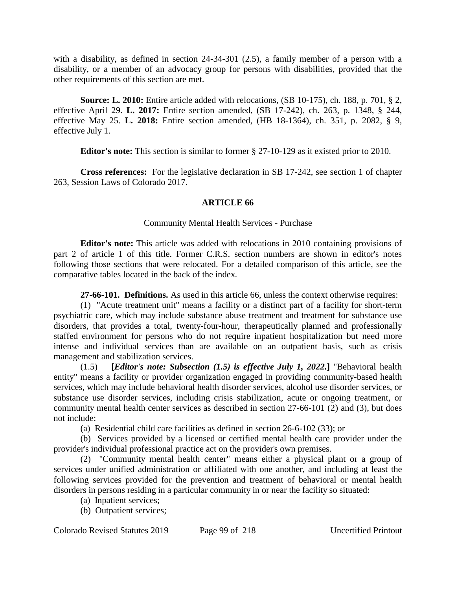with a disability, as defined in section 24-34-301 (2.5), a family member of a person with a disability, or a member of an advocacy group for persons with disabilities, provided that the other requirements of this section are met.

**Source: L. 2010:** Entire article added with relocations, (SB 10-175), ch. 188, p. 701, § 2, effective April 29. **L. 2017:** Entire section amended, (SB 17-242), ch. 263, p. 1348, § 244, effective May 25. **L. 2018:** Entire section amended, (HB 18-1364), ch. 351, p. 2082, § 9, effective July 1.

**Editor's note:** This section is similar to former § 27-10-129 as it existed prior to 2010.

**Cross references:** For the legislative declaration in SB 17-242, see section 1 of chapter 263, Session Laws of Colorado 2017.

# **ARTICLE 66**

# Community Mental Health Services - Purchase

**Editor's note:** This article was added with relocations in 2010 containing provisions of part 2 of article 1 of this title. Former C.R.S. section numbers are shown in editor's notes following those sections that were relocated. For a detailed comparison of this article, see the comparative tables located in the back of the index.

**27-66-101. Definitions.** As used in this article 66, unless the context otherwise requires:

(1) "Acute treatment unit" means a facility or a distinct part of a facility for short-term psychiatric care, which may include substance abuse treatment and treatment for substance use disorders, that provides a total, twenty-four-hour, therapeutically planned and professionally staffed environment for persons who do not require inpatient hospitalization but need more intense and individual services than are available on an outpatient basis, such as crisis management and stabilization services.

(1.5) **[***Editor's note: Subsection (1.5) is effective July 1, 2022.***]** "Behavioral health entity" means a facility or provider organization engaged in providing community-based health services, which may include behavioral health disorder services, alcohol use disorder services, or substance use disorder services, including crisis stabilization, acute or ongoing treatment, or community mental health center services as described in section 27-66-101 (2) and (3), but does not include:

(a) Residential child care facilities as defined in section 26-6-102 (33); or

(b) Services provided by a licensed or certified mental health care provider under the provider's individual professional practice act on the provider's own premises.

(2) "Community mental health center" means either a physical plant or a group of services under unified administration or affiliated with one another, and including at least the following services provided for the prevention and treatment of behavioral or mental health disorders in persons residing in a particular community in or near the facility so situated:

- (a) Inpatient services;
- (b) Outpatient services;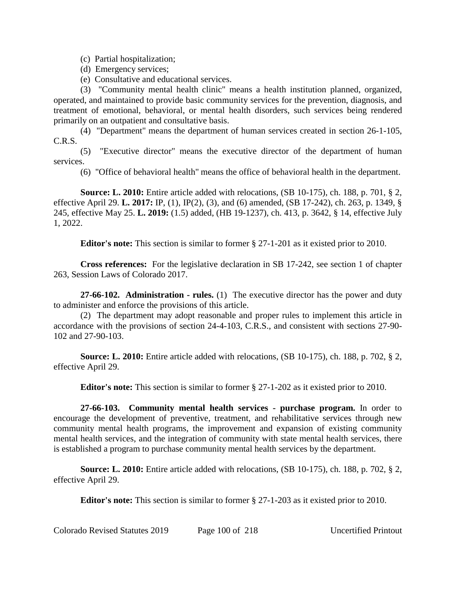(c) Partial hospitalization;

- (d) Emergency services;
- (e) Consultative and educational services.

(3) "Community mental health clinic" means a health institution planned, organized, operated, and maintained to provide basic community services for the prevention, diagnosis, and treatment of emotional, behavioral, or mental health disorders, such services being rendered primarily on an outpatient and consultative basis.

(4) "Department" means the department of human services created in section 26-1-105, C.R.S.

(5) "Executive director" means the executive director of the department of human services.

(6) "Office of behavioral health" means the office of behavioral health in the department.

**Source: L. 2010:** Entire article added with relocations, (SB 10-175), ch. 188, p. 701, § 2, effective April 29. **L. 2017:** IP, (1), IP(2), (3), and (6) amended, (SB 17-242), ch. 263, p. 1349, § 245, effective May 25. **L. 2019:** (1.5) added, (HB 19-1237), ch. 413, p. 3642, § 14, effective July 1, 2022.

**Editor's note:** This section is similar to former § 27-1-201 as it existed prior to 2010.

**Cross references:** For the legislative declaration in SB 17-242, see section 1 of chapter 263, Session Laws of Colorado 2017.

**27-66-102. Administration - rules.** (1) The executive director has the power and duty to administer and enforce the provisions of this article.

(2) The department may adopt reasonable and proper rules to implement this article in accordance with the provisions of section 24-4-103, C.R.S., and consistent with sections 27-90- 102 and 27-90-103.

**Source: L. 2010:** Entire article added with relocations, (SB 10-175), ch. 188, p. 702, § 2, effective April 29.

**Editor's note:** This section is similar to former § 27-1-202 as it existed prior to 2010.

**27-66-103. Community mental health services - purchase program.** In order to encourage the development of preventive, treatment, and rehabilitative services through new community mental health programs, the improvement and expansion of existing community mental health services, and the integration of community with state mental health services, there is established a program to purchase community mental health services by the department.

**Source: L. 2010:** Entire article added with relocations, (SB 10-175), ch. 188, p. 702, § 2, effective April 29.

**Editor's note:** This section is similar to former § 27-1-203 as it existed prior to 2010.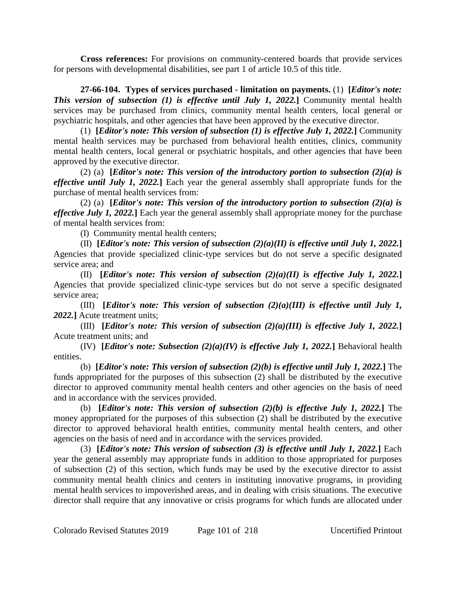**Cross references:** For provisions on community-centered boards that provide services for persons with developmental disabilities, see part 1 of article 10.5 of this title.

**27-66-104. Types of services purchased - limitation on payments.** (1) **[***Editor's note: This version of subsection (1) is effective until July 1, 2022.***]** Community mental health services may be purchased from clinics, community mental health centers, local general or psychiatric hospitals, and other agencies that have been approved by the executive director.

(1) **[***Editor's note: This version of subsection (1) is effective July 1, 2022.***]** Community mental health services may be purchased from behavioral health entities, clinics, community mental health centers, local general or psychiatric hospitals, and other agencies that have been approved by the executive director.

(2) (a) **[***Editor's note: This version of the introductory portion to subsection (2)(a) is effective until July 1, 2022.***]** Each year the general assembly shall appropriate funds for the purchase of mental health services from:

(2) (a) **[***Editor's note: This version of the introductory portion to subsection (2)(a) is effective July 1, 2022.***]** Each year the general assembly shall appropriate money for the purchase of mental health services from:

(I) Community mental health centers;

(II) **[***Editor's note: This version of subsection (2)(a)(II) is effective until July 1, 2022.***]** Agencies that provide specialized clinic-type services but do not serve a specific designated service area; and

(II) **[***Editor's note: This version of subsection (2)(a)(II) is effective July 1, 2022.***]** Agencies that provide specialized clinic-type services but do not serve a specific designated service area;

(III) **[***Editor's note: This version of subsection (2)(a)(III) is effective until July 1, 2022.***]** Acute treatment units;

(III) **[***Editor's note: This version of subsection (2)(a)(III) is effective July 1, 2022.***]** Acute treatment units; and

(IV) **[***Editor's note: Subsection (2)(a)(IV) is effective July 1, 2022.***]** Behavioral health entities.

(b) **[***Editor's note: This version of subsection (2)(b) is effective until July 1, 2022.***]** The funds appropriated for the purposes of this subsection (2) shall be distributed by the executive director to approved community mental health centers and other agencies on the basis of need and in accordance with the services provided.

(b) **[***Editor's note: This version of subsection (2)(b) is effective July 1, 2022.***]** The money appropriated for the purposes of this subsection (2) shall be distributed by the executive director to approved behavioral health entities, community mental health centers, and other agencies on the basis of need and in accordance with the services provided.

(3) **[***Editor's note: This version of subsection (3) is effective until July 1, 2022.***]** Each year the general assembly may appropriate funds in addition to those appropriated for purposes of subsection (2) of this section, which funds may be used by the executive director to assist community mental health clinics and centers in instituting innovative programs, in providing mental health services to impoverished areas, and in dealing with crisis situations. The executive director shall require that any innovative or crisis programs for which funds are allocated under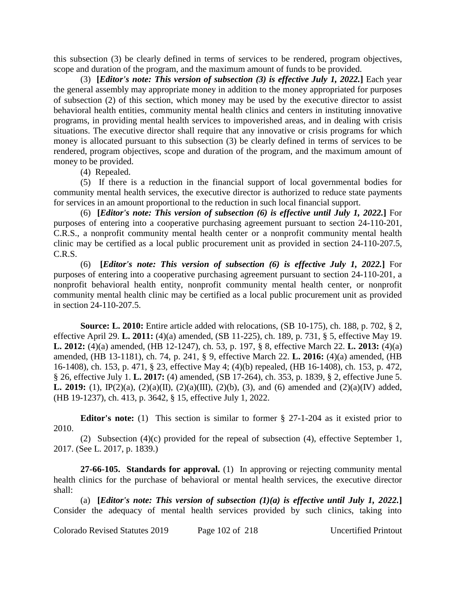this subsection (3) be clearly defined in terms of services to be rendered, program objectives, scope and duration of the program, and the maximum amount of funds to be provided.

(3) **[***Editor's note: This version of subsection (3) is effective July 1, 2022.***]** Each year the general assembly may appropriate money in addition to the money appropriated for purposes of subsection (2) of this section, which money may be used by the executive director to assist behavioral health entities, community mental health clinics and centers in instituting innovative programs, in providing mental health services to impoverished areas, and in dealing with crisis situations. The executive director shall require that any innovative or crisis programs for which money is allocated pursuant to this subsection (3) be clearly defined in terms of services to be rendered, program objectives, scope and duration of the program, and the maximum amount of money to be provided.

(4) Repealed.

(5) If there is a reduction in the financial support of local governmental bodies for community mental health services, the executive director is authorized to reduce state payments for services in an amount proportional to the reduction in such local financial support.

(6) **[***Editor's note: This version of subsection (6) is effective until July 1, 2022.***]** For purposes of entering into a cooperative purchasing agreement pursuant to section 24-110-201, C.R.S., a nonprofit community mental health center or a nonprofit community mental health clinic may be certified as a local public procurement unit as provided in section 24-110-207.5, C.R.S.

(6) **[***Editor's note: This version of subsection (6) is effective July 1, 2022.***]** For purposes of entering into a cooperative purchasing agreement pursuant to section 24-110-201, a nonprofit behavioral health entity, nonprofit community mental health center, or nonprofit community mental health clinic may be certified as a local public procurement unit as provided in section 24-110-207.5.

**Source: L. 2010:** Entire article added with relocations, (SB 10-175), ch. 188, p. 702, § 2, effective April 29. **L. 2011:** (4)(a) amended, (SB 11-225), ch. 189, p. 731, § 5, effective May 19. **L. 2012:** (4)(a) amended, (HB 12-1247), ch. 53, p. 197, § 8, effective March 22. **L. 2013:** (4)(a) amended, (HB 13-1181), ch. 74, p. 241, § 9, effective March 22. **L. 2016:** (4)(a) amended, (HB 16-1408), ch. 153, p. 471, § 23, effective May 4; (4)(b) repealed, (HB 16-1408), ch. 153, p. 472, § 26, effective July 1. **L. 2017:** (4) amended, (SB 17-264), ch. 353, p. 1839, § 2, effective June 5. **L. 2019:** (1), IP(2)(a), (2)(a)(II), (2)(a)(III), (2)(b), (3), and (6) amended and (2)(a)(IV) added, (HB 19-1237), ch. 413, p. 3642, § 15, effective July 1, 2022.

**Editor's note:** (1) This section is similar to former § 27-1-204 as it existed prior to 2010.

(2) Subsection (4)(c) provided for the repeal of subsection (4), effective September 1, 2017. (See L. 2017, p. 1839.)

**27-66-105. Standards for approval.** (1) In approving or rejecting community mental health clinics for the purchase of behavioral or mental health services, the executive director shall:

(a) **[***Editor's note: This version of subsection (1)(a) is effective until July 1, 2022.***]** Consider the adequacy of mental health services provided by such clinics, taking into

Colorado Revised Statutes 2019 Page 102 of 218 Uncertified Printout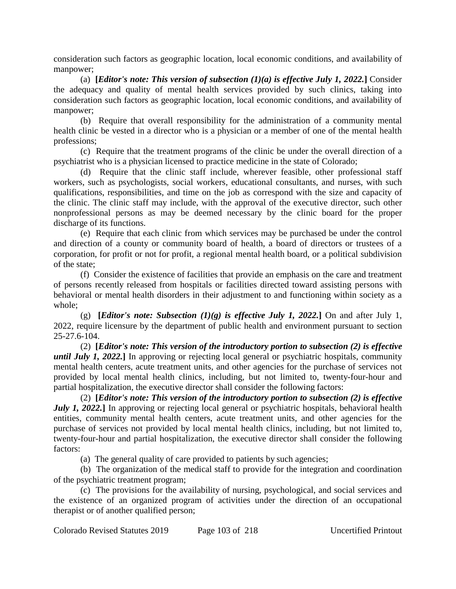consideration such factors as geographic location, local economic conditions, and availability of manpower;

(a) **[***Editor's note: This version of subsection (1)(a) is effective July 1, 2022.***] Consider** the adequacy and quality of mental health services provided by such clinics, taking into consideration such factors as geographic location, local economic conditions, and availability of manpower;

(b) Require that overall responsibility for the administration of a community mental health clinic be vested in a director who is a physician or a member of one of the mental health professions;

(c) Require that the treatment programs of the clinic be under the overall direction of a psychiatrist who is a physician licensed to practice medicine in the state of Colorado;

(d) Require that the clinic staff include, wherever feasible, other professional staff workers, such as psychologists, social workers, educational consultants, and nurses, with such qualifications, responsibilities, and time on the job as correspond with the size and capacity of the clinic. The clinic staff may include, with the approval of the executive director, such other nonprofessional persons as may be deemed necessary by the clinic board for the proper discharge of its functions.

(e) Require that each clinic from which services may be purchased be under the control and direction of a county or community board of health, a board of directors or trustees of a corporation, for profit or not for profit, a regional mental health board, or a political subdivision of the state;

(f) Consider the existence of facilities that provide an emphasis on the care and treatment of persons recently released from hospitals or facilities directed toward assisting persons with behavioral or mental health disorders in their adjustment to and functioning within society as a whole;

(g) **[***Editor's note: Subsection (1)(g) is effective July 1, 2022.***] On and after July 1,** 2022, require licensure by the department of public health and environment pursuant to section 25-27.6-104.

(2) **[***Editor's note: This version of the introductory portion to subsection (2) is effective until July 1, 2022.***]** In approving or rejecting local general or psychiatric hospitals, community mental health centers, acute treatment units, and other agencies for the purchase of services not provided by local mental health clinics, including, but not limited to, twenty-four-hour and partial hospitalization, the executive director shall consider the following factors:

(2) **[***Editor's note: This version of the introductory portion to subsection (2) is effective July 1, 2022.* In approving or rejecting local general or psychiatric hospitals, behavioral health entities, community mental health centers, acute treatment units, and other agencies for the purchase of services not provided by local mental health clinics, including, but not limited to, twenty-four-hour and partial hospitalization, the executive director shall consider the following factors:

(a) The general quality of care provided to patients by such agencies;

(b) The organization of the medical staff to provide for the integration and coordination of the psychiatric treatment program;

(c) The provisions for the availability of nursing, psychological, and social services and the existence of an organized program of activities under the direction of an occupational therapist or of another qualified person;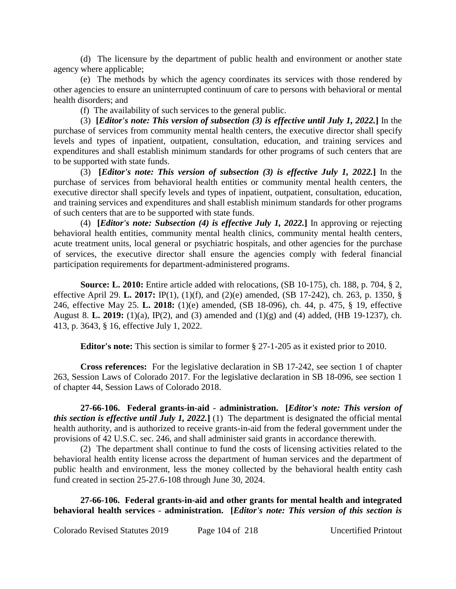(d) The licensure by the department of public health and environment or another state agency where applicable;

(e) The methods by which the agency coordinates its services with those rendered by other agencies to ensure an uninterrupted continuum of care to persons with behavioral or mental health disorders; and

(f) The availability of such services to the general public.

(3) **[***Editor's note: This version of subsection (3) is effective until July 1, 2022.***]** In the purchase of services from community mental health centers, the executive director shall specify levels and types of inpatient, outpatient, consultation, education, and training services and expenditures and shall establish minimum standards for other programs of such centers that are to be supported with state funds.

(3) **[***Editor's note: This version of subsection (3) is effective July 1, 2022.***]** In the purchase of services from behavioral health entities or community mental health centers, the executive director shall specify levels and types of inpatient, outpatient, consultation, education, and training services and expenditures and shall establish minimum standards for other programs of such centers that are to be supported with state funds.

(4) **[***Editor's note: Subsection (4) is effective July 1, 2022.***]** In approving or rejecting behavioral health entities, community mental health clinics, community mental health centers, acute treatment units, local general or psychiatric hospitals, and other agencies for the purchase of services, the executive director shall ensure the agencies comply with federal financial participation requirements for department-administered programs.

**Source: L. 2010:** Entire article added with relocations, (SB 10-175), ch. 188, p. 704, § 2, effective April 29. **L. 2017:** IP(1), (1)(f), and (2)(e) amended, (SB 17-242), ch. 263, p. 1350, § 246, effective May 25. **L. 2018:** (1)(e) amended, (SB 18-096), ch. 44, p. 475, § 19, effective August 8. **L. 2019:** (1)(a), IP(2), and (3) amended and (1)(g) and (4) added, (HB 19-1237), ch. 413, p. 3643, § 16, effective July 1, 2022.

**Editor's note:** This section is similar to former § 27-1-205 as it existed prior to 2010.

**Cross references:** For the legislative declaration in SB 17-242, see section 1 of chapter 263, Session Laws of Colorado 2017. For the legislative declaration in SB 18-096, see section 1 of chapter 44, Session Laws of Colorado 2018.

**27-66-106. Federal grants-in-aid - administration. [***Editor's note: This version of this section is effective until July 1, 2022.***]** (1) The department is designated the official mental health authority, and is authorized to receive grants-in-aid from the federal government under the provisions of 42 U.S.C. sec. 246, and shall administer said grants in accordance therewith.

(2) The department shall continue to fund the costs of licensing activities related to the behavioral health entity license across the department of human services and the department of public health and environment, less the money collected by the behavioral health entity cash fund created in section 25-27.6-108 through June 30, 2024.

**27-66-106. Federal grants-in-aid and other grants for mental health and integrated behavioral health services - administration. [***Editor's note: This version of this section is*

Colorado Revised Statutes 2019 Page 104 of 218 Uncertified Printout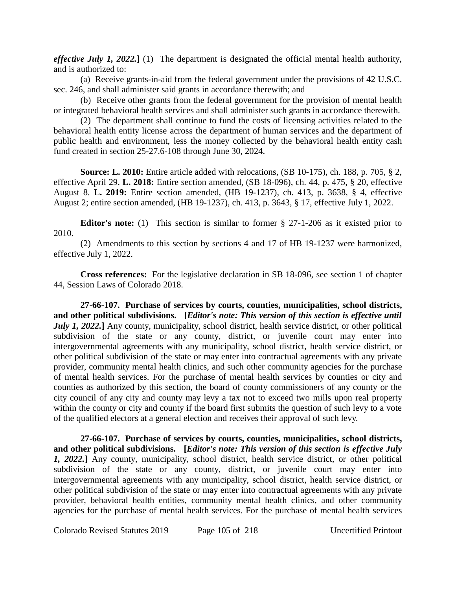*effective July 1, 2022.***]** (1) The department is designated the official mental health authority, and is authorized to:

(a) Receive grants-in-aid from the federal government under the provisions of 42 U.S.C. sec. 246, and shall administer said grants in accordance therewith; and

(b) Receive other grants from the federal government for the provision of mental health or integrated behavioral health services and shall administer such grants in accordance therewith.

(2) The department shall continue to fund the costs of licensing activities related to the behavioral health entity license across the department of human services and the department of public health and environment, less the money collected by the behavioral health entity cash fund created in section 25-27.6-108 through June 30, 2024.

**Source: L. 2010:** Entire article added with relocations, (SB 10-175), ch. 188, p. 705, § 2, effective April 29. **L. 2018:** Entire section amended, (SB 18-096), ch. 44, p. 475, § 20, effective August 8. **L. 2019:** Entire section amended, (HB 19-1237), ch. 413, p. 3638, § 4, effective August 2; entire section amended, (HB 19-1237), ch. 413, p. 3643, § 17, effective July 1, 2022.

**Editor's note:** (1) This section is similar to former § 27-1-206 as it existed prior to 2010.

(2) Amendments to this section by sections 4 and 17 of HB 19-1237 were harmonized, effective July 1, 2022.

**Cross references:** For the legislative declaration in SB 18-096, see section 1 of chapter 44, Session Laws of Colorado 2018.

**27-66-107. Purchase of services by courts, counties, municipalities, school districts, and other political subdivisions. [***Editor's note: This version of this section is effective until July 1, 2022.* Any county, municipality, school district, health service district, or other political subdivision of the state or any county, district, or juvenile court may enter into intergovernmental agreements with any municipality, school district, health service district, or other political subdivision of the state or may enter into contractual agreements with any private provider, community mental health clinics, and such other community agencies for the purchase of mental health services. For the purchase of mental health services by counties or city and counties as authorized by this section, the board of county commissioners of any county or the city council of any city and county may levy a tax not to exceed two mills upon real property within the county or city and county if the board first submits the question of such levy to a vote of the qualified electors at a general election and receives their approval of such levy.

**27-66-107. Purchase of services by courts, counties, municipalities, school districts, and other political subdivisions. [***Editor's note: This version of this section is effective July 1, 2022.***]** Any county, municipality, school district, health service district, or other political subdivision of the state or any county, district, or juvenile court may enter into intergovernmental agreements with any municipality, school district, health service district, or other political subdivision of the state or may enter into contractual agreements with any private provider, behavioral health entities, community mental health clinics, and other community agencies for the purchase of mental health services. For the purchase of mental health services

Colorado Revised Statutes 2019 Page 105 of 218 Uncertified Printout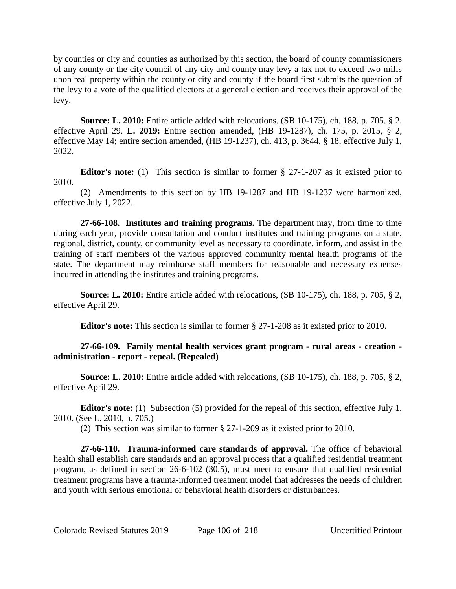by counties or city and counties as authorized by this section, the board of county commissioners of any county or the city council of any city and county may levy a tax not to exceed two mills upon real property within the county or city and county if the board first submits the question of the levy to a vote of the qualified electors at a general election and receives their approval of the levy.

**Source: L. 2010:** Entire article added with relocations, (SB 10-175), ch. 188, p. 705, § 2, effective April 29. **L. 2019:** Entire section amended, (HB 19-1287), ch. 175, p. 2015, § 2, effective May 14; entire section amended, (HB 19-1237), ch. 413, p. 3644, § 18, effective July 1, 2022.

**Editor's note:** (1) This section is similar to former § 27-1-207 as it existed prior to 2010.

(2) Amendments to this section by HB 19-1287 and HB 19-1237 were harmonized, effective July 1, 2022.

**27-66-108. Institutes and training programs.** The department may, from time to time during each year, provide consultation and conduct institutes and training programs on a state, regional, district, county, or community level as necessary to coordinate, inform, and assist in the training of staff members of the various approved community mental health programs of the state. The department may reimburse staff members for reasonable and necessary expenses incurred in attending the institutes and training programs.

**Source: L. 2010:** Entire article added with relocations, (SB 10-175), ch. 188, p. 705, § 2, effective April 29.

**Editor's note:** This section is similar to former § 27-1-208 as it existed prior to 2010.

# **27-66-109. Family mental health services grant program - rural areas - creation administration - report - repeal. (Repealed)**

**Source: L. 2010:** Entire article added with relocations, (SB 10-175), ch. 188, p. 705, § 2, effective April 29.

**Editor's note:** (1) Subsection (5) provided for the repeal of this section, effective July 1, 2010. (See L. 2010, p. 705.)

(2) This section was similar to former § 27-1-209 as it existed prior to 2010.

**27-66-110. Trauma-informed care standards of approval.** The office of behavioral health shall establish care standards and an approval process that a qualified residential treatment program, as defined in section 26-6-102 (30.5), must meet to ensure that qualified residential treatment programs have a trauma-informed treatment model that addresses the needs of children and youth with serious emotional or behavioral health disorders or disturbances.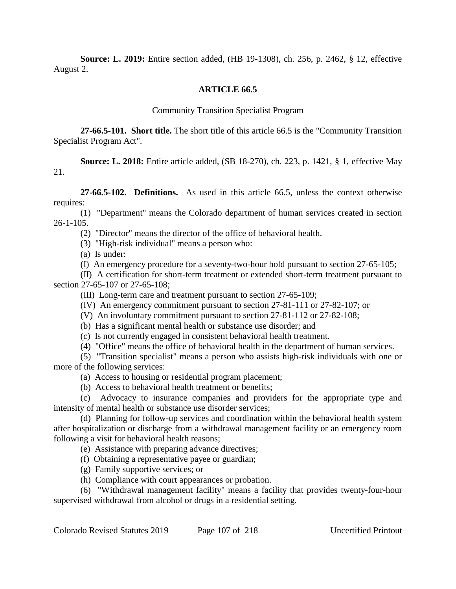**Source: L. 2019:** Entire section added, (HB 19-1308), ch. 256, p. 2462, § 12, effective August 2.

### **ARTICLE 66.5**

Community Transition Specialist Program

**27-66.5-101. Short title.** The short title of this article 66.5 is the "Community Transition Specialist Program Act".

**Source: L. 2018:** Entire article added, (SB 18-270), ch. 223, p. 1421, § 1, effective May 21.

**27-66.5-102. Definitions.** As used in this article 66.5, unless the context otherwise requires:

(1) "Department" means the Colorado department of human services created in section 26-1-105.

(2) "Director" means the director of the office of behavioral health.

(3) "High-risk individual" means a person who:

(a) Is under:

(I) An emergency procedure for a seventy-two-hour hold pursuant to section 27-65-105;

(II) A certification for short-term treatment or extended short-term treatment pursuant to section 27-65-107 or 27-65-108;

(III) Long-term care and treatment pursuant to section 27-65-109;

(IV) An emergency commitment pursuant to section 27-81-111 or 27-82-107; or

(V) An involuntary commitment pursuant to section 27-81-112 or 27-82-108;

(b) Has a significant mental health or substance use disorder; and

(c) Is not currently engaged in consistent behavioral health treatment.

(4) "Office" means the office of behavioral health in the department of human services.

(5) "Transition specialist" means a person who assists high-risk individuals with one or more of the following services:

(a) Access to housing or residential program placement;

(b) Access to behavioral health treatment or benefits;

(c) Advocacy to insurance companies and providers for the appropriate type and intensity of mental health or substance use disorder services;

(d) Planning for follow-up services and coordination within the behavioral health system after hospitalization or discharge from a withdrawal management facility or an emergency room following a visit for behavioral health reasons;

(e) Assistance with preparing advance directives;

(f) Obtaining a representative payee or guardian;

- (g) Family supportive services; or
- (h) Compliance with court appearances or probation.

(6) "Withdrawal management facility" means a facility that provides twenty-four-hour supervised withdrawal from alcohol or drugs in a residential setting.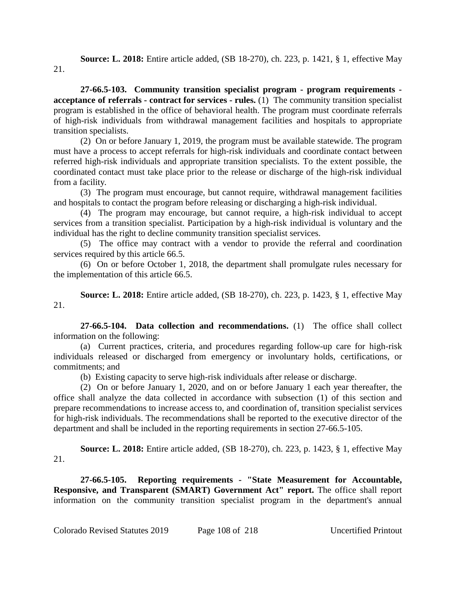**Source: L. 2018:** Entire article added, (SB 18-270), ch. 223, p. 1421, § 1, effective May 21.

**27-66.5-103. Community transition specialist program - program requirements acceptance of referrals - contract for services - rules.** (1) The community transition specialist program is established in the office of behavioral health. The program must coordinate referrals of high-risk individuals from withdrawal management facilities and hospitals to appropriate transition specialists.

(2) On or before January 1, 2019, the program must be available statewide. The program must have a process to accept referrals for high-risk individuals and coordinate contact between referred high-risk individuals and appropriate transition specialists. To the extent possible, the coordinated contact must take place prior to the release or discharge of the high-risk individual from a facility.

(3) The program must encourage, but cannot require, withdrawal management facilities and hospitals to contact the program before releasing or discharging a high-risk individual.

(4) The program may encourage, but cannot require, a high-risk individual to accept services from a transition specialist. Participation by a high-risk individual is voluntary and the individual has the right to decline community transition specialist services.

(5) The office may contract with a vendor to provide the referral and coordination services required by this article 66.5.

(6) On or before October 1, 2018, the department shall promulgate rules necessary for the implementation of this article 66.5.

**Source: L. 2018:** Entire article added, (SB 18-270), ch. 223, p. 1423, § 1, effective May 21.

**27-66.5-104. Data collection and recommendations.** (1) The office shall collect information on the following:

(a) Current practices, criteria, and procedures regarding follow-up care for high-risk individuals released or discharged from emergency or involuntary holds, certifications, or commitments; and

(b) Existing capacity to serve high-risk individuals after release or discharge.

(2) On or before January 1, 2020, and on or before January 1 each year thereafter, the office shall analyze the data collected in accordance with subsection (1) of this section and prepare recommendations to increase access to, and coordination of, transition specialist services for high-risk individuals. The recommendations shall be reported to the executive director of the department and shall be included in the reporting requirements in section 27-66.5-105.

**Source: L. 2018:** Entire article added, (SB 18-270), ch. 223, p. 1423, § 1, effective May 21.

**27-66.5-105. Reporting requirements - "State Measurement for Accountable, Responsive, and Transparent (SMART) Government Act" report.** The office shall report information on the community transition specialist program in the department's annual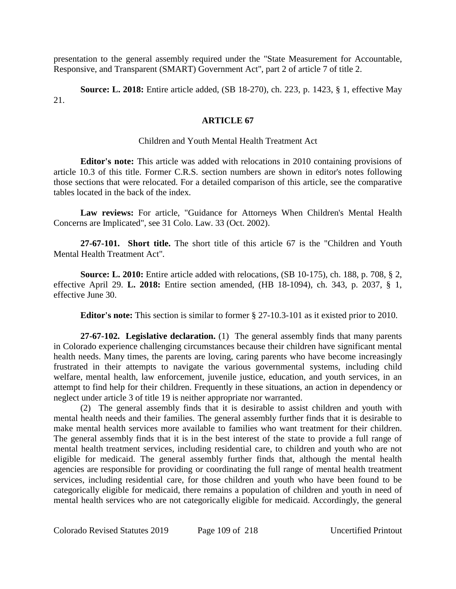presentation to the general assembly required under the "State Measurement for Accountable, Responsive, and Transparent (SMART) Government Act", part 2 of article 7 of title 2.

**Source: L. 2018:** Entire article added, (SB 18-270), ch. 223, p. 1423, § 1, effective May 21.

## **ARTICLE 67**

## Children and Youth Mental Health Treatment Act

**Editor's note:** This article was added with relocations in 2010 containing provisions of article 10.3 of this title. Former C.R.S. section numbers are shown in editor's notes following those sections that were relocated. For a detailed comparison of this article, see the comparative tables located in the back of the index.

**Law reviews:** For article, "Guidance for Attorneys When Children's Mental Health Concerns are Implicated", see 31 Colo. Law. 33 (Oct. 2002).

**27-67-101. Short title.** The short title of this article 67 is the "Children and Youth Mental Health Treatment Act".

**Source: L. 2010:** Entire article added with relocations, (SB 10-175), ch. 188, p. 708, § 2, effective April 29. **L. 2018:** Entire section amended, (HB 18-1094), ch. 343, p. 2037, § 1, effective June 30.

**Editor's note:** This section is similar to former § 27-10.3-101 as it existed prior to 2010.

**27-67-102. Legislative declaration.** (1) The general assembly finds that many parents in Colorado experience challenging circumstances because their children have significant mental health needs. Many times, the parents are loving, caring parents who have become increasingly frustrated in their attempts to navigate the various governmental systems, including child welfare, mental health, law enforcement, juvenile justice, education, and youth services, in an attempt to find help for their children. Frequently in these situations, an action in dependency or neglect under article 3 of title 19 is neither appropriate nor warranted.

(2) The general assembly finds that it is desirable to assist children and youth with mental health needs and their families. The general assembly further finds that it is desirable to make mental health services more available to families who want treatment for their children. The general assembly finds that it is in the best interest of the state to provide a full range of mental health treatment services, including residential care, to children and youth who are not eligible for medicaid. The general assembly further finds that, although the mental health agencies are responsible for providing or coordinating the full range of mental health treatment services, including residential care, for those children and youth who have been found to be categorically eligible for medicaid, there remains a population of children and youth in need of mental health services who are not categorically eligible for medicaid. Accordingly, the general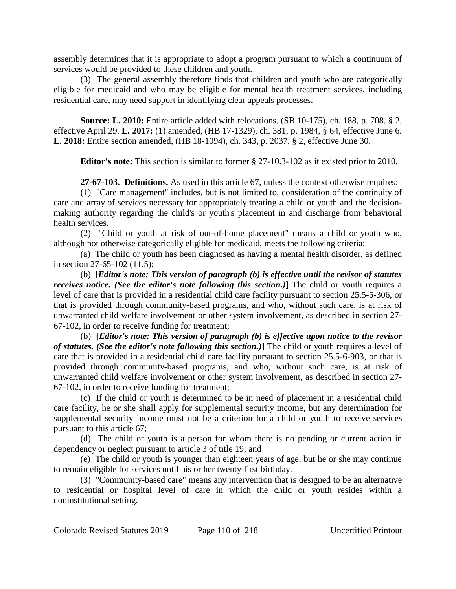assembly determines that it is appropriate to adopt a program pursuant to which a continuum of services would be provided to these children and youth.

(3) The general assembly therefore finds that children and youth who are categorically eligible for medicaid and who may be eligible for mental health treatment services, including residential care, may need support in identifying clear appeals processes.

**Source: L. 2010:** Entire article added with relocations, (SB 10-175), ch. 188, p. 708, § 2, effective April 29. **L. 2017:** (1) amended, (HB 17-1329), ch. 381, p. 1984, § 64, effective June 6. **L. 2018:** Entire section amended, (HB 18-1094), ch. 343, p. 2037, § 2, effective June 30.

**Editor's note:** This section is similar to former § 27-10.3-102 as it existed prior to 2010.

**27-67-103. Definitions.** As used in this article 67, unless the context otherwise requires:

(1) "Care management" includes, but is not limited to, consideration of the continuity of care and array of services necessary for appropriately treating a child or youth and the decisionmaking authority regarding the child's or youth's placement in and discharge from behavioral health services.

(2) "Child or youth at risk of out-of-home placement" means a child or youth who, although not otherwise categorically eligible for medicaid, meets the following criteria:

(a) The child or youth has been diagnosed as having a mental health disorder, as defined in section 27-65-102 (11.5);

(b) **[***Editor's note: This version of paragraph (b) is effective until the revisor of statutes receives notice. (See the editor's note following this section.)***]** The child or youth requires a level of care that is provided in a residential child care facility pursuant to section 25.5-5-306, or that is provided through community-based programs, and who, without such care, is at risk of unwarranted child welfare involvement or other system involvement, as described in section 27- 67-102, in order to receive funding for treatment;

(b) **[***Editor's note: This version of paragraph (b) is effective upon notice to the revisor of statutes. (See the editor's note following this section.)***]** The child or youth requires a level of care that is provided in a residential child care facility pursuant to section 25.5-6-903, or that is provided through community-based programs, and who, without such care, is at risk of unwarranted child welfare involvement or other system involvement, as described in section 27- 67-102, in order to receive funding for treatment;

(c) If the child or youth is determined to be in need of placement in a residential child care facility, he or she shall apply for supplemental security income, but any determination for supplemental security income must not be a criterion for a child or youth to receive services pursuant to this article 67;

(d) The child or youth is a person for whom there is no pending or current action in dependency or neglect pursuant to article 3 of title 19; and

(e) The child or youth is younger than eighteen years of age, but he or she may continue to remain eligible for services until his or her twenty-first birthday.

(3) "Community-based care" means any intervention that is designed to be an alternative to residential or hospital level of care in which the child or youth resides within a noninstitutional setting.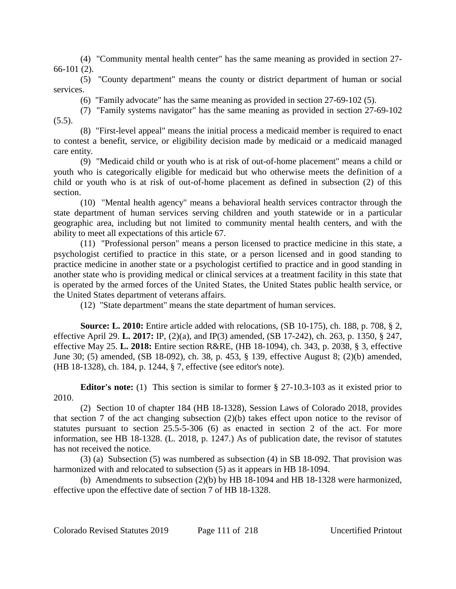(4) "Community mental health center" has the same meaning as provided in section 27- 66-101 (2).

(5) "County department" means the county or district department of human or social services.

(6) "Family advocate" has the same meaning as provided in section 27-69-102 (5).

(7) "Family systems navigator" has the same meaning as provided in section 27-69-102  $(5.5)$ .

(8) "First-level appeal" means the initial process a medicaid member is required to enact to contest a benefit, service, or eligibility decision made by medicaid or a medicaid managed care entity.

(9) "Medicaid child or youth who is at risk of out-of-home placement" means a child or youth who is categorically eligible for medicaid but who otherwise meets the definition of a child or youth who is at risk of out-of-home placement as defined in subsection (2) of this section.

(10) "Mental health agency" means a behavioral health services contractor through the state department of human services serving children and youth statewide or in a particular geographic area, including but not limited to community mental health centers, and with the ability to meet all expectations of this article 67.

(11) "Professional person" means a person licensed to practice medicine in this state, a psychologist certified to practice in this state, or a person licensed and in good standing to practice medicine in another state or a psychologist certified to practice and in good standing in another state who is providing medical or clinical services at a treatment facility in this state that is operated by the armed forces of the United States, the United States public health service, or the United States department of veterans affairs.

(12) "State department" means the state department of human services.

**Source: L. 2010:** Entire article added with relocations, (SB 10-175), ch. 188, p. 708, § 2, effective April 29. **L. 2017:** IP, (2)(a), and IP(3) amended, (SB 17-242), ch. 263, p. 1350, § 247, effective May 25. **L. 2018:** Entire section R&RE, (HB 18-1094), ch. 343, p. 2038, § 3, effective June 30; (5) amended, (SB 18-092), ch. 38, p. 453, § 139, effective August 8; (2)(b) amended, (HB 18-1328), ch. 184, p. 1244, § 7, effective (see editor's note).

**Editor's note:** (1) This section is similar to former § 27-10.3-103 as it existed prior to 2010.

(2) Section 10 of chapter 184 (HB 18-1328), Session Laws of Colorado 2018, provides that section 7 of the act changing subsection (2)(b) takes effect upon notice to the revisor of statutes pursuant to section 25.5-5-306 (6) as enacted in section 2 of the act. For more information, see HB 18-1328. (L. 2018, p. 1247.) As of publication date, the revisor of statutes has not received the notice.

(3) (a) Subsection (5) was numbered as subsection (4) in SB 18-092. That provision was harmonized with and relocated to subsection (5) as it appears in HB 18-1094.

(b) Amendments to subsection (2)(b) by HB 18-1094 and HB 18-1328 were harmonized, effective upon the effective date of section 7 of HB 18-1328.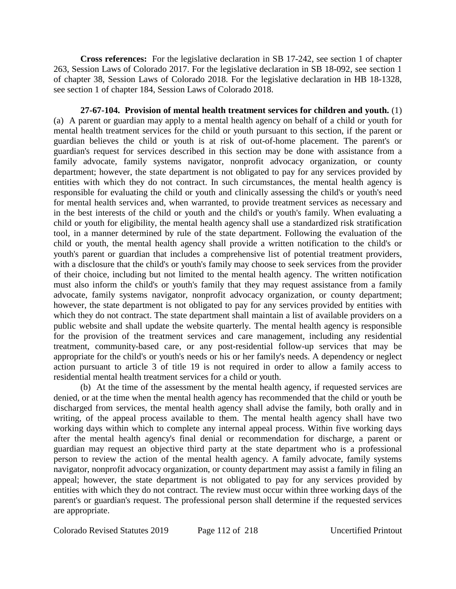**Cross references:** For the legislative declaration in SB 17-242, see section 1 of chapter 263, Session Laws of Colorado 2017. For the legislative declaration in SB 18-092, see section 1 of chapter 38, Session Laws of Colorado 2018. For the legislative declaration in HB 18-1328, see section 1 of chapter 184, Session Laws of Colorado 2018.

**27-67-104. Provision of mental health treatment services for children and youth.** (1) (a) A parent or guardian may apply to a mental health agency on behalf of a child or youth for mental health treatment services for the child or youth pursuant to this section, if the parent or guardian believes the child or youth is at risk of out-of-home placement. The parent's or guardian's request for services described in this section may be done with assistance from a family advocate, family systems navigator, nonprofit advocacy organization, or county department; however, the state department is not obligated to pay for any services provided by entities with which they do not contract. In such circumstances, the mental health agency is responsible for evaluating the child or youth and clinically assessing the child's or youth's need for mental health services and, when warranted, to provide treatment services as necessary and in the best interests of the child or youth and the child's or youth's family. When evaluating a child or youth for eligibility, the mental health agency shall use a standardized risk stratification tool, in a manner determined by rule of the state department. Following the evaluation of the child or youth, the mental health agency shall provide a written notification to the child's or youth's parent or guardian that includes a comprehensive list of potential treatment providers, with a disclosure that the child's or youth's family may choose to seek services from the provider of their choice, including but not limited to the mental health agency. The written notification must also inform the child's or youth's family that they may request assistance from a family advocate, family systems navigator, nonprofit advocacy organization, or county department; however, the state department is not obligated to pay for any services provided by entities with which they do not contract. The state department shall maintain a list of available providers on a public website and shall update the website quarterly. The mental health agency is responsible for the provision of the treatment services and care management, including any residential treatment, community-based care, or any post-residential follow-up services that may be appropriate for the child's or youth's needs or his or her family's needs. A dependency or neglect action pursuant to article 3 of title 19 is not required in order to allow a family access to residential mental health treatment services for a child or youth.

(b) At the time of the assessment by the mental health agency, if requested services are denied, or at the time when the mental health agency has recommended that the child or youth be discharged from services, the mental health agency shall advise the family, both orally and in writing, of the appeal process available to them. The mental health agency shall have two working days within which to complete any internal appeal process. Within five working days after the mental health agency's final denial or recommendation for discharge, a parent or guardian may request an objective third party at the state department who is a professional person to review the action of the mental health agency. A family advocate, family systems navigator, nonprofit advocacy organization, or county department may assist a family in filing an appeal; however, the state department is not obligated to pay for any services provided by entities with which they do not contract. The review must occur within three working days of the parent's or guardian's request. The professional person shall determine if the requested services are appropriate.

Colorado Revised Statutes 2019 Page 112 of 218 Uncertified Printout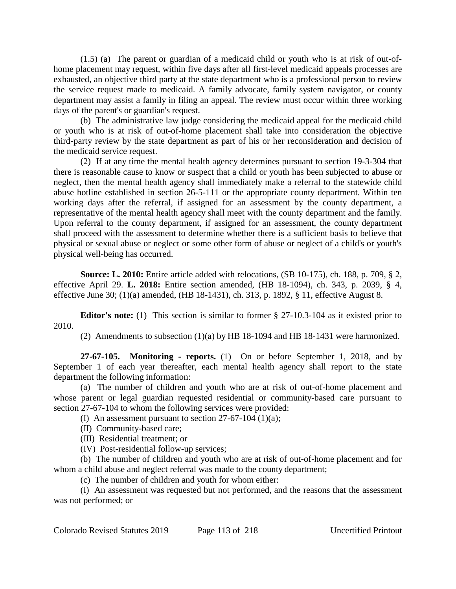(1.5) (a) The parent or guardian of a medicaid child or youth who is at risk of out-ofhome placement may request, within five days after all first-level medicaid appeals processes are exhausted, an objective third party at the state department who is a professional person to review the service request made to medicaid. A family advocate, family system navigator, or county department may assist a family in filing an appeal. The review must occur within three working days of the parent's or guardian's request.

(b) The administrative law judge considering the medicaid appeal for the medicaid child or youth who is at risk of out-of-home placement shall take into consideration the objective third-party review by the state department as part of his or her reconsideration and decision of the medicaid service request.

(2) If at any time the mental health agency determines pursuant to section 19-3-304 that there is reasonable cause to know or suspect that a child or youth has been subjected to abuse or neglect, then the mental health agency shall immediately make a referral to the statewide child abuse hotline established in section 26-5-111 or the appropriate county department. Within ten working days after the referral, if assigned for an assessment by the county department, a representative of the mental health agency shall meet with the county department and the family. Upon referral to the county department, if assigned for an assessment, the county department shall proceed with the assessment to determine whether there is a sufficient basis to believe that physical or sexual abuse or neglect or some other form of abuse or neglect of a child's or youth's physical well-being has occurred.

**Source: L. 2010:** Entire article added with relocations, (SB 10-175), ch. 188, p. 709, § 2, effective April 29. **L. 2018:** Entire section amended, (HB 18-1094), ch. 343, p. 2039, § 4, effective June 30; (1)(a) amended, (HB 18-1431), ch. 313, p. 1892, § 11, effective August 8.

**Editor's note:** (1) This section is similar to former § 27-10.3-104 as it existed prior to 2010.

(2) Amendments to subsection (1)(a) by HB 18-1094 and HB 18-1431 were harmonized.

**27-67-105. Monitoring - reports.** (1) On or before September 1, 2018, and by September 1 of each year thereafter, each mental health agency shall report to the state department the following information:

(a) The number of children and youth who are at risk of out-of-home placement and whose parent or legal guardian requested residential or community-based care pursuant to section 27-67-104 to whom the following services were provided:

(I) An assessment pursuant to section  $27-67-104$  (1)(a);

(II) Community-based care;

(III) Residential treatment; or

(IV) Post-residential follow-up services;

(b) The number of children and youth who are at risk of out-of-home placement and for whom a child abuse and neglect referral was made to the county department;

(c) The number of children and youth for whom either:

(I) An assessment was requested but not performed, and the reasons that the assessment was not performed; or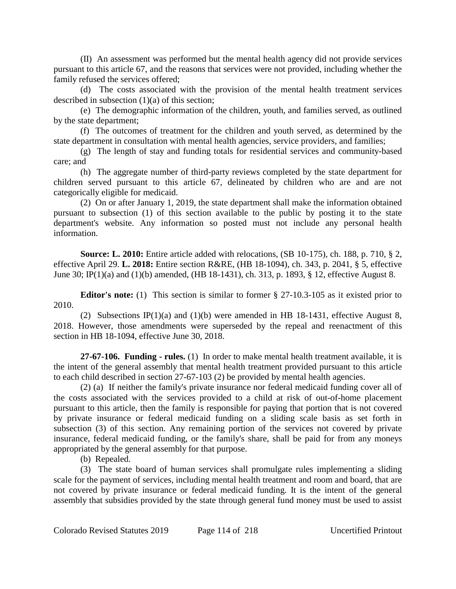(II) An assessment was performed but the mental health agency did not provide services pursuant to this article 67, and the reasons that services were not provided, including whether the family refused the services offered;

(d) The costs associated with the provision of the mental health treatment services described in subsection (1)(a) of this section;

(e) The demographic information of the children, youth, and families served, as outlined by the state department;

(f) The outcomes of treatment for the children and youth served, as determined by the state department in consultation with mental health agencies, service providers, and families;

(g) The length of stay and funding totals for residential services and community-based care; and

(h) The aggregate number of third-party reviews completed by the state department for children served pursuant to this article 67, delineated by children who are and are not categorically eligible for medicaid.

(2) On or after January 1, 2019, the state department shall make the information obtained pursuant to subsection (1) of this section available to the public by posting it to the state department's website. Any information so posted must not include any personal health information.

**Source: L. 2010:** Entire article added with relocations, (SB 10-175), ch. 188, p. 710, § 2, effective April 29. **L. 2018:** Entire section R&RE, (HB 18-1094), ch. 343, p. 2041, § 5, effective June 30; IP(1)(a) and (1)(b) amended, (HB 18-1431), ch. 313, p. 1893, § 12, effective August 8.

**Editor's note:** (1) This section is similar to former § 27-10.3-105 as it existed prior to 2010.

(2) Subsections IP(1)(a) and (1)(b) were amended in HB 18-1431, effective August 8, 2018. However, those amendments were superseded by the repeal and reenactment of this section in HB 18-1094, effective June 30, 2018.

**27-67-106. Funding - rules.** (1) In order to make mental health treatment available, it is the intent of the general assembly that mental health treatment provided pursuant to this article to each child described in section 27-67-103 (2) be provided by mental health agencies.

(2) (a) If neither the family's private insurance nor federal medicaid funding cover all of the costs associated with the services provided to a child at risk of out-of-home placement pursuant to this article, then the family is responsible for paying that portion that is not covered by private insurance or federal medicaid funding on a sliding scale basis as set forth in subsection (3) of this section. Any remaining portion of the services not covered by private insurance, federal medicaid funding, or the family's share, shall be paid for from any moneys appropriated by the general assembly for that purpose.

(b) Repealed.

(3) The state board of human services shall promulgate rules implementing a sliding scale for the payment of services, including mental health treatment and room and board, that are not covered by private insurance or federal medicaid funding. It is the intent of the general assembly that subsidies provided by the state through general fund money must be used to assist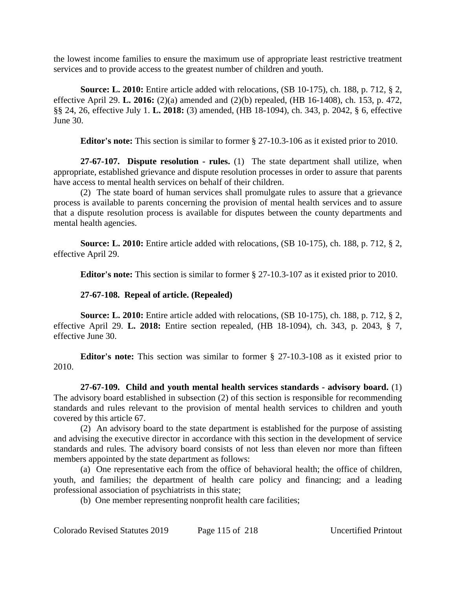the lowest income families to ensure the maximum use of appropriate least restrictive treatment services and to provide access to the greatest number of children and youth.

**Source: L. 2010:** Entire article added with relocations, (SB 10-175), ch. 188, p. 712, § 2, effective April 29. **L. 2016:** (2)(a) amended and (2)(b) repealed, (HB 16-1408), ch. 153, p. 472, §§ 24, 26, effective July 1. **L. 2018:** (3) amended, (HB 18-1094), ch. 343, p. 2042, § 6, effective June 30.

**Editor's note:** This section is similar to former § 27-10.3-106 as it existed prior to 2010.

**27-67-107. Dispute resolution - rules.** (1) The state department shall utilize, when appropriate, established grievance and dispute resolution processes in order to assure that parents have access to mental health services on behalf of their children.

(2) The state board of human services shall promulgate rules to assure that a grievance process is available to parents concerning the provision of mental health services and to assure that a dispute resolution process is available for disputes between the county departments and mental health agencies.

**Source: L. 2010:** Entire article added with relocations, (SB 10-175), ch. 188, p. 712, § 2, effective April 29.

**Editor's note:** This section is similar to former § 27-10.3-107 as it existed prior to 2010.

## **27-67-108. Repeal of article. (Repealed)**

**Source: L. 2010:** Entire article added with relocations, (SB 10-175), ch. 188, p. 712, § 2, effective April 29. **L. 2018:** Entire section repealed, (HB 18-1094), ch. 343, p. 2043, § 7, effective June 30.

**Editor's note:** This section was similar to former § 27-10.3-108 as it existed prior to 2010.

**27-67-109. Child and youth mental health services standards - advisory board.** (1) The advisory board established in subsection (2) of this section is responsible for recommending standards and rules relevant to the provision of mental health services to children and youth covered by this article 67.

(2) An advisory board to the state department is established for the purpose of assisting and advising the executive director in accordance with this section in the development of service standards and rules. The advisory board consists of not less than eleven nor more than fifteen members appointed by the state department as follows:

(a) One representative each from the office of behavioral health; the office of children, youth, and families; the department of health care policy and financing; and a leading professional association of psychiatrists in this state;

(b) One member representing nonprofit health care facilities;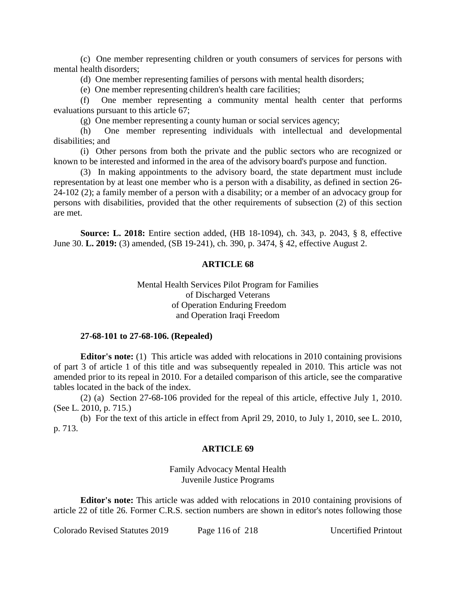(c) One member representing children or youth consumers of services for persons with mental health disorders;

(d) One member representing families of persons with mental health disorders;

(e) One member representing children's health care facilities;

(f) One member representing a community mental health center that performs evaluations pursuant to this article 67;

(g) One member representing a county human or social services agency;

(h) One member representing individuals with intellectual and developmental disabilities; and

(i) Other persons from both the private and the public sectors who are recognized or known to be interested and informed in the area of the advisory board's purpose and function.

(3) In making appointments to the advisory board, the state department must include representation by at least one member who is a person with a disability, as defined in section 26- 24-102 (2); a family member of a person with a disability; or a member of an advocacy group for persons with disabilities, provided that the other requirements of subsection (2) of this section are met.

**Source: L. 2018:** Entire section added, (HB 18-1094), ch. 343, p. 2043, § 8, effective June 30. **L. 2019:** (3) amended, (SB 19-241), ch. 390, p. 3474, § 42, effective August 2.

### **ARTICLE 68**

### Mental Health Services Pilot Program for Families of Discharged Veterans of Operation Enduring Freedom and Operation Iraqi Freedom

#### **27-68-101 to 27-68-106. (Repealed)**

**Editor's note:** (1) This article was added with relocations in 2010 containing provisions of part 3 of article 1 of this title and was subsequently repealed in 2010. This article was not amended prior to its repeal in 2010. For a detailed comparison of this article, see the comparative tables located in the back of the index.

(2) (a) Section 27-68-106 provided for the repeal of this article, effective July 1, 2010. (See L. 2010, p. 715.)

(b) For the text of this article in effect from April 29, 2010, to July 1, 2010, see L. 2010, p. 713.

#### **ARTICLE 69**

Family Advocacy Mental Health Juvenile Justice Programs

**Editor's note:** This article was added with relocations in 2010 containing provisions of article 22 of title 26. Former C.R.S. section numbers are shown in editor's notes following those

Colorado Revised Statutes 2019 Page 116 of 218 Uncertified Printout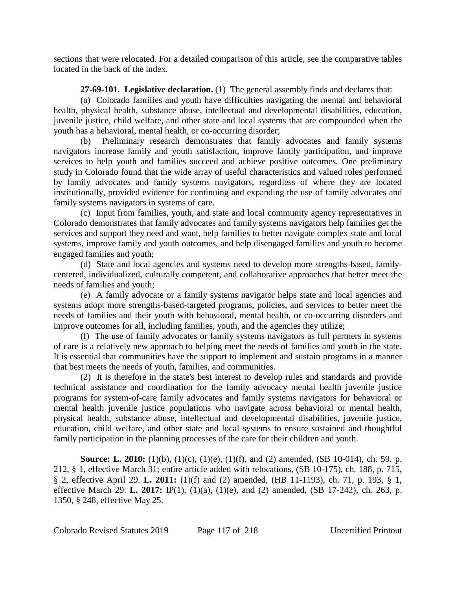sections that were relocated. For a detailed comparison of this article, see the comparative tables located in the back of the index.

**27-69-101. Legislative declaration.** (1) The general assembly finds and declares that:

(a) Colorado families and youth have difficulties navigating the mental and behavioral health, physical health, substance abuse, intellectual and developmental disabilities, education, juvenile justice, child welfare, and other state and local systems that are compounded when the youth has a behavioral, mental health, or co-occurring disorder;

(b) Preliminary research demonstrates that family advocates and family systems navigators increase family and youth satisfaction, improve family participation, and improve services to help youth and families succeed and achieve positive outcomes. One preliminary study in Colorado found that the wide array of useful characteristics and valued roles performed by family advocates and family systems navigators, regardless of where they are located institutionally, provided evidence for continuing and expanding the use of family advocates and family systems navigators in systems of care.

(c) Input from families, youth, and state and local community agency representatives in Colorado demonstrates that family advocates and family systems navigators help families get the services and support they need and want, help families to better navigate complex state and local systems, improve family and youth outcomes, and help disengaged families and youth to become engaged families and youth;

(d) State and local agencies and systems need to develop more strengths-based, familycentered, individualized, culturally competent, and collaborative approaches that better meet the needs of families and youth;

(e) A family advocate or a family systems navigator helps state and local agencies and systems adopt more strengths-based-targeted programs, policies, and services to better meet the needs of families and their youth with behavioral, mental health, or co-occurring disorders and improve outcomes for all, including families, youth, and the agencies they utilize;

(f) The use of family advocates or family systems navigators as full partners in systems of care is a relatively new approach to helping meet the needs of families and youth in the state. It is essential that communities have the support to implement and sustain programs in a manner that best meets the needs of youth, families, and communities.

(2) It is therefore in the state's best interest to develop rules and standards and provide technical assistance and coordination for the family advocacy mental health juvenile justice programs for system-of-care family advocates and family systems navigators for behavioral or mental health juvenile justice populations who navigate across behavioral or mental health, physical health, substance abuse, intellectual and developmental disabilities, juvenile justice, education, child welfare, and other state and local systems to ensure sustained and thoughtful family participation in the planning processes of the care for their children and youth.

**Source: L. 2010:** (1)(b), (1)(c), (1)(e), (1)(f), and (2) amended, (SB 10-014), ch. 59, p. 212, § 1, effective March 31; entire article added with relocations, (SB 10-175), ch. 188, p. 715, § 2, effective April 29. **L. 2011:** (1)(f) and (2) amended, (HB 11-1193), ch. 71, p. 193, § 1, effective March 29. **L. 2017:** IP(1), (1)(a), (1)(e), and (2) amended, (SB 17-242), ch. 263, p. 1350, § 248, effective May 25.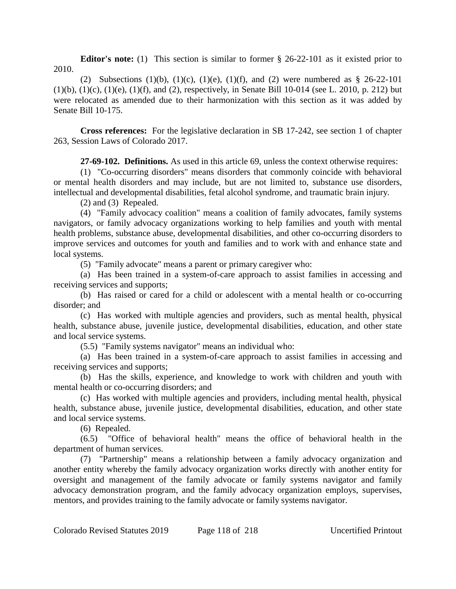**Editor's note:** (1) This section is similar to former § 26-22-101 as it existed prior to 2010.

(2) Subsections (1)(b), (1)(c), (1)(e), (1)(f), and (2) were numbered as  $\S$  26-22-101  $(1)(b)$ ,  $(1)(c)$ ,  $(1)(e)$ ,  $(1)(f)$ , and  $(2)$ , respectively, in Senate Bill 10-014 (see L. 2010, p. 212) but were relocated as amended due to their harmonization with this section as it was added by Senate Bill 10-175.

**Cross references:** For the legislative declaration in SB 17-242, see section 1 of chapter 263, Session Laws of Colorado 2017.

**27-69-102. Definitions.** As used in this article 69, unless the context otherwise requires:

(1) "Co-occurring disorders" means disorders that commonly coincide with behavioral or mental health disorders and may include, but are not limited to, substance use disorders, intellectual and developmental disabilities, fetal alcohol syndrome, and traumatic brain injury.

(2) and (3) Repealed.

(4) "Family advocacy coalition" means a coalition of family advocates, family systems navigators, or family advocacy organizations working to help families and youth with mental health problems, substance abuse, developmental disabilities, and other co-occurring disorders to improve services and outcomes for youth and families and to work with and enhance state and local systems.

(5) "Family advocate" means a parent or primary caregiver who:

(a) Has been trained in a system-of-care approach to assist families in accessing and receiving services and supports;

(b) Has raised or cared for a child or adolescent with a mental health or co-occurring disorder; and

(c) Has worked with multiple agencies and providers, such as mental health, physical health, substance abuse, juvenile justice, developmental disabilities, education, and other state and local service systems.

(5.5) "Family systems navigator" means an individual who:

(a) Has been trained in a system-of-care approach to assist families in accessing and receiving services and supports;

(b) Has the skills, experience, and knowledge to work with children and youth with mental health or co-occurring disorders; and

(c) Has worked with multiple agencies and providers, including mental health, physical health, substance abuse, juvenile justice, developmental disabilities, education, and other state and local service systems.

(6) Repealed.

(6.5) "Office of behavioral health" means the office of behavioral health in the department of human services.

(7) "Partnership" means a relationship between a family advocacy organization and another entity whereby the family advocacy organization works directly with another entity for oversight and management of the family advocate or family systems navigator and family advocacy demonstration program, and the family advocacy organization employs, supervises, mentors, and provides training to the family advocate or family systems navigator.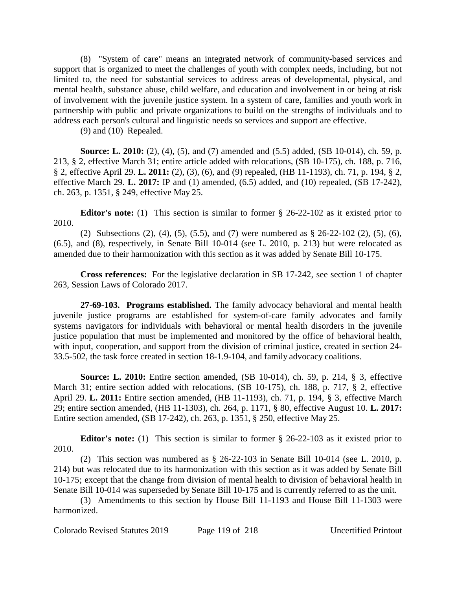(8) "System of care" means an integrated network of community-based services and support that is organized to meet the challenges of youth with complex needs, including, but not limited to, the need for substantial services to address areas of developmental, physical, and mental health, substance abuse, child welfare, and education and involvement in or being at risk of involvement with the juvenile justice system. In a system of care, families and youth work in partnership with public and private organizations to build on the strengths of individuals and to address each person's cultural and linguistic needs so services and support are effective.

(9) and (10) Repealed.

**Source: L. 2010:** (2), (4), (5), and (7) amended and (5.5) added, (SB 10-014), ch. 59, p. 213, § 2, effective March 31; entire article added with relocations, (SB 10-175), ch. 188, p. 716, § 2, effective April 29. **L. 2011:** (2), (3), (6), and (9) repealed, (HB 11-1193), ch. 71, p. 194, § 2, effective March 29. **L. 2017:** IP and (1) amended, (6.5) added, and (10) repealed, (SB 17-242), ch. 263, p. 1351, § 249, effective May 25.

**Editor's note:** (1) This section is similar to former § 26-22-102 as it existed prior to 2010.

(2) Subsections (2), (4), (5), (5.5), and (7) were numbered as § 26-22-102 (2), (5), (6), (6.5), and (8), respectively, in Senate Bill 10-014 (see L. 2010, p. 213) but were relocated as amended due to their harmonization with this section as it was added by Senate Bill 10-175.

**Cross references:** For the legislative declaration in SB 17-242, see section 1 of chapter 263, Session Laws of Colorado 2017.

**27-69-103. Programs established.** The family advocacy behavioral and mental health juvenile justice programs are established for system-of-care family advocates and family systems navigators for individuals with behavioral or mental health disorders in the juvenile justice population that must be implemented and monitored by the office of behavioral health, with input, cooperation, and support from the division of criminal justice, created in section 24- 33.5-502, the task force created in section 18-1.9-104, and family advocacy coalitions.

**Source: L. 2010:** Entire section amended, (SB 10-014), ch. 59, p. 214, § 3, effective March 31; entire section added with relocations, (SB 10-175), ch. 188, p. 717, § 2, effective April 29. **L. 2011:** Entire section amended, (HB 11-1193), ch. 71, p. 194, § 3, effective March 29; entire section amended, (HB 11-1303), ch. 264, p. 1171, § 80, effective August 10. **L. 2017:** Entire section amended, (SB 17-242), ch. 263, p. 1351, § 250, effective May 25.

**Editor's note:** (1) This section is similar to former § 26-22-103 as it existed prior to 2010.

(2) This section was numbered as § 26-22-103 in Senate Bill 10-014 (see L. 2010, p. 214) but was relocated due to its harmonization with this section as it was added by Senate Bill 10-175; except that the change from division of mental health to division of behavioral health in Senate Bill 10-014 was superseded by Senate Bill 10-175 and is currently referred to as the unit.

(3) Amendments to this section by House Bill 11-1193 and House Bill 11-1303 were harmonized.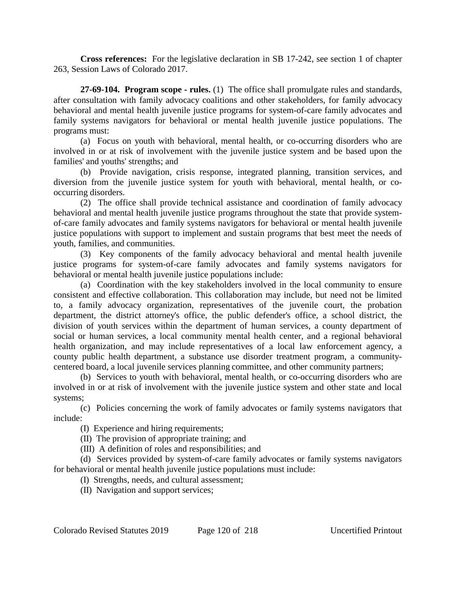**Cross references:** For the legislative declaration in SB 17-242, see section 1 of chapter 263, Session Laws of Colorado 2017.

**27-69-104. Program scope - rules.** (1) The office shall promulgate rules and standards, after consultation with family advocacy coalitions and other stakeholders, for family advocacy behavioral and mental health juvenile justice programs for system-of-care family advocates and family systems navigators for behavioral or mental health juvenile justice populations. The programs must:

(a) Focus on youth with behavioral, mental health, or co-occurring disorders who are involved in or at risk of involvement with the juvenile justice system and be based upon the families' and youths' strengths; and

(b) Provide navigation, crisis response, integrated planning, transition services, and diversion from the juvenile justice system for youth with behavioral, mental health, or cooccurring disorders.

(2) The office shall provide technical assistance and coordination of family advocacy behavioral and mental health juvenile justice programs throughout the state that provide systemof-care family advocates and family systems navigators for behavioral or mental health juvenile justice populations with support to implement and sustain programs that best meet the needs of youth, families, and communities.

(3) Key components of the family advocacy behavioral and mental health juvenile justice programs for system-of-care family advocates and family systems navigators for behavioral or mental health juvenile justice populations include:

(a) Coordination with the key stakeholders involved in the local community to ensure consistent and effective collaboration. This collaboration may include, but need not be limited to, a family advocacy organization, representatives of the juvenile court, the probation department, the district attorney's office, the public defender's office, a school district, the division of youth services within the department of human services, a county department of social or human services, a local community mental health center, and a regional behavioral health organization, and may include representatives of a local law enforcement agency, a county public health department, a substance use disorder treatment program, a communitycentered board, a local juvenile services planning committee, and other community partners;

(b) Services to youth with behavioral, mental health, or co-occurring disorders who are involved in or at risk of involvement with the juvenile justice system and other state and local systems;

(c) Policies concerning the work of family advocates or family systems navigators that include:

(I) Experience and hiring requirements;

(II) The provision of appropriate training; and

(III) A definition of roles and responsibilities; and

(d) Services provided by system-of-care family advocates or family systems navigators for behavioral or mental health juvenile justice populations must include:

(I) Strengths, needs, and cultural assessment;

(II) Navigation and support services;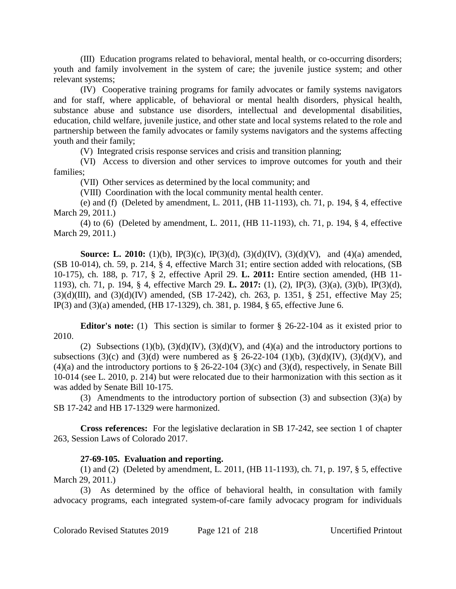(III) Education programs related to behavioral, mental health, or co-occurring disorders; youth and family involvement in the system of care; the juvenile justice system; and other relevant systems;

(IV) Cooperative training programs for family advocates or family systems navigators and for staff, where applicable, of behavioral or mental health disorders, physical health, substance abuse and substance use disorders, intellectual and developmental disabilities, education, child welfare, juvenile justice, and other state and local systems related to the role and partnership between the family advocates or family systems navigators and the systems affecting youth and their family;

(V) Integrated crisis response services and crisis and transition planning;

(VI) Access to diversion and other services to improve outcomes for youth and their families;

(VII) Other services as determined by the local community; and

(VIII) Coordination with the local community mental health center.

(e) and (f) (Deleted by amendment, L. 2011, (HB 11-1193), ch. 71, p. 194, § 4, effective March 29, 2011.)

(4) to (6) (Deleted by amendment, L. 2011, (HB 11-1193), ch. 71, p. 194, § 4, effective March 29, 2011.)

**Source: L. 2010:** (1)(b), IP(3)(c), IP(3)(d), (3)(d)(IV), (3)(d)(V), and (4)(a) amended, (SB 10-014), ch. 59, p. 214, § 4, effective March 31; entire section added with relocations, (SB 10-175), ch. 188, p. 717, § 2, effective April 29. **L. 2011:** Entire section amended, (HB 11- 1193), ch. 71, p. 194, § 4, effective March 29. **L. 2017:** (1), (2), IP(3), (3)(a), (3)(b), IP(3)(d),  $(3)(d)(III)$ , and  $(3)(d)(IV)$  amended,  $(SB 17-242)$ , ch. 263, p. 1351, § 251, effective May 25; IP(3) and (3)(a) amended, (HB 17-1329), ch. 381, p. 1984, § 65, effective June 6.

**Editor's note:** (1) This section is similar to former § 26-22-104 as it existed prior to 2010.

(2) Subsections (1)(b), (3)(d)(IV), (3)(d)(V), and (4)(a) and the introductory portions to subsections (3)(c) and (3)(d) were numbered as  $\S$  26-22-104 (1)(b), (3)(d)(IV), (3)(d)(V), and  $(4)(a)$  and the introductory portions to § 26-22-104 (3)(c) and (3)(d), respectively, in Senate Bill 10-014 (see L. 2010, p. 214) but were relocated due to their harmonization with this section as it was added by Senate Bill 10-175.

(3) Amendments to the introductory portion of subsection (3) and subsection (3)(a) by SB 17-242 and HB 17-1329 were harmonized.

**Cross references:** For the legislative declaration in SB 17-242, see section 1 of chapter 263, Session Laws of Colorado 2017.

# **27-69-105. Evaluation and reporting.**

(1) and (2) (Deleted by amendment, L. 2011, (HB 11-1193), ch. 71, p. 197, § 5, effective March 29, 2011.)

(3) As determined by the office of behavioral health, in consultation with family advocacy programs, each integrated system-of-care family advocacy program for individuals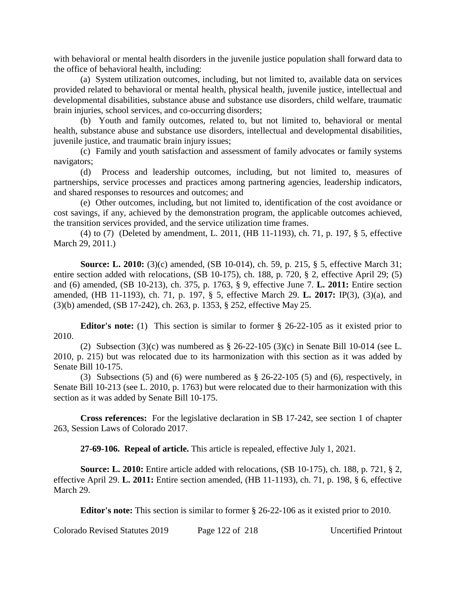with behavioral or mental health disorders in the juvenile justice population shall forward data to the office of behavioral health, including:

(a) System utilization outcomes, including, but not limited to, available data on services provided related to behavioral or mental health, physical health, juvenile justice, intellectual and developmental disabilities, substance abuse and substance use disorders, child welfare, traumatic brain injuries, school services, and co-occurring disorders;

(b) Youth and family outcomes, related to, but not limited to, behavioral or mental health, substance abuse and substance use disorders, intellectual and developmental disabilities, juvenile justice, and traumatic brain injury issues;

(c) Family and youth satisfaction and assessment of family advocates or family systems navigators;

(d) Process and leadership outcomes, including, but not limited to, measures of partnerships, service processes and practices among partnering agencies, leadership indicators, and shared responses to resources and outcomes; and

(e) Other outcomes, including, but not limited to, identification of the cost avoidance or cost savings, if any, achieved by the demonstration program, the applicable outcomes achieved, the transition services provided, and the service utilization time frames.

(4) to (7) (Deleted by amendment, L. 2011, (HB 11-1193), ch. 71, p. 197, § 5, effective March 29, 2011.)

**Source: L. 2010:** (3)(c) amended, (SB 10-014), ch. 59, p. 215, § 5, effective March 31; entire section added with relocations, (SB 10-175), ch. 188, p. 720, § 2, effective April 29; (5) and (6) amended, (SB 10-213), ch. 375, p. 1763, § 9, effective June 7. **L. 2011:** Entire section amended, (HB 11-1193), ch. 71, p. 197, § 5, effective March 29. **L. 2017:** IP(3), (3)(a), and (3)(b) amended, (SB 17-242), ch. 263, p. 1353, § 252, effective May 25.

**Editor's note:** (1) This section is similar to former § 26-22-105 as it existed prior to 2010.

(2) Subsection  $(3)(c)$  was numbered as § 26-22-105  $(3)(c)$  in Senate Bill 10-014 (see L. 2010, p. 215) but was relocated due to its harmonization with this section as it was added by Senate Bill 10-175.

(3) Subsections (5) and (6) were numbered as § 26-22-105 (5) and (6), respectively, in Senate Bill 10-213 (see L. 2010, p. 1763) but were relocated due to their harmonization with this section as it was added by Senate Bill 10-175.

**Cross references:** For the legislative declaration in SB 17-242, see section 1 of chapter 263, Session Laws of Colorado 2017.

**27-69-106. Repeal of article.** This article is repealed, effective July 1, 2021.

**Source: L. 2010:** Entire article added with relocations, (SB 10-175), ch. 188, p. 721, § 2, effective April 29. **L. 2011:** Entire section amended, (HB 11-1193), ch. 71, p. 198, § 6, effective March 29.

**Editor's note:** This section is similar to former § 26-22-106 as it existed prior to 2010.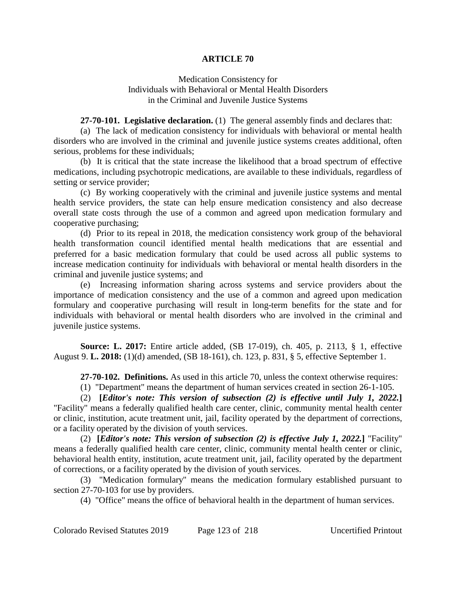### **ARTICLE 70**

### Medication Consistency for Individuals with Behavioral or Mental Health Disorders in the Criminal and Juvenile Justice Systems

**27-70-101. Legislative declaration.** (1) The general assembly finds and declares that:

(a) The lack of medication consistency for individuals with behavioral or mental health disorders who are involved in the criminal and juvenile justice systems creates additional, often serious, problems for these individuals;

(b) It is critical that the state increase the likelihood that a broad spectrum of effective medications, including psychotropic medications, are available to these individuals, regardless of setting or service provider;

(c) By working cooperatively with the criminal and juvenile justice systems and mental health service providers, the state can help ensure medication consistency and also decrease overall state costs through the use of a common and agreed upon medication formulary and cooperative purchasing;

(d) Prior to its repeal in 2018, the medication consistency work group of the behavioral health transformation council identified mental health medications that are essential and preferred for a basic medication formulary that could be used across all public systems to increase medication continuity for individuals with behavioral or mental health disorders in the criminal and juvenile justice systems; and

(e) Increasing information sharing across systems and service providers about the importance of medication consistency and the use of a common and agreed upon medication formulary and cooperative purchasing will result in long-term benefits for the state and for individuals with behavioral or mental health disorders who are involved in the criminal and juvenile justice systems.

**Source: L. 2017:** Entire article added, (SB 17-019), ch. 405, p. 2113, § 1, effective August 9. **L. 2018:** (1)(d) amended, (SB 18-161), ch. 123, p. 831, § 5, effective September 1.

**27-70-102. Definitions.** As used in this article 70, unless the context otherwise requires:

(1) "Department" means the department of human services created in section 26-1-105.

(2) **[***Editor's note: This version of subsection (2) is effective until July 1, 2022.***]** "Facility" means a federally qualified health care center, clinic, community mental health center or clinic, institution, acute treatment unit, jail, facility operated by the department of corrections, or a facility operated by the division of youth services.

(2) **[***Editor's note: This version of subsection (2) is effective July 1, 2022.***]** "Facility" means a federally qualified health care center, clinic, community mental health center or clinic, behavioral health entity, institution, acute treatment unit, jail, facility operated by the department of corrections, or a facility operated by the division of youth services.

(3) "Medication formulary" means the medication formulary established pursuant to section 27-70-103 for use by providers.

(4) "Office" means the office of behavioral health in the department of human services.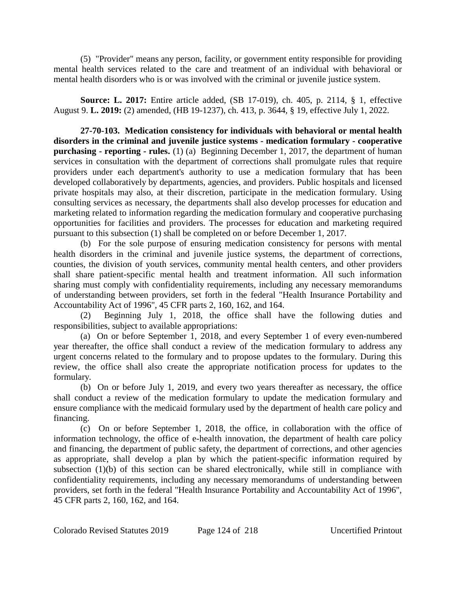(5) "Provider" means any person, facility, or government entity responsible for providing mental health services related to the care and treatment of an individual with behavioral or mental health disorders who is or was involved with the criminal or juvenile justice system.

**Source: L. 2017:** Entire article added, (SB 17-019), ch. 405, p. 2114, § 1, effective August 9. **L. 2019:** (2) amended, (HB 19-1237), ch. 413, p. 3644, § 19, effective July 1, 2022.

**27-70-103. Medication consistency for individuals with behavioral or mental health disorders in the criminal and juvenile justice systems - medication formulary - cooperative purchasing - reporting - rules.** (1) (a) Beginning December 1, 2017, the department of human services in consultation with the department of corrections shall promulgate rules that require providers under each department's authority to use a medication formulary that has been developed collaboratively by departments, agencies, and providers. Public hospitals and licensed private hospitals may also, at their discretion, participate in the medication formulary. Using consulting services as necessary, the departments shall also develop processes for education and marketing related to information regarding the medication formulary and cooperative purchasing opportunities for facilities and providers. The processes for education and marketing required pursuant to this subsection (1) shall be completed on or before December 1, 2017.

(b) For the sole purpose of ensuring medication consistency for persons with mental health disorders in the criminal and juvenile justice systems, the department of corrections, counties, the division of youth services, community mental health centers, and other providers shall share patient-specific mental health and treatment information. All such information sharing must comply with confidentiality requirements, including any necessary memorandums of understanding between providers, set forth in the federal "Health Insurance Portability and Accountability Act of 1996", 45 CFR parts 2, 160, 162, and 164.

(2) Beginning July 1, 2018, the office shall have the following duties and responsibilities, subject to available appropriations:

(a) On or before September 1, 2018, and every September 1 of every even-numbered year thereafter, the office shall conduct a review of the medication formulary to address any urgent concerns related to the formulary and to propose updates to the formulary. During this review, the office shall also create the appropriate notification process for updates to the formulary.

(b) On or before July 1, 2019, and every two years thereafter as necessary, the office shall conduct a review of the medication formulary to update the medication formulary and ensure compliance with the medicaid formulary used by the department of health care policy and financing.

(c) On or before September 1, 2018, the office, in collaboration with the office of information technology, the office of e-health innovation, the department of health care policy and financing, the department of public safety, the department of corrections, and other agencies as appropriate, shall develop a plan by which the patient-specific information required by subsection (1)(b) of this section can be shared electronically, while still in compliance with confidentiality requirements, including any necessary memorandums of understanding between providers, set forth in the federal "Health Insurance Portability and Accountability Act of 1996", 45 CFR parts 2, 160, 162, and 164.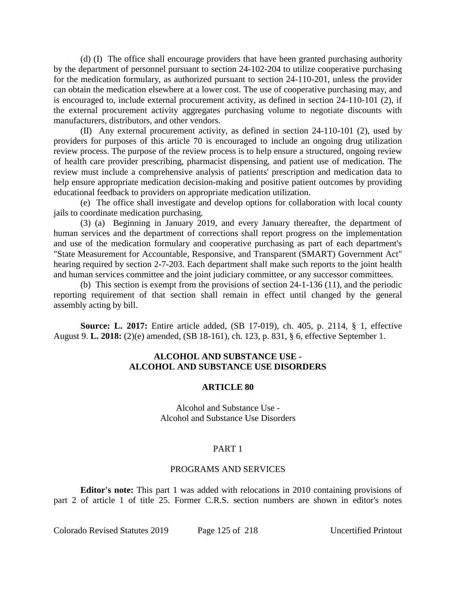(d) (I) The office shall encourage providers that have been granted purchasing authority by the department of personnel pursuant to section 24-102-204 to utilize cooperative purchasing for the medication formulary, as authorized pursuant to section 24-110-201, unless the provider can obtain the medication elsewhere at a lower cost. The use of cooperative purchasing may, and is encouraged to, include external procurement activity, as defined in section 24-110-101 (2), if the external procurement activity aggregates purchasing volume to negotiate discounts with manufacturers, distributors, and other vendors.

(II) Any external procurement activity, as defined in section 24-110-101 (2), used by providers for purposes of this article 70 is encouraged to include an ongoing drug utilization review process. The purpose of the review process is to help ensure a structured, ongoing review of health care provider prescribing, pharmacist dispensing, and patient use of medication. The review must include a comprehensive analysis of patients' prescription and medication data to help ensure appropriate medication decision-making and positive patient outcomes by providing educational feedback to providers on appropriate medication utilization.

(e) The office shall investigate and develop options for collaboration with local county jails to coordinate medication purchasing.

(3) (a) Beginning in January 2019, and every January thereafter, the department of human services and the department of corrections shall report progress on the implementation and use of the medication formulary and cooperative purchasing as part of each department's "State Measurement for Accountable, Responsive, and Transparent (SMART) Government Act" hearing required by section 2-7-203. Each department shall make such reports to the joint health and human services committee and the joint judiciary committee, or any successor committees.

(b) This section is exempt from the provisions of section 24-1-136 (11), and the periodic reporting requirement of that section shall remain in effect until changed by the general assembly acting by bill.

**Source: L. 2017:** Entire article added, (SB 17-019), ch. 405, p. 2114, § 1, effective August 9. **L. 2018:** (2)(e) amended, (SB 18-161), ch. 123, p. 831, § 6, effective September 1.

# **ALCOHOL AND SUBSTANCE USE - ALCOHOL AND SUBSTANCE USE DISORDERS**

### **ARTICLE 80**

Alcohol and Substance Use - Alcohol and Substance Use Disorders

### PART 1

### PROGRAMS AND SERVICES

**Editor's note:** This part 1 was added with relocations in 2010 containing provisions of part 2 of article 1 of title 25. Former C.R.S. section numbers are shown in editor's notes

Colorado Revised Statutes 2019 Page 125 of 218 Uncertified Printout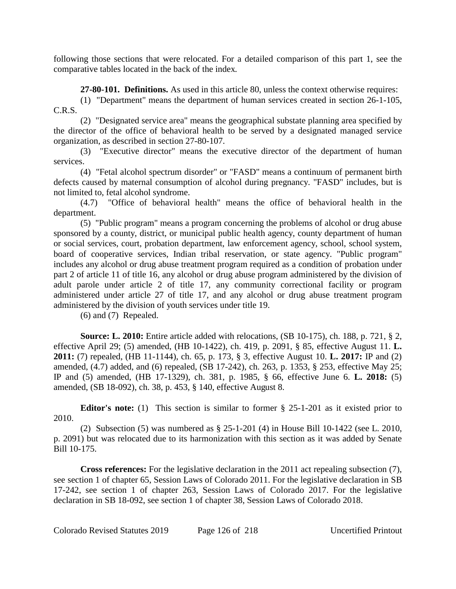following those sections that were relocated. For a detailed comparison of this part 1, see the comparative tables located in the back of the index.

**27-80-101. Definitions.** As used in this article 80, unless the context otherwise requires:

(1) "Department" means the department of human services created in section 26-1-105, C.R.S.

(2) "Designated service area" means the geographical substate planning area specified by the director of the office of behavioral health to be served by a designated managed service organization, as described in section 27-80-107.

(3) "Executive director" means the executive director of the department of human services.

(4) "Fetal alcohol spectrum disorder" or "FASD" means a continuum of permanent birth defects caused by maternal consumption of alcohol during pregnancy. "FASD" includes, but is not limited to, fetal alcohol syndrome.

(4.7) "Office of behavioral health" means the office of behavioral health in the department.

(5) "Public program" means a program concerning the problems of alcohol or drug abuse sponsored by a county, district, or municipal public health agency, county department of human or social services, court, probation department, law enforcement agency, school, school system, board of cooperative services, Indian tribal reservation, or state agency. "Public program" includes any alcohol or drug abuse treatment program required as a condition of probation under part 2 of article 11 of title 16, any alcohol or drug abuse program administered by the division of adult parole under article 2 of title 17, any community correctional facility or program administered under article 27 of title 17, and any alcohol or drug abuse treatment program administered by the division of youth services under title 19.

(6) and (7) Repealed.

**Source: L. 2010:** Entire article added with relocations, (SB 10-175), ch. 188, p. 721, § 2, effective April 29; (5) amended, (HB 10-1422), ch. 419, p. 2091, § 85, effective August 11. **L. 2011:** (7) repealed, (HB 11-1144), ch. 65, p. 173, § 3, effective August 10. **L. 2017:** IP and (2) amended, (4.7) added, and (6) repealed, (SB 17-242), ch. 263, p. 1353, § 253, effective May 25; IP and (5) amended, (HB 17-1329), ch. 381, p. 1985, § 66, effective June 6. **L. 2018:** (5) amended, (SB 18-092), ch. 38, p. 453, § 140, effective August 8.

**Editor's note:** (1) This section is similar to former § 25-1-201 as it existed prior to 2010.

(2) Subsection (5) was numbered as § 25-1-201 (4) in House Bill 10-1422 (see L. 2010, p. 2091) but was relocated due to its harmonization with this section as it was added by Senate Bill 10-175.

**Cross references:** For the legislative declaration in the 2011 act repealing subsection (7), see section 1 of chapter 65, Session Laws of Colorado 2011. For the legislative declaration in SB 17-242, see section 1 of chapter 263, Session Laws of Colorado 2017. For the legislative declaration in SB 18-092, see section 1 of chapter 38, Session Laws of Colorado 2018.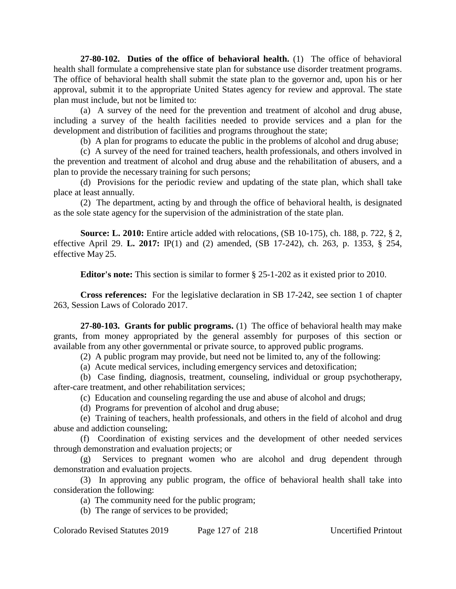**27-80-102. Duties of the office of behavioral health.** (1) The office of behavioral health shall formulate a comprehensive state plan for substance use disorder treatment programs. The office of behavioral health shall submit the state plan to the governor and, upon his or her approval, submit it to the appropriate United States agency for review and approval. The state plan must include, but not be limited to:

(a) A survey of the need for the prevention and treatment of alcohol and drug abuse, including a survey of the health facilities needed to provide services and a plan for the development and distribution of facilities and programs throughout the state;

(b) A plan for programs to educate the public in the problems of alcohol and drug abuse;

(c) A survey of the need for trained teachers, health professionals, and others involved in the prevention and treatment of alcohol and drug abuse and the rehabilitation of abusers, and a plan to provide the necessary training for such persons;

(d) Provisions for the periodic review and updating of the state plan, which shall take place at least annually.

(2) The department, acting by and through the office of behavioral health, is designated as the sole state agency for the supervision of the administration of the state plan.

**Source: L. 2010:** Entire article added with relocations, (SB 10-175), ch. 188, p. 722, § 2, effective April 29. **L. 2017:** IP(1) and (2) amended, (SB 17-242), ch. 263, p. 1353, § 254, effective May 25.

**Editor's note:** This section is similar to former § 25-1-202 as it existed prior to 2010.

**Cross references:** For the legislative declaration in SB 17-242, see section 1 of chapter 263, Session Laws of Colorado 2017.

**27-80-103. Grants for public programs.** (1) The office of behavioral health may make grants, from money appropriated by the general assembly for purposes of this section or available from any other governmental or private source, to approved public programs.

(2) A public program may provide, but need not be limited to, any of the following:

(a) Acute medical services, including emergency services and detoxification;

(b) Case finding, diagnosis, treatment, counseling, individual or group psychotherapy, after-care treatment, and other rehabilitation services;

(c) Education and counseling regarding the use and abuse of alcohol and drugs;

(d) Programs for prevention of alcohol and drug abuse;

(e) Training of teachers, health professionals, and others in the field of alcohol and drug abuse and addiction counseling;

(f) Coordination of existing services and the development of other needed services through demonstration and evaluation projects; or

(g) Services to pregnant women who are alcohol and drug dependent through demonstration and evaluation projects.

(3) In approving any public program, the office of behavioral health shall take into consideration the following:

(a) The community need for the public program;

(b) The range of services to be provided;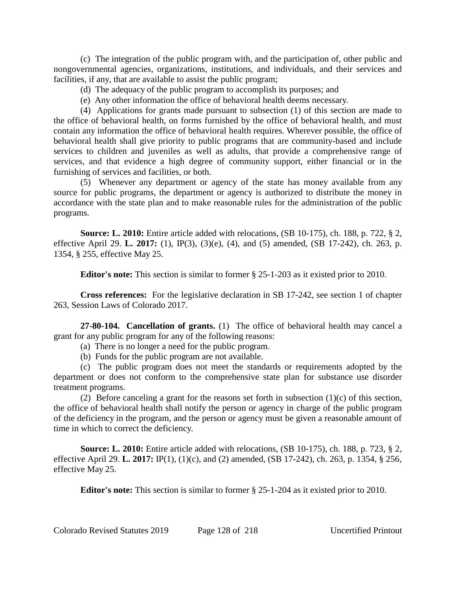(c) The integration of the public program with, and the participation of, other public and nongovernmental agencies, organizations, institutions, and individuals, and their services and facilities, if any, that are available to assist the public program;

- (d) The adequacy of the public program to accomplish its purposes; and
- (e) Any other information the office of behavioral health deems necessary.

(4) Applications for grants made pursuant to subsection (1) of this section are made to the office of behavioral health, on forms furnished by the office of behavioral health, and must contain any information the office of behavioral health requires. Wherever possible, the office of behavioral health shall give priority to public programs that are community-based and include services to children and juveniles as well as adults, that provide a comprehensive range of services, and that evidence a high degree of community support, either financial or in the furnishing of services and facilities, or both.

(5) Whenever any department or agency of the state has money available from any source for public programs, the department or agency is authorized to distribute the money in accordance with the state plan and to make reasonable rules for the administration of the public programs.

**Source: L. 2010:** Entire article added with relocations, (SB 10-175), ch. 188, p. 722, § 2, effective April 29. **L. 2017:** (1), IP(3), (3)(e), (4), and (5) amended, (SB 17-242), ch. 263, p. 1354, § 255, effective May 25.

**Editor's note:** This section is similar to former § 25-1-203 as it existed prior to 2010.

**Cross references:** For the legislative declaration in SB 17-242, see section 1 of chapter 263, Session Laws of Colorado 2017.

**27-80-104. Cancellation of grants.** (1) The office of behavioral health may cancel a grant for any public program for any of the following reasons:

(a) There is no longer a need for the public program.

(b) Funds for the public program are not available.

(c) The public program does not meet the standards or requirements adopted by the department or does not conform to the comprehensive state plan for substance use disorder treatment programs.

(2) Before canceling a grant for the reasons set forth in subsection  $(1)(c)$  of this section, the office of behavioral health shall notify the person or agency in charge of the public program of the deficiency in the program, and the person or agency must be given a reasonable amount of time in which to correct the deficiency.

**Source: L. 2010:** Entire article added with relocations, (SB 10-175), ch. 188, p. 723, § 2, effective April 29. **L. 2017:** IP(1), (1)(c), and (2) amended, (SB 17-242), ch. 263, p. 1354, § 256, effective May 25.

**Editor's note:** This section is similar to former § 25-1-204 as it existed prior to 2010.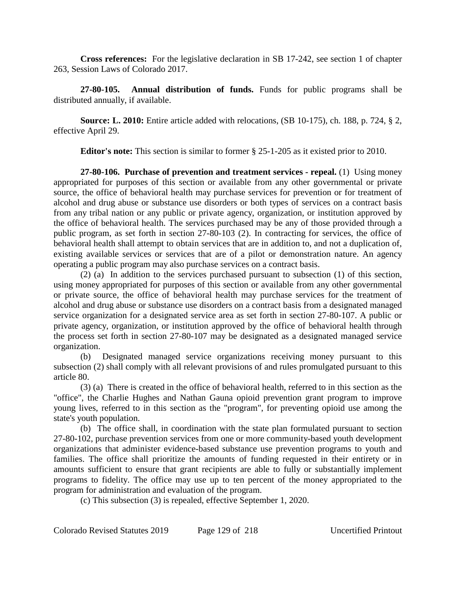**Cross references:** For the legislative declaration in SB 17-242, see section 1 of chapter 263, Session Laws of Colorado 2017.

**27-80-105. Annual distribution of funds.** Funds for public programs shall be distributed annually, if available.

**Source: L. 2010:** Entire article added with relocations, (SB 10-175), ch. 188, p. 724, § 2, effective April 29.

**Editor's note:** This section is similar to former § 25-1-205 as it existed prior to 2010.

**27-80-106. Purchase of prevention and treatment services - repeal.** (1) Using money appropriated for purposes of this section or available from any other governmental or private source, the office of behavioral health may purchase services for prevention or for treatment of alcohol and drug abuse or substance use disorders or both types of services on a contract basis from any tribal nation or any public or private agency, organization, or institution approved by the office of behavioral health. The services purchased may be any of those provided through a public program, as set forth in section 27-80-103 (2). In contracting for services, the office of behavioral health shall attempt to obtain services that are in addition to, and not a duplication of, existing available services or services that are of a pilot or demonstration nature. An agency operating a public program may also purchase services on a contract basis.

(2) (a) In addition to the services purchased pursuant to subsection (1) of this section, using money appropriated for purposes of this section or available from any other governmental or private source, the office of behavioral health may purchase services for the treatment of alcohol and drug abuse or substance use disorders on a contract basis from a designated managed service organization for a designated service area as set forth in section 27-80-107. A public or private agency, organization, or institution approved by the office of behavioral health through the process set forth in section 27-80-107 may be designated as a designated managed service organization.

(b) Designated managed service organizations receiving money pursuant to this subsection (2) shall comply with all relevant provisions of and rules promulgated pursuant to this article 80.

(3) (a) There is created in the office of behavioral health, referred to in this section as the "office", the Charlie Hughes and Nathan Gauna opioid prevention grant program to improve young lives, referred to in this section as the "program", for preventing opioid use among the state's youth population.

(b) The office shall, in coordination with the state plan formulated pursuant to section 27-80-102, purchase prevention services from one or more community-based youth development organizations that administer evidence-based substance use prevention programs to youth and families. The office shall prioritize the amounts of funding requested in their entirety or in amounts sufficient to ensure that grant recipients are able to fully or substantially implement programs to fidelity. The office may use up to ten percent of the money appropriated to the program for administration and evaluation of the program.

(c) This subsection (3) is repealed, effective September 1, 2020.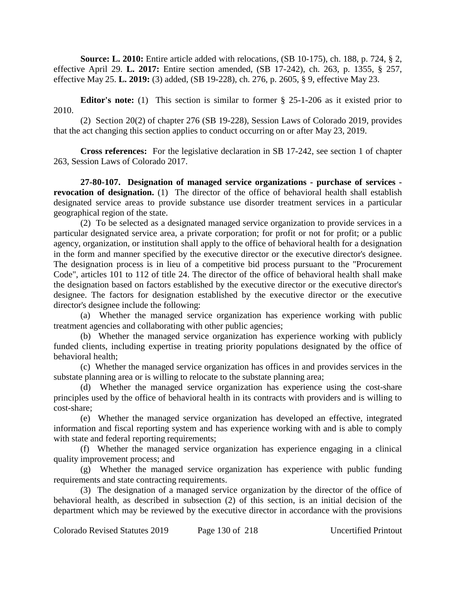**Source: L. 2010:** Entire article added with relocations, (SB 10-175), ch. 188, p. 724, § 2, effective April 29. **L. 2017:** Entire section amended, (SB 17-242), ch. 263, p. 1355, § 257, effective May 25. **L. 2019:** (3) added, (SB 19-228), ch. 276, p. 2605, § 9, effective May 23.

**Editor's note:** (1) This section is similar to former § 25-1-206 as it existed prior to 2010.

(2) Section 20(2) of chapter 276 (SB 19-228), Session Laws of Colorado 2019, provides that the act changing this section applies to conduct occurring on or after May 23, 2019.

**Cross references:** For the legislative declaration in SB 17-242, see section 1 of chapter 263, Session Laws of Colorado 2017.

**27-80-107. Designation of managed service organizations - purchase of services revocation of designation.** (1) The director of the office of behavioral health shall establish designated service areas to provide substance use disorder treatment services in a particular geographical region of the state.

(2) To be selected as a designated managed service organization to provide services in a particular designated service area, a private corporation; for profit or not for profit; or a public agency, organization, or institution shall apply to the office of behavioral health for a designation in the form and manner specified by the executive director or the executive director's designee. The designation process is in lieu of a competitive bid process pursuant to the "Procurement Code", articles 101 to 112 of title 24. The director of the office of behavioral health shall make the designation based on factors established by the executive director or the executive director's designee. The factors for designation established by the executive director or the executive director's designee include the following:

(a) Whether the managed service organization has experience working with public treatment agencies and collaborating with other public agencies;

(b) Whether the managed service organization has experience working with publicly funded clients, including expertise in treating priority populations designated by the office of behavioral health;

(c) Whether the managed service organization has offices in and provides services in the substate planning area or is willing to relocate to the substate planning area;

(d) Whether the managed service organization has experience using the cost-share principles used by the office of behavioral health in its contracts with providers and is willing to cost-share;

(e) Whether the managed service organization has developed an effective, integrated information and fiscal reporting system and has experience working with and is able to comply with state and federal reporting requirements;

(f) Whether the managed service organization has experience engaging in a clinical quality improvement process; and

(g) Whether the managed service organization has experience with public funding requirements and state contracting requirements.

(3) The designation of a managed service organization by the director of the office of behavioral health, as described in subsection (2) of this section, is an initial decision of the department which may be reviewed by the executive director in accordance with the provisions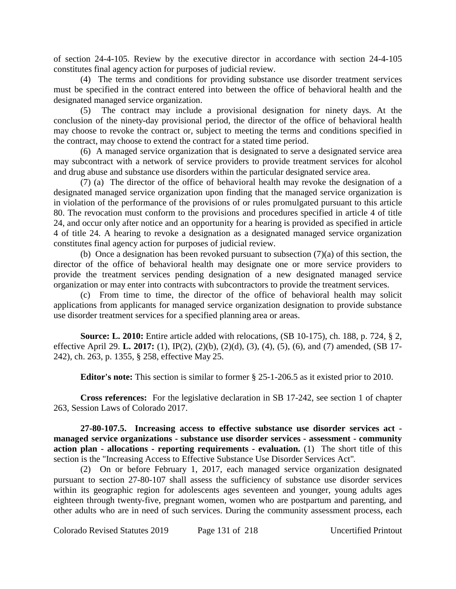of section 24-4-105. Review by the executive director in accordance with section 24-4-105 constitutes final agency action for purposes of judicial review.

(4) The terms and conditions for providing substance use disorder treatment services must be specified in the contract entered into between the office of behavioral health and the designated managed service organization.

(5) The contract may include a provisional designation for ninety days. At the conclusion of the ninety-day provisional period, the director of the office of behavioral health may choose to revoke the contract or, subject to meeting the terms and conditions specified in the contract, may choose to extend the contract for a stated time period.

(6) A managed service organization that is designated to serve a designated service area may subcontract with a network of service providers to provide treatment services for alcohol and drug abuse and substance use disorders within the particular designated service area.

(7) (a) The director of the office of behavioral health may revoke the designation of a designated managed service organization upon finding that the managed service organization is in violation of the performance of the provisions of or rules promulgated pursuant to this article 80. The revocation must conform to the provisions and procedures specified in article 4 of title 24, and occur only after notice and an opportunity for a hearing is provided as specified in article 4 of title 24. A hearing to revoke a designation as a designated managed service organization constitutes final agency action for purposes of judicial review.

(b) Once a designation has been revoked pursuant to subsection (7)(a) of this section, the director of the office of behavioral health may designate one or more service providers to provide the treatment services pending designation of a new designated managed service organization or may enter into contracts with subcontractors to provide the treatment services.

(c) From time to time, the director of the office of behavioral health may solicit applications from applicants for managed service organization designation to provide substance use disorder treatment services for a specified planning area or areas.

**Source: L. 2010:** Entire article added with relocations, (SB 10-175), ch. 188, p. 724, § 2, effective April 29. **L. 2017:** (1), IP(2), (2)(b), (2)(d), (3), (4), (5), (6), and (7) amended, (SB 17- 242), ch. 263, p. 1355, § 258, effective May 25.

**Editor's note:** This section is similar to former § 25-1-206.5 as it existed prior to 2010.

**Cross references:** For the legislative declaration in SB 17-242, see section 1 of chapter 263, Session Laws of Colorado 2017.

**27-80-107.5. Increasing access to effective substance use disorder services act managed service organizations - substance use disorder services - assessment - community action plan - allocations - reporting requirements - evaluation.** (1) The short title of this section is the "Increasing Access to Effective Substance Use Disorder Services Act".

(2) On or before February 1, 2017, each managed service organization designated pursuant to section 27-80-107 shall assess the sufficiency of substance use disorder services within its geographic region for adolescents ages seventeen and younger, young adults ages eighteen through twenty-five, pregnant women, women who are postpartum and parenting, and other adults who are in need of such services. During the community assessment process, each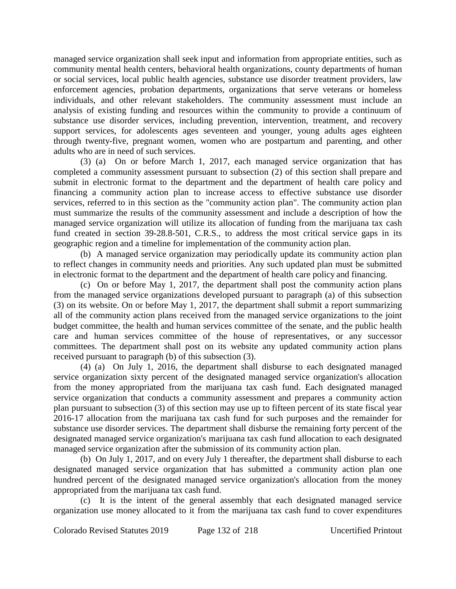managed service organization shall seek input and information from appropriate entities, such as community mental health centers, behavioral health organizations, county departments of human or social services, local public health agencies, substance use disorder treatment providers, law enforcement agencies, probation departments, organizations that serve veterans or homeless individuals, and other relevant stakeholders. The community assessment must include an analysis of existing funding and resources within the community to provide a continuum of substance use disorder services, including prevention, intervention, treatment, and recovery support services, for adolescents ages seventeen and younger, young adults ages eighteen through twenty-five, pregnant women, women who are postpartum and parenting, and other adults who are in need of such services.

(3) (a) On or before March 1, 2017, each managed service organization that has completed a community assessment pursuant to subsection (2) of this section shall prepare and submit in electronic format to the department and the department of health care policy and financing a community action plan to increase access to effective substance use disorder services, referred to in this section as the "community action plan". The community action plan must summarize the results of the community assessment and include a description of how the managed service organization will utilize its allocation of funding from the marijuana tax cash fund created in section 39-28.8-501, C.R.S., to address the most critical service gaps in its geographic region and a timeline for implementation of the community action plan.

(b) A managed service organization may periodically update its community action plan to reflect changes in community needs and priorities. Any such updated plan must be submitted in electronic format to the department and the department of health care policy and financing.

(c) On or before May 1, 2017, the department shall post the community action plans from the managed service organizations developed pursuant to paragraph (a) of this subsection (3) on its website. On or before May 1, 2017, the department shall submit a report summarizing all of the community action plans received from the managed service organizations to the joint budget committee, the health and human services committee of the senate, and the public health care and human services committee of the house of representatives, or any successor committees. The department shall post on its website any updated community action plans received pursuant to paragraph (b) of this subsection (3).

(4) (a) On July 1, 2016, the department shall disburse to each designated managed service organization sixty percent of the designated managed service organization's allocation from the money appropriated from the marijuana tax cash fund. Each designated managed service organization that conducts a community assessment and prepares a community action plan pursuant to subsection (3) of this section may use up to fifteen percent of its state fiscal year 2016-17 allocation from the marijuana tax cash fund for such purposes and the remainder for substance use disorder services. The department shall disburse the remaining forty percent of the designated managed service organization's marijuana tax cash fund allocation to each designated managed service organization after the submission of its community action plan.

(b) On July 1, 2017, and on every July 1 thereafter, the department shall disburse to each designated managed service organization that has submitted a community action plan one hundred percent of the designated managed service organization's allocation from the money appropriated from the marijuana tax cash fund.

(c) It is the intent of the general assembly that each designated managed service organization use money allocated to it from the marijuana tax cash fund to cover expenditures

Colorado Revised Statutes 2019 Page 132 of 218 Uncertified Printout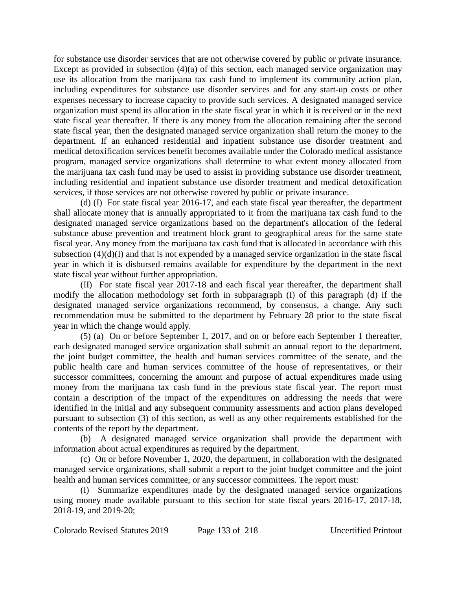for substance use disorder services that are not otherwise covered by public or private insurance. Except as provided in subsection (4)(a) of this section, each managed service organization may use its allocation from the marijuana tax cash fund to implement its community action plan, including expenditures for substance use disorder services and for any start-up costs or other expenses necessary to increase capacity to provide such services. A designated managed service organization must spend its allocation in the state fiscal year in which it is received or in the next state fiscal year thereafter. If there is any money from the allocation remaining after the second state fiscal year, then the designated managed service organization shall return the money to the department. If an enhanced residential and inpatient substance use disorder treatment and medical detoxification services benefit becomes available under the Colorado medical assistance program, managed service organizations shall determine to what extent money allocated from the marijuana tax cash fund may be used to assist in providing substance use disorder treatment, including residential and inpatient substance use disorder treatment and medical detoxification services, if those services are not otherwise covered by public or private insurance.

(d) (I) For state fiscal year 2016-17, and each state fiscal year thereafter, the department shall allocate money that is annually appropriated to it from the marijuana tax cash fund to the designated managed service organizations based on the department's allocation of the federal substance abuse prevention and treatment block grant to geographical areas for the same state fiscal year. Any money from the marijuana tax cash fund that is allocated in accordance with this subsection (4)(d)(I) and that is not expended by a managed service organization in the state fiscal year in which it is disbursed remains available for expenditure by the department in the next state fiscal year without further appropriation.

(II) For state fiscal year 2017-18 and each fiscal year thereafter, the department shall modify the allocation methodology set forth in subparagraph (I) of this paragraph (d) if the designated managed service organizations recommend, by consensus, a change. Any such recommendation must be submitted to the department by February 28 prior to the state fiscal year in which the change would apply.

(5) (a) On or before September 1, 2017, and on or before each September 1 thereafter, each designated managed service organization shall submit an annual report to the department, the joint budget committee, the health and human services committee of the senate, and the public health care and human services committee of the house of representatives, or their successor committees, concerning the amount and purpose of actual expenditures made using money from the marijuana tax cash fund in the previous state fiscal year. The report must contain a description of the impact of the expenditures on addressing the needs that were identified in the initial and any subsequent community assessments and action plans developed pursuant to subsection (3) of this section, as well as any other requirements established for the contents of the report by the department.

(b) A designated managed service organization shall provide the department with information about actual expenditures as required by the department.

(c) On or before November 1, 2020, the department, in collaboration with the designated managed service organizations, shall submit a report to the joint budget committee and the joint health and human services committee, or any successor committees. The report must:

(I) Summarize expenditures made by the designated managed service organizations using money made available pursuant to this section for state fiscal years 2016-17, 2017-18, 2018-19, and 2019-20;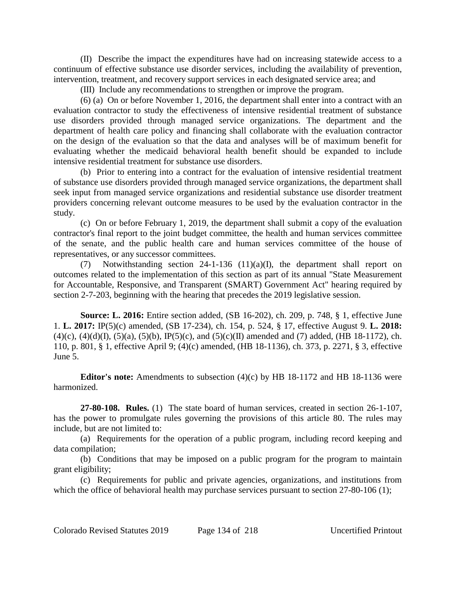(II) Describe the impact the expenditures have had on increasing statewide access to a continuum of effective substance use disorder services, including the availability of prevention, intervention, treatment, and recovery support services in each designated service area; and

(III) Include any recommendations to strengthen or improve the program.

(6) (a) On or before November 1, 2016, the department shall enter into a contract with an evaluation contractor to study the effectiveness of intensive residential treatment of substance use disorders provided through managed service organizations. The department and the department of health care policy and financing shall collaborate with the evaluation contractor on the design of the evaluation so that the data and analyses will be of maximum benefit for evaluating whether the medicaid behavioral health benefit should be expanded to include intensive residential treatment for substance use disorders.

(b) Prior to entering into a contract for the evaluation of intensive residential treatment of substance use disorders provided through managed service organizations, the department shall seek input from managed service organizations and residential substance use disorder treatment providers concerning relevant outcome measures to be used by the evaluation contractor in the study.

(c) On or before February 1, 2019, the department shall submit a copy of the evaluation contractor's final report to the joint budget committee, the health and human services committee of the senate, and the public health care and human services committee of the house of representatives, or any successor committees.

(7) Notwithstanding section 24-1-136 (11)(a)(I), the department shall report on outcomes related to the implementation of this section as part of its annual "State Measurement for Accountable, Responsive, and Transparent (SMART) Government Act" hearing required by section 2-7-203, beginning with the hearing that precedes the 2019 legislative session.

**Source: L. 2016:** Entire section added, (SB 16-202), ch. 209, p. 748, § 1, effective June 1. **L. 2017:** IP(5)(c) amended, (SB 17-234), ch. 154, p. 524, § 17, effective August 9. **L. 2018:**  $(4)(c)$ ,  $(4)(d)(I)$ ,  $(5)(a)$ ,  $(5)(b)$ ,  $IP(5)(c)$ , and  $(5)(c)(II)$  amended and (7) added, (HB 18-1172), ch. 110, p. 801, § 1, effective April 9; (4)(c) amended, (HB 18-1136), ch. 373, p. 2271, § 3, effective June 5.

**Editor's note:** Amendments to subsection (4)(c) by HB 18-1172 and HB 18-1136 were harmonized.

**27-80-108. Rules.** (1) The state board of human services, created in section 26-1-107, has the power to promulgate rules governing the provisions of this article 80. The rules may include, but are not limited to:

(a) Requirements for the operation of a public program, including record keeping and data compilation;

(b) Conditions that may be imposed on a public program for the program to maintain grant eligibility;

(c) Requirements for public and private agencies, organizations, and institutions from which the office of behavioral health may purchase services pursuant to section 27-80-106 (1);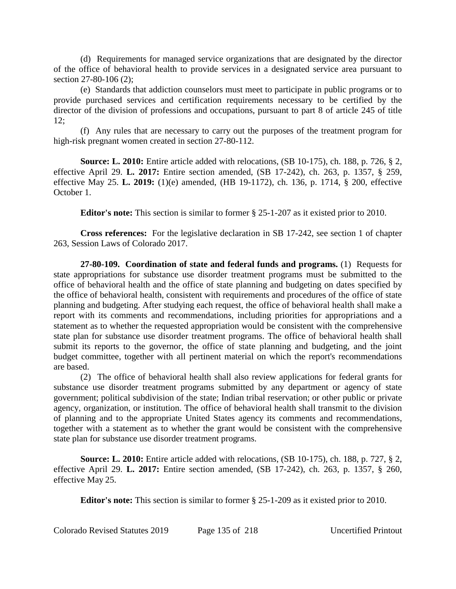(d) Requirements for managed service organizations that are designated by the director of the office of behavioral health to provide services in a designated service area pursuant to section 27-80-106 (2);

(e) Standards that addiction counselors must meet to participate in public programs or to provide purchased services and certification requirements necessary to be certified by the director of the division of professions and occupations, pursuant to part 8 of article 245 of title 12;

(f) Any rules that are necessary to carry out the purposes of the treatment program for high-risk pregnant women created in section 27-80-112.

**Source: L. 2010:** Entire article added with relocations, (SB 10-175), ch. 188, p. 726, § 2, effective April 29. **L. 2017:** Entire section amended, (SB 17-242), ch. 263, p. 1357, § 259, effective May 25. **L. 2019:** (1)(e) amended, (HB 19-1172), ch. 136, p. 1714, § 200, effective October 1.

**Editor's note:** This section is similar to former § 25-1-207 as it existed prior to 2010.

**Cross references:** For the legislative declaration in SB 17-242, see section 1 of chapter 263, Session Laws of Colorado 2017.

**27-80-109. Coordination of state and federal funds and programs.** (1) Requests for state appropriations for substance use disorder treatment programs must be submitted to the office of behavioral health and the office of state planning and budgeting on dates specified by the office of behavioral health, consistent with requirements and procedures of the office of state planning and budgeting. After studying each request, the office of behavioral health shall make a report with its comments and recommendations, including priorities for appropriations and a statement as to whether the requested appropriation would be consistent with the comprehensive state plan for substance use disorder treatment programs. The office of behavioral health shall submit its reports to the governor, the office of state planning and budgeting, and the joint budget committee, together with all pertinent material on which the report's recommendations are based.

(2) The office of behavioral health shall also review applications for federal grants for substance use disorder treatment programs submitted by any department or agency of state government; political subdivision of the state; Indian tribal reservation; or other public or private agency, organization, or institution. The office of behavioral health shall transmit to the division of planning and to the appropriate United States agency its comments and recommendations, together with a statement as to whether the grant would be consistent with the comprehensive state plan for substance use disorder treatment programs.

**Source: L. 2010:** Entire article added with relocations, (SB 10-175), ch. 188, p. 727, § 2, effective April 29. **L. 2017:** Entire section amended, (SB 17-242), ch. 263, p. 1357, § 260, effective May 25.

**Editor's note:** This section is similar to former § 25-1-209 as it existed prior to 2010.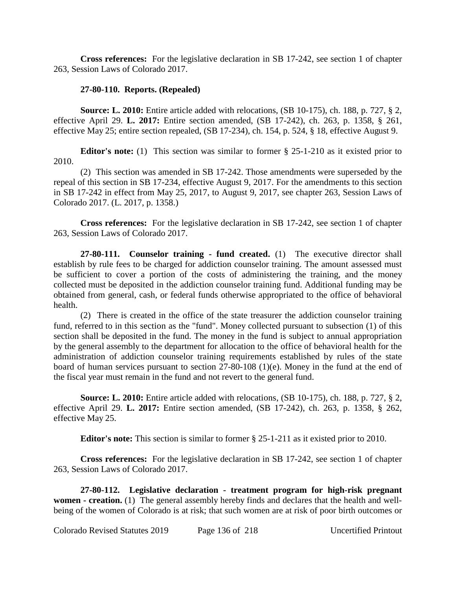**Cross references:** For the legislative declaration in SB 17-242, see section 1 of chapter 263, Session Laws of Colorado 2017.

# **27-80-110. Reports. (Repealed)**

**Source: L. 2010:** Entire article added with relocations, (SB 10-175), ch. 188, p. 727, § 2, effective April 29. **L. 2017:** Entire section amended, (SB 17-242), ch. 263, p. 1358, § 261, effective May 25; entire section repealed, (SB 17-234), ch. 154, p. 524, § 18, effective August 9.

**Editor's note:** (1) This section was similar to former § 25-1-210 as it existed prior to 2010.

(2) This section was amended in SB 17-242. Those amendments were superseded by the repeal of this section in SB 17-234, effective August 9, 2017. For the amendments to this section in SB 17-242 in effect from May 25, 2017, to August 9, 2017, see chapter 263, Session Laws of Colorado 2017. (L. 2017, p. 1358.)

**Cross references:** For the legislative declaration in SB 17-242, see section 1 of chapter 263, Session Laws of Colorado 2017.

**27-80-111. Counselor training - fund created.** (1) The executive director shall establish by rule fees to be charged for addiction counselor training. The amount assessed must be sufficient to cover a portion of the costs of administering the training, and the money collected must be deposited in the addiction counselor training fund. Additional funding may be obtained from general, cash, or federal funds otherwise appropriated to the office of behavioral health.

(2) There is created in the office of the state treasurer the addiction counselor training fund, referred to in this section as the "fund". Money collected pursuant to subsection (1) of this section shall be deposited in the fund. The money in the fund is subject to annual appropriation by the general assembly to the department for allocation to the office of behavioral health for the administration of addiction counselor training requirements established by rules of the state board of human services pursuant to section 27-80-108 (1)(e). Money in the fund at the end of the fiscal year must remain in the fund and not revert to the general fund.

**Source: L. 2010:** Entire article added with relocations, (SB 10-175), ch. 188, p. 727, § 2, effective April 29. **L. 2017:** Entire section amended, (SB 17-242), ch. 263, p. 1358, § 262, effective May 25.

**Editor's note:** This section is similar to former § 25-1-211 as it existed prior to 2010.

**Cross references:** For the legislative declaration in SB 17-242, see section 1 of chapter 263, Session Laws of Colorado 2017.

**27-80-112. Legislative declaration - treatment program for high-risk pregnant women - creation.** (1) The general assembly hereby finds and declares that the health and wellbeing of the women of Colorado is at risk; that such women are at risk of poor birth outcomes or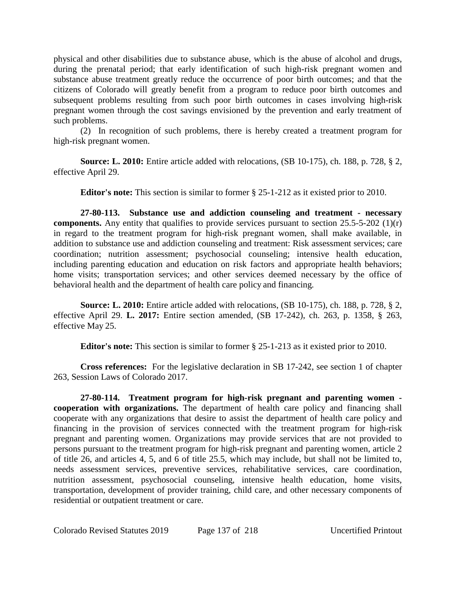physical and other disabilities due to substance abuse, which is the abuse of alcohol and drugs, during the prenatal period; that early identification of such high-risk pregnant women and substance abuse treatment greatly reduce the occurrence of poor birth outcomes; and that the citizens of Colorado will greatly benefit from a program to reduce poor birth outcomes and subsequent problems resulting from such poor birth outcomes in cases involving high-risk pregnant women through the cost savings envisioned by the prevention and early treatment of such problems.

(2) In recognition of such problems, there is hereby created a treatment program for high-risk pregnant women.

**Source: L. 2010:** Entire article added with relocations, (SB 10-175), ch. 188, p. 728, § 2, effective April 29.

**Editor's note:** This section is similar to former § 25-1-212 as it existed prior to 2010.

**27-80-113. Substance use and addiction counseling and treatment - necessary components.** Any entity that qualifies to provide services pursuant to section 25.5-5-202 (1)(r) in regard to the treatment program for high-risk pregnant women, shall make available, in addition to substance use and addiction counseling and treatment: Risk assessment services; care coordination; nutrition assessment; psychosocial counseling; intensive health education, including parenting education and education on risk factors and appropriate health behaviors; home visits; transportation services; and other services deemed necessary by the office of behavioral health and the department of health care policy and financing.

**Source: L. 2010:** Entire article added with relocations, (SB 10-175), ch. 188, p. 728, § 2, effective April 29. **L. 2017:** Entire section amended, (SB 17-242), ch. 263, p. 1358, § 263, effective May 25.

**Editor's note:** This section is similar to former § 25-1-213 as it existed prior to 2010.

**Cross references:** For the legislative declaration in SB 17-242, see section 1 of chapter 263, Session Laws of Colorado 2017.

**27-80-114. Treatment program for high-risk pregnant and parenting women cooperation with organizations.** The department of health care policy and financing shall cooperate with any organizations that desire to assist the department of health care policy and financing in the provision of services connected with the treatment program for high-risk pregnant and parenting women. Organizations may provide services that are not provided to persons pursuant to the treatment program for high-risk pregnant and parenting women, article 2 of title 26, and articles 4, 5, and 6 of title 25.5, which may include, but shall not be limited to, needs assessment services, preventive services, rehabilitative services, care coordination, nutrition assessment, psychosocial counseling, intensive health education, home visits, transportation, development of provider training, child care, and other necessary components of residential or outpatient treatment or care.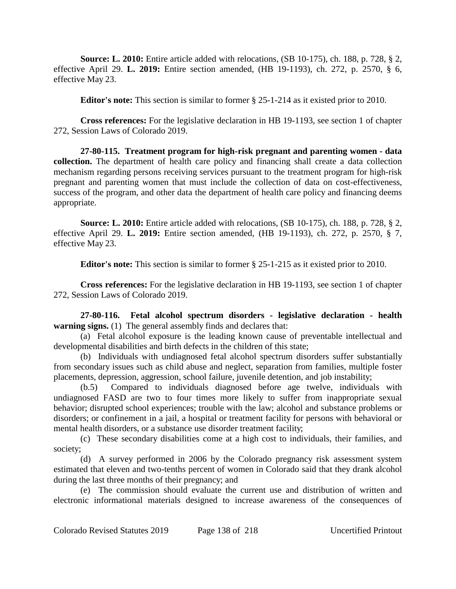**Source: L. 2010:** Entire article added with relocations, (SB 10-175), ch. 188, p. 728, § 2, effective April 29. **L. 2019:** Entire section amended, (HB 19-1193), ch. 272, p. 2570, § 6, effective May 23.

**Editor's note:** This section is similar to former § 25-1-214 as it existed prior to 2010.

**Cross references:** For the legislative declaration in HB 19-1193, see section 1 of chapter 272, Session Laws of Colorado 2019.

**27-80-115. Treatment program for high-risk pregnant and parenting women - data collection.** The department of health care policy and financing shall create a data collection mechanism regarding persons receiving services pursuant to the treatment program for high-risk pregnant and parenting women that must include the collection of data on cost-effectiveness, success of the program, and other data the department of health care policy and financing deems appropriate.

**Source: L. 2010:** Entire article added with relocations, (SB 10-175), ch. 188, p. 728, § 2, effective April 29. **L. 2019:** Entire section amended, (HB 19-1193), ch. 272, p. 2570, § 7, effective May 23.

**Editor's note:** This section is similar to former § 25-1-215 as it existed prior to 2010.

**Cross references:** For the legislative declaration in HB 19-1193, see section 1 of chapter 272, Session Laws of Colorado 2019.

**27-80-116. Fetal alcohol spectrum disorders - legislative declaration - health warning signs.** (1) The general assembly finds and declares that:

(a) Fetal alcohol exposure is the leading known cause of preventable intellectual and developmental disabilities and birth defects in the children of this state;

(b) Individuals with undiagnosed fetal alcohol spectrum disorders suffer substantially from secondary issues such as child abuse and neglect, separation from families, multiple foster placements, depression, aggression, school failure, juvenile detention, and job instability;

(b.5) Compared to individuals diagnosed before age twelve, individuals with undiagnosed FASD are two to four times more likely to suffer from inappropriate sexual behavior; disrupted school experiences; trouble with the law; alcohol and substance problems or disorders; or confinement in a jail, a hospital or treatment facility for persons with behavioral or mental health disorders, or a substance use disorder treatment facility;

(c) These secondary disabilities come at a high cost to individuals, their families, and society;

(d) A survey performed in 2006 by the Colorado pregnancy risk assessment system estimated that eleven and two-tenths percent of women in Colorado said that they drank alcohol during the last three months of their pregnancy; and

(e) The commission should evaluate the current use and distribution of written and electronic informational materials designed to increase awareness of the consequences of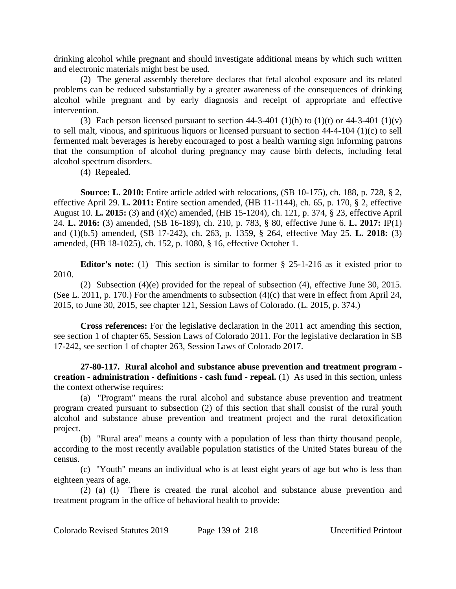drinking alcohol while pregnant and should investigate additional means by which such written and electronic materials might best be used.

(2) The general assembly therefore declares that fetal alcohol exposure and its related problems can be reduced substantially by a greater awareness of the consequences of drinking alcohol while pregnant and by early diagnosis and receipt of appropriate and effective intervention.

(3) Each person licensed pursuant to section  $44-3-401$  (1)(h) to (1)(t) or  $44-3-401$  (1)(v) to sell malt, vinous, and spirituous liquors or licensed pursuant to section 44-4-104 (1)(c) to sell fermented malt beverages is hereby encouraged to post a health warning sign informing patrons that the consumption of alcohol during pregnancy may cause birth defects, including fetal alcohol spectrum disorders.

(4) Repealed.

**Source: L. 2010:** Entire article added with relocations, (SB 10-175), ch. 188, p. 728, § 2, effective April 29. **L. 2011:** Entire section amended, (HB 11-1144), ch. 65, p. 170, § 2, effective August 10. **L. 2015:** (3) and (4)(c) amended, (HB 15-1204), ch. 121, p. 374, § 23, effective April 24. **L. 2016:** (3) amended, (SB 16-189), ch. 210, p. 783, § 80, effective June 6. **L. 2017:** IP(1) and (1)(b.5) amended, (SB 17-242), ch. 263, p. 1359, § 264, effective May 25. **L. 2018:** (3) amended, (HB 18-1025), ch. 152, p. 1080, § 16, effective October 1.

**Editor's note:** (1) This section is similar to former § 25-1-216 as it existed prior to 2010.

(2) Subsection (4)(e) provided for the repeal of subsection (4), effective June 30, 2015. (See L. 2011, p. 170.) For the amendments to subsection (4)(c) that were in effect from April 24, 2015, to June 30, 2015, see chapter 121, Session Laws of Colorado. (L. 2015, p. 374.)

**Cross references:** For the legislative declaration in the 2011 act amending this section, see section 1 of chapter 65, Session Laws of Colorado 2011. For the legislative declaration in SB 17-242, see section 1 of chapter 263, Session Laws of Colorado 2017.

**27-80-117. Rural alcohol and substance abuse prevention and treatment program creation - administration - definitions - cash fund - repeal.** (1) As used in this section, unless the context otherwise requires:

(a) "Program" means the rural alcohol and substance abuse prevention and treatment program created pursuant to subsection (2) of this section that shall consist of the rural youth alcohol and substance abuse prevention and treatment project and the rural detoxification project.

(b) "Rural area" means a county with a population of less than thirty thousand people, according to the most recently available population statistics of the United States bureau of the census.

(c) "Youth" means an individual who is at least eight years of age but who is less than eighteen years of age.

(2) (a) (I) There is created the rural alcohol and substance abuse prevention and treatment program in the office of behavioral health to provide: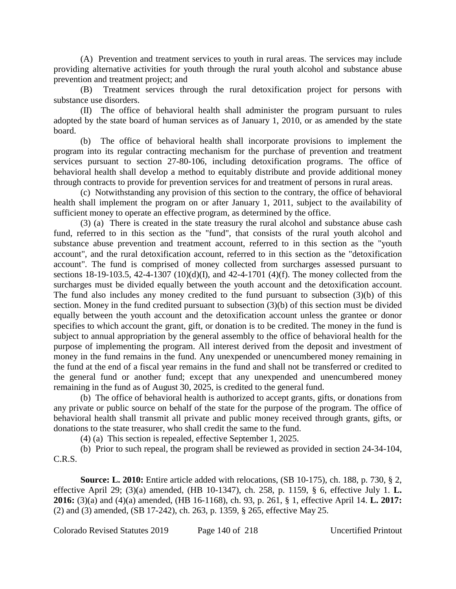(A) Prevention and treatment services to youth in rural areas. The services may include providing alternative activities for youth through the rural youth alcohol and substance abuse prevention and treatment project; and

(B) Treatment services through the rural detoxification project for persons with substance use disorders.

(II) The office of behavioral health shall administer the program pursuant to rules adopted by the state board of human services as of January 1, 2010, or as amended by the state board.

The office of behavioral health shall incorporate provisions to implement the program into its regular contracting mechanism for the purchase of prevention and treatment services pursuant to section 27-80-106, including detoxification programs. The office of behavioral health shall develop a method to equitably distribute and provide additional money through contracts to provide for prevention services for and treatment of persons in rural areas.

(c) Notwithstanding any provision of this section to the contrary, the office of behavioral health shall implement the program on or after January 1, 2011, subject to the availability of sufficient money to operate an effective program, as determined by the office.

(3) (a) There is created in the state treasury the rural alcohol and substance abuse cash fund, referred to in this section as the "fund", that consists of the rural youth alcohol and substance abuse prevention and treatment account, referred to in this section as the "youth account", and the rural detoxification account, referred to in this section as the "detoxification account". The fund is comprised of money collected from surcharges assessed pursuant to sections 18-19-103.5, 42-4-1307 (10)(d)(I), and 42-4-1701 (4)(f). The money collected from the surcharges must be divided equally between the youth account and the detoxification account. The fund also includes any money credited to the fund pursuant to subsection (3)(b) of this section. Money in the fund credited pursuant to subsection (3)(b) of this section must be divided equally between the youth account and the detoxification account unless the grantee or donor specifies to which account the grant, gift, or donation is to be credited. The money in the fund is subject to annual appropriation by the general assembly to the office of behavioral health for the purpose of implementing the program. All interest derived from the deposit and investment of money in the fund remains in the fund. Any unexpended or unencumbered money remaining in the fund at the end of a fiscal year remains in the fund and shall not be transferred or credited to the general fund or another fund; except that any unexpended and unencumbered money remaining in the fund as of August 30, 2025, is credited to the general fund.

(b) The office of behavioral health is authorized to accept grants, gifts, or donations from any private or public source on behalf of the state for the purpose of the program. The office of behavioral health shall transmit all private and public money received through grants, gifts, or donations to the state treasurer, who shall credit the same to the fund.

(4) (a) This section is repealed, effective September 1, 2025.

(b) Prior to such repeal, the program shall be reviewed as provided in section 24-34-104, C.R.S.

**Source: L. 2010:** Entire article added with relocations, (SB 10-175), ch. 188, p. 730, § 2, effective April 29; (3)(a) amended, (HB 10-1347), ch. 258, p. 1159, § 6, effective July 1. **L. 2016:** (3)(a) and (4)(a) amended, (HB 16-1168), ch. 93, p. 261, § 1, effective April 14. **L. 2017:** (2) and (3) amended, (SB 17-242), ch. 263, p. 1359, § 265, effective May 25.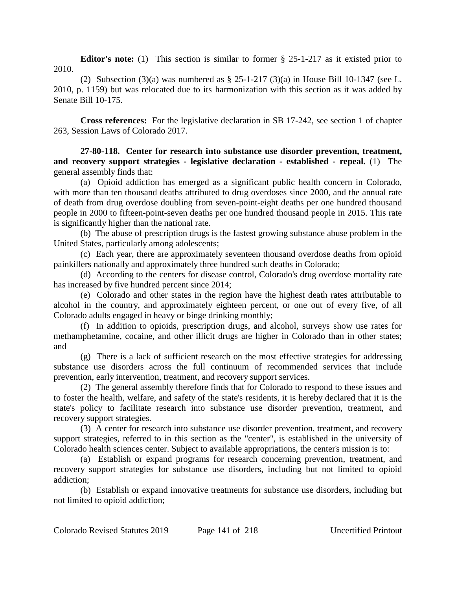**Editor's note:** (1) This section is similar to former § 25-1-217 as it existed prior to 2010.

(2) Subsection  $(3)(a)$  was numbered as § 25-1-217  $(3)(a)$  in House Bill 10-1347 (see L. 2010, p. 1159) but was relocated due to its harmonization with this section as it was added by Senate Bill 10-175.

**Cross references:** For the legislative declaration in SB 17-242, see section 1 of chapter 263, Session Laws of Colorado 2017.

**27-80-118. Center for research into substance use disorder prevention, treatment, and recovery support strategies - legislative declaration - established - repeal.** (1) The general assembly finds that:

(a) Opioid addiction has emerged as a significant public health concern in Colorado, with more than ten thousand deaths attributed to drug overdoses since 2000, and the annual rate of death from drug overdose doubling from seven-point-eight deaths per one hundred thousand people in 2000 to fifteen-point-seven deaths per one hundred thousand people in 2015. This rate is significantly higher than the national rate.

(b) The abuse of prescription drugs is the fastest growing substance abuse problem in the United States, particularly among adolescents;

(c) Each year, there are approximately seventeen thousand overdose deaths from opioid painkillers nationally and approximately three hundred such deaths in Colorado;

(d) According to the centers for disease control, Colorado's drug overdose mortality rate has increased by five hundred percent since 2014;

(e) Colorado and other states in the region have the highest death rates attributable to alcohol in the country, and approximately eighteen percent, or one out of every five, of all Colorado adults engaged in heavy or binge drinking monthly;

(f) In addition to opioids, prescription drugs, and alcohol, surveys show use rates for methamphetamine, cocaine, and other illicit drugs are higher in Colorado than in other states; and

(g) There is a lack of sufficient research on the most effective strategies for addressing substance use disorders across the full continuum of recommended services that include prevention, early intervention, treatment, and recovery support services.

(2) The general assembly therefore finds that for Colorado to respond to these issues and to foster the health, welfare, and safety of the state's residents, it is hereby declared that it is the state's policy to facilitate research into substance use disorder prevention, treatment, and recovery support strategies.

(3) A center for research into substance use disorder prevention, treatment, and recovery support strategies, referred to in this section as the "center", is established in the university of Colorado health sciences center. Subject to available appropriations, the center's mission is to:

(a) Establish or expand programs for research concerning prevention, treatment, and recovery support strategies for substance use disorders, including but not limited to opioid addiction;

(b) Establish or expand innovative treatments for substance use disorders, including but not limited to opioid addiction;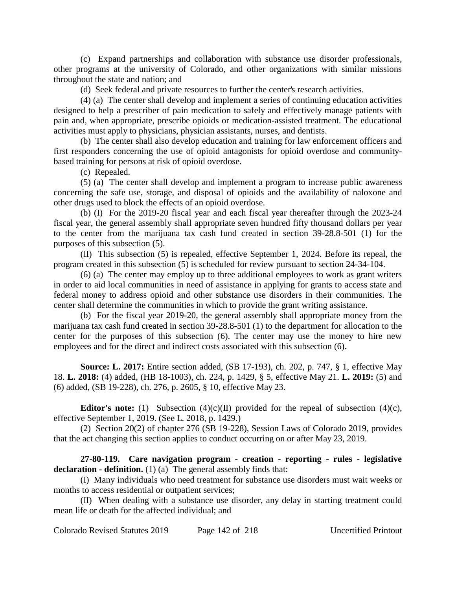(c) Expand partnerships and collaboration with substance use disorder professionals, other programs at the university of Colorado, and other organizations with similar missions throughout the state and nation; and

(d) Seek federal and private resources to further the center's research activities.

(4) (a) The center shall develop and implement a series of continuing education activities designed to help a prescriber of pain medication to safely and effectively manage patients with pain and, when appropriate, prescribe opioids or medication-assisted treatment. The educational activities must apply to physicians, physician assistants, nurses, and dentists.

(b) The center shall also develop education and training for law enforcement officers and first responders concerning the use of opioid antagonists for opioid overdose and communitybased training for persons at risk of opioid overdose.

(c) Repealed.

(5) (a) The center shall develop and implement a program to increase public awareness concerning the safe use, storage, and disposal of opioids and the availability of naloxone and other drugs used to block the effects of an opioid overdose.

(b) (I) For the 2019-20 fiscal year and each fiscal year thereafter through the 2023-24 fiscal year, the general assembly shall appropriate seven hundred fifty thousand dollars per year to the center from the marijuana tax cash fund created in section 39-28.8-501 (1) for the purposes of this subsection (5).

(II) This subsection (5) is repealed, effective September 1, 2024. Before its repeal, the program created in this subsection (5) is scheduled for review pursuant to section 24-34-104.

(6) (a) The center may employ up to three additional employees to work as grant writers in order to aid local communities in need of assistance in applying for grants to access state and federal money to address opioid and other substance use disorders in their communities. The center shall determine the communities in which to provide the grant writing assistance.

(b) For the fiscal year 2019-20, the general assembly shall appropriate money from the marijuana tax cash fund created in section 39-28.8-501 (1) to the department for allocation to the center for the purposes of this subsection (6). The center may use the money to hire new employees and for the direct and indirect costs associated with this subsection (6).

**Source: L. 2017:** Entire section added, (SB 17-193), ch. 202, p. 747, § 1, effective May 18. **L. 2018:** (4) added, (HB 18-1003), ch. 224, p. 1429, § 5, effective May 21. **L. 2019:** (5) and (6) added, (SB 19-228), ch. 276, p. 2605, § 10, effective May 23.

**Editor's note:** (1) Subsection  $(4)(c)(II)$  provided for the repeal of subsection  $(4)(c)$ , effective September 1, 2019. (See L. 2018, p. 1429.)

(2) Section 20(2) of chapter 276 (SB 19-228), Session Laws of Colorado 2019, provides that the act changing this section applies to conduct occurring on or after May 23, 2019.

**27-80-119. Care navigation program - creation - reporting - rules - legislative declaration - definition.** (1) (a) The general assembly finds that:

(I) Many individuals who need treatment for substance use disorders must wait weeks or months to access residential or outpatient services;

(II) When dealing with a substance use disorder, any delay in starting treatment could mean life or death for the affected individual; and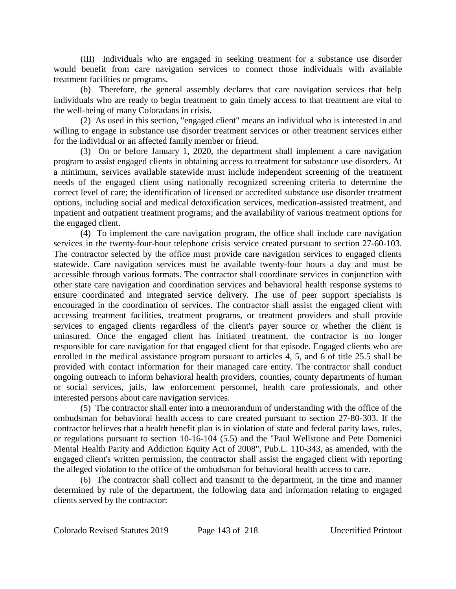(III) Individuals who are engaged in seeking treatment for a substance use disorder would benefit from care navigation services to connect those individuals with available treatment facilities or programs.

(b) Therefore, the general assembly declares that care navigation services that help individuals who are ready to begin treatment to gain timely access to that treatment are vital to the well-being of many Coloradans in crisis.

(2) As used in this section, "engaged client" means an individual who is interested in and willing to engage in substance use disorder treatment services or other treatment services either for the individual or an affected family member or friend.

(3) On or before January 1, 2020, the department shall implement a care navigation program to assist engaged clients in obtaining access to treatment for substance use disorders. At a minimum, services available statewide must include independent screening of the treatment needs of the engaged client using nationally recognized screening criteria to determine the correct level of care; the identification of licensed or accredited substance use disorder treatment options, including social and medical detoxification services, medication-assisted treatment, and inpatient and outpatient treatment programs; and the availability of various treatment options for the engaged client.

(4) To implement the care navigation program, the office shall include care navigation services in the twenty-four-hour telephone crisis service created pursuant to section 27-60-103. The contractor selected by the office must provide care navigation services to engaged clients statewide. Care navigation services must be available twenty-four hours a day and must be accessible through various formats. The contractor shall coordinate services in conjunction with other state care navigation and coordination services and behavioral health response systems to ensure coordinated and integrated service delivery. The use of peer support specialists is encouraged in the coordination of services. The contractor shall assist the engaged client with accessing treatment facilities, treatment programs, or treatment providers and shall provide services to engaged clients regardless of the client's payer source or whether the client is uninsured. Once the engaged client has initiated treatment, the contractor is no longer responsible for care navigation for that engaged client for that episode. Engaged clients who are enrolled in the medical assistance program pursuant to articles 4, 5, and 6 of title 25.5 shall be provided with contact information for their managed care entity. The contractor shall conduct ongoing outreach to inform behavioral health providers, counties, county departments of human or social services, jails, law enforcement personnel, health care professionals, and other interested persons about care navigation services.

(5) The contractor shall enter into a memorandum of understanding with the office of the ombudsman for behavioral health access to care created pursuant to section 27-80-303. If the contractor believes that a health benefit plan is in violation of state and federal parity laws, rules, or regulations pursuant to section 10-16-104 (5.5) and the "Paul Wellstone and Pete Domenici Mental Health Parity and Addiction Equity Act of 2008", Pub.L. 110-343, as amended, with the engaged client's written permission, the contractor shall assist the engaged client with reporting the alleged violation to the office of the ombudsman for behavioral health access to care.

(6) The contractor shall collect and transmit to the department, in the time and manner determined by rule of the department, the following data and information relating to engaged clients served by the contractor: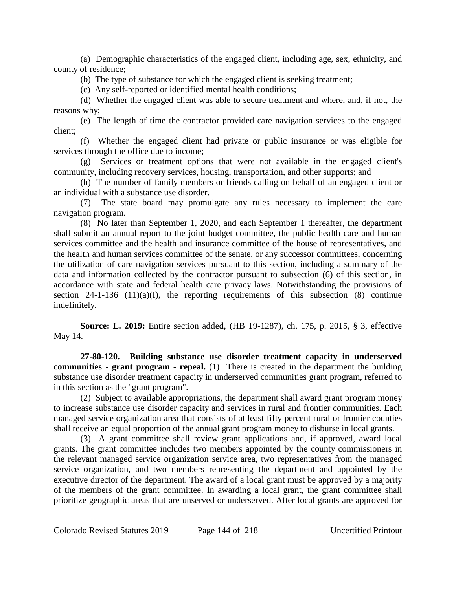(a) Demographic characteristics of the engaged client, including age, sex, ethnicity, and county of residence;

(b) The type of substance for which the engaged client is seeking treatment;

(c) Any self-reported or identified mental health conditions;

(d) Whether the engaged client was able to secure treatment and where, and, if not, the reasons why;

(e) The length of time the contractor provided care navigation services to the engaged client;

(f) Whether the engaged client had private or public insurance or was eligible for services through the office due to income;

(g) Services or treatment options that were not available in the engaged client's community, including recovery services, housing, transportation, and other supports; and

(h) The number of family members or friends calling on behalf of an engaged client or an individual with a substance use disorder.

(7) The state board may promulgate any rules necessary to implement the care navigation program.

(8) No later than September 1, 2020, and each September 1 thereafter, the department shall submit an annual report to the joint budget committee, the public health care and human services committee and the health and insurance committee of the house of representatives, and the health and human services committee of the senate, or any successor committees, concerning the utilization of care navigation services pursuant to this section, including a summary of the data and information collected by the contractor pursuant to subsection (6) of this section, in accordance with state and federal health care privacy laws. Notwithstanding the provisions of section 24-1-136 (11)(a)(I), the reporting requirements of this subsection (8) continue indefinitely.

**Source: L. 2019:** Entire section added, (HB 19-1287), ch. 175, p. 2015, § 3, effective May 14.

**27-80-120. Building substance use disorder treatment capacity in underserved communities - grant program - repeal.** (1) There is created in the department the building substance use disorder treatment capacity in underserved communities grant program, referred to in this section as the "grant program".

(2) Subject to available appropriations, the department shall award grant program money to increase substance use disorder capacity and services in rural and frontier communities. Each managed service organization area that consists of at least fifty percent rural or frontier counties shall receive an equal proportion of the annual grant program money to disburse in local grants.

(3) A grant committee shall review grant applications and, if approved, award local grants. The grant committee includes two members appointed by the county commissioners in the relevant managed service organization service area, two representatives from the managed service organization, and two members representing the department and appointed by the executive director of the department. The award of a local grant must be approved by a majority of the members of the grant committee. In awarding a local grant, the grant committee shall prioritize geographic areas that are unserved or underserved. After local grants are approved for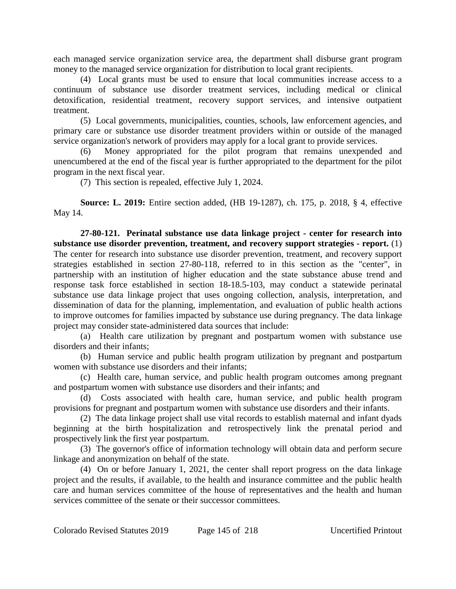each managed service organization service area, the department shall disburse grant program money to the managed service organization for distribution to local grant recipients.

(4) Local grants must be used to ensure that local communities increase access to a continuum of substance use disorder treatment services, including medical or clinical detoxification, residential treatment, recovery support services, and intensive outpatient treatment.

(5) Local governments, municipalities, counties, schools, law enforcement agencies, and primary care or substance use disorder treatment providers within or outside of the managed service organization's network of providers may apply for a local grant to provide services.

(6) Money appropriated for the pilot program that remains unexpended and unencumbered at the end of the fiscal year is further appropriated to the department for the pilot program in the next fiscal year.

(7) This section is repealed, effective July 1, 2024.

**Source: L. 2019:** Entire section added, (HB 19-1287), ch. 175, p. 2018, § 4, effective May 14.

**27-80-121. Perinatal substance use data linkage project - center for research into substance use disorder prevention, treatment, and recovery support strategies - report.** (1) The center for research into substance use disorder prevention, treatment, and recovery support strategies established in section 27-80-118, referred to in this section as the "center", in partnership with an institution of higher education and the state substance abuse trend and response task force established in section 18-18.5-103, may conduct a statewide perinatal substance use data linkage project that uses ongoing collection, analysis, interpretation, and dissemination of data for the planning, implementation, and evaluation of public health actions to improve outcomes for families impacted by substance use during pregnancy. The data linkage project may consider state-administered data sources that include:

(a) Health care utilization by pregnant and postpartum women with substance use disorders and their infants;

(b) Human service and public health program utilization by pregnant and postpartum women with substance use disorders and their infants;

(c) Health care, human service, and public health program outcomes among pregnant and postpartum women with substance use disorders and their infants; and

(d) Costs associated with health care, human service, and public health program provisions for pregnant and postpartum women with substance use disorders and their infants.

(2) The data linkage project shall use vital records to establish maternal and infant dyads beginning at the birth hospitalization and retrospectively link the prenatal period and prospectively link the first year postpartum.

(3) The governor's office of information technology will obtain data and perform secure linkage and anonymization on behalf of the state.

(4) On or before January 1, 2021, the center shall report progress on the data linkage project and the results, if available, to the health and insurance committee and the public health care and human services committee of the house of representatives and the health and human services committee of the senate or their successor committees.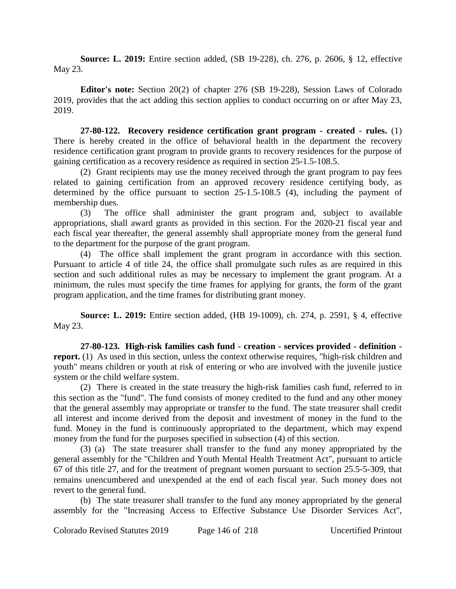**Source: L. 2019:** Entire section added, (SB 19-228), ch. 276, p. 2606, § 12, effective May 23.

**Editor's note:** Section 20(2) of chapter 276 (SB 19-228), Session Laws of Colorado 2019, provides that the act adding this section applies to conduct occurring on or after May 23, 2019.

**27-80-122. Recovery residence certification grant program - created - rules.** (1) There is hereby created in the office of behavioral health in the department the recovery residence certification grant program to provide grants to recovery residences for the purpose of gaining certification as a recovery residence as required in section 25-1.5-108.5.

(2) Grant recipients may use the money received through the grant program to pay fees related to gaining certification from an approved recovery residence certifying body, as determined by the office pursuant to section 25-1.5-108.5 (4), including the payment of membership dues.

(3) The office shall administer the grant program and, subject to available appropriations, shall award grants as provided in this section. For the 2020-21 fiscal year and each fiscal year thereafter, the general assembly shall appropriate money from the general fund to the department for the purpose of the grant program.

(4) The office shall implement the grant program in accordance with this section. Pursuant to article 4 of title 24, the office shall promulgate such rules as are required in this section and such additional rules as may be necessary to implement the grant program. At a minimum, the rules must specify the time frames for applying for grants, the form of the grant program application, and the time frames for distributing grant money.

**Source: L. 2019:** Entire section added, (HB 19-1009), ch. 274, p. 2591, § 4, effective May 23.

**27-80-123. High-risk families cash fund - creation - services provided - definition report.** (1) As used in this section, unless the context otherwise requires, "high-risk children and youth" means children or youth at risk of entering or who are involved with the juvenile justice system or the child welfare system.

(2) There is created in the state treasury the high-risk families cash fund, referred to in this section as the "fund". The fund consists of money credited to the fund and any other money that the general assembly may appropriate or transfer to the fund. The state treasurer shall credit all interest and income derived from the deposit and investment of money in the fund to the fund. Money in the fund is continuously appropriated to the department, which may expend money from the fund for the purposes specified in subsection (4) of this section.

(3) (a) The state treasurer shall transfer to the fund any money appropriated by the general assembly for the "Children and Youth Mental Health Treatment Act", pursuant to article 67 of this title 27, and for the treatment of pregnant women pursuant to section 25.5-5-309, that remains unencumbered and unexpended at the end of each fiscal year. Such money does not revert to the general fund.

(b) The state treasurer shall transfer to the fund any money appropriated by the general assembly for the "Increasing Access to Effective Substance Use Disorder Services Act",

Colorado Revised Statutes 2019 Page 146 of 218 Uncertified Printout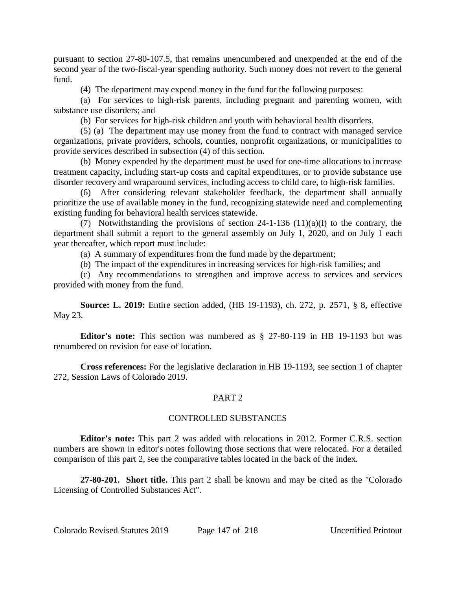pursuant to section 27-80-107.5, that remains unencumbered and unexpended at the end of the second year of the two-fiscal-year spending authority. Such money does not revert to the general fund.

(4) The department may expend money in the fund for the following purposes:

(a) For services to high-risk parents, including pregnant and parenting women, with substance use disorders; and

(b) For services for high-risk children and youth with behavioral health disorders.

(5) (a) The department may use money from the fund to contract with managed service organizations, private providers, schools, counties, nonprofit organizations, or municipalities to provide services described in subsection (4) of this section.

(b) Money expended by the department must be used for one-time allocations to increase treatment capacity, including start-up costs and capital expenditures, or to provide substance use disorder recovery and wraparound services, including access to child care, to high-risk families.

(6) After considering relevant stakeholder feedback, the department shall annually prioritize the use of available money in the fund, recognizing statewide need and complementing existing funding for behavioral health services statewide.

(7) Notwithstanding the provisions of section  $24-1-136$  (11)(a)(I) to the contrary, the department shall submit a report to the general assembly on July 1, 2020, and on July 1 each year thereafter, which report must include:

(a) A summary of expenditures from the fund made by the department;

(b) The impact of the expenditures in increasing services for high-risk families; and

(c) Any recommendations to strengthen and improve access to services and services provided with money from the fund.

**Source: L. 2019:** Entire section added, (HB 19-1193), ch. 272, p. 2571, § 8, effective May 23.

**Editor's note:** This section was numbered as § 27-80-119 in HB 19-1193 but was renumbered on revision for ease of location.

**Cross references:** For the legislative declaration in HB 19-1193, see section 1 of chapter 272, Session Laws of Colorado 2019.

# PART 2

# CONTROLLED SUBSTANCES

**Editor's note:** This part 2 was added with relocations in 2012. Former C.R.S. section numbers are shown in editor's notes following those sections that were relocated. For a detailed comparison of this part 2, see the comparative tables located in the back of the index.

**27-80-201. Short title.** This part 2 shall be known and may be cited as the "Colorado Licensing of Controlled Substances Act".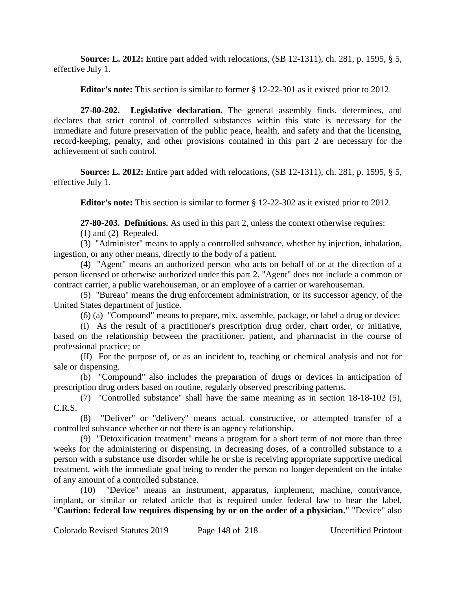**Source: L. 2012:** Entire part added with relocations, (SB 12-1311), ch. 281, p. 1595, § 5, effective July 1.

**Editor's note:** This section is similar to former § 12-22-301 as it existed prior to 2012.

**27-80-202. Legislative declaration.** The general assembly finds, determines, and declares that strict control of controlled substances within this state is necessary for the immediate and future preservation of the public peace, health, and safety and that the licensing, record-keeping, penalty, and other provisions contained in this part 2 are necessary for the achievement of such control.

**Source: L. 2012:** Entire part added with relocations, (SB 12-1311), ch. 281, p. 1595, § 5, effective July 1.

**Editor's note:** This section is similar to former § 12-22-302 as it existed prior to 2012.

**27-80-203. Definitions.** As used in this part 2, unless the context otherwise requires:

(1) and (2) Repealed.

(3) "Administer" means to apply a controlled substance, whether by injection, inhalation, ingestion, or any other means, directly to the body of a patient.

(4) "Agent" means an authorized person who acts on behalf of or at the direction of a person licensed or otherwise authorized under this part 2. "Agent" does not include a common or contract carrier, a public warehouseman, or an employee of a carrier or warehouseman.

(5) "Bureau" means the drug enforcement administration, or its successor agency, of the United States department of justice.

(6) (a) "Compound" means to prepare, mix, assemble, package, or label a drug or device:

(I) As the result of a practitioner's prescription drug order, chart order, or initiative, based on the relationship between the practitioner, patient, and pharmacist in the course of professional practice; or

(II) For the purpose of, or as an incident to, teaching or chemical analysis and not for sale or dispensing.

(b) "Compound" also includes the preparation of drugs or devices in anticipation of prescription drug orders based on routine, regularly observed prescribing patterns.

(7) "Controlled substance" shall have the same meaning as in section 18-18-102 (5), C.R.S.

(8) "Deliver" or "delivery" means actual, constructive, or attempted transfer of a controlled substance whether or not there is an agency relationship.

(9) "Detoxification treatment" means a program for a short term of not more than three weeks for the administering or dispensing, in decreasing doses, of a controlled substance to a person with a substance use disorder while he or she is receiving appropriate supportive medical treatment, with the immediate goal being to render the person no longer dependent on the intake of any amount of a controlled substance.

(10) "Device" means an instrument, apparatus, implement, machine, contrivance, implant, or similar or related article that is required under federal law to bear the label, "**Caution: federal law requires dispensing by or on the order of a physician.**" "Device" also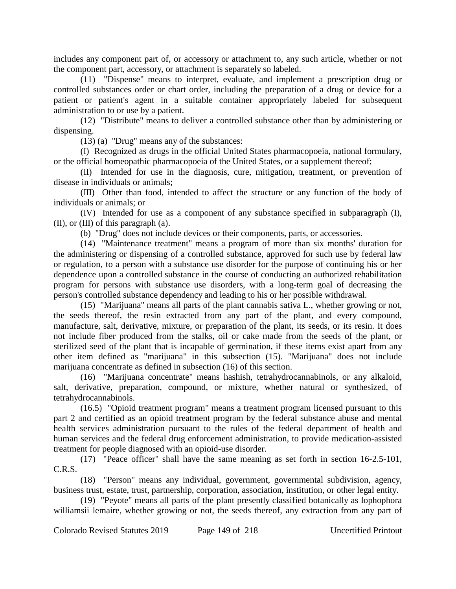includes any component part of, or accessory or attachment to, any such article, whether or not the component part, accessory, or attachment is separately so labeled.

(11) "Dispense" means to interpret, evaluate, and implement a prescription drug or controlled substances order or chart order, including the preparation of a drug or device for a patient or patient's agent in a suitable container appropriately labeled for subsequent administration to or use by a patient.

(12) "Distribute" means to deliver a controlled substance other than by administering or dispensing.

(13) (a) "Drug" means any of the substances:

(I) Recognized as drugs in the official United States pharmacopoeia, national formulary, or the official homeopathic pharmacopoeia of the United States, or a supplement thereof;

(II) Intended for use in the diagnosis, cure, mitigation, treatment, or prevention of disease in individuals or animals;

(III) Other than food, intended to affect the structure or any function of the body of individuals or animals; or

(IV) Intended for use as a component of any substance specified in subparagraph (I), (II), or (III) of this paragraph (a).

(b) "Drug" does not include devices or their components, parts, or accessories.

(14) "Maintenance treatment" means a program of more than six months' duration for the administering or dispensing of a controlled substance, approved for such use by federal law or regulation, to a person with a substance use disorder for the purpose of continuing his or her dependence upon a controlled substance in the course of conducting an authorized rehabilitation program for persons with substance use disorders, with a long-term goal of decreasing the person's controlled substance dependency and leading to his or her possible withdrawal.

(15) "Marijuana" means all parts of the plant cannabis sativa L., whether growing or not, the seeds thereof, the resin extracted from any part of the plant, and every compound, manufacture, salt, derivative, mixture, or preparation of the plant, its seeds, or its resin. It does not include fiber produced from the stalks, oil or cake made from the seeds of the plant, or sterilized seed of the plant that is incapable of germination, if these items exist apart from any other item defined as "marijuana" in this subsection (15). "Marijuana" does not include marijuana concentrate as defined in subsection (16) of this section.

(16) "Marijuana concentrate" means hashish, tetrahydrocannabinols, or any alkaloid, salt, derivative, preparation, compound, or mixture, whether natural or synthesized, of tetrahydrocannabinols.

(16.5) "Opioid treatment program" means a treatment program licensed pursuant to this part 2 and certified as an opioid treatment program by the federal substance abuse and mental health services administration pursuant to the rules of the federal department of health and human services and the federal drug enforcement administration, to provide medication-assisted treatment for people diagnosed with an opioid-use disorder.

(17) "Peace officer" shall have the same meaning as set forth in section 16-2.5-101, C.R.S.

(18) "Person" means any individual, government, governmental subdivision, agency, business trust, estate, trust, partnership, corporation, association, institution, or other legal entity.

(19) "Peyote" means all parts of the plant presently classified botanically as lophophora williamsii lemaire, whether growing or not, the seeds thereof, any extraction from any part of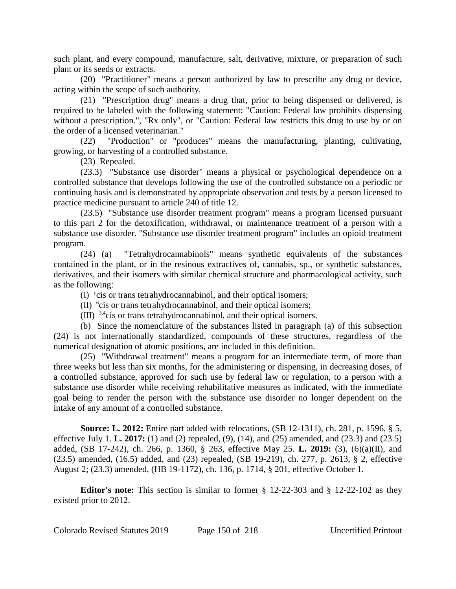such plant, and every compound, manufacture, salt, derivative, mixture, or preparation of such plant or its seeds or extracts.

(20) "Practitioner" means a person authorized by law to prescribe any drug or device, acting within the scope of such authority.

(21) "Prescription drug" means a drug that, prior to being dispensed or delivered, is required to be labeled with the following statement: "Caution: Federal law prohibits dispensing without a prescription.", "Rx only", or "Caution: Federal law restricts this drug to use by or on the order of a licensed veterinarian."

(22) "Production" or "produces" means the manufacturing, planting, cultivating, growing, or harvesting of a controlled substance.

(23) Repealed.

(23.3) "Substance use disorder" means a physical or psychological dependence on a controlled substance that develops following the use of the controlled substance on a periodic or continuing basis and is demonstrated by appropriate observation and tests by a person licensed to practice medicine pursuant to article 240 of title 12.

(23.5) "Substance use disorder treatment program" means a program licensed pursuant to this part 2 for the detoxification, withdrawal, or maintenance treatment of a person with a substance use disorder. "Substance use disorder treatment program" includes an opioid treatment program.

(24) (a) "Tetrahydrocannabinols" means synthetic equivalents of the substances contained in the plant, or in the resinous extractives of, cannabis, sp., or synthetic substances, derivatives, and their isomers with similar chemical structure and pharmacological activity, such as the following:

 $(I)$  <sup>1</sup>cis or trans tetrahydrocannabinol, and their optical isomers;

(II) 6 cis or trans tetrahydrocannabinol, and their optical isomers;

(III)  $3,4$ cis or trans tetrahydrocannabinol, and their optical isomers.

(b) Since the nomenclature of the substances listed in paragraph (a) of this subsection (24) is not internationally standardized, compounds of these structures, regardless of the numerical designation of atomic positions, are included in this definition.

(25) "Withdrawal treatment" means a program for an intermediate term, of more than three weeks but less than six months, for the administering or dispensing, in decreasing doses, of a controlled substance, approved for such use by federal law or regulation, to a person with a substance use disorder while receiving rehabilitative measures as indicated, with the immediate goal being to render the person with the substance use disorder no longer dependent on the intake of any amount of a controlled substance.

**Source: L. 2012:** Entire part added with relocations, (SB 12-1311), ch. 281, p. 1596, § 5, effective July 1. **L. 2017:** (1) and (2) repealed, (9), (14), and (25) amended, and (23.3) and (23.5) added, (SB 17-242), ch. 266, p. 1360, § 263, effective May 25. **L. 2019:** (3), (6)(a)(II), and (23.5) amended, (16.5) added, and (23) repealed, (SB 19-219), ch. 277, p. 2613, § 2, effective August 2; (23.3) amended, (HB 19-1172), ch. 136, p. 1714, § 201, effective October 1.

**Editor's note:** This section is similar to former § 12-22-303 and § 12-22-102 as they existed prior to 2012.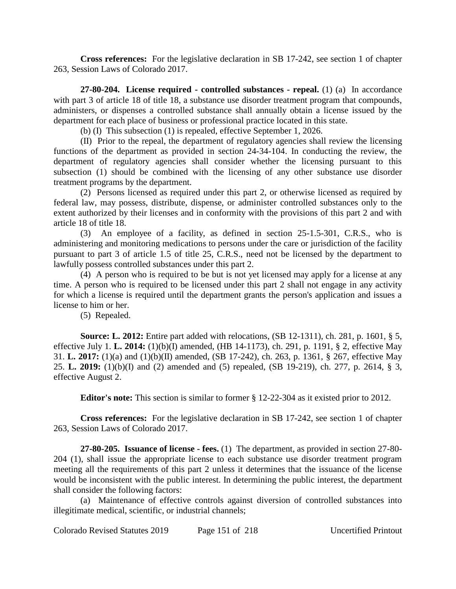**Cross references:** For the legislative declaration in SB 17-242, see section 1 of chapter 263, Session Laws of Colorado 2017.

**27-80-204. License required - controlled substances - repeal.** (1) (a) In accordance with part 3 of article 18 of title 18, a substance use disorder treatment program that compounds, administers, or dispenses a controlled substance shall annually obtain a license issued by the department for each place of business or professional practice located in this state.

(b) (I) This subsection (1) is repealed, effective September 1, 2026.

(II) Prior to the repeal, the department of regulatory agencies shall review the licensing functions of the department as provided in section 24-34-104. In conducting the review, the department of regulatory agencies shall consider whether the licensing pursuant to this subsection (1) should be combined with the licensing of any other substance use disorder treatment programs by the department.

(2) Persons licensed as required under this part 2, or otherwise licensed as required by federal law, may possess, distribute, dispense, or administer controlled substances only to the extent authorized by their licenses and in conformity with the provisions of this part 2 and with article 18 of title 18.

(3) An employee of a facility, as defined in section 25-1.5-301, C.R.S., who is administering and monitoring medications to persons under the care or jurisdiction of the facility pursuant to part 3 of article 1.5 of title 25, C.R.S., need not be licensed by the department to lawfully possess controlled substances under this part 2.

(4) A person who is required to be but is not yet licensed may apply for a license at any time. A person who is required to be licensed under this part 2 shall not engage in any activity for which a license is required until the department grants the person's application and issues a license to him or her.

(5) Repealed.

**Source: L. 2012:** Entire part added with relocations, (SB 12-1311), ch. 281, p. 1601, § 5, effective July 1. **L. 2014:** (1)(b)(I) amended, (HB 14-1173), ch. 291, p. 1191, § 2, effective May 31. **L. 2017:** (1)(a) and (1)(b)(II) amended, (SB 17-242), ch. 263, p. 1361, § 267, effective May 25. **L. 2019:** (1)(b)(I) and (2) amended and (5) repealed, (SB 19-219), ch. 277, p. 2614, § 3, effective August 2.

**Editor's note:** This section is similar to former § 12-22-304 as it existed prior to 2012.

**Cross references:** For the legislative declaration in SB 17-242, see section 1 of chapter 263, Session Laws of Colorado 2017.

**27-80-205. Issuance of license - fees.** (1) The department, as provided in section 27-80- 204 (1), shall issue the appropriate license to each substance use disorder treatment program meeting all the requirements of this part 2 unless it determines that the issuance of the license would be inconsistent with the public interest. In determining the public interest, the department shall consider the following factors:

(a) Maintenance of effective controls against diversion of controlled substances into illegitimate medical, scientific, or industrial channels;

Colorado Revised Statutes 2019 Page 151 of 218 Uncertified Printout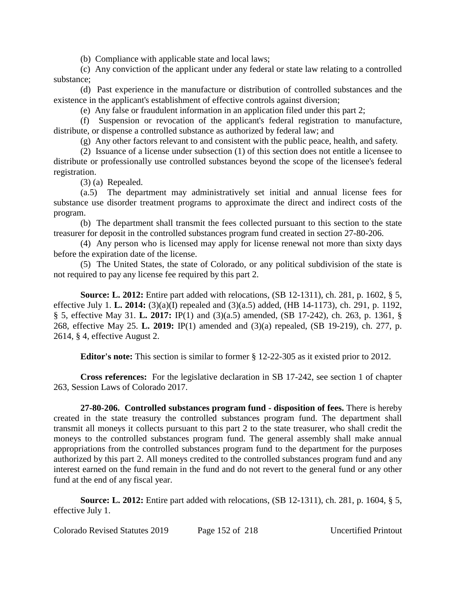(b) Compliance with applicable state and local laws;

(c) Any conviction of the applicant under any federal or state law relating to a controlled substance;

(d) Past experience in the manufacture or distribution of controlled substances and the existence in the applicant's establishment of effective controls against diversion;

(e) Any false or fraudulent information in an application filed under this part 2;

(f) Suspension or revocation of the applicant's federal registration to manufacture, distribute, or dispense a controlled substance as authorized by federal law; and

(g) Any other factors relevant to and consistent with the public peace, health, and safety.

(2) Issuance of a license under subsection (1) of this section does not entitle a licensee to distribute or professionally use controlled substances beyond the scope of the licensee's federal registration.

(3) (a) Repealed.

(a.5) The department may administratively set initial and annual license fees for substance use disorder treatment programs to approximate the direct and indirect costs of the program.

(b) The department shall transmit the fees collected pursuant to this section to the state treasurer for deposit in the controlled substances program fund created in section 27-80-206.

(4) Any person who is licensed may apply for license renewal not more than sixty days before the expiration date of the license.

(5) The United States, the state of Colorado, or any political subdivision of the state is not required to pay any license fee required by this part 2.

**Source: L. 2012:** Entire part added with relocations, (SB 12-1311), ch. 281, p. 1602, § 5, effective July 1. **L. 2014:** (3)(a)(I) repealed and (3)(a.5) added, (HB 14-1173), ch. 291, p. 1192, § 5, effective May 31. **L. 2017:** IP(1) and (3)(a.5) amended, (SB 17-242), ch. 263, p. 1361, § 268, effective May 25. **L. 2019:** IP(1) amended and (3)(a) repealed, (SB 19-219), ch. 277, p. 2614, § 4, effective August 2.

**Editor's note:** This section is similar to former § 12-22-305 as it existed prior to 2012.

**Cross references:** For the legislative declaration in SB 17-242, see section 1 of chapter 263, Session Laws of Colorado 2017.

**27-80-206. Controlled substances program fund - disposition of fees.** There is hereby created in the state treasury the controlled substances program fund. The department shall transmit all moneys it collects pursuant to this part 2 to the state treasurer, who shall credit the moneys to the controlled substances program fund. The general assembly shall make annual appropriations from the controlled substances program fund to the department for the purposes authorized by this part 2. All moneys credited to the controlled substances program fund and any interest earned on the fund remain in the fund and do not revert to the general fund or any other fund at the end of any fiscal year.

**Source: L. 2012:** Entire part added with relocations, (SB 12-1311), ch. 281, p. 1604, § 5, effective July 1.

Colorado Revised Statutes 2019 Page 152 of 218 Uncertified Printout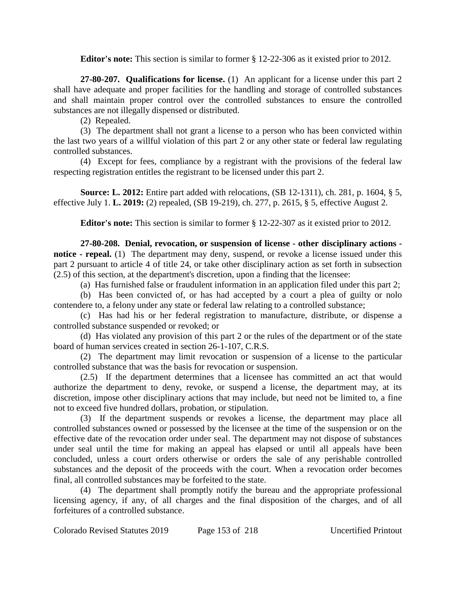**Editor's note:** This section is similar to former § 12-22-306 as it existed prior to 2012.

**27-80-207. Qualifications for license.** (1) An applicant for a license under this part 2 shall have adequate and proper facilities for the handling and storage of controlled substances and shall maintain proper control over the controlled substances to ensure the controlled substances are not illegally dispensed or distributed.

(2) Repealed.

(3) The department shall not grant a license to a person who has been convicted within the last two years of a willful violation of this part 2 or any other state or federal law regulating controlled substances.

(4) Except for fees, compliance by a registrant with the provisions of the federal law respecting registration entitles the registrant to be licensed under this part 2.

**Source: L. 2012:** Entire part added with relocations, (SB 12-1311), ch. 281, p. 1604, § 5, effective July 1. **L. 2019:** (2) repealed, (SB 19-219), ch. 277, p. 2615, § 5, effective August 2.

**Editor's note:** This section is similar to former § 12-22-307 as it existed prior to 2012.

**27-80-208. Denial, revocation, or suspension of license - other disciplinary actions notice - repeal.** (1) The department may deny, suspend, or revoke a license issued under this part 2 pursuant to article 4 of title 24, or take other disciplinary action as set forth in subsection  $(2.5)$  of this section, at the department's discretion, upon a finding that the licensee:

(a) Has furnished false or fraudulent information in an application filed under this part 2;

(b) Has been convicted of, or has had accepted by a court a plea of guilty or nolo contendere to, a felony under any state or federal law relating to a controlled substance;

(c) Has had his or her federal registration to manufacture, distribute, or dispense a controlled substance suspended or revoked; or

(d) Has violated any provision of this part 2 or the rules of the department or of the state board of human services created in section 26-1-107, C.R.S.

(2) The department may limit revocation or suspension of a license to the particular controlled substance that was the basis for revocation or suspension.

(2.5) If the department determines that a licensee has committed an act that would authorize the department to deny, revoke, or suspend a license, the department may, at its discretion, impose other disciplinary actions that may include, but need not be limited to, a fine not to exceed five hundred dollars, probation, or stipulation.

(3) If the department suspends or revokes a license, the department may place all controlled substances owned or possessed by the licensee at the time of the suspension or on the effective date of the revocation order under seal. The department may not dispose of substances under seal until the time for making an appeal has elapsed or until all appeals have been concluded, unless a court orders otherwise or orders the sale of any perishable controlled substances and the deposit of the proceeds with the court. When a revocation order becomes final, all controlled substances may be forfeited to the state.

(4) The department shall promptly notify the bureau and the appropriate professional licensing agency, if any, of all charges and the final disposition of the charges, and of all forfeitures of a controlled substance.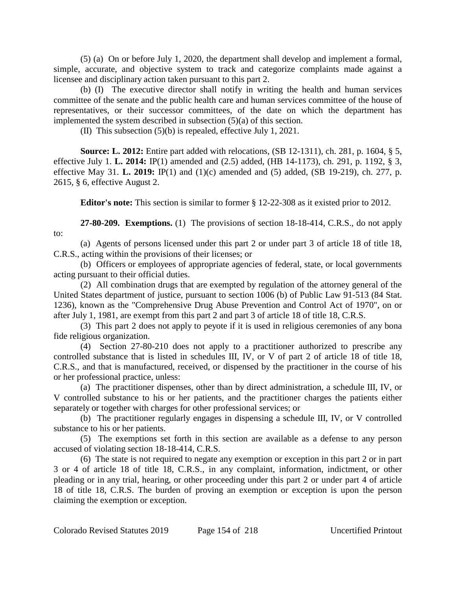(5) (a) On or before July 1, 2020, the department shall develop and implement a formal, simple, accurate, and objective system to track and categorize complaints made against a licensee and disciplinary action taken pursuant to this part 2.

(b) (I) The executive director shall notify in writing the health and human services committee of the senate and the public health care and human services committee of the house of representatives, or their successor committees, of the date on which the department has implemented the system described in subsection (5)(a) of this section.

(II) This subsection (5)(b) is repealed, effective July 1, 2021.

**Source: L. 2012:** Entire part added with relocations, (SB 12-1311), ch. 281, p. 1604, § 5, effective July 1. **L. 2014:** IP(1) amended and (2.5) added, (HB 14-1173), ch. 291, p. 1192, § 3, effective May 31. **L. 2019:** IP(1) and (1)(c) amended and (5) added, (SB 19-219), ch. 277, p. 2615, § 6, effective August 2.

**Editor's note:** This section is similar to former § 12-22-308 as it existed prior to 2012.

**27-80-209. Exemptions.** (1) The provisions of section 18-18-414, C.R.S., do not apply to:

(a) Agents of persons licensed under this part 2 or under part 3 of article 18 of title 18, C.R.S., acting within the provisions of their licenses; or

(b) Officers or employees of appropriate agencies of federal, state, or local governments acting pursuant to their official duties.

(2) All combination drugs that are exempted by regulation of the attorney general of the United States department of justice, pursuant to section 1006 (b) of Public Law 91-513 (84 Stat. 1236), known as the "Comprehensive Drug Abuse Prevention and Control Act of 1970", on or after July 1, 1981, are exempt from this part 2 and part 3 of article 18 of title 18, C.R.S.

(3) This part 2 does not apply to peyote if it is used in religious ceremonies of any bona fide religious organization.

(4) Section 27-80-210 does not apply to a practitioner authorized to prescribe any controlled substance that is listed in schedules III, IV, or V of part 2 of article 18 of title 18, C.R.S., and that is manufactured, received, or dispensed by the practitioner in the course of his or her professional practice, unless:

(a) The practitioner dispenses, other than by direct administration, a schedule III, IV, or V controlled substance to his or her patients, and the practitioner charges the patients either separately or together with charges for other professional services; or

(b) The practitioner regularly engages in dispensing a schedule III, IV, or V controlled substance to his or her patients.

(5) The exemptions set forth in this section are available as a defense to any person accused of violating section 18-18-414, C.R.S.

(6) The state is not required to negate any exemption or exception in this part 2 or in part 3 or 4 of article 18 of title 18, C.R.S., in any complaint, information, indictment, or other pleading or in any trial, hearing, or other proceeding under this part 2 or under part 4 of article 18 of title 18, C.R.S. The burden of proving an exemption or exception is upon the person claiming the exemption or exception.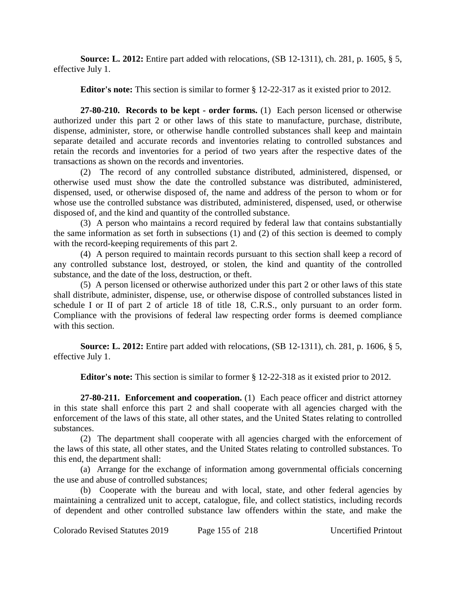**Source: L. 2012:** Entire part added with relocations, (SB 12-1311), ch. 281, p. 1605, § 5, effective July 1.

**Editor's note:** This section is similar to former § 12-22-317 as it existed prior to 2012.

**27-80-210. Records to be kept - order forms.** (1) Each person licensed or otherwise authorized under this part 2 or other laws of this state to manufacture, purchase, distribute, dispense, administer, store, or otherwise handle controlled substances shall keep and maintain separate detailed and accurate records and inventories relating to controlled substances and retain the records and inventories for a period of two years after the respective dates of the transactions as shown on the records and inventories.

(2) The record of any controlled substance distributed, administered, dispensed, or otherwise used must show the date the controlled substance was distributed, administered, dispensed, used, or otherwise disposed of, the name and address of the person to whom or for whose use the controlled substance was distributed, administered, dispensed, used, or otherwise disposed of, and the kind and quantity of the controlled substance.

(3) A person who maintains a record required by federal law that contains substantially the same information as set forth in subsections (1) and (2) of this section is deemed to comply with the record-keeping requirements of this part 2.

(4) A person required to maintain records pursuant to this section shall keep a record of any controlled substance lost, destroyed, or stolen, the kind and quantity of the controlled substance, and the date of the loss, destruction, or theft.

(5) A person licensed or otherwise authorized under this part 2 or other laws of this state shall distribute, administer, dispense, use, or otherwise dispose of controlled substances listed in schedule I or II of part 2 of article 18 of title 18, C.R.S., only pursuant to an order form. Compliance with the provisions of federal law respecting order forms is deemed compliance with this section.

**Source: L. 2012:** Entire part added with relocations, (SB 12-1311), ch. 281, p. 1606, § 5, effective July 1.

**Editor's note:** This section is similar to former § 12-22-318 as it existed prior to 2012.

**27-80-211. Enforcement and cooperation.** (1) Each peace officer and district attorney in this state shall enforce this part 2 and shall cooperate with all agencies charged with the enforcement of the laws of this state, all other states, and the United States relating to controlled substances.

(2) The department shall cooperate with all agencies charged with the enforcement of the laws of this state, all other states, and the United States relating to controlled substances. To this end, the department shall:

(a) Arrange for the exchange of information among governmental officials concerning the use and abuse of controlled substances;

(b) Cooperate with the bureau and with local, state, and other federal agencies by maintaining a centralized unit to accept, catalogue, file, and collect statistics, including records of dependent and other controlled substance law offenders within the state, and make the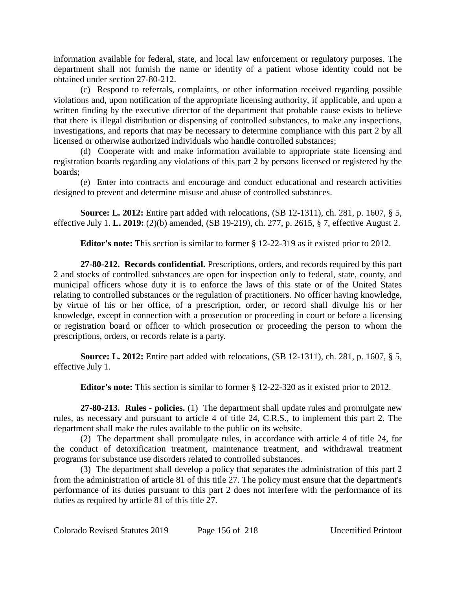information available for federal, state, and local law enforcement or regulatory purposes. The department shall not furnish the name or identity of a patient whose identity could not be obtained under section 27-80-212.

(c) Respond to referrals, complaints, or other information received regarding possible violations and, upon notification of the appropriate licensing authority, if applicable, and upon a written finding by the executive director of the department that probable cause exists to believe that there is illegal distribution or dispensing of controlled substances, to make any inspections, investigations, and reports that may be necessary to determine compliance with this part 2 by all licensed or otherwise authorized individuals who handle controlled substances;

(d) Cooperate with and make information available to appropriate state licensing and registration boards regarding any violations of this part 2 by persons licensed or registered by the boards;

(e) Enter into contracts and encourage and conduct educational and research activities designed to prevent and determine misuse and abuse of controlled substances.

**Source: L. 2012:** Entire part added with relocations, (SB 12-1311), ch. 281, p. 1607, § 5, effective July 1. **L. 2019:** (2)(b) amended, (SB 19-219), ch. 277, p. 2615, § 7, effective August 2.

**Editor's note:** This section is similar to former § 12-22-319 as it existed prior to 2012.

**27-80-212. Records confidential.** Prescriptions, orders, and records required by this part 2 and stocks of controlled substances are open for inspection only to federal, state, county, and municipal officers whose duty it is to enforce the laws of this state or of the United States relating to controlled substances or the regulation of practitioners. No officer having knowledge, by virtue of his or her office, of a prescription, order, or record shall divulge his or her knowledge, except in connection with a prosecution or proceeding in court or before a licensing or registration board or officer to which prosecution or proceeding the person to whom the prescriptions, orders, or records relate is a party.

**Source: L. 2012:** Entire part added with relocations, (SB 12-1311), ch. 281, p. 1607, § 5, effective July 1.

**Editor's note:** This section is similar to former § 12-22-320 as it existed prior to 2012.

**27-80-213. Rules - policies.** (1) The department shall update rules and promulgate new rules, as necessary and pursuant to article 4 of title 24, C.R.S., to implement this part 2. The department shall make the rules available to the public on its website.

(2) The department shall promulgate rules, in accordance with article 4 of title 24, for the conduct of detoxification treatment, maintenance treatment, and withdrawal treatment programs for substance use disorders related to controlled substances.

(3) The department shall develop a policy that separates the administration of this part 2 from the administration of article 81 of this title 27. The policy must ensure that the department's performance of its duties pursuant to this part 2 does not interfere with the performance of its duties as required by article 81 of this title 27.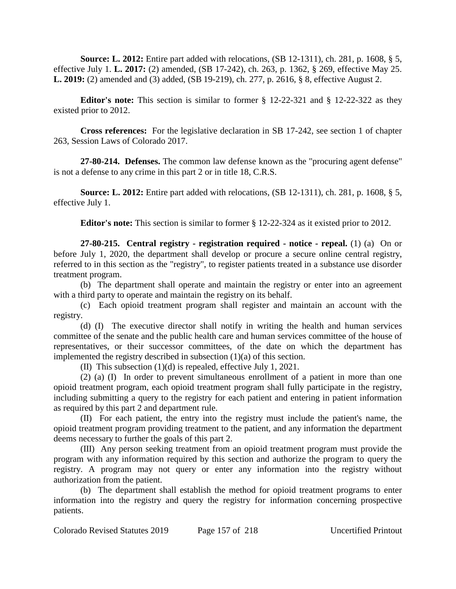**Source: L. 2012:** Entire part added with relocations, (SB 12-1311), ch. 281, p. 1608, § 5, effective July 1. **L. 2017:** (2) amended, (SB 17-242), ch. 263, p. 1362, § 269, effective May 25. **L. 2019:** (2) amended and (3) added, (SB 19-219), ch. 277, p. 2616, § 8, effective August 2.

**Editor's note:** This section is similar to former § 12-22-321 and § 12-22-322 as they existed prior to 2012.

**Cross references:** For the legislative declaration in SB 17-242, see section 1 of chapter 263, Session Laws of Colorado 2017.

**27-80-214. Defenses.** The common law defense known as the "procuring agent defense" is not a defense to any crime in this part 2 or in title 18, C.R.S.

**Source: L. 2012:** Entire part added with relocations, (SB 12-1311), ch. 281, p. 1608, § 5, effective July 1.

**Editor's note:** This section is similar to former § 12-22-324 as it existed prior to 2012.

**27-80-215. Central registry - registration required - notice - repeal.** (1) (a) On or before July 1, 2020, the department shall develop or procure a secure online central registry, referred to in this section as the "registry", to register patients treated in a substance use disorder treatment program.

(b) The department shall operate and maintain the registry or enter into an agreement with a third party to operate and maintain the registry on its behalf.

(c) Each opioid treatment program shall register and maintain an account with the registry.

(d) (I) The executive director shall notify in writing the health and human services committee of the senate and the public health care and human services committee of the house of representatives, or their successor committees, of the date on which the department has implemented the registry described in subsection (1)(a) of this section.

(II) This subsection (1)(d) is repealed, effective July 1, 2021.

(2) (a) (I) In order to prevent simultaneous enrollment of a patient in more than one opioid treatment program, each opioid treatment program shall fully participate in the registry, including submitting a query to the registry for each patient and entering in patient information as required by this part 2 and department rule.

(II) For each patient, the entry into the registry must include the patient's name, the opioid treatment program providing treatment to the patient, and any information the department deems necessary to further the goals of this part 2.

(III) Any person seeking treatment from an opioid treatment program must provide the program with any information required by this section and authorize the program to query the registry. A program may not query or enter any information into the registry without authorization from the patient.

(b) The department shall establish the method for opioid treatment programs to enter information into the registry and query the registry for information concerning prospective patients.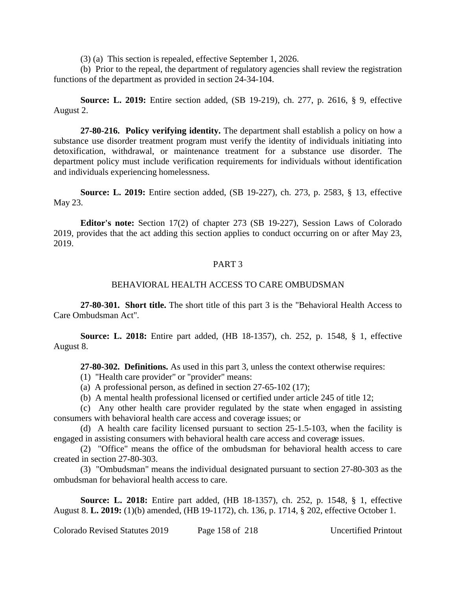(3) (a) This section is repealed, effective September 1, 2026.

(b) Prior to the repeal, the department of regulatory agencies shall review the registration functions of the department as provided in section 24-34-104.

**Source: L. 2019:** Entire section added, (SB 19-219), ch. 277, p. 2616, § 9, effective August 2.

**27-80-216. Policy verifying identity.** The department shall establish a policy on how a substance use disorder treatment program must verify the identity of individuals initiating into detoxification, withdrawal, or maintenance treatment for a substance use disorder. The department policy must include verification requirements for individuals without identification and individuals experiencing homelessness.

**Source: L. 2019:** Entire section added, (SB 19-227), ch. 273, p. 2583, § 13, effective May 23.

**Editor's note:** Section 17(2) of chapter 273 (SB 19-227), Session Laws of Colorado 2019, provides that the act adding this section applies to conduct occurring on or after May 23, 2019.

## PART 3

### BEHAVIORAL HEALTH ACCESS TO CARE OMBUDSMAN

**27-80-301. Short title.** The short title of this part 3 is the "Behavioral Health Access to Care Ombudsman Act".

**Source: L. 2018:** Entire part added, (HB 18-1357), ch. 252, p. 1548, § 1, effective August 8.

**27-80-302. Definitions.** As used in this part 3, unless the context otherwise requires:

- (1) "Health care provider" or "provider" means:
- (a) A professional person, as defined in section 27-65-102 (17);
- (b) A mental health professional licensed or certified under article 245 of title 12;

(c) Any other health care provider regulated by the state when engaged in assisting consumers with behavioral health care access and coverage issues; or

(d) A health care facility licensed pursuant to section 25-1.5-103, when the facility is engaged in assisting consumers with behavioral health care access and coverage issues.

(2) "Office" means the office of the ombudsman for behavioral health access to care created in section 27-80-303.

(3) "Ombudsman" means the individual designated pursuant to section 27-80-303 as the ombudsman for behavioral health access to care.

**Source: L. 2018:** Entire part added, (HB 18-1357), ch. 252, p. 1548, § 1, effective August 8. **L. 2019:** (1)(b) amended, (HB 19-1172), ch. 136, p. 1714, § 202, effective October 1.

Colorado Revised Statutes 2019 Page 158 of 218 Uncertified Printout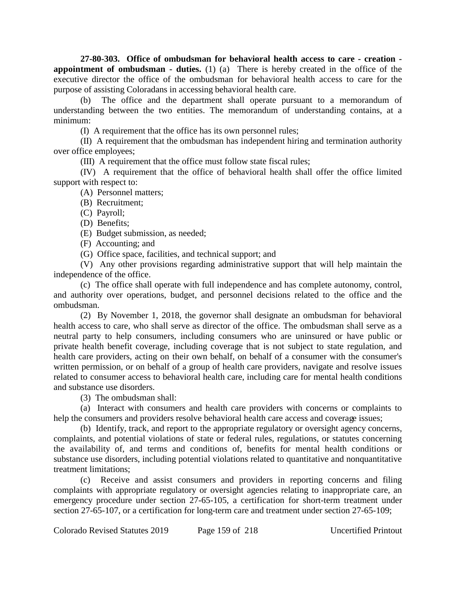**27-80-303. Office of ombudsman for behavioral health access to care - creation appointment of <b>ombudsman** - duties. (1) (a) There is hereby created in the office of the executive director the office of the ombudsman for behavioral health access to care for the purpose of assisting Coloradans in accessing behavioral health care.

(b) The office and the department shall operate pursuant to a memorandum of understanding between the two entities. The memorandum of understanding contains, at a minimum:

(I) A requirement that the office has its own personnel rules;

(II) A requirement that the ombudsman has independent hiring and termination authority over office employees;

(III) A requirement that the office must follow state fiscal rules;

(IV) A requirement that the office of behavioral health shall offer the office limited support with respect to:

(A) Personnel matters;

(B) Recruitment;

(C) Payroll;

(D) Benefits;

(E) Budget submission, as needed;

(F) Accounting; and

(G) Office space, facilities, and technical support; and

(V) Any other provisions regarding administrative support that will help maintain the independence of the office.

(c) The office shall operate with full independence and has complete autonomy, control, and authority over operations, budget, and personnel decisions related to the office and the ombudsman.

(2) By November 1, 2018, the governor shall designate an ombudsman for behavioral health access to care, who shall serve as director of the office. The ombudsman shall serve as a neutral party to help consumers, including consumers who are uninsured or have public or private health benefit coverage, including coverage that is not subject to state regulation, and health care providers, acting on their own behalf, on behalf of a consumer with the consumer's written permission, or on behalf of a group of health care providers, navigate and resolve issues related to consumer access to behavioral health care, including care for mental health conditions and substance use disorders.

(3) The ombudsman shall:

(a) Interact with consumers and health care providers with concerns or complaints to help the consumers and providers resolve behavioral health care access and coverage issues;

(b) Identify, track, and report to the appropriate regulatory or oversight agency concerns, complaints, and potential violations of state or federal rules, regulations, or statutes concerning the availability of, and terms and conditions of, benefits for mental health conditions or substance use disorders, including potential violations related to quantitative and nonquantitative treatment limitations;

(c) Receive and assist consumers and providers in reporting concerns and filing complaints with appropriate regulatory or oversight agencies relating to inappropriate care, an emergency procedure under section 27-65-105, a certification for short-term treatment under section 27-65-107, or a certification for long-term care and treatment under section 27-65-109;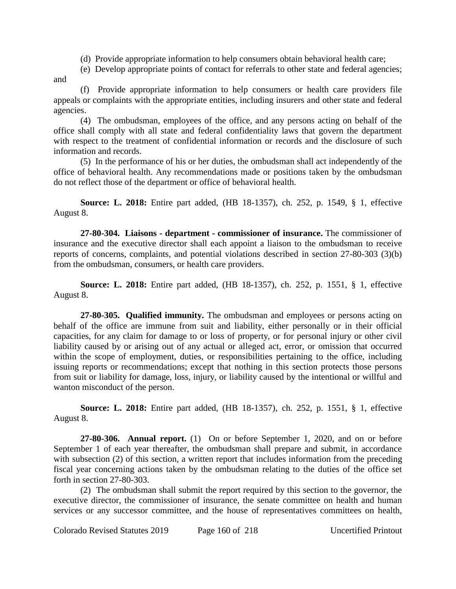(d) Provide appropriate information to help consumers obtain behavioral health care;

(e) Develop appropriate points of contact for referrals to other state and federal agencies; and

(f) Provide appropriate information to help consumers or health care providers file appeals or complaints with the appropriate entities, including insurers and other state and federal agencies.

(4) The ombudsman, employees of the office, and any persons acting on behalf of the office shall comply with all state and federal confidentiality laws that govern the department with respect to the treatment of confidential information or records and the disclosure of such information and records.

(5) In the performance of his or her duties, the ombudsman shall act independently of the office of behavioral health. Any recommendations made or positions taken by the ombudsman do not reflect those of the department or office of behavioral health.

**Source: L. 2018:** Entire part added, (HB 18-1357), ch. 252, p. 1549, § 1, effective August 8.

**27-80-304. Liaisons - department - commissioner of insurance.** The commissioner of insurance and the executive director shall each appoint a liaison to the ombudsman to receive reports of concerns, complaints, and potential violations described in section 27-80-303 (3)(b) from the ombudsman, consumers, or health care providers.

**Source: L. 2018:** Entire part added, (HB 18-1357), ch. 252, p. 1551, § 1, effective August 8.

**27-80-305. Qualified immunity.** The ombudsman and employees or persons acting on behalf of the office are immune from suit and liability, either personally or in their official capacities, for any claim for damage to or loss of property, or for personal injury or other civil liability caused by or arising out of any actual or alleged act, error, or omission that occurred within the scope of employment, duties, or responsibilities pertaining to the office, including issuing reports or recommendations; except that nothing in this section protects those persons from suit or liability for damage, loss, injury, or liability caused by the intentional or willful and wanton misconduct of the person.

**Source: L. 2018:** Entire part added, (HB 18-1357), ch. 252, p. 1551, § 1, effective August 8.

**27-80-306. Annual report.** (1) On or before September 1, 2020, and on or before September 1 of each year thereafter, the ombudsman shall prepare and submit, in accordance with subsection (2) of this section, a written report that includes information from the preceding fiscal year concerning actions taken by the ombudsman relating to the duties of the office set forth in section 27-80-303.

(2) The ombudsman shall submit the report required by this section to the governor, the executive director, the commissioner of insurance, the senate committee on health and human services or any successor committee, and the house of representatives committees on health,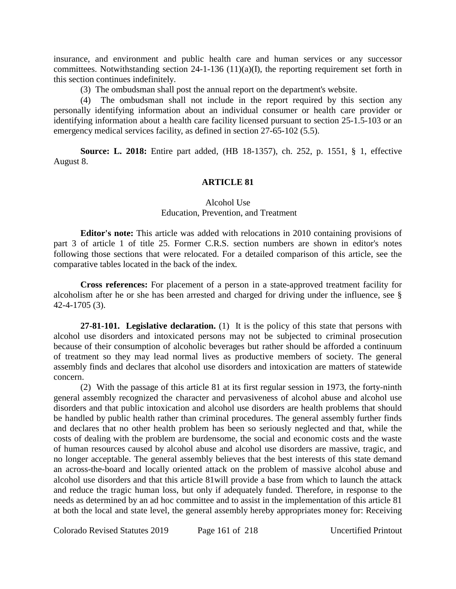insurance, and environment and public health care and human services or any successor committees. Notwithstanding section 24-1-136 (11)(a)(I), the reporting requirement set forth in this section continues indefinitely.

(3) The ombudsman shall post the annual report on the department's website.

(4) The ombudsman shall not include in the report required by this section any personally identifying information about an individual consumer or health care provider or identifying information about a health care facility licensed pursuant to section 25-1.5-103 or an emergency medical services facility, as defined in section 27-65-102 (5.5).

**Source: L. 2018:** Entire part added, (HB 18-1357), ch. 252, p. 1551, § 1, effective August 8.

## **ARTICLE 81**

# Alcohol Use Education, Prevention, and Treatment

**Editor's note:** This article was added with relocations in 2010 containing provisions of part 3 of article 1 of title 25. Former C.R.S. section numbers are shown in editor's notes following those sections that were relocated. For a detailed comparison of this article, see the comparative tables located in the back of the index.

**Cross references:** For placement of a person in a state-approved treatment facility for alcoholism after he or she has been arrested and charged for driving under the influence, see § 42-4-1705 (3).

**27-81-101. Legislative declaration.** (1) It is the policy of this state that persons with alcohol use disorders and intoxicated persons may not be subjected to criminal prosecution because of their consumption of alcoholic beverages but rather should be afforded a continuum of treatment so they may lead normal lives as productive members of society. The general assembly finds and declares that alcohol use disorders and intoxication are matters of statewide concern.

(2) With the passage of this article 81 at its first regular session in 1973, the forty-ninth general assembly recognized the character and pervasiveness of alcohol abuse and alcohol use disorders and that public intoxication and alcohol use disorders are health problems that should be handled by public health rather than criminal procedures. The general assembly further finds and declares that no other health problem has been so seriously neglected and that, while the costs of dealing with the problem are burdensome, the social and economic costs and the waste of human resources caused by alcohol abuse and alcohol use disorders are massive, tragic, and no longer acceptable. The general assembly believes that the best interests of this state demand an across-the-board and locally oriented attack on the problem of massive alcohol abuse and alcohol use disorders and that this article 81will provide a base from which to launch the attack and reduce the tragic human loss, but only if adequately funded. Therefore, in response to the needs as determined by an ad hoc committee and to assist in the implementation of this article 81 at both the local and state level, the general assembly hereby appropriates money for: Receiving

Colorado Revised Statutes 2019 Page 161 of 218 Uncertified Printout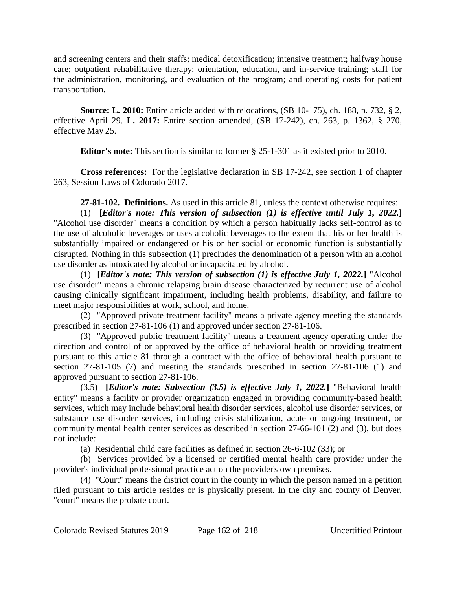and screening centers and their staffs; medical detoxification; intensive treatment; halfway house care; outpatient rehabilitative therapy; orientation, education, and in-service training; staff for the administration, monitoring, and evaluation of the program; and operating costs for patient transportation.

**Source: L. 2010:** Entire article added with relocations, (SB 10-175), ch. 188, p. 732, § 2, effective April 29. **L. 2017:** Entire section amended, (SB 17-242), ch. 263, p. 1362, § 270, effective May 25.

**Editor's note:** This section is similar to former § 25-1-301 as it existed prior to 2010.

**Cross references:** For the legislative declaration in SB 17-242, see section 1 of chapter 263, Session Laws of Colorado 2017.

**27-81-102. Definitions.** As used in this article 81, unless the context otherwise requires:

(1) **[***Editor's note: This version of subsection (1) is effective until July 1, 2022.***]** "Alcohol use disorder" means a condition by which a person habitually lacks self-control as to the use of alcoholic beverages or uses alcoholic beverages to the extent that his or her health is substantially impaired or endangered or his or her social or economic function is substantially disrupted. Nothing in this subsection (1) precludes the denomination of a person with an alcohol use disorder as intoxicated by alcohol or incapacitated by alcohol.

(1) **[***Editor's note: This version of subsection (1) is effective July 1, 2022.***]** "Alcohol use disorder" means a chronic relapsing brain disease characterized by recurrent use of alcohol causing clinically significant impairment, including health problems, disability, and failure to meet major responsibilities at work, school, and home.

(2) "Approved private treatment facility" means a private agency meeting the standards prescribed in section 27-81-106 (1) and approved under section 27-81-106.

(3) "Approved public treatment facility" means a treatment agency operating under the direction and control of or approved by the office of behavioral health or providing treatment pursuant to this article 81 through a contract with the office of behavioral health pursuant to section 27-81-105 (7) and meeting the standards prescribed in section 27-81-106 (1) and approved pursuant to section 27-81-106.

(3.5) **[***Editor's note: Subsection (3.5) is effective July 1, 2022.***]** "Behavioral health entity" means a facility or provider organization engaged in providing community-based health services, which may include behavioral health disorder services, alcohol use disorder services, or substance use disorder services, including crisis stabilization, acute or ongoing treatment, or community mental health center services as described in section 27-66-101 (2) and (3), but does not include:

(a) Residential child care facilities as defined in section 26-6-102 (33); or

(b) Services provided by a licensed or certified mental health care provider under the provider's individual professional practice act on the provider's own premises.

(4) "Court" means the district court in the county in which the person named in a petition filed pursuant to this article resides or is physically present. In the city and county of Denver, "court" means the probate court.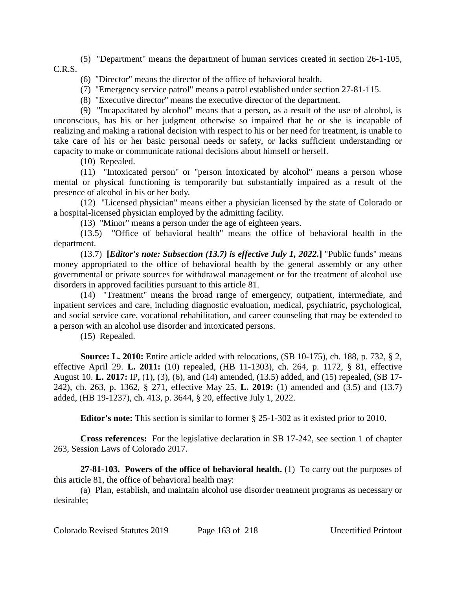(5) "Department" means the department of human services created in section 26-1-105, C.R.S.

(6) "Director" means the director of the office of behavioral health.

(7) "Emergency service patrol" means a patrol established under section 27-81-115.

(8) "Executive director" means the executive director of the department.

(9) "Incapacitated by alcohol" means that a person, as a result of the use of alcohol, is unconscious, has his or her judgment otherwise so impaired that he or she is incapable of realizing and making a rational decision with respect to his or her need for treatment, is unable to take care of his or her basic personal needs or safety, or lacks sufficient understanding or capacity to make or communicate rational decisions about himself or herself.

(10) Repealed.

(11) "Intoxicated person" or "person intoxicated by alcohol" means a person whose mental or physical functioning is temporarily but substantially impaired as a result of the presence of alcohol in his or her body.

(12) "Licensed physician" means either a physician licensed by the state of Colorado or a hospital-licensed physician employed by the admitting facility.

(13) "Minor" means a person under the age of eighteen years.

(13.5) "Office of behavioral health" means the office of behavioral health in the department.

(13.7) **[***Editor's note: Subsection (13.7) is effective July 1, 2022.***]** "Public funds" means money appropriated to the office of behavioral health by the general assembly or any other governmental or private sources for withdrawal management or for the treatment of alcohol use disorders in approved facilities pursuant to this article 81.

(14) "Treatment" means the broad range of emergency, outpatient, intermediate, and inpatient services and care, including diagnostic evaluation, medical, psychiatric, psychological, and social service care, vocational rehabilitation, and career counseling that may be extended to a person with an alcohol use disorder and intoxicated persons.

(15) Repealed.

**Source: L. 2010:** Entire article added with relocations, (SB 10-175), ch. 188, p. 732, § 2, effective April 29. **L. 2011:** (10) repealed, (HB 11-1303), ch. 264, p. 1172, § 81, effective August 10. **L. 2017:** IP, (1), (3), (6), and (14) amended, (13.5) added, and (15) repealed, (SB 17- 242), ch. 263, p. 1362, § 271, effective May 25. **L. 2019:** (1) amended and (3.5) and (13.7) added, (HB 19-1237), ch. 413, p. 3644, § 20, effective July 1, 2022.

**Editor's note:** This section is similar to former § 25-1-302 as it existed prior to 2010.

**Cross references:** For the legislative declaration in SB 17-242, see section 1 of chapter 263, Session Laws of Colorado 2017.

**27-81-103. Powers of the office of behavioral health.** (1) To carry out the purposes of this article 81, the office of behavioral health may:

(a) Plan, establish, and maintain alcohol use disorder treatment programs as necessary or desirable;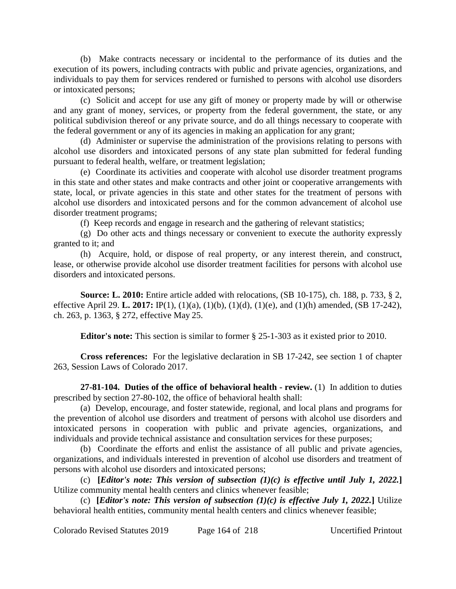(b) Make contracts necessary or incidental to the performance of its duties and the execution of its powers, including contracts with public and private agencies, organizations, and individuals to pay them for services rendered or furnished to persons with alcohol use disorders or intoxicated persons;

(c) Solicit and accept for use any gift of money or property made by will or otherwise and any grant of money, services, or property from the federal government, the state, or any political subdivision thereof or any private source, and do all things necessary to cooperate with the federal government or any of its agencies in making an application for any grant;

(d) Administer or supervise the administration of the provisions relating to persons with alcohol use disorders and intoxicated persons of any state plan submitted for federal funding pursuant to federal health, welfare, or treatment legislation;

(e) Coordinate its activities and cooperate with alcohol use disorder treatment programs in this state and other states and make contracts and other joint or cooperative arrangements with state, local, or private agencies in this state and other states for the treatment of persons with alcohol use disorders and intoxicated persons and for the common advancement of alcohol use disorder treatment programs;

(f) Keep records and engage in research and the gathering of relevant statistics;

(g) Do other acts and things necessary or convenient to execute the authority expressly granted to it; and

(h) Acquire, hold, or dispose of real property, or any interest therein, and construct, lease, or otherwise provide alcohol use disorder treatment facilities for persons with alcohol use disorders and intoxicated persons.

**Source: L. 2010:** Entire article added with relocations, (SB 10-175), ch. 188, p. 733, § 2, effective April 29. **L. 2017:** IP(1), (1)(a), (1)(b), (1)(d), (1)(e), and (1)(h) amended, (SB 17-242), ch. 263, p. 1363, § 272, effective May 25.

**Editor's note:** This section is similar to former § 25-1-303 as it existed prior to 2010.

**Cross references:** For the legislative declaration in SB 17-242, see section 1 of chapter 263, Session Laws of Colorado 2017.

**27-81-104. Duties of the office of behavioral health - review.** (1) In addition to duties prescribed by section 27-80-102, the office of behavioral health shall:

(a) Develop, encourage, and foster statewide, regional, and local plans and programs for the prevention of alcohol use disorders and treatment of persons with alcohol use disorders and intoxicated persons in cooperation with public and private agencies, organizations, and individuals and provide technical assistance and consultation services for these purposes;

(b) Coordinate the efforts and enlist the assistance of all public and private agencies, organizations, and individuals interested in prevention of alcohol use disorders and treatment of persons with alcohol use disorders and intoxicated persons;

(c) **[***Editor's note: This version of subsection (1)(c) is effective until July 1, 2022.***]** Utilize community mental health centers and clinics whenever feasible;

(c) **[***Editor's note: This version of subsection (1)(c) is effective July 1, 2022.***] Utilize** behavioral health entities, community mental health centers and clinics whenever feasible;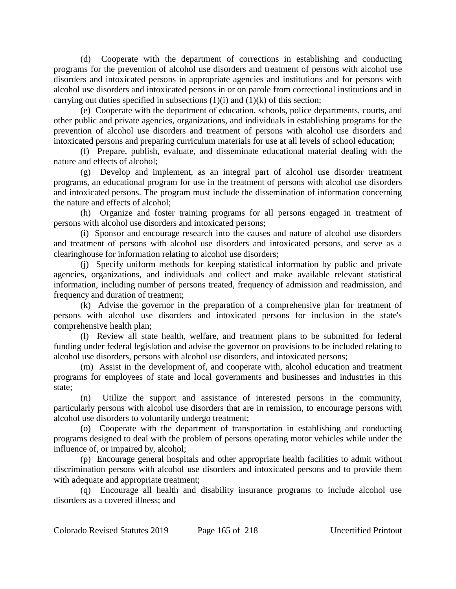(d) Cooperate with the department of corrections in establishing and conducting programs for the prevention of alcohol use disorders and treatment of persons with alcohol use disorders and intoxicated persons in appropriate agencies and institutions and for persons with alcohol use disorders and intoxicated persons in or on parole from correctional institutions and in carrying out duties specified in subsections  $(1)(i)$  and  $(1)(k)$  of this section;

(e) Cooperate with the department of education, schools, police departments, courts, and other public and private agencies, organizations, and individuals in establishing programs for the prevention of alcohol use disorders and treatment of persons with alcohol use disorders and intoxicated persons and preparing curriculum materials for use at all levels of school education;

(f) Prepare, publish, evaluate, and disseminate educational material dealing with the nature and effects of alcohol;

(g) Develop and implement, as an integral part of alcohol use disorder treatment programs, an educational program for use in the treatment of persons with alcohol use disorders and intoxicated persons. The program must include the dissemination of information concerning the nature and effects of alcohol;

(h) Organize and foster training programs for all persons engaged in treatment of persons with alcohol use disorders and intoxicated persons;

(i) Sponsor and encourage research into the causes and nature of alcohol use disorders and treatment of persons with alcohol use disorders and intoxicated persons, and serve as a clearinghouse for information relating to alcohol use disorders;

(j) Specify uniform methods for keeping statistical information by public and private agencies, organizations, and individuals and collect and make available relevant statistical information, including number of persons treated, frequency of admission and readmission, and frequency and duration of treatment;

(k) Advise the governor in the preparation of a comprehensive plan for treatment of persons with alcohol use disorders and intoxicated persons for inclusion in the state's comprehensive health plan;

(l) Review all state health, welfare, and treatment plans to be submitted for federal funding under federal legislation and advise the governor on provisions to be included relating to alcohol use disorders, persons with alcohol use disorders, and intoxicated persons;

(m) Assist in the development of, and cooperate with, alcohol education and treatment programs for employees of state and local governments and businesses and industries in this state;

(n) Utilize the support and assistance of interested persons in the community, particularly persons with alcohol use disorders that are in remission, to encourage persons with alcohol use disorders to voluntarily undergo treatment;

(o) Cooperate with the department of transportation in establishing and conducting programs designed to deal with the problem of persons operating motor vehicles while under the influence of, or impaired by, alcohol;

(p) Encourage general hospitals and other appropriate health facilities to admit without discrimination persons with alcohol use disorders and intoxicated persons and to provide them with adequate and appropriate treatment;

(q) Encourage all health and disability insurance programs to include alcohol use disorders as a covered illness; and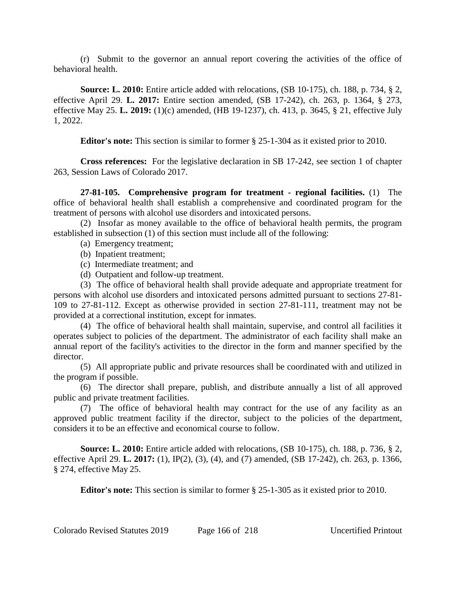(r) Submit to the governor an annual report covering the activities of the office of behavioral health.

**Source: L. 2010:** Entire article added with relocations, (SB 10-175), ch. 188, p. 734, § 2, effective April 29. **L. 2017:** Entire section amended, (SB 17-242), ch. 263, p. 1364, § 273, effective May 25. **L. 2019:** (1)(c) amended, (HB 19-1237), ch. 413, p. 3645, § 21, effective July 1, 2022.

**Editor's note:** This section is similar to former § 25-1-304 as it existed prior to 2010.

**Cross references:** For the legislative declaration in SB 17-242, see section 1 of chapter 263, Session Laws of Colorado 2017.

**27-81-105. Comprehensive program for treatment - regional facilities.** (1) The office of behavioral health shall establish a comprehensive and coordinated program for the treatment of persons with alcohol use disorders and intoxicated persons.

(2) Insofar as money available to the office of behavioral health permits, the program established in subsection (1) of this section must include all of the following:

- (a) Emergency treatment;
- (b) Inpatient treatment;
- (c) Intermediate treatment; and
- (d) Outpatient and follow-up treatment.

(3) The office of behavioral health shall provide adequate and appropriate treatment for persons with alcohol use disorders and intoxicated persons admitted pursuant to sections 27-81- 109 to 27-81-112. Except as otherwise provided in section 27-81-111, treatment may not be provided at a correctional institution, except for inmates.

(4) The office of behavioral health shall maintain, supervise, and control all facilities it operates subject to policies of the department. The administrator of each facility shall make an annual report of the facility's activities to the director in the form and manner specified by the director.

(5) All appropriate public and private resources shall be coordinated with and utilized in the program if possible.

(6) The director shall prepare, publish, and distribute annually a list of all approved public and private treatment facilities.

(7) The office of behavioral health may contract for the use of any facility as an approved public treatment facility if the director, subject to the policies of the department, considers it to be an effective and economical course to follow.

**Source: L. 2010:** Entire article added with relocations, (SB 10-175), ch. 188, p. 736, § 2, effective April 29. **L. 2017:** (1), IP(2), (3), (4), and (7) amended, (SB 17-242), ch. 263, p. 1366, § 274, effective May 25.

**Editor's note:** This section is similar to former § 25-1-305 as it existed prior to 2010.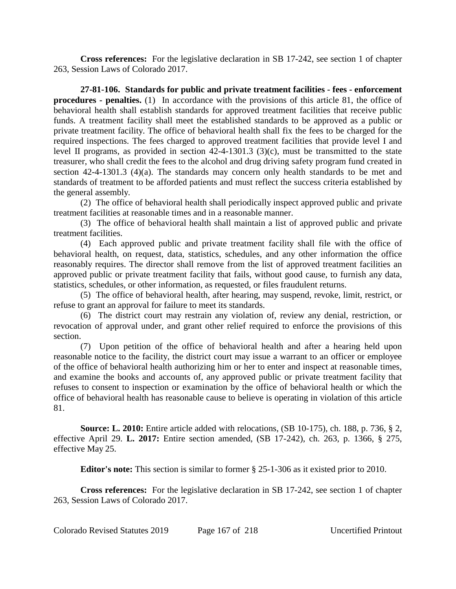**Cross references:** For the legislative declaration in SB 17-242, see section 1 of chapter 263, Session Laws of Colorado 2017.

**27-81-106. Standards for public and private treatment facilities - fees - enforcement procedures - penalties.** (1) In accordance with the provisions of this article 81, the office of behavioral health shall establish standards for approved treatment facilities that receive public funds. A treatment facility shall meet the established standards to be approved as a public or private treatment facility. The office of behavioral health shall fix the fees to be charged for the required inspections. The fees charged to approved treatment facilities that provide level I and level II programs, as provided in section 42-4-1301.3 (3)(c), must be transmitted to the state treasurer, who shall credit the fees to the alcohol and drug driving safety program fund created in section 42-4-1301.3 (4)(a). The standards may concern only health standards to be met and standards of treatment to be afforded patients and must reflect the success criteria established by the general assembly.

(2) The office of behavioral health shall periodically inspect approved public and private treatment facilities at reasonable times and in a reasonable manner.

(3) The office of behavioral health shall maintain a list of approved public and private treatment facilities.

(4) Each approved public and private treatment facility shall file with the office of behavioral health, on request, data, statistics, schedules, and any other information the office reasonably requires. The director shall remove from the list of approved treatment facilities an approved public or private treatment facility that fails, without good cause, to furnish any data, statistics, schedules, or other information, as requested, or files fraudulent returns.

(5) The office of behavioral health, after hearing, may suspend, revoke, limit, restrict, or refuse to grant an approval for failure to meet its standards.

(6) The district court may restrain any violation of, review any denial, restriction, or revocation of approval under, and grant other relief required to enforce the provisions of this section.

(7) Upon petition of the office of behavioral health and after a hearing held upon reasonable notice to the facility, the district court may issue a warrant to an officer or employee of the office of behavioral health authorizing him or her to enter and inspect at reasonable times, and examine the books and accounts of, any approved public or private treatment facility that refuses to consent to inspection or examination by the office of behavioral health or which the office of behavioral health has reasonable cause to believe is operating in violation of this article 81.

**Source: L. 2010:** Entire article added with relocations, (SB 10-175), ch. 188, p. 736, § 2, effective April 29. **L. 2017:** Entire section amended, (SB 17-242), ch. 263, p. 1366, § 275, effective May 25.

**Editor's note:** This section is similar to former § 25-1-306 as it existed prior to 2010.

**Cross references:** For the legislative declaration in SB 17-242, see section 1 of chapter 263, Session Laws of Colorado 2017.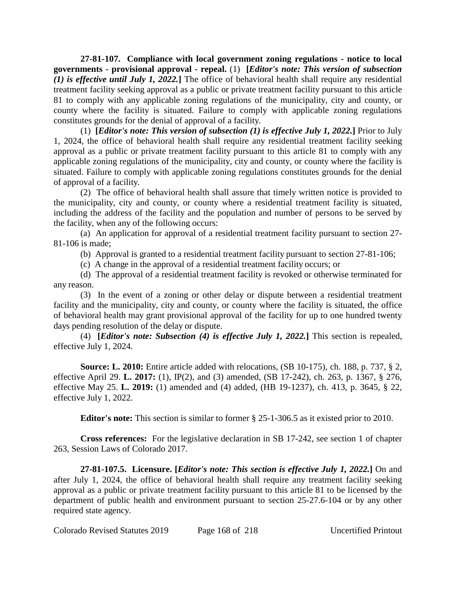**27-81-107. Compliance with local government zoning regulations - notice to local governments - provisional approval - repeal.** (1) **[***Editor's note: This version of subsection (1) is effective until July 1, 2022.***]** The office of behavioral health shall require any residential treatment facility seeking approval as a public or private treatment facility pursuant to this article 81 to comply with any applicable zoning regulations of the municipality, city and county, or county where the facility is situated. Failure to comply with applicable zoning regulations constitutes grounds for the denial of approval of a facility.

(1) **[***Editor's note: This version of subsection (1) is effective July 1, 2022.***]** Prior to July 1, 2024, the office of behavioral health shall require any residential treatment facility seeking approval as a public or private treatment facility pursuant to this article 81 to comply with any applicable zoning regulations of the municipality, city and county, or county where the facility is situated. Failure to comply with applicable zoning regulations constitutes grounds for the denial of approval of a facility.

(2) The office of behavioral health shall assure that timely written notice is provided to the municipality, city and county, or county where a residential treatment facility is situated, including the address of the facility and the population and number of persons to be served by the facility, when any of the following occurs:

(a) An application for approval of a residential treatment facility pursuant to section 27- 81-106 is made;

(b) Approval is granted to a residential treatment facility pursuant to section 27-81-106;

(c) A change in the approval of a residential treatment facility occurs; or

(d) The approval of a residential treatment facility is revoked or otherwise terminated for any reason.

(3) In the event of a zoning or other delay or dispute between a residential treatment facility and the municipality, city and county, or county where the facility is situated, the office of behavioral health may grant provisional approval of the facility for up to one hundred twenty days pending resolution of the delay or dispute.

(4) **[***Editor's note: Subsection (4) is effective July 1, 2022.***]** This section is repealed, effective July 1, 2024.

**Source: L. 2010:** Entire article added with relocations, (SB 10-175), ch. 188, p. 737, § 2, effective April 29. **L. 2017:** (1), IP(2), and (3) amended, (SB 17-242), ch. 263, p. 1367, § 276, effective May 25. **L. 2019:** (1) amended and (4) added, (HB 19-1237), ch. 413, p. 3645, § 22, effective July 1, 2022.

**Editor's note:** This section is similar to former § 25-1-306.5 as it existed prior to 2010.

**Cross references:** For the legislative declaration in SB 17-242, see section 1 of chapter 263, Session Laws of Colorado 2017.

**27-81-107.5. Licensure. [***Editor's note: This section is effective July 1, 2022.***]** On and after July 1, 2024, the office of behavioral health shall require any treatment facility seeking approval as a public or private treatment facility pursuant to this article 81 to be licensed by the department of public health and environment pursuant to section 25-27.6-104 or by any other required state agency.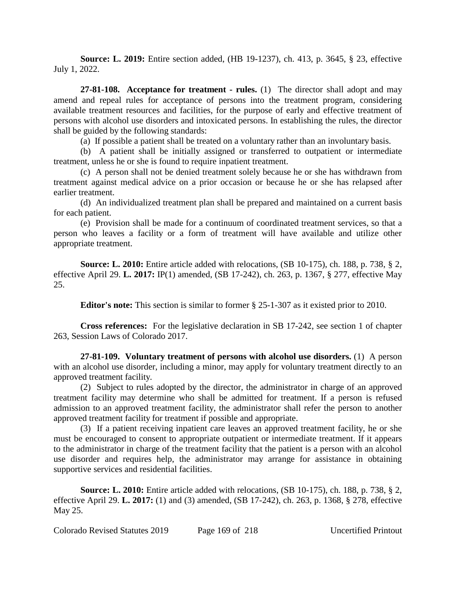**Source: L. 2019:** Entire section added, (HB 19-1237), ch. 413, p. 3645, § 23, effective July 1, 2022.

**27-81-108. Acceptance for treatment - rules.** (1) The director shall adopt and may amend and repeal rules for acceptance of persons into the treatment program, considering available treatment resources and facilities, for the purpose of early and effective treatment of persons with alcohol use disorders and intoxicated persons. In establishing the rules, the director shall be guided by the following standards:

(a) If possible a patient shall be treated on a voluntary rather than an involuntary basis.

(b) A patient shall be initially assigned or transferred to outpatient or intermediate treatment, unless he or she is found to require inpatient treatment.

(c) A person shall not be denied treatment solely because he or she has withdrawn from treatment against medical advice on a prior occasion or because he or she has relapsed after earlier treatment.

(d) An individualized treatment plan shall be prepared and maintained on a current basis for each patient.

(e) Provision shall be made for a continuum of coordinated treatment services, so that a person who leaves a facility or a form of treatment will have available and utilize other appropriate treatment.

**Source: L. 2010:** Entire article added with relocations, (SB 10-175), ch. 188, p. 738, § 2, effective April 29. **L. 2017:** IP(1) amended, (SB 17-242), ch. 263, p. 1367, § 277, effective May 25.

**Editor's note:** This section is similar to former § 25-1-307 as it existed prior to 2010.

**Cross references:** For the legislative declaration in SB 17-242, see section 1 of chapter 263, Session Laws of Colorado 2017.

**27-81-109. Voluntary treatment of persons with alcohol use disorders.** (1) A person with an alcohol use disorder, including a minor, may apply for voluntary treatment directly to an approved treatment facility.

(2) Subject to rules adopted by the director, the administrator in charge of an approved treatment facility may determine who shall be admitted for treatment. If a person is refused admission to an approved treatment facility, the administrator shall refer the person to another approved treatment facility for treatment if possible and appropriate.

(3) If a patient receiving inpatient care leaves an approved treatment facility, he or she must be encouraged to consent to appropriate outpatient or intermediate treatment. If it appears to the administrator in charge of the treatment facility that the patient is a person with an alcohol use disorder and requires help, the administrator may arrange for assistance in obtaining supportive services and residential facilities.

**Source: L. 2010:** Entire article added with relocations, (SB 10-175), ch. 188, p. 738, § 2, effective April 29. **L. 2017:** (1) and (3) amended, (SB 17-242), ch. 263, p. 1368, § 278, effective May 25.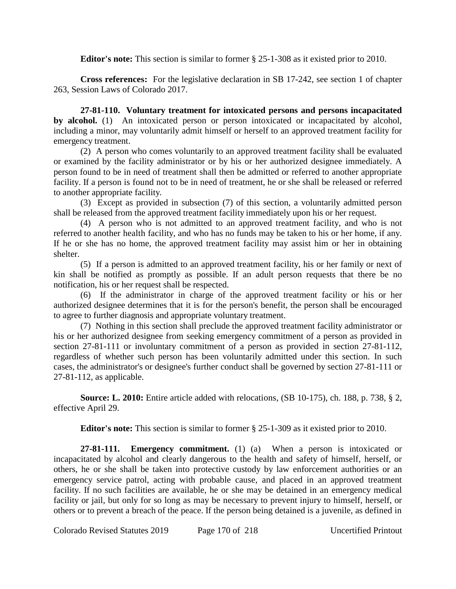**Editor's note:** This section is similar to former § 25-1-308 as it existed prior to 2010.

**Cross references:** For the legislative declaration in SB 17-242, see section 1 of chapter 263, Session Laws of Colorado 2017.

**27-81-110. Voluntary treatment for intoxicated persons and persons incapacitated by alcohol.** (1) An intoxicated person or person intoxicated or incapacitated by alcohol, including a minor, may voluntarily admit himself or herself to an approved treatment facility for emergency treatment.

(2) A person who comes voluntarily to an approved treatment facility shall be evaluated or examined by the facility administrator or by his or her authorized designee immediately. A person found to be in need of treatment shall then be admitted or referred to another appropriate facility. If a person is found not to be in need of treatment, he or she shall be released or referred to another appropriate facility.

(3) Except as provided in subsection (7) of this section, a voluntarily admitted person shall be released from the approved treatment facility immediately upon his or her request.

(4) A person who is not admitted to an approved treatment facility, and who is not referred to another health facility, and who has no funds may be taken to his or her home, if any. If he or she has no home, the approved treatment facility may assist him or her in obtaining shelter.

(5) If a person is admitted to an approved treatment facility, his or her family or next of kin shall be notified as promptly as possible. If an adult person requests that there be no notification, his or her request shall be respected.

(6) If the administrator in charge of the approved treatment facility or his or her authorized designee determines that it is for the person's benefit, the person shall be encouraged to agree to further diagnosis and appropriate voluntary treatment.

(7) Nothing in this section shall preclude the approved treatment facility administrator or his or her authorized designee from seeking emergency commitment of a person as provided in section 27-81-111 or involuntary commitment of a person as provided in section 27-81-112, regardless of whether such person has been voluntarily admitted under this section. In such cases, the administrator's or designee's further conduct shall be governed by section 27-81-111 or 27-81-112, as applicable.

**Source: L. 2010:** Entire article added with relocations, (SB 10-175), ch. 188, p. 738, § 2, effective April 29.

**Editor's note:** This section is similar to former § 25-1-309 as it existed prior to 2010.

**27-81-111. Emergency commitment.** (1) (a) When a person is intoxicated or incapacitated by alcohol and clearly dangerous to the health and safety of himself, herself, or others, he or she shall be taken into protective custody by law enforcement authorities or an emergency service patrol, acting with probable cause, and placed in an approved treatment facility. If no such facilities are available, he or she may be detained in an emergency medical facility or jail, but only for so long as may be necessary to prevent injury to himself, herself, or others or to prevent a breach of the peace. If the person being detained is a juvenile, as defined in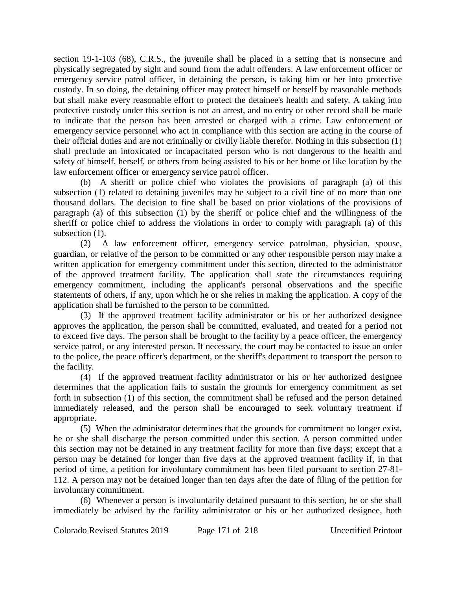section 19-1-103 (68), C.R.S., the juvenile shall be placed in a setting that is nonsecure and physically segregated by sight and sound from the adult offenders. A law enforcement officer or emergency service patrol officer, in detaining the person, is taking him or her into protective custody. In so doing, the detaining officer may protect himself or herself by reasonable methods but shall make every reasonable effort to protect the detainee's health and safety. A taking into protective custody under this section is not an arrest, and no entry or other record shall be made to indicate that the person has been arrested or charged with a crime. Law enforcement or emergency service personnel who act in compliance with this section are acting in the course of their official duties and are not criminally or civilly liable therefor. Nothing in this subsection (1) shall preclude an intoxicated or incapacitated person who is not dangerous to the health and safety of himself, herself, or others from being assisted to his or her home or like location by the law enforcement officer or emergency service patrol officer.

(b) A sheriff or police chief who violates the provisions of paragraph (a) of this subsection (1) related to detaining juveniles may be subject to a civil fine of no more than one thousand dollars. The decision to fine shall be based on prior violations of the provisions of paragraph (a) of this subsection (1) by the sheriff or police chief and the willingness of the sheriff or police chief to address the violations in order to comply with paragraph (a) of this subsection  $(1)$ .

(2) A law enforcement officer, emergency service patrolman, physician, spouse, guardian, or relative of the person to be committed or any other responsible person may make a written application for emergency commitment under this section, directed to the administrator of the approved treatment facility. The application shall state the circumstances requiring emergency commitment, including the applicant's personal observations and the specific statements of others, if any, upon which he or she relies in making the application. A copy of the application shall be furnished to the person to be committed.

(3) If the approved treatment facility administrator or his or her authorized designee approves the application, the person shall be committed, evaluated, and treated for a period not to exceed five days. The person shall be brought to the facility by a peace officer, the emergency service patrol, or any interested person. If necessary, the court may be contacted to issue an order to the police, the peace officer's department, or the sheriff's department to transport the person to the facility.

(4) If the approved treatment facility administrator or his or her authorized designee determines that the application fails to sustain the grounds for emergency commitment as set forth in subsection (1) of this section, the commitment shall be refused and the person detained immediately released, and the person shall be encouraged to seek voluntary treatment if appropriate.

(5) When the administrator determines that the grounds for commitment no longer exist, he or she shall discharge the person committed under this section. A person committed under this section may not be detained in any treatment facility for more than five days; except that a person may be detained for longer than five days at the approved treatment facility if, in that period of time, a petition for involuntary commitment has been filed pursuant to section 27-81- 112. A person may not be detained longer than ten days after the date of filing of the petition for involuntary commitment.

(6) Whenever a person is involuntarily detained pursuant to this section, he or she shall immediately be advised by the facility administrator or his or her authorized designee, both

Colorado Revised Statutes 2019 Page 171 of 218 Uncertified Printout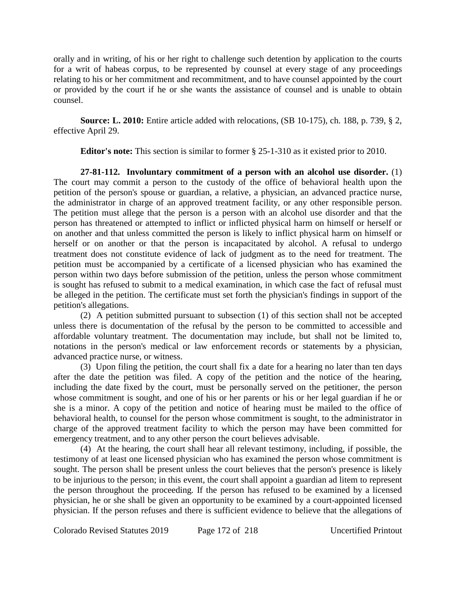orally and in writing, of his or her right to challenge such detention by application to the courts for a writ of habeas corpus, to be represented by counsel at every stage of any proceedings relating to his or her commitment and recommitment, and to have counsel appointed by the court or provided by the court if he or she wants the assistance of counsel and is unable to obtain counsel.

**Source: L. 2010:** Entire article added with relocations, (SB 10-175), ch. 188, p. 739, § 2, effective April 29.

**Editor's note:** This section is similar to former § 25-1-310 as it existed prior to 2010.

**27-81-112. Involuntary commitment of a person with an alcohol use disorder.** (1) The court may commit a person to the custody of the office of behavioral health upon the petition of the person's spouse or guardian, a relative, a physician, an advanced practice nurse, the administrator in charge of an approved treatment facility, or any other responsible person. The petition must allege that the person is a person with an alcohol use disorder and that the person has threatened or attempted to inflict or inflicted physical harm on himself or herself or on another and that unless committed the person is likely to inflict physical harm on himself or herself or on another or that the person is incapacitated by alcohol. A refusal to undergo treatment does not constitute evidence of lack of judgment as to the need for treatment. The petition must be accompanied by a certificate of a licensed physician who has examined the person within two days before submission of the petition, unless the person whose commitment is sought has refused to submit to a medical examination, in which case the fact of refusal must be alleged in the petition. The certificate must set forth the physician's findings in support of the petition's allegations.

(2) A petition submitted pursuant to subsection (1) of this section shall not be accepted unless there is documentation of the refusal by the person to be committed to accessible and affordable voluntary treatment. The documentation may include, but shall not be limited to, notations in the person's medical or law enforcement records or statements by a physician, advanced practice nurse, or witness.

(3) Upon filing the petition, the court shall fix a date for a hearing no later than ten days after the date the petition was filed. A copy of the petition and the notice of the hearing, including the date fixed by the court, must be personally served on the petitioner, the person whose commitment is sought, and one of his or her parents or his or her legal guardian if he or she is a minor. A copy of the petition and notice of hearing must be mailed to the office of behavioral health, to counsel for the person whose commitment is sought, to the administrator in charge of the approved treatment facility to which the person may have been committed for emergency treatment, and to any other person the court believes advisable.

(4) At the hearing, the court shall hear all relevant testimony, including, if possible, the testimony of at least one licensed physician who has examined the person whose commitment is sought. The person shall be present unless the court believes that the person's presence is likely to be injurious to the person; in this event, the court shall appoint a guardian ad litem to represent the person throughout the proceeding. If the person has refused to be examined by a licensed physician, he or she shall be given an opportunity to be examined by a court-appointed licensed physician. If the person refuses and there is sufficient evidence to believe that the allegations of

Colorado Revised Statutes 2019 Page 172 of 218 Uncertified Printout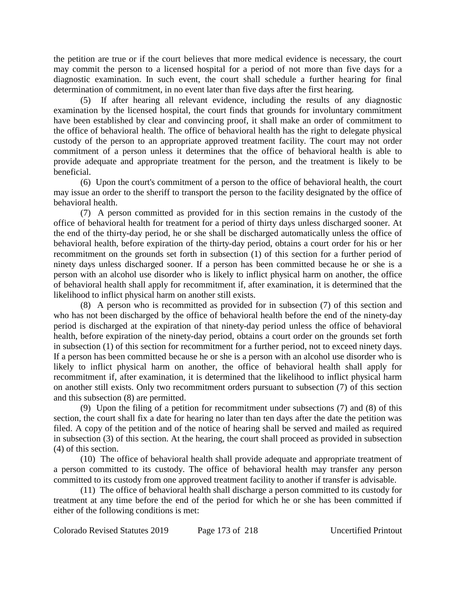the petition are true or if the court believes that more medical evidence is necessary, the court may commit the person to a licensed hospital for a period of not more than five days for a diagnostic examination. In such event, the court shall schedule a further hearing for final determination of commitment, in no event later than five days after the first hearing.

(5) If after hearing all relevant evidence, including the results of any diagnostic examination by the licensed hospital, the court finds that grounds for involuntary commitment have been established by clear and convincing proof, it shall make an order of commitment to the office of behavioral health. The office of behavioral health has the right to delegate physical custody of the person to an appropriate approved treatment facility. The court may not order commitment of a person unless it determines that the office of behavioral health is able to provide adequate and appropriate treatment for the person, and the treatment is likely to be beneficial.

(6) Upon the court's commitment of a person to the office of behavioral health, the court may issue an order to the sheriff to transport the person to the facility designated by the office of behavioral health.

(7) A person committed as provided for in this section remains in the custody of the office of behavioral health for treatment for a period of thirty days unless discharged sooner. At the end of the thirty-day period, he or she shall be discharged automatically unless the office of behavioral health, before expiration of the thirty-day period, obtains a court order for his or her recommitment on the grounds set forth in subsection (1) of this section for a further period of ninety days unless discharged sooner. If a person has been committed because he or she is a person with an alcohol use disorder who is likely to inflict physical harm on another, the office of behavioral health shall apply for recommitment if, after examination, it is determined that the likelihood to inflict physical harm on another still exists.

(8) A person who is recommitted as provided for in subsection (7) of this section and who has not been discharged by the office of behavioral health before the end of the ninety-day period is discharged at the expiration of that ninety-day period unless the office of behavioral health, before expiration of the ninety-day period, obtains a court order on the grounds set forth in subsection (1) of this section for recommitment for a further period, not to exceed ninety days. If a person has been committed because he or she is a person with an alcohol use disorder who is likely to inflict physical harm on another, the office of behavioral health shall apply for recommitment if, after examination, it is determined that the likelihood to inflict physical harm on another still exists. Only two recommitment orders pursuant to subsection (7) of this section and this subsection (8) are permitted.

(9) Upon the filing of a petition for recommitment under subsections (7) and (8) of this section, the court shall fix a date for hearing no later than ten days after the date the petition was filed. A copy of the petition and of the notice of hearing shall be served and mailed as required in subsection (3) of this section. At the hearing, the court shall proceed as provided in subsection (4) of this section.

(10) The office of behavioral health shall provide adequate and appropriate treatment of a person committed to its custody. The office of behavioral health may transfer any person committed to its custody from one approved treatment facility to another if transfer is advisable.

(11) The office of behavioral health shall discharge a person committed to its custody for treatment at any time before the end of the period for which he or she has been committed if either of the following conditions is met: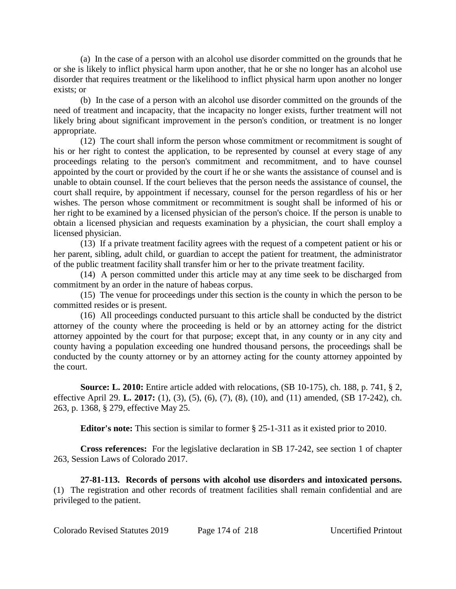(a) In the case of a person with an alcohol use disorder committed on the grounds that he or she is likely to inflict physical harm upon another, that he or she no longer has an alcohol use disorder that requires treatment or the likelihood to inflict physical harm upon another no longer exists; or

(b) In the case of a person with an alcohol use disorder committed on the grounds of the need of treatment and incapacity, that the incapacity no longer exists, further treatment will not likely bring about significant improvement in the person's condition, or treatment is no longer appropriate.

(12) The court shall inform the person whose commitment or recommitment is sought of his or her right to contest the application, to be represented by counsel at every stage of any proceedings relating to the person's commitment and recommitment, and to have counsel appointed by the court or provided by the court if he or she wants the assistance of counsel and is unable to obtain counsel. If the court believes that the person needs the assistance of counsel, the court shall require, by appointment if necessary, counsel for the person regardless of his or her wishes. The person whose commitment or recommitment is sought shall be informed of his or her right to be examined by a licensed physician of the person's choice. If the person is unable to obtain a licensed physician and requests examination by a physician, the court shall employ a licensed physician.

(13) If a private treatment facility agrees with the request of a competent patient or his or her parent, sibling, adult child, or guardian to accept the patient for treatment, the administrator of the public treatment facility shall transfer him or her to the private treatment facility.

(14) A person committed under this article may at any time seek to be discharged from commitment by an order in the nature of habeas corpus.

(15) The venue for proceedings under this section is the county in which the person to be committed resides or is present.

(16) All proceedings conducted pursuant to this article shall be conducted by the district attorney of the county where the proceeding is held or by an attorney acting for the district attorney appointed by the court for that purpose; except that, in any county or in any city and county having a population exceeding one hundred thousand persons, the proceedings shall be conducted by the county attorney or by an attorney acting for the county attorney appointed by the court.

**Source: L. 2010:** Entire article added with relocations, (SB 10-175), ch. 188, p. 741, § 2, effective April 29. **L. 2017:** (1), (3), (5), (6), (7), (8), (10), and (11) amended, (SB 17-242), ch. 263, p. 1368, § 279, effective May 25.

**Editor's note:** This section is similar to former § 25-1-311 as it existed prior to 2010.

**Cross references:** For the legislative declaration in SB 17-242, see section 1 of chapter 263, Session Laws of Colorado 2017.

**27-81-113. Records of persons with alcohol use disorders and intoxicated persons.** (1) The registration and other records of treatment facilities shall remain confidential and are privileged to the patient.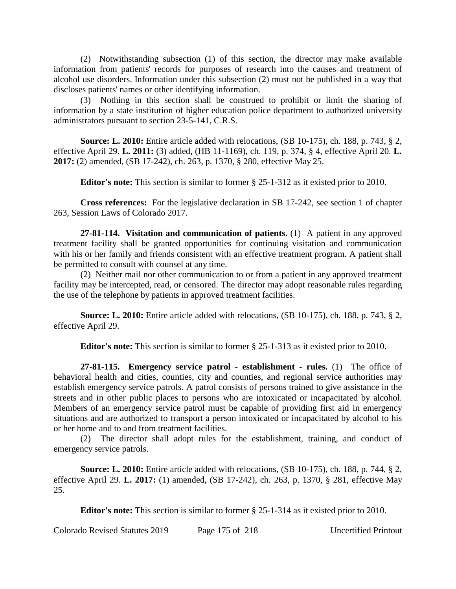(2) Notwithstanding subsection (1) of this section, the director may make available information from patients' records for purposes of research into the causes and treatment of alcohol use disorders. Information under this subsection (2) must not be published in a way that discloses patients' names or other identifying information.

(3) Nothing in this section shall be construed to prohibit or limit the sharing of information by a state institution of higher education police department to authorized university administrators pursuant to section 23-5-141, C.R.S.

**Source: L. 2010:** Entire article added with relocations, (SB 10-175), ch. 188, p. 743, § 2, effective April 29. **L. 2011:** (3) added, (HB 11-1169), ch. 119, p. 374, § 4, effective April 20. **L. 2017:** (2) amended, (SB 17-242), ch. 263, p. 1370, § 280, effective May 25.

**Editor's note:** This section is similar to former § 25-1-312 as it existed prior to 2010.

**Cross references:** For the legislative declaration in SB 17-242, see section 1 of chapter 263, Session Laws of Colorado 2017.

**27-81-114. Visitation and communication of patients.** (1) A patient in any approved treatment facility shall be granted opportunities for continuing visitation and communication with his or her family and friends consistent with an effective treatment program. A patient shall be permitted to consult with counsel at any time.

(2) Neither mail nor other communication to or from a patient in any approved treatment facility may be intercepted, read, or censored. The director may adopt reasonable rules regarding the use of the telephone by patients in approved treatment facilities.

**Source: L. 2010:** Entire article added with relocations, (SB 10-175), ch. 188, p. 743, § 2, effective April 29.

**Editor's note:** This section is similar to former § 25-1-313 as it existed prior to 2010.

**27-81-115. Emergency service patrol - establishment - rules.** (1) The office of behavioral health and cities, counties, city and counties, and regional service authorities may establish emergency service patrols. A patrol consists of persons trained to give assistance in the streets and in other public places to persons who are intoxicated or incapacitated by alcohol. Members of an emergency service patrol must be capable of providing first aid in emergency situations and are authorized to transport a person intoxicated or incapacitated by alcohol to his or her home and to and from treatment facilities.

(2) The director shall adopt rules for the establishment, training, and conduct of emergency service patrols.

**Source: L. 2010:** Entire article added with relocations, (SB 10-175), ch. 188, p. 744, § 2, effective April 29. **L. 2017:** (1) amended, (SB 17-242), ch. 263, p. 1370, § 281, effective May 25.

**Editor's note:** This section is similar to former § 25-1-314 as it existed prior to 2010.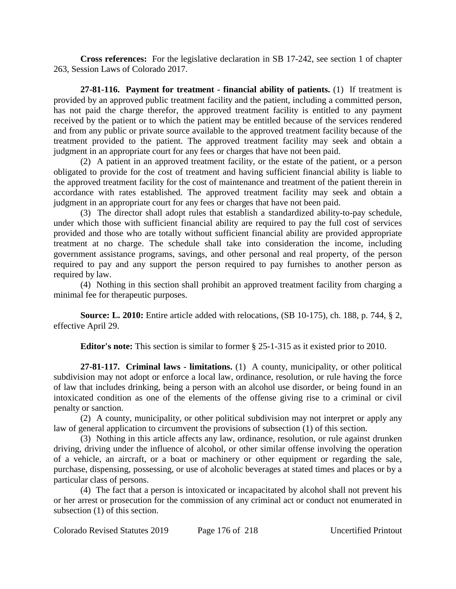**Cross references:** For the legislative declaration in SB 17-242, see section 1 of chapter 263, Session Laws of Colorado 2017.

**27-81-116. Payment for treatment - financial ability of patients.** (1) If treatment is provided by an approved public treatment facility and the patient, including a committed person, has not paid the charge therefor, the approved treatment facility is entitled to any payment received by the patient or to which the patient may be entitled because of the services rendered and from any public or private source available to the approved treatment facility because of the treatment provided to the patient. The approved treatment facility may seek and obtain a judgment in an appropriate court for any fees or charges that have not been paid.

(2) A patient in an approved treatment facility, or the estate of the patient, or a person obligated to provide for the cost of treatment and having sufficient financial ability is liable to the approved treatment facility for the cost of maintenance and treatment of the patient therein in accordance with rates established. The approved treatment facility may seek and obtain a judgment in an appropriate court for any fees or charges that have not been paid.

(3) The director shall adopt rules that establish a standardized ability-to-pay schedule, under which those with sufficient financial ability are required to pay the full cost of services provided and those who are totally without sufficient financial ability are provided appropriate treatment at no charge. The schedule shall take into consideration the income, including government assistance programs, savings, and other personal and real property, of the person required to pay and any support the person required to pay furnishes to another person as required by law.

(4) Nothing in this section shall prohibit an approved treatment facility from charging a minimal fee for therapeutic purposes.

**Source: L. 2010:** Entire article added with relocations, (SB 10-175), ch. 188, p. 744, § 2, effective April 29.

**Editor's note:** This section is similar to former § 25-1-315 as it existed prior to 2010.

**27-81-117. Criminal laws - limitations.** (1) A county, municipality, or other political subdivision may not adopt or enforce a local law, ordinance, resolution, or rule having the force of law that includes drinking, being a person with an alcohol use disorder, or being found in an intoxicated condition as one of the elements of the offense giving rise to a criminal or civil penalty or sanction.

(2) A county, municipality, or other political subdivision may not interpret or apply any law of general application to circumvent the provisions of subsection (1) of this section.

(3) Nothing in this article affects any law, ordinance, resolution, or rule against drunken driving, driving under the influence of alcohol, or other similar offense involving the operation of a vehicle, an aircraft, or a boat or machinery or other equipment or regarding the sale, purchase, dispensing, possessing, or use of alcoholic beverages at stated times and places or by a particular class of persons.

(4) The fact that a person is intoxicated or incapacitated by alcohol shall not prevent his or her arrest or prosecution for the commission of any criminal act or conduct not enumerated in subsection (1) of this section.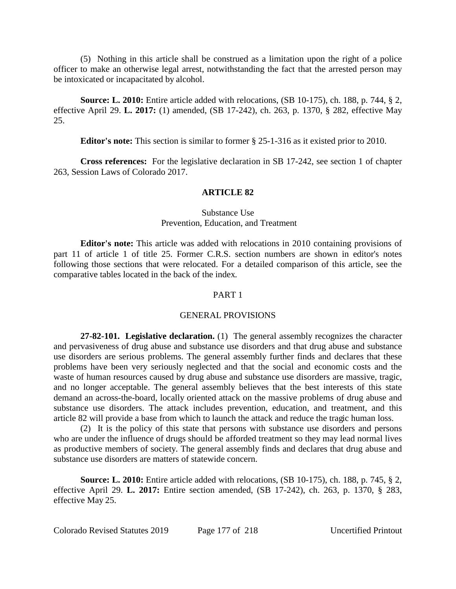(5) Nothing in this article shall be construed as a limitation upon the right of a police officer to make an otherwise legal arrest, notwithstanding the fact that the arrested person may be intoxicated or incapacitated by alcohol.

**Source: L. 2010:** Entire article added with relocations, (SB 10-175), ch. 188, p. 744, § 2, effective April 29. **L. 2017:** (1) amended, (SB 17-242), ch. 263, p. 1370, § 282, effective May 25.

**Editor's note:** This section is similar to former § 25-1-316 as it existed prior to 2010.

**Cross references:** For the legislative declaration in SB 17-242, see section 1 of chapter 263, Session Laws of Colorado 2017.

#### **ARTICLE 82**

## Substance Use Prevention, Education, and Treatment

**Editor's note:** This article was added with relocations in 2010 containing provisions of part 11 of article 1 of title 25. Former C.R.S. section numbers are shown in editor's notes following those sections that were relocated. For a detailed comparison of this article, see the comparative tables located in the back of the index.

#### PART 1

#### GENERAL PROVISIONS

**27-82-101. Legislative declaration.** (1) The general assembly recognizes the character and pervasiveness of drug abuse and substance use disorders and that drug abuse and substance use disorders are serious problems. The general assembly further finds and declares that these problems have been very seriously neglected and that the social and economic costs and the waste of human resources caused by drug abuse and substance use disorders are massive, tragic, and no longer acceptable. The general assembly believes that the best interests of this state demand an across-the-board, locally oriented attack on the massive problems of drug abuse and substance use disorders. The attack includes prevention, education, and treatment, and this article 82 will provide a base from which to launch the attack and reduce the tragic human loss.

(2) It is the policy of this state that persons with substance use disorders and persons who are under the influence of drugs should be afforded treatment so they may lead normal lives as productive members of society. The general assembly finds and declares that drug abuse and substance use disorders are matters of statewide concern.

**Source: L. 2010:** Entire article added with relocations, (SB 10-175), ch. 188, p. 745, § 2, effective April 29. **L. 2017:** Entire section amended, (SB 17-242), ch. 263, p. 1370, § 283, effective May 25.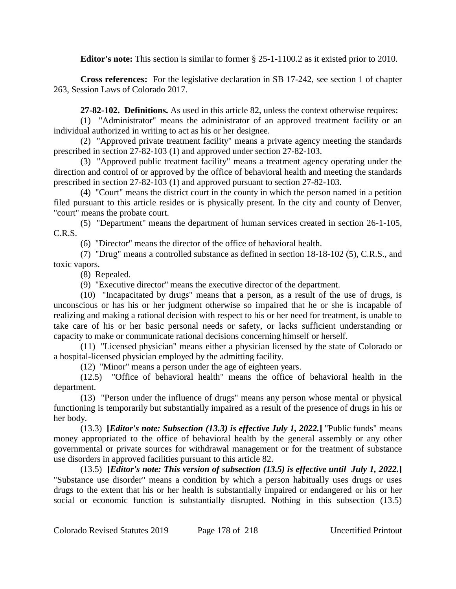**Editor's note:** This section is similar to former § 25-1-1100.2 as it existed prior to 2010.

**Cross references:** For the legislative declaration in SB 17-242, see section 1 of chapter 263, Session Laws of Colorado 2017.

**27-82-102. Definitions.** As used in this article 82, unless the context otherwise requires:

(1) "Administrator" means the administrator of an approved treatment facility or an individual authorized in writing to act as his or her designee.

(2) "Approved private treatment facility" means a private agency meeting the standards prescribed in section 27-82-103 (1) and approved under section 27-82-103.

(3) "Approved public treatment facility" means a treatment agency operating under the direction and control of or approved by the office of behavioral health and meeting the standards prescribed in section 27-82-103 (1) and approved pursuant to section 27-82-103.

(4) "Court" means the district court in the county in which the person named in a petition filed pursuant to this article resides or is physically present. In the city and county of Denver, "court" means the probate court.

(5) "Department" means the department of human services created in section 26-1-105, C.R.S.

(6) "Director" means the director of the office of behavioral health.

(7) "Drug" means a controlled substance as defined in section 18-18-102 (5), C.R.S., and toxic vapors.

(8) Repealed.

(9) "Executive director" means the executive director of the department.

(10) "Incapacitated by drugs" means that a person, as a result of the use of drugs, is unconscious or has his or her judgment otherwise so impaired that he or she is incapable of realizing and making a rational decision with respect to his or her need for treatment, is unable to take care of his or her basic personal needs or safety, or lacks sufficient understanding or capacity to make or communicate rational decisions concerning himself or herself.

(11) "Licensed physician" means either a physician licensed by the state of Colorado or a hospital-licensed physician employed by the admitting facility.

(12) "Minor" means a person under the age of eighteen years.

(12.5) "Office of behavioral health" means the office of behavioral health in the department.

(13) "Person under the influence of drugs" means any person whose mental or physical functioning is temporarily but substantially impaired as a result of the presence of drugs in his or her body.

(13.3) **[***Editor's note: Subsection (13.3) is effective July 1, 2022.***]** "Public funds" means money appropriated to the office of behavioral health by the general assembly or any other governmental or private sources for withdrawal management or for the treatment of substance use disorders in approved facilities pursuant to this article 82.

(13.5) **[***Editor's note: This version of subsection (13.5) is effective until July 1, 2022.***]** "Substance use disorder" means a condition by which a person habitually uses drugs or uses drugs to the extent that his or her health is substantially impaired or endangered or his or her social or economic function is substantially disrupted. Nothing in this subsection (13.5)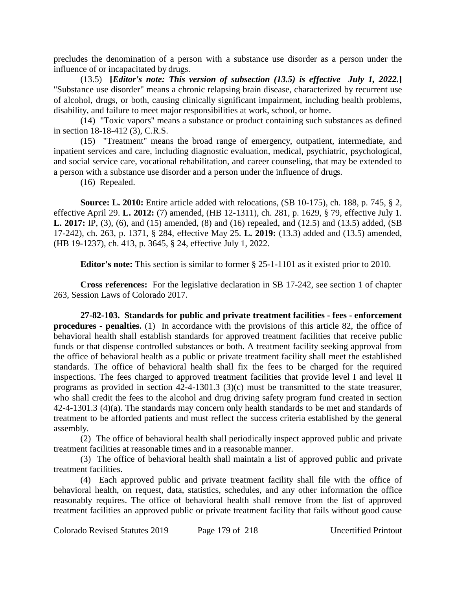precludes the denomination of a person with a substance use disorder as a person under the influence of or incapacitated by drugs.

(13.5) **[***Editor's note: This version of subsection (13.5) is effective July 1, 2022.***]** "Substance use disorder" means a chronic relapsing brain disease, characterized by recurrent use of alcohol, drugs, or both, causing clinically significant impairment, including health problems, disability, and failure to meet major responsibilities at work, school, or home.

(14) "Toxic vapors" means a substance or product containing such substances as defined in section 18-18-412 (3), C.R.S.

(15) "Treatment" means the broad range of emergency, outpatient, intermediate, and inpatient services and care, including diagnostic evaluation, medical, psychiatric, psychological, and social service care, vocational rehabilitation, and career counseling, that may be extended to a person with a substance use disorder and a person under the influence of drugs.

(16) Repealed.

**Source: L. 2010:** Entire article added with relocations, (SB 10-175), ch. 188, p. 745, § 2, effective April 29. **L. 2012:** (7) amended, (HB 12-1311), ch. 281, p. 1629, § 79, effective July 1. **L. 2017:** IP, (3), (6), and (15) amended, (8) and (16) repealed, and (12.5) and (13.5) added, (SB 17-242), ch. 263, p. 1371, § 284, effective May 25. **L. 2019:** (13.3) added and (13.5) amended, (HB 19-1237), ch. 413, p. 3645, § 24, effective July 1, 2022.

**Editor's note:** This section is similar to former § 25-1-1101 as it existed prior to 2010.

**Cross references:** For the legislative declaration in SB 17-242, see section 1 of chapter 263, Session Laws of Colorado 2017.

**27-82-103. Standards for public and private treatment facilities - fees - enforcement procedures - penalties.** (1) In accordance with the provisions of this article 82, the office of behavioral health shall establish standards for approved treatment facilities that receive public funds or that dispense controlled substances or both. A treatment facility seeking approval from the office of behavioral health as a public or private treatment facility shall meet the established standards. The office of behavioral health shall fix the fees to be charged for the required inspections. The fees charged to approved treatment facilities that provide level I and level II programs as provided in section 42-4-1301.3 (3)(c) must be transmitted to the state treasurer, who shall credit the fees to the alcohol and drug driving safety program fund created in section 42-4-1301.3 (4)(a). The standards may concern only health standards to be met and standards of treatment to be afforded patients and must reflect the success criteria established by the general assembly.

(2) The office of behavioral health shall periodically inspect approved public and private treatment facilities at reasonable times and in a reasonable manner.

(3) The office of behavioral health shall maintain a list of approved public and private treatment facilities.

(4) Each approved public and private treatment facility shall file with the office of behavioral health, on request, data, statistics, schedules, and any other information the office reasonably requires. The office of behavioral health shall remove from the list of approved treatment facilities an approved public or private treatment facility that fails without good cause

Colorado Revised Statutes 2019 Page 179 of 218 Uncertified Printout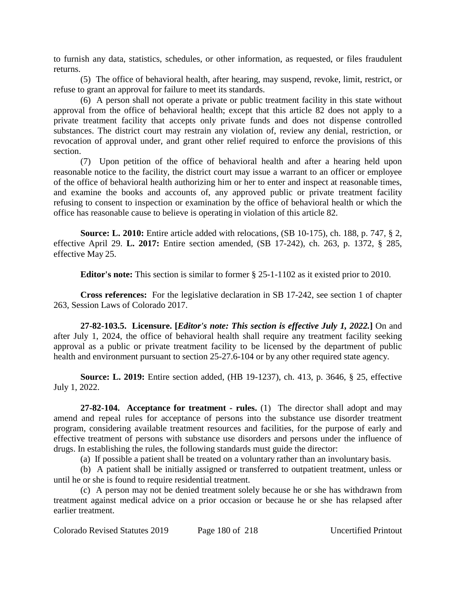to furnish any data, statistics, schedules, or other information, as requested, or files fraudulent returns.

(5) The office of behavioral health, after hearing, may suspend, revoke, limit, restrict, or refuse to grant an approval for failure to meet its standards.

(6) A person shall not operate a private or public treatment facility in this state without approval from the office of behavioral health; except that this article 82 does not apply to a private treatment facility that accepts only private funds and does not dispense controlled substances. The district court may restrain any violation of, review any denial, restriction, or revocation of approval under, and grant other relief required to enforce the provisions of this section.

(7) Upon petition of the office of behavioral health and after a hearing held upon reasonable notice to the facility, the district court may issue a warrant to an officer or employee of the office of behavioral health authorizing him or her to enter and inspect at reasonable times, and examine the books and accounts of, any approved public or private treatment facility refusing to consent to inspection or examination by the office of behavioral health or which the office has reasonable cause to believe is operating in violation of this article 82.

**Source: L. 2010:** Entire article added with relocations, (SB 10-175), ch. 188, p. 747, § 2, effective April 29. **L. 2017:** Entire section amended, (SB 17-242), ch. 263, p. 1372, § 285, effective May 25.

**Editor's note:** This section is similar to former § 25-1-1102 as it existed prior to 2010.

**Cross references:** For the legislative declaration in SB 17-242, see section 1 of chapter 263, Session Laws of Colorado 2017.

**27-82-103.5. Licensure. [***Editor's note: This section is effective July 1, 2022.***]** On and after July 1, 2024, the office of behavioral health shall require any treatment facility seeking approval as a public or private treatment facility to be licensed by the department of public health and environment pursuant to section 25-27.6-104 or by any other required state agency.

**Source: L. 2019:** Entire section added, (HB 19-1237), ch. 413, p. 3646, § 25, effective July 1, 2022.

**27-82-104. Acceptance for treatment - rules.** (1) The director shall adopt and may amend and repeal rules for acceptance of persons into the substance use disorder treatment program, considering available treatment resources and facilities, for the purpose of early and effective treatment of persons with substance use disorders and persons under the influence of drugs. In establishing the rules, the following standards must guide the director:

(a) If possible a patient shall be treated on a voluntary rather than an involuntary basis.

(b) A patient shall be initially assigned or transferred to outpatient treatment, unless or until he or she is found to require residential treatment.

(c) A person may not be denied treatment solely because he or she has withdrawn from treatment against medical advice on a prior occasion or because he or she has relapsed after earlier treatment.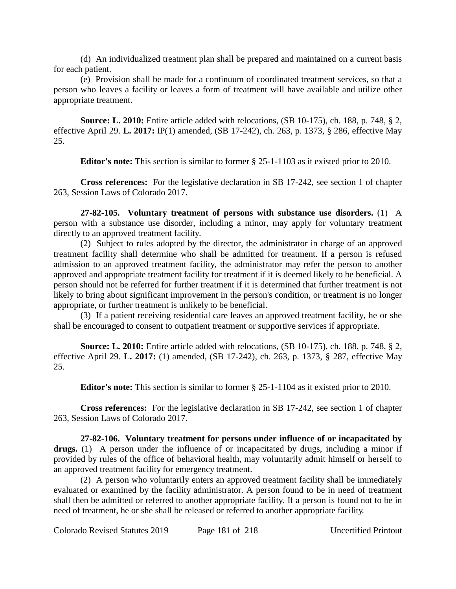(d) An individualized treatment plan shall be prepared and maintained on a current basis for each patient.

(e) Provision shall be made for a continuum of coordinated treatment services, so that a person who leaves a facility or leaves a form of treatment will have available and utilize other appropriate treatment.

**Source: L. 2010:** Entire article added with relocations, (SB 10-175), ch. 188, p. 748, § 2, effective April 29. **L. 2017:** IP(1) amended, (SB 17-242), ch. 263, p. 1373, § 286, effective May 25.

**Editor's note:** This section is similar to former § 25-1-1103 as it existed prior to 2010.

**Cross references:** For the legislative declaration in SB 17-242, see section 1 of chapter 263, Session Laws of Colorado 2017.

**27-82-105. Voluntary treatment of persons with substance use disorders.** (1) A person with a substance use disorder, including a minor, may apply for voluntary treatment directly to an approved treatment facility.

(2) Subject to rules adopted by the director, the administrator in charge of an approved treatment facility shall determine who shall be admitted for treatment. If a person is refused admission to an approved treatment facility, the administrator may refer the person to another approved and appropriate treatment facility for treatment if it is deemed likely to be beneficial. A person should not be referred for further treatment if it is determined that further treatment is not likely to bring about significant improvement in the person's condition, or treatment is no longer appropriate, or further treatment is unlikely to be beneficial.

(3) If a patient receiving residential care leaves an approved treatment facility, he or she shall be encouraged to consent to outpatient treatment or supportive services if appropriate.

**Source: L. 2010:** Entire article added with relocations, (SB 10-175), ch. 188, p. 748, § 2, effective April 29. **L. 2017:** (1) amended, (SB 17-242), ch. 263, p. 1373, § 287, effective May 25.

**Editor's note:** This section is similar to former § 25-1-1104 as it existed prior to 2010.

**Cross references:** For the legislative declaration in SB 17-242, see section 1 of chapter 263, Session Laws of Colorado 2017.

**27-82-106. Voluntary treatment for persons under influence of or incapacitated by drugs.** (1) A person under the influence of or incapacitated by drugs, including a minor if provided by rules of the office of behavioral health, may voluntarily admit himself or herself to an approved treatment facility for emergency treatment.

(2) A person who voluntarily enters an approved treatment facility shall be immediately evaluated or examined by the facility administrator. A person found to be in need of treatment shall then be admitted or referred to another appropriate facility. If a person is found not to be in need of treatment, he or she shall be released or referred to another appropriate facility.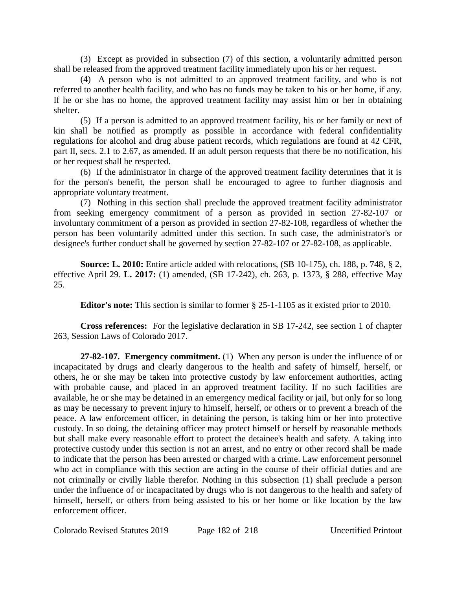(3) Except as provided in subsection (7) of this section, a voluntarily admitted person shall be released from the approved treatment facility immediately upon his or her request.

(4) A person who is not admitted to an approved treatment facility, and who is not referred to another health facility, and who has no funds may be taken to his or her home, if any. If he or she has no home, the approved treatment facility may assist him or her in obtaining shelter.

(5) If a person is admitted to an approved treatment facility, his or her family or next of kin shall be notified as promptly as possible in accordance with federal confidentiality regulations for alcohol and drug abuse patient records, which regulations are found at 42 CFR, part II, secs. 2.1 to 2.67, as amended. If an adult person requests that there be no notification, his or her request shall be respected.

(6) If the administrator in charge of the approved treatment facility determines that it is for the person's benefit, the person shall be encouraged to agree to further diagnosis and appropriate voluntary treatment.

(7) Nothing in this section shall preclude the approved treatment facility administrator from seeking emergency commitment of a person as provided in section 27-82-107 or involuntary commitment of a person as provided in section 27-82-108, regardless of whether the person has been voluntarily admitted under this section. In such case, the administrator's or designee's further conduct shall be governed by section 27-82-107 or 27-82-108, as applicable.

**Source: L. 2010:** Entire article added with relocations, (SB 10-175), ch. 188, p. 748, § 2, effective April 29. **L. 2017:** (1) amended, (SB 17-242), ch. 263, p. 1373, § 288, effective May 25.

**Editor's note:** This section is similar to former § 25-1-1105 as it existed prior to 2010.

**Cross references:** For the legislative declaration in SB 17-242, see section 1 of chapter 263, Session Laws of Colorado 2017.

**27-82-107. Emergency commitment.** (1) When any person is under the influence of or incapacitated by drugs and clearly dangerous to the health and safety of himself, herself, or others, he or she may be taken into protective custody by law enforcement authorities, acting with probable cause, and placed in an approved treatment facility. If no such facilities are available, he or she may be detained in an emergency medical facility or jail, but only for so long as may be necessary to prevent injury to himself, herself, or others or to prevent a breach of the peace. A law enforcement officer, in detaining the person, is taking him or her into protective custody. In so doing, the detaining officer may protect himself or herself by reasonable methods but shall make every reasonable effort to protect the detainee's health and safety. A taking into protective custody under this section is not an arrest, and no entry or other record shall be made to indicate that the person has been arrested or charged with a crime. Law enforcement personnel who act in compliance with this section are acting in the course of their official duties and are not criminally or civilly liable therefor. Nothing in this subsection (1) shall preclude a person under the influence of or incapacitated by drugs who is not dangerous to the health and safety of himself, herself, or others from being assisted to his or her home or like location by the law enforcement officer.

Colorado Revised Statutes 2019 Page 182 of 218 Uncertified Printout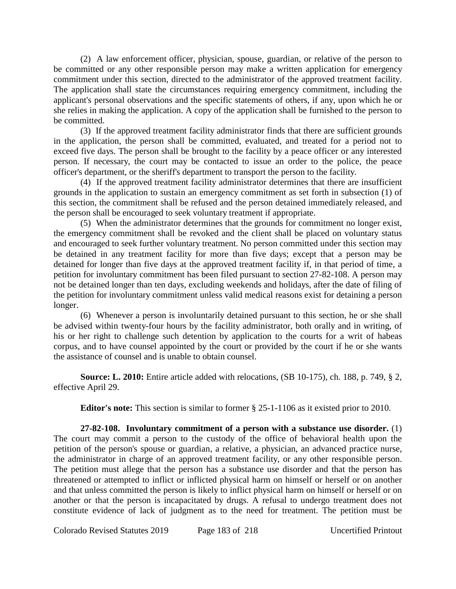(2) A law enforcement officer, physician, spouse, guardian, or relative of the person to be committed or any other responsible person may make a written application for emergency commitment under this section, directed to the administrator of the approved treatment facility. The application shall state the circumstances requiring emergency commitment, including the applicant's personal observations and the specific statements of others, if any, upon which he or she relies in making the application. A copy of the application shall be furnished to the person to be committed.

(3) If the approved treatment facility administrator finds that there are sufficient grounds in the application, the person shall be committed, evaluated, and treated for a period not to exceed five days. The person shall be brought to the facility by a peace officer or any interested person. If necessary, the court may be contacted to issue an order to the police, the peace officer's department, or the sheriff's department to transport the person to the facility.

(4) If the approved treatment facility administrator determines that there are insufficient grounds in the application to sustain an emergency commitment as set forth in subsection (1) of this section, the commitment shall be refused and the person detained immediately released, and the person shall be encouraged to seek voluntary treatment if appropriate.

(5) When the administrator determines that the grounds for commitment no longer exist, the emergency commitment shall be revoked and the client shall be placed on voluntary status and encouraged to seek further voluntary treatment. No person committed under this section may be detained in any treatment facility for more than five days; except that a person may be detained for longer than five days at the approved treatment facility if, in that period of time, a petition for involuntary commitment has been filed pursuant to section 27-82-108. A person may not be detained longer than ten days, excluding weekends and holidays, after the date of filing of the petition for involuntary commitment unless valid medical reasons exist for detaining a person longer.

(6) Whenever a person is involuntarily detained pursuant to this section, he or she shall be advised within twenty-four hours by the facility administrator, both orally and in writing, of his or her right to challenge such detention by application to the courts for a writ of habeas corpus, and to have counsel appointed by the court or provided by the court if he or she wants the assistance of counsel and is unable to obtain counsel.

**Source: L. 2010:** Entire article added with relocations, (SB 10-175), ch. 188, p. 749, § 2, effective April 29.

**Editor's note:** This section is similar to former § 25-1-1106 as it existed prior to 2010.

**27-82-108. Involuntary commitment of a person with a substance use disorder.** (1) The court may commit a person to the custody of the office of behavioral health upon the petition of the person's spouse or guardian, a relative, a physician, an advanced practice nurse, the administrator in charge of an approved treatment facility, or any other responsible person. The petition must allege that the person has a substance use disorder and that the person has threatened or attempted to inflict or inflicted physical harm on himself or herself or on another and that unless committed the person is likely to inflict physical harm on himself or herself or on another or that the person is incapacitated by drugs. A refusal to undergo treatment does not constitute evidence of lack of judgment as to the need for treatment. The petition must be

Colorado Revised Statutes 2019 Page 183 of 218 Uncertified Printout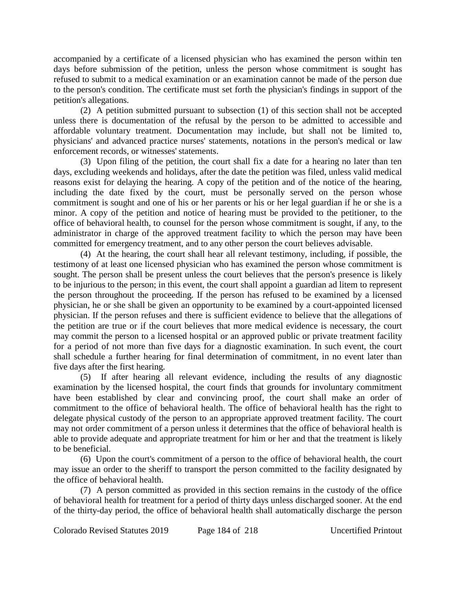accompanied by a certificate of a licensed physician who has examined the person within ten days before submission of the petition, unless the person whose commitment is sought has refused to submit to a medical examination or an examination cannot be made of the person due to the person's condition. The certificate must set forth the physician's findings in support of the petition's allegations.

(2) A petition submitted pursuant to subsection (1) of this section shall not be accepted unless there is documentation of the refusal by the person to be admitted to accessible and affordable voluntary treatment. Documentation may include, but shall not be limited to, physicians' and advanced practice nurses' statements, notations in the person's medical or law enforcement records, or witnesses' statements.

(3) Upon filing of the petition, the court shall fix a date for a hearing no later than ten days, excluding weekends and holidays, after the date the petition was filed, unless valid medical reasons exist for delaying the hearing. A copy of the petition and of the notice of the hearing, including the date fixed by the court, must be personally served on the person whose commitment is sought and one of his or her parents or his or her legal guardian if he or she is a minor. A copy of the petition and notice of hearing must be provided to the petitioner, to the office of behavioral health, to counsel for the person whose commitment is sought, if any, to the administrator in charge of the approved treatment facility to which the person may have been committed for emergency treatment, and to any other person the court believes advisable.

(4) At the hearing, the court shall hear all relevant testimony, including, if possible, the testimony of at least one licensed physician who has examined the person whose commitment is sought. The person shall be present unless the court believes that the person's presence is likely to be injurious to the person; in this event, the court shall appoint a guardian ad litem to represent the person throughout the proceeding. If the person has refused to be examined by a licensed physician, he or she shall be given an opportunity to be examined by a court-appointed licensed physician. If the person refuses and there is sufficient evidence to believe that the allegations of the petition are true or if the court believes that more medical evidence is necessary, the court may commit the person to a licensed hospital or an approved public or private treatment facility for a period of not more than five days for a diagnostic examination. In such event, the court shall schedule a further hearing for final determination of commitment, in no event later than five days after the first hearing.

(5) If after hearing all relevant evidence, including the results of any diagnostic examination by the licensed hospital, the court finds that grounds for involuntary commitment have been established by clear and convincing proof, the court shall make an order of commitment to the office of behavioral health. The office of behavioral health has the right to delegate physical custody of the person to an appropriate approved treatment facility. The court may not order commitment of a person unless it determines that the office of behavioral health is able to provide adequate and appropriate treatment for him or her and that the treatment is likely to be beneficial.

(6) Upon the court's commitment of a person to the office of behavioral health, the court may issue an order to the sheriff to transport the person committed to the facility designated by the office of behavioral health.

(7) A person committed as provided in this section remains in the custody of the office of behavioral health for treatment for a period of thirty days unless discharged sooner. At the end of the thirty-day period, the office of behavioral health shall automatically discharge the person

Colorado Revised Statutes 2019 Page 184 of 218 Uncertified Printout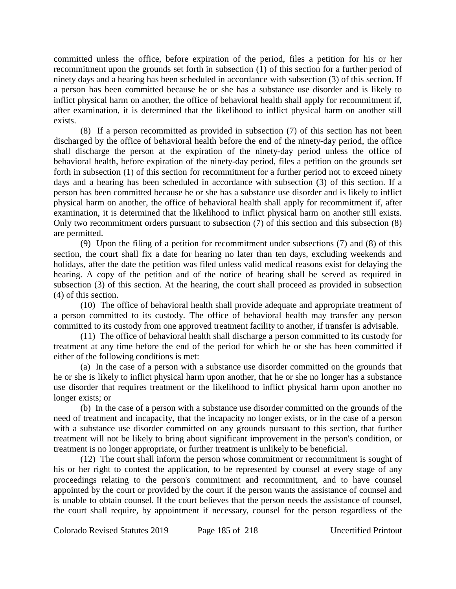committed unless the office, before expiration of the period, files a petition for his or her recommitment upon the grounds set forth in subsection (1) of this section for a further period of ninety days and a hearing has been scheduled in accordance with subsection (3) of this section. If a person has been committed because he or she has a substance use disorder and is likely to inflict physical harm on another, the office of behavioral health shall apply for recommitment if, after examination, it is determined that the likelihood to inflict physical harm on another still exists.

(8) If a person recommitted as provided in subsection (7) of this section has not been discharged by the office of behavioral health before the end of the ninety-day period, the office shall discharge the person at the expiration of the ninety-day period unless the office of behavioral health, before expiration of the ninety-day period, files a petition on the grounds set forth in subsection (1) of this section for recommitment for a further period not to exceed ninety days and a hearing has been scheduled in accordance with subsection (3) of this section. If a person has been committed because he or she has a substance use disorder and is likely to inflict physical harm on another, the office of behavioral health shall apply for recommitment if, after examination, it is determined that the likelihood to inflict physical harm on another still exists. Only two recommitment orders pursuant to subsection (7) of this section and this subsection (8) are permitted.

(9) Upon the filing of a petition for recommitment under subsections (7) and (8) of this section, the court shall fix a date for hearing no later than ten days, excluding weekends and holidays, after the date the petition was filed unless valid medical reasons exist for delaying the hearing. A copy of the petition and of the notice of hearing shall be served as required in subsection (3) of this section. At the hearing, the court shall proceed as provided in subsection (4) of this section.

(10) The office of behavioral health shall provide adequate and appropriate treatment of a person committed to its custody. The office of behavioral health may transfer any person committed to its custody from one approved treatment facility to another, if transfer is advisable.

(11) The office of behavioral health shall discharge a person committed to its custody for treatment at any time before the end of the period for which he or she has been committed if either of the following conditions is met:

(a) In the case of a person with a substance use disorder committed on the grounds that he or she is likely to inflict physical harm upon another, that he or she no longer has a substance use disorder that requires treatment or the likelihood to inflict physical harm upon another no longer exists; or

(b) In the case of a person with a substance use disorder committed on the grounds of the need of treatment and incapacity, that the incapacity no longer exists, or in the case of a person with a substance use disorder committed on any grounds pursuant to this section, that further treatment will not be likely to bring about significant improvement in the person's condition, or treatment is no longer appropriate, or further treatment is unlikely to be beneficial.

(12) The court shall inform the person whose commitment or recommitment is sought of his or her right to contest the application, to be represented by counsel at every stage of any proceedings relating to the person's commitment and recommitment, and to have counsel appointed by the court or provided by the court if the person wants the assistance of counsel and is unable to obtain counsel. If the court believes that the person needs the assistance of counsel, the court shall require, by appointment if necessary, counsel for the person regardless of the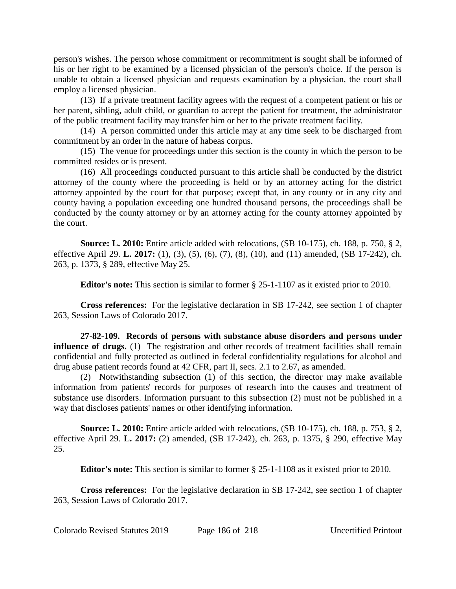person's wishes. The person whose commitment or recommitment is sought shall be informed of his or her right to be examined by a licensed physician of the person's choice. If the person is unable to obtain a licensed physician and requests examination by a physician, the court shall employ a licensed physician.

(13) If a private treatment facility agrees with the request of a competent patient or his or her parent, sibling, adult child, or guardian to accept the patient for treatment, the administrator of the public treatment facility may transfer him or her to the private treatment facility.

(14) A person committed under this article may at any time seek to be discharged from commitment by an order in the nature of habeas corpus.

(15) The venue for proceedings under this section is the county in which the person to be committed resides or is present.

(16) All proceedings conducted pursuant to this article shall be conducted by the district attorney of the county where the proceeding is held or by an attorney acting for the district attorney appointed by the court for that purpose; except that, in any county or in any city and county having a population exceeding one hundred thousand persons, the proceedings shall be conducted by the county attorney or by an attorney acting for the county attorney appointed by the court.

**Source: L. 2010:** Entire article added with relocations, (SB 10-175), ch. 188, p. 750, § 2, effective April 29. **L. 2017:** (1), (3), (5), (6), (7), (8), (10), and (11) amended, (SB 17-242), ch. 263, p. 1373, § 289, effective May 25.

**Editor's note:** This section is similar to former § 25-1-1107 as it existed prior to 2010.

**Cross references:** For the legislative declaration in SB 17-242, see section 1 of chapter 263, Session Laws of Colorado 2017.

**27-82-109. Records of persons with substance abuse disorders and persons under influence of drugs.** (1) The registration and other records of treatment facilities shall remain confidential and fully protected as outlined in federal confidentiality regulations for alcohol and drug abuse patient records found at 42 CFR, part II, secs. 2.1 to 2.67, as amended.

(2) Notwithstanding subsection (1) of this section, the director may make available information from patients' records for purposes of research into the causes and treatment of substance use disorders. Information pursuant to this subsection (2) must not be published in a way that discloses patients' names or other identifying information.

**Source: L. 2010:** Entire article added with relocations, (SB 10-175), ch. 188, p. 753, § 2, effective April 29. **L. 2017:** (2) amended, (SB 17-242), ch. 263, p. 1375, § 290, effective May 25.

**Editor's note:** This section is similar to former § 25-1-1108 as it existed prior to 2010.

**Cross references:** For the legislative declaration in SB 17-242, see section 1 of chapter 263, Session Laws of Colorado 2017.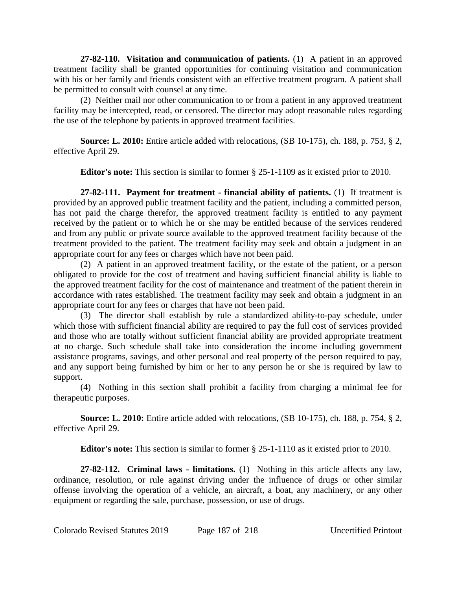**27-82-110. Visitation and communication of patients.** (1) A patient in an approved treatment facility shall be granted opportunities for continuing visitation and communication with his or her family and friends consistent with an effective treatment program. A patient shall be permitted to consult with counsel at any time.

(2) Neither mail nor other communication to or from a patient in any approved treatment facility may be intercepted, read, or censored. The director may adopt reasonable rules regarding the use of the telephone by patients in approved treatment facilities.

**Source: L. 2010:** Entire article added with relocations, (SB 10-175), ch. 188, p. 753, § 2, effective April 29.

**Editor's note:** This section is similar to former § 25-1-1109 as it existed prior to 2010.

**27-82-111. Payment for treatment - financial ability of patients.** (1) If treatment is provided by an approved public treatment facility and the patient, including a committed person, has not paid the charge therefor, the approved treatment facility is entitled to any payment received by the patient or to which he or she may be entitled because of the services rendered and from any public or private source available to the approved treatment facility because of the treatment provided to the patient. The treatment facility may seek and obtain a judgment in an appropriate court for any fees or charges which have not been paid.

(2) A patient in an approved treatment facility, or the estate of the patient, or a person obligated to provide for the cost of treatment and having sufficient financial ability is liable to the approved treatment facility for the cost of maintenance and treatment of the patient therein in accordance with rates established. The treatment facility may seek and obtain a judgment in an appropriate court for any fees or charges that have not been paid.

(3) The director shall establish by rule a standardized ability-to-pay schedule, under which those with sufficient financial ability are required to pay the full cost of services provided and those who are totally without sufficient financial ability are provided appropriate treatment at no charge. Such schedule shall take into consideration the income including government assistance programs, savings, and other personal and real property of the person required to pay, and any support being furnished by him or her to any person he or she is required by law to support.

(4) Nothing in this section shall prohibit a facility from charging a minimal fee for therapeutic purposes.

**Source: L. 2010:** Entire article added with relocations, (SB 10-175), ch. 188, p. 754, § 2, effective April 29.

**Editor's note:** This section is similar to former § 25-1-1110 as it existed prior to 2010.

**27-82-112. Criminal laws - limitations.** (1) Nothing in this article affects any law, ordinance, resolution, or rule against driving under the influence of drugs or other similar offense involving the operation of a vehicle, an aircraft, a boat, any machinery, or any other equipment or regarding the sale, purchase, possession, or use of drugs.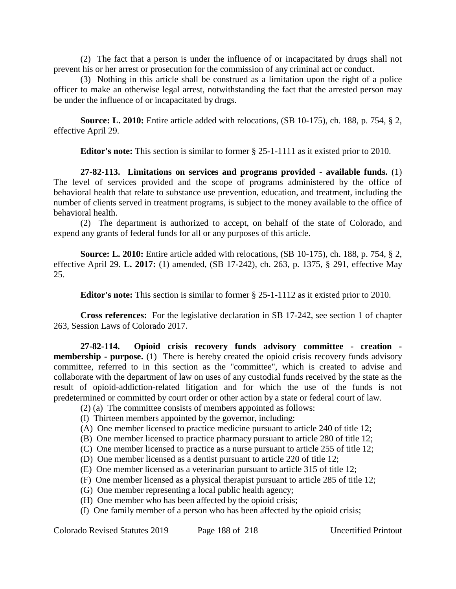(2) The fact that a person is under the influence of or incapacitated by drugs shall not prevent his or her arrest or prosecution for the commission of any criminal act or conduct.

(3) Nothing in this article shall be construed as a limitation upon the right of a police officer to make an otherwise legal arrest, notwithstanding the fact that the arrested person may be under the influence of or incapacitated by drugs.

**Source: L. 2010:** Entire article added with relocations, (SB 10-175), ch. 188, p. 754, § 2, effective April 29.

**Editor's note:** This section is similar to former § 25-1-1111 as it existed prior to 2010.

**27-82-113. Limitations on services and programs provided - available funds.** (1) The level of services provided and the scope of programs administered by the office of behavioral health that relate to substance use prevention, education, and treatment, including the number of clients served in treatment programs, is subject to the money available to the office of behavioral health.

(2) The department is authorized to accept, on behalf of the state of Colorado, and expend any grants of federal funds for all or any purposes of this article.

**Source: L. 2010:** Entire article added with relocations, (SB 10-175), ch. 188, p. 754, § 2, effective April 29. **L. 2017:** (1) amended, (SB 17-242), ch. 263, p. 1375, § 291, effective May 25.

**Editor's note:** This section is similar to former § 25-1-1112 as it existed prior to 2010.

**Cross references:** For the legislative declaration in SB 17-242, see section 1 of chapter 263, Session Laws of Colorado 2017.

**27-82-114. Opioid crisis recovery funds advisory committee - creation membership - purpose.** (1) There is hereby created the opioid crisis recovery funds advisory committee, referred to in this section as the "committee", which is created to advise and collaborate with the department of law on uses of any custodial funds received by the state as the result of opioid-addiction-related litigation and for which the use of the funds is not predetermined or committed by court order or other action by a state or federal court of law.

- (2) (a) The committee consists of members appointed as follows:
- (I) Thirteen members appointed by the governor, including:
- (A) One member licensed to practice medicine pursuant to article 240 of title 12;
- (B) One member licensed to practice pharmacy pursuant to article 280 of title 12;
- (C) One member licensed to practice as a nurse pursuant to article 255 of title 12;
- (D) One member licensed as a dentist pursuant to article 220 of title 12;
- (E) One member licensed as a veterinarian pursuant to article 315 of title 12;
- (F) One member licensed as a physical therapist pursuant to article 285 of title 12;
- (G) One member representing a local public health agency;
- (H) One member who has been affected by the opioid crisis;
- (I) One family member of a person who has been affected by the opioid crisis;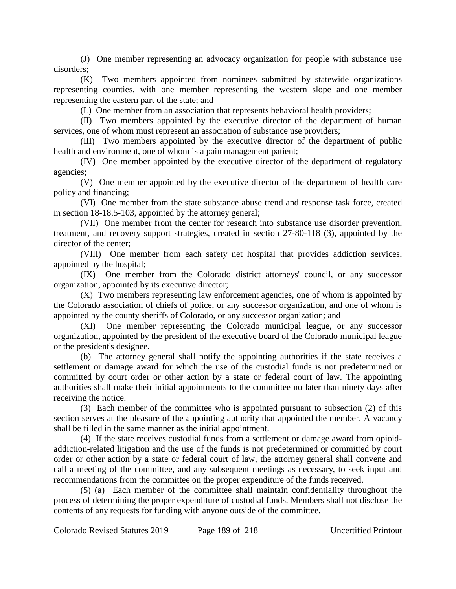(J) One member representing an advocacy organization for people with substance use disorders;

(K) Two members appointed from nominees submitted by statewide organizations representing counties, with one member representing the western slope and one member representing the eastern part of the state; and

(L) One member from an association that represents behavioral health providers;

(II) Two members appointed by the executive director of the department of human services, one of whom must represent an association of substance use providers;

(III) Two members appointed by the executive director of the department of public health and environment, one of whom is a pain management patient;

(IV) One member appointed by the executive director of the department of regulatory agencies;

(V) One member appointed by the executive director of the department of health care policy and financing;

(VI) One member from the state substance abuse trend and response task force, created in section 18-18.5-103, appointed by the attorney general;

(VII) One member from the center for research into substance use disorder prevention, treatment, and recovery support strategies, created in section 27-80-118 (3), appointed by the director of the center;

(VIII) One member from each safety net hospital that provides addiction services, appointed by the hospital;

(IX) One member from the Colorado district attorneys' council, or any successor organization, appointed by its executive director;

(X) Two members representing law enforcement agencies, one of whom is appointed by the Colorado association of chiefs of police, or any successor organization, and one of whom is appointed by the county sheriffs of Colorado, or any successor organization; and

(XI) One member representing the Colorado municipal league, or any successor organization, appointed by the president of the executive board of the Colorado municipal league or the president's designee.

(b) The attorney general shall notify the appointing authorities if the state receives a settlement or damage award for which the use of the custodial funds is not predetermined or committed by court order or other action by a state or federal court of law. The appointing authorities shall make their initial appointments to the committee no later than ninety days after receiving the notice.

(3) Each member of the committee who is appointed pursuant to subsection (2) of this section serves at the pleasure of the appointing authority that appointed the member. A vacancy shall be filled in the same manner as the initial appointment.

(4) If the state receives custodial funds from a settlement or damage award from opioidaddiction-related litigation and the use of the funds is not predetermined or committed by court order or other action by a state or federal court of law, the attorney general shall convene and call a meeting of the committee, and any subsequent meetings as necessary, to seek input and recommendations from the committee on the proper expenditure of the funds received.

(5) (a) Each member of the committee shall maintain confidentiality throughout the process of determining the proper expenditure of custodial funds. Members shall not disclose the contents of any requests for funding with anyone outside of the committee.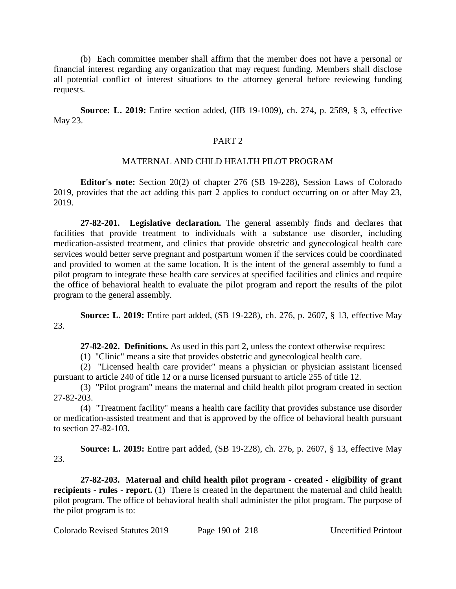(b) Each committee member shall affirm that the member does not have a personal or financial interest regarding any organization that may request funding. Members shall disclose all potential conflict of interest situations to the attorney general before reviewing funding requests.

**Source: L. 2019:** Entire section added, (HB 19-1009), ch. 274, p. 2589, § 3, effective May 23.

### PART 2

### MATERNAL AND CHILD HEALTH PILOT PROGRAM

**Editor's note:** Section 20(2) of chapter 276 (SB 19-228), Session Laws of Colorado 2019, provides that the act adding this part 2 applies to conduct occurring on or after May 23, 2019.

**27-82-201. Legislative declaration.** The general assembly finds and declares that facilities that provide treatment to individuals with a substance use disorder, including medication-assisted treatment, and clinics that provide obstetric and gynecological health care services would better serve pregnant and postpartum women if the services could be coordinated and provided to women at the same location. It is the intent of the general assembly to fund a pilot program to integrate these health care services at specified facilities and clinics and require the office of behavioral health to evaluate the pilot program and report the results of the pilot program to the general assembly.

**Source: L. 2019:** Entire part added, (SB 19-228), ch. 276, p. 2607, § 13, effective May 23.

**27-82-202. Definitions.** As used in this part 2, unless the context otherwise requires:

(1) "Clinic" means a site that provides obstetric and gynecological health care.

(2) "Licensed health care provider" means a physician or physician assistant licensed pursuant to article 240 of title 12 or a nurse licensed pursuant to article 255 of title 12.

(3) "Pilot program" means the maternal and child health pilot program created in section 27-82-203.

(4) "Treatment facility" means a health care facility that provides substance use disorder or medication-assisted treatment and that is approved by the office of behavioral health pursuant to section 27-82-103.

**Source: L. 2019:** Entire part added, (SB 19-228), ch. 276, p. 2607, § 13, effective May 23.

**27-82-203. Maternal and child health pilot program - created - eligibility of grant recipients - rules - report.** (1) There is created in the department the maternal and child health pilot program. The office of behavioral health shall administer the pilot program. The purpose of the pilot program is to: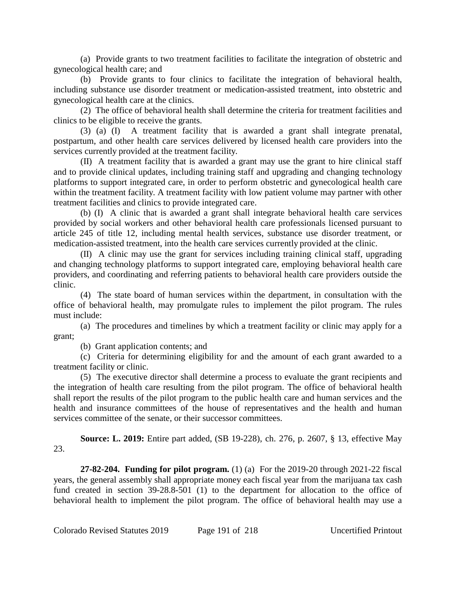(a) Provide grants to two treatment facilities to facilitate the integration of obstetric and gynecological health care; and

(b) Provide grants to four clinics to facilitate the integration of behavioral health, including substance use disorder treatment or medication-assisted treatment, into obstetric and gynecological health care at the clinics.

(2) The office of behavioral health shall determine the criteria for treatment facilities and clinics to be eligible to receive the grants.

(3) (a) (I) A treatment facility that is awarded a grant shall integrate prenatal, postpartum, and other health care services delivered by licensed health care providers into the services currently provided at the treatment facility.

(II) A treatment facility that is awarded a grant may use the grant to hire clinical staff and to provide clinical updates, including training staff and upgrading and changing technology platforms to support integrated care, in order to perform obstetric and gynecological health care within the treatment facility. A treatment facility with low patient volume may partner with other treatment facilities and clinics to provide integrated care.

(b) (I) A clinic that is awarded a grant shall integrate behavioral health care services provided by social workers and other behavioral health care professionals licensed pursuant to article 245 of title 12, including mental health services, substance use disorder treatment, or medication-assisted treatment, into the health care services currently provided at the clinic.

(II) A clinic may use the grant for services including training clinical staff, upgrading and changing technology platforms to support integrated care, employing behavioral health care providers, and coordinating and referring patients to behavioral health care providers outside the clinic.

(4) The state board of human services within the department, in consultation with the office of behavioral health, may promulgate rules to implement the pilot program. The rules must include:

(a) The procedures and timelines by which a treatment facility or clinic may apply for a grant;

(b) Grant application contents; and

(c) Criteria for determining eligibility for and the amount of each grant awarded to a treatment facility or clinic.

(5) The executive director shall determine a process to evaluate the grant recipients and the integration of health care resulting from the pilot program. The office of behavioral health shall report the results of the pilot program to the public health care and human services and the health and insurance committees of the house of representatives and the health and human services committee of the senate, or their successor committees.

**Source: L. 2019:** Entire part added, (SB 19-228), ch. 276, p. 2607, § 13, effective May 23.

**27-82-204. Funding for pilot program.** (1) (a) For the 2019-20 through 2021-22 fiscal years, the general assembly shall appropriate money each fiscal year from the marijuana tax cash fund created in section 39-28.8-501 (1) to the department for allocation to the office of behavioral health to implement the pilot program. The office of behavioral health may use a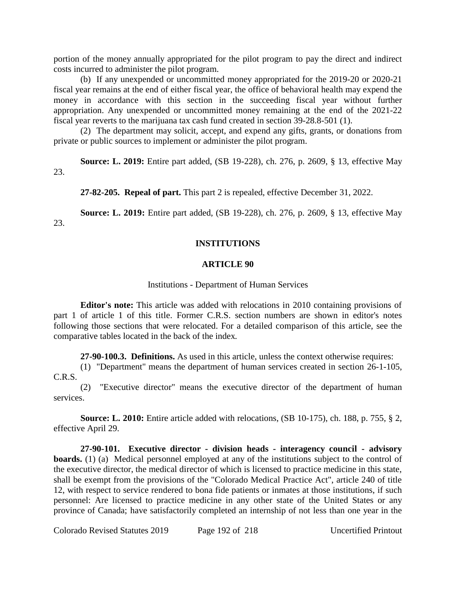portion of the money annually appropriated for the pilot program to pay the direct and indirect costs incurred to administer the pilot program.

(b) If any unexpended or uncommitted money appropriated for the 2019-20 or 2020-21 fiscal year remains at the end of either fiscal year, the office of behavioral health may expend the money in accordance with this section in the succeeding fiscal year without further appropriation. Any unexpended or uncommitted money remaining at the end of the 2021-22 fiscal year reverts to the marijuana tax cash fund created in section 39-28.8-501 (1).

(2) The department may solicit, accept, and expend any gifts, grants, or donations from private or public sources to implement or administer the pilot program.

**Source: L. 2019:** Entire part added, (SB 19-228), ch. 276, p. 2609, § 13, effective May 23.

**27-82-205. Repeal of part.** This part 2 is repealed, effective December 31, 2022.

**Source: L. 2019:** Entire part added, (SB 19-228), ch. 276, p. 2609, § 13, effective May 23.

### **INSTITUTIONS**

#### **ARTICLE 90**

### Institutions - Department of Human Services

**Editor's note:** This article was added with relocations in 2010 containing provisions of part 1 of article 1 of this title. Former C.R.S. section numbers are shown in editor's notes following those sections that were relocated. For a detailed comparison of this article, see the comparative tables located in the back of the index.

**27-90-100.3. Definitions.** As used in this article, unless the context otherwise requires:

(1) "Department" means the department of human services created in section 26-1-105, C.R.S.

(2) "Executive director" means the executive director of the department of human services.

**Source: L. 2010:** Entire article added with relocations, (SB 10-175), ch. 188, p. 755, § 2, effective April 29.

**27-90-101. Executive director - division heads - interagency council - advisory boards.** (1) (a) Medical personnel employed at any of the institutions subject to the control of the executive director, the medical director of which is licensed to practice medicine in this state, shall be exempt from the provisions of the "Colorado Medical Practice Act", article 240 of title 12, with respect to service rendered to bona fide patients or inmates at those institutions, if such personnel: Are licensed to practice medicine in any other state of the United States or any province of Canada; have satisfactorily completed an internship of not less than one year in the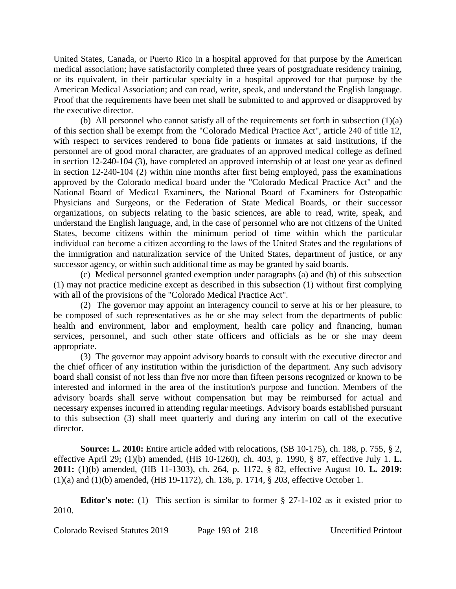United States, Canada, or Puerto Rico in a hospital approved for that purpose by the American medical association; have satisfactorily completed three years of postgraduate residency training, or its equivalent, in their particular specialty in a hospital approved for that purpose by the American Medical Association; and can read, write, speak, and understand the English language. Proof that the requirements have been met shall be submitted to and approved or disapproved by the executive director.

(b) All personnel who cannot satisfy all of the requirements set forth in subsection (1)(a) of this section shall be exempt from the "Colorado Medical Practice Act", article 240 of title 12, with respect to services rendered to bona fide patients or inmates at said institutions, if the personnel are of good moral character, are graduates of an approved medical college as defined in section 12-240-104 (3), have completed an approved internship of at least one year as defined in section 12-240-104 (2) within nine months after first being employed, pass the examinations approved by the Colorado medical board under the "Colorado Medical Practice Act" and the National Board of Medical Examiners, the National Board of Examiners for Osteopathic Physicians and Surgeons, or the Federation of State Medical Boards, or their successor organizations, on subjects relating to the basic sciences, are able to read, write, speak, and understand the English language, and, in the case of personnel who are not citizens of the United States, become citizens within the minimum period of time within which the particular individual can become a citizen according to the laws of the United States and the regulations of the immigration and naturalization service of the United States, department of justice, or any successor agency, or within such additional time as may be granted by said boards.

(c) Medical personnel granted exemption under paragraphs (a) and (b) of this subsection (1) may not practice medicine except as described in this subsection (1) without first complying with all of the provisions of the "Colorado Medical Practice Act".

(2) The governor may appoint an interagency council to serve at his or her pleasure, to be composed of such representatives as he or she may select from the departments of public health and environment, labor and employment, health care policy and financing, human services, personnel, and such other state officers and officials as he or she may deem appropriate.

(3) The governor may appoint advisory boards to consult with the executive director and the chief officer of any institution within the jurisdiction of the department. Any such advisory board shall consist of not less than five nor more than fifteen persons recognized or known to be interested and informed in the area of the institution's purpose and function. Members of the advisory boards shall serve without compensation but may be reimbursed for actual and necessary expenses incurred in attending regular meetings. Advisory boards established pursuant to this subsection (3) shall meet quarterly and during any interim on call of the executive director.

**Source: L. 2010:** Entire article added with relocations, (SB 10-175), ch. 188, p. 755, § 2, effective April 29; (1)(b) amended, (HB 10-1260), ch. 403, p. 1990, § 87, effective July 1. **L. 2011:** (1)(b) amended, (HB 11-1303), ch. 264, p. 1172, § 82, effective August 10. **L. 2019:** (1)(a) and (1)(b) amended, (HB 19-1172), ch. 136, p. 1714, § 203, effective October 1.

**Editor's note:** (1) This section is similar to former § 27-1-102 as it existed prior to 2010.

Colorado Revised Statutes 2019 Page 193 of 218 Uncertified Printout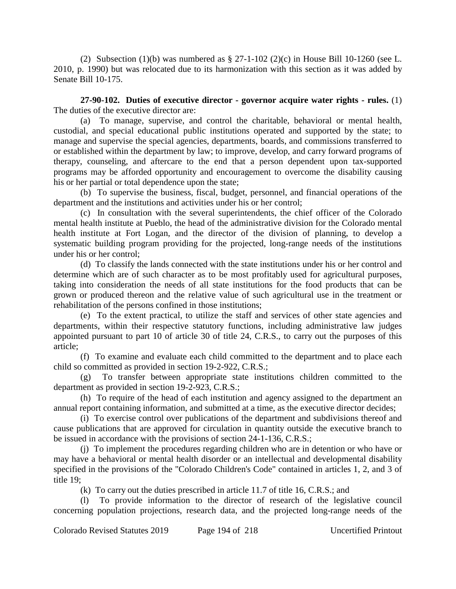(2) Subsection (1)(b) was numbered as  $\S 27$ -1-102 (2)(c) in House Bill 10-1260 (see L. 2010, p. 1990) but was relocated due to its harmonization with this section as it was added by Senate Bill 10-175.

**27-90-102. Duties of executive director - governor acquire water rights - rules.** (1) The duties of the executive director are:

(a) To manage, supervise, and control the charitable, behavioral or mental health, custodial, and special educational public institutions operated and supported by the state; to manage and supervise the special agencies, departments, boards, and commissions transferred to or established within the department by law; to improve, develop, and carry forward programs of therapy, counseling, and aftercare to the end that a person dependent upon tax-supported programs may be afforded opportunity and encouragement to overcome the disability causing his or her partial or total dependence upon the state;

(b) To supervise the business, fiscal, budget, personnel, and financial operations of the department and the institutions and activities under his or her control;

(c) In consultation with the several superintendents, the chief officer of the Colorado mental health institute at Pueblo, the head of the administrative division for the Colorado mental health institute at Fort Logan, and the director of the division of planning, to develop a systematic building program providing for the projected, long-range needs of the institutions under his or her control;

(d) To classify the lands connected with the state institutions under his or her control and determine which are of such character as to be most profitably used for agricultural purposes, taking into consideration the needs of all state institutions for the food products that can be grown or produced thereon and the relative value of such agricultural use in the treatment or rehabilitation of the persons confined in those institutions;

(e) To the extent practical, to utilize the staff and services of other state agencies and departments, within their respective statutory functions, including administrative law judges appointed pursuant to part 10 of article 30 of title 24, C.R.S., to carry out the purposes of this article;

(f) To examine and evaluate each child committed to the department and to place each child so committed as provided in section 19-2-922, C.R.S.;

(g) To transfer between appropriate state institutions children committed to the department as provided in section 19-2-923, C.R.S.;

(h) To require of the head of each institution and agency assigned to the department an annual report containing information, and submitted at a time, as the executive director decides;

(i) To exercise control over publications of the department and subdivisions thereof and cause publications that are approved for circulation in quantity outside the executive branch to be issued in accordance with the provisions of section 24-1-136, C.R.S.;

(j) To implement the procedures regarding children who are in detention or who have or may have a behavioral or mental health disorder or an intellectual and developmental disability specified in the provisions of the "Colorado Children's Code" contained in articles 1, 2, and 3 of title 19;

(k) To carry out the duties prescribed in article 11.7 of title 16, C.R.S.; and

(l) To provide information to the director of research of the legislative council concerning population projections, research data, and the projected long-range needs of the

Colorado Revised Statutes 2019 Page 194 of 218 Uncertified Printout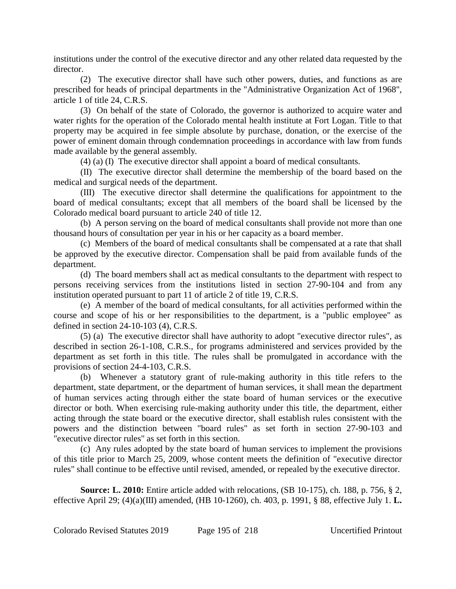institutions under the control of the executive director and any other related data requested by the director.

(2) The executive director shall have such other powers, duties, and functions as are prescribed for heads of principal departments in the "Administrative Organization Act of 1968", article 1 of title 24, C.R.S.

(3) On behalf of the state of Colorado, the governor is authorized to acquire water and water rights for the operation of the Colorado mental health institute at Fort Logan. Title to that property may be acquired in fee simple absolute by purchase, donation, or the exercise of the power of eminent domain through condemnation proceedings in accordance with law from funds made available by the general assembly.

(4) (a) (I) The executive director shall appoint a board of medical consultants.

(II) The executive director shall determine the membership of the board based on the medical and surgical needs of the department.

(III) The executive director shall determine the qualifications for appointment to the board of medical consultants; except that all members of the board shall be licensed by the Colorado medical board pursuant to article 240 of title 12.

(b) A person serving on the board of medical consultants shall provide not more than one thousand hours of consultation per year in his or her capacity as a board member.

(c) Members of the board of medical consultants shall be compensated at a rate that shall be approved by the executive director. Compensation shall be paid from available funds of the department.

(d) The board members shall act as medical consultants to the department with respect to persons receiving services from the institutions listed in section 27-90-104 and from any institution operated pursuant to part 11 of article 2 of title 19, C.R.S.

(e) A member of the board of medical consultants, for all activities performed within the course and scope of his or her responsibilities to the department, is a "public employee" as defined in section 24-10-103 (4), C.R.S.

(5) (a) The executive director shall have authority to adopt "executive director rules", as described in section 26-1-108, C.R.S., for programs administered and services provided by the department as set forth in this title. The rules shall be promulgated in accordance with the provisions of section 24-4-103, C.R.S.

(b) Whenever a statutory grant of rule-making authority in this title refers to the department, state department, or the department of human services, it shall mean the department of human services acting through either the state board of human services or the executive director or both. When exercising rule-making authority under this title, the department, either acting through the state board or the executive director, shall establish rules consistent with the powers and the distinction between "board rules" as set forth in section 27-90-103 and "executive director rules" as set forth in this section.

(c) Any rules adopted by the state board of human services to implement the provisions of this title prior to March 25, 2009, whose content meets the definition of "executive director rules" shall continue to be effective until revised, amended, or repealed by the executive director.

**Source: L. 2010:** Entire article added with relocations, (SB 10-175), ch. 188, p. 756, § 2, effective April 29; (4)(a)(III) amended, (HB 10-1260), ch. 403, p. 1991, § 88, effective July 1. **L.**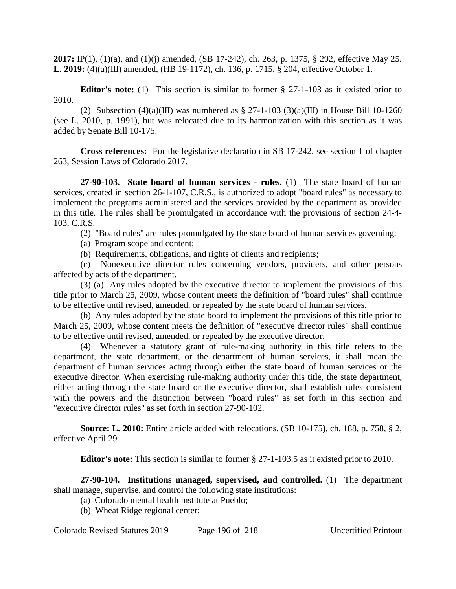**2017:** IP(1), (1)(a), and (1)(j) amended, (SB 17-242), ch. 263, p. 1375, § 292, effective May 25. **L. 2019:** (4)(a)(III) amended, (HB 19-1172), ch. 136, p. 1715, § 204, effective October 1.

**Editor's note:** (1) This section is similar to former § 27-1-103 as it existed prior to 2010.

(2) Subsection (4)(a)(III) was numbered as  $\S 27$ -1-103 (3)(a)(III) in House Bill 10-1260 (see L. 2010, p. 1991), but was relocated due to its harmonization with this section as it was added by Senate Bill 10-175.

**Cross references:** For the legislative declaration in SB 17-242, see section 1 of chapter 263, Session Laws of Colorado 2017.

**27-90-103. State board of human services - rules.** (1) The state board of human services, created in section 26-1-107, C.R.S., is authorized to adopt "board rules" as necessary to implement the programs administered and the services provided by the department as provided in this title. The rules shall be promulgated in accordance with the provisions of section 24-4- 103, C.R.S.

(2) "Board rules" are rules promulgated by the state board of human services governing:

(a) Program scope and content;

(b) Requirements, obligations, and rights of clients and recipients;

(c) Nonexecutive director rules concerning vendors, providers, and other persons affected by acts of the department.

(3) (a) Any rules adopted by the executive director to implement the provisions of this title prior to March 25, 2009, whose content meets the definition of "board rules" shall continue to be effective until revised, amended, or repealed by the state board of human services.

(b) Any rules adopted by the state board to implement the provisions of this title prior to March 25, 2009, whose content meets the definition of "executive director rules" shall continue to be effective until revised, amended, or repealed by the executive director.

(4) Whenever a statutory grant of rule-making authority in this title refers to the department, the state department, or the department of human services, it shall mean the department of human services acting through either the state board of human services or the executive director. When exercising rule-making authority under this title, the state department, either acting through the state board or the executive director, shall establish rules consistent with the powers and the distinction between "board rules" as set forth in this section and "executive director rules" as set forth in section 27-90-102.

**Source: L. 2010:** Entire article added with relocations, (SB 10-175), ch. 188, p. 758, § 2, effective April 29.

**Editor's note:** This section is similar to former § 27-1-103.5 as it existed prior to 2010.

**27-90-104. Institutions managed, supervised, and controlled.** (1) The department shall manage, supervise, and control the following state institutions:

(a) Colorado mental health institute at Pueblo;

(b) Wheat Ridge regional center;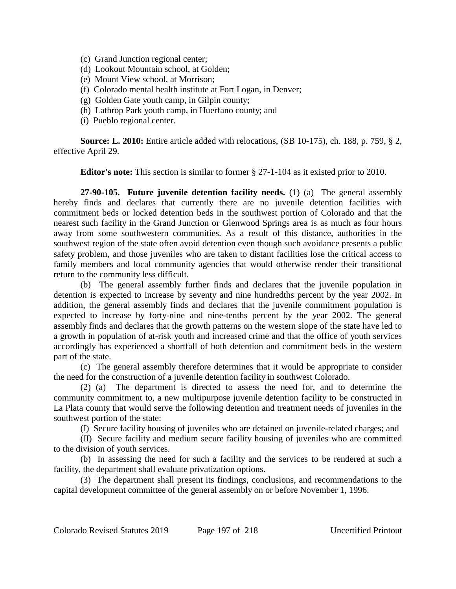- (c) Grand Junction regional center;
- (d) Lookout Mountain school, at Golden;
- (e) Mount View school, at Morrison;
- (f) Colorado mental health institute at Fort Logan, in Denver;
- (g) Golden Gate youth camp, in Gilpin county;
- (h) Lathrop Park youth camp, in Huerfano county; and
- (i) Pueblo regional center.

**Source: L. 2010:** Entire article added with relocations, (SB 10-175), ch. 188, p. 759, § 2, effective April 29.

**Editor's note:** This section is similar to former § 27-1-104 as it existed prior to 2010.

**27-90-105. Future juvenile detention facility needs.** (1) (a) The general assembly hereby finds and declares that currently there are no juvenile detention facilities with commitment beds or locked detention beds in the southwest portion of Colorado and that the nearest such facility in the Grand Junction or Glenwood Springs area is as much as four hours away from some southwestern communities. As a result of this distance, authorities in the southwest region of the state often avoid detention even though such avoidance presents a public safety problem, and those juveniles who are taken to distant facilities lose the critical access to family members and local community agencies that would otherwise render their transitional return to the community less difficult.

(b) The general assembly further finds and declares that the juvenile population in detention is expected to increase by seventy and nine hundredths percent by the year 2002. In addition, the general assembly finds and declares that the juvenile commitment population is expected to increase by forty-nine and nine-tenths percent by the year 2002. The general assembly finds and declares that the growth patterns on the western slope of the state have led to a growth in population of at-risk youth and increased crime and that the office of youth services accordingly has experienced a shortfall of both detention and commitment beds in the western part of the state.

(c) The general assembly therefore determines that it would be appropriate to consider the need for the construction of a juvenile detention facility in southwest Colorado.

(2) (a) The department is directed to assess the need for, and to determine the community commitment to, a new multipurpose juvenile detention facility to be constructed in La Plata county that would serve the following detention and treatment needs of juveniles in the southwest portion of the state:

(I) Secure facility housing of juveniles who are detained on juvenile-related charges; and

(II) Secure facility and medium secure facility housing of juveniles who are committed to the division of youth services.

(b) In assessing the need for such a facility and the services to be rendered at such a facility, the department shall evaluate privatization options.

(3) The department shall present its findings, conclusions, and recommendations to the capital development committee of the general assembly on or before November 1, 1996.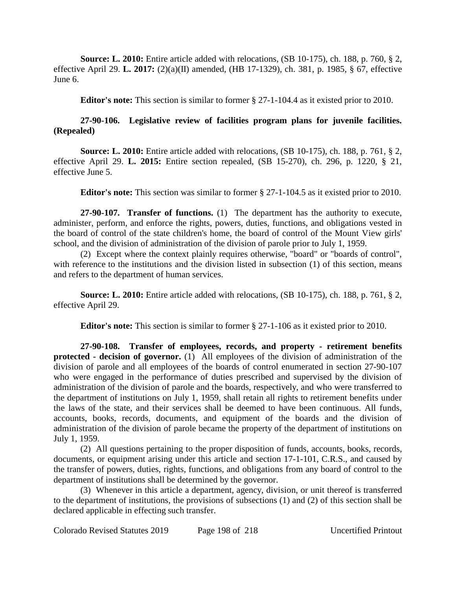**Source: L. 2010:** Entire article added with relocations, (SB 10-175), ch. 188, p. 760, § 2, effective April 29. **L. 2017:** (2)(a)(II) amended, (HB 17-1329), ch. 381, p. 1985, § 67, effective June 6.

**Editor's note:** This section is similar to former § 27-1-104.4 as it existed prior to 2010.

# **27-90-106. Legislative review of facilities program plans for juvenile facilities. (Repealed)**

**Source: L. 2010:** Entire article added with relocations, (SB 10-175), ch. 188, p. 761, § 2, effective April 29. **L. 2015:** Entire section repealed, (SB 15-270), ch. 296, p. 1220, § 21, effective June 5.

**Editor's note:** This section was similar to former § 27-1-104.5 as it existed prior to 2010.

**27-90-107. Transfer of functions.** (1) The department has the authority to execute, administer, perform, and enforce the rights, powers, duties, functions, and obligations vested in the board of control of the state children's home, the board of control of the Mount View girls' school, and the division of administration of the division of parole prior to July 1, 1959.

(2) Except where the context plainly requires otherwise, "board" or "boards of control", with reference to the institutions and the division listed in subsection (1) of this section, means and refers to the department of human services.

**Source: L. 2010:** Entire article added with relocations, (SB 10-175), ch. 188, p. 761, § 2, effective April 29.

**Editor's note:** This section is similar to former § 27-1-106 as it existed prior to 2010.

**27-90-108. Transfer of employees, records, and property - retirement benefits protected - decision of governor.** (1) All employees of the division of administration of the division of parole and all employees of the boards of control enumerated in section 27-90-107 who were engaged in the performance of duties prescribed and supervised by the division of administration of the division of parole and the boards, respectively, and who were transferred to the department of institutions on July 1, 1959, shall retain all rights to retirement benefits under the laws of the state, and their services shall be deemed to have been continuous. All funds, accounts, books, records, documents, and equipment of the boards and the division of administration of the division of parole became the property of the department of institutions on July 1, 1959.

(2) All questions pertaining to the proper disposition of funds, accounts, books, records, documents, or equipment arising under this article and section 17-1-101, C.R.S., and caused by the transfer of powers, duties, rights, functions, and obligations from any board of control to the department of institutions shall be determined by the governor.

(3) Whenever in this article a department, agency, division, or unit thereof is transferred to the department of institutions, the provisions of subsections (1) and (2) of this section shall be declared applicable in effecting such transfer.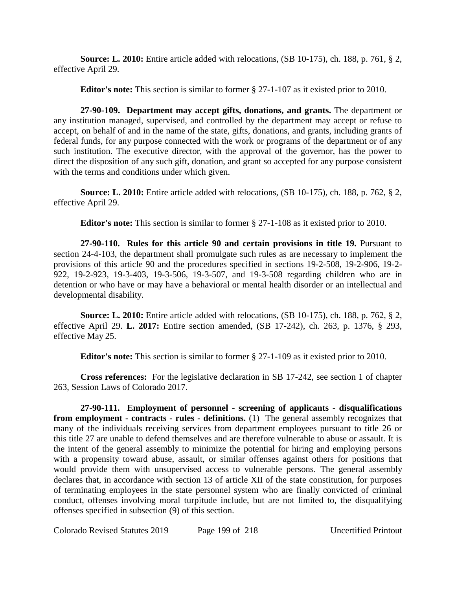**Source: L. 2010:** Entire article added with relocations, (SB 10-175), ch. 188, p. 761, § 2, effective April 29.

**Editor's note:** This section is similar to former § 27-1-107 as it existed prior to 2010.

**27-90-109. Department may accept gifts, donations, and grants.** The department or any institution managed, supervised, and controlled by the department may accept or refuse to accept, on behalf of and in the name of the state, gifts, donations, and grants, including grants of federal funds, for any purpose connected with the work or programs of the department or of any such institution. The executive director, with the approval of the governor, has the power to direct the disposition of any such gift, donation, and grant so accepted for any purpose consistent with the terms and conditions under which given.

**Source: L. 2010:** Entire article added with relocations, (SB 10-175), ch. 188, p. 762, § 2, effective April 29.

**Editor's note:** This section is similar to former § 27-1-108 as it existed prior to 2010.

**27-90-110. Rules for this article 90 and certain provisions in title 19.** Pursuant to section 24-4-103, the department shall promulgate such rules as are necessary to implement the provisions of this article 90 and the procedures specified in sections 19-2-508, 19-2-906, 19-2- 922, 19-2-923, 19-3-403, 19-3-506, 19-3-507, and 19-3-508 regarding children who are in detention or who have or may have a behavioral or mental health disorder or an intellectual and developmental disability.

**Source: L. 2010:** Entire article added with relocations, (SB 10-175), ch. 188, p. 762, § 2, effective April 29. **L. 2017:** Entire section amended, (SB 17-242), ch. 263, p. 1376, § 293, effective May 25.

**Editor's note:** This section is similar to former § 27-1-109 as it existed prior to 2010.

**Cross references:** For the legislative declaration in SB 17-242, see section 1 of chapter 263, Session Laws of Colorado 2017.

**27-90-111. Employment of personnel - screening of applicants - disqualifications from employment - contracts - rules - definitions.** (1) The general assembly recognizes that many of the individuals receiving services from department employees pursuant to title 26 or this title 27 are unable to defend themselves and are therefore vulnerable to abuse or assault. It is the intent of the general assembly to minimize the potential for hiring and employing persons with a propensity toward abuse, assault, or similar offenses against others for positions that would provide them with unsupervised access to vulnerable persons. The general assembly declares that, in accordance with section 13 of article XII of the state constitution, for purposes of terminating employees in the state personnel system who are finally convicted of criminal conduct, offenses involving moral turpitude include, but are not limited to, the disqualifying offenses specified in subsection (9) of this section.

Colorado Revised Statutes 2019 Page 199 of 218 Uncertified Printout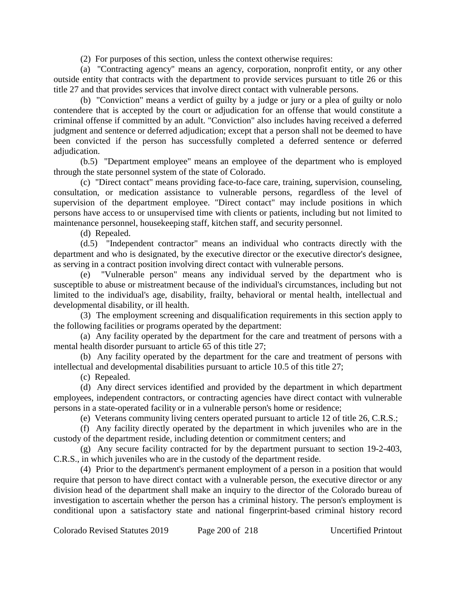(2) For purposes of this section, unless the context otherwise requires:

(a) "Contracting agency" means an agency, corporation, nonprofit entity, or any other outside entity that contracts with the department to provide services pursuant to title 26 or this title 27 and that provides services that involve direct contact with vulnerable persons.

(b) "Conviction" means a verdict of guilty by a judge or jury or a plea of guilty or nolo contendere that is accepted by the court or adjudication for an offense that would constitute a criminal offense if committed by an adult. "Conviction" also includes having received a deferred judgment and sentence or deferred adjudication; except that a person shall not be deemed to have been convicted if the person has successfully completed a deferred sentence or deferred adjudication.

(b.5) "Department employee" means an employee of the department who is employed through the state personnel system of the state of Colorado.

(c) "Direct contact" means providing face-to-face care, training, supervision, counseling, consultation, or medication assistance to vulnerable persons, regardless of the level of supervision of the department employee. "Direct contact" may include positions in which persons have access to or unsupervised time with clients or patients, including but not limited to maintenance personnel, housekeeping staff, kitchen staff, and security personnel.

(d) Repealed.

(d.5) "Independent contractor" means an individual who contracts directly with the department and who is designated, by the executive director or the executive director's designee, as serving in a contract position involving direct contact with vulnerable persons.

(e) "Vulnerable person" means any individual served by the department who is susceptible to abuse or mistreatment because of the individual's circumstances, including but not limited to the individual's age, disability, frailty, behavioral or mental health, intellectual and developmental disability, or ill health.

(3) The employment screening and disqualification requirements in this section apply to the following facilities or programs operated by the department:

(a) Any facility operated by the department for the care and treatment of persons with a mental health disorder pursuant to article 65 of this title 27;

(b) Any facility operated by the department for the care and treatment of persons with intellectual and developmental disabilities pursuant to article 10.5 of this title 27;

(c) Repealed.

(d) Any direct services identified and provided by the department in which department employees, independent contractors, or contracting agencies have direct contact with vulnerable persons in a state-operated facility or in a vulnerable person's home or residence;

(e) Veterans community living centers operated pursuant to article 12 of title 26, C.R.S.;

(f) Any facility directly operated by the department in which juveniles who are in the custody of the department reside, including detention or commitment centers; and

(g) Any secure facility contracted for by the department pursuant to section 19-2-403, C.R.S., in which juveniles who are in the custody of the department reside.

(4) Prior to the department's permanent employment of a person in a position that would require that person to have direct contact with a vulnerable person, the executive director or any division head of the department shall make an inquiry to the director of the Colorado bureau of investigation to ascertain whether the person has a criminal history. The person's employment is conditional upon a satisfactory state and national fingerprint-based criminal history record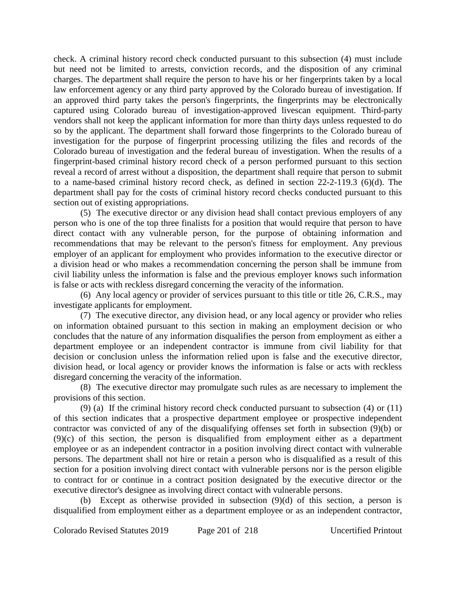check. A criminal history record check conducted pursuant to this subsection (4) must include but need not be limited to arrests, conviction records, and the disposition of any criminal charges. The department shall require the person to have his or her fingerprints taken by a local law enforcement agency or any third party approved by the Colorado bureau of investigation. If an approved third party takes the person's fingerprints, the fingerprints may be electronically captured using Colorado bureau of investigation-approved livescan equipment. Third-party vendors shall not keep the applicant information for more than thirty days unless requested to do so by the applicant. The department shall forward those fingerprints to the Colorado bureau of investigation for the purpose of fingerprint processing utilizing the files and records of the Colorado bureau of investigation and the federal bureau of investigation. When the results of a fingerprint-based criminal history record check of a person performed pursuant to this section reveal a record of arrest without a disposition, the department shall require that person to submit to a name-based criminal history record check, as defined in section 22-2-119.3 (6)(d). The department shall pay for the costs of criminal history record checks conducted pursuant to this section out of existing appropriations.

(5) The executive director or any division head shall contact previous employers of any person who is one of the top three finalists for a position that would require that person to have direct contact with any vulnerable person, for the purpose of obtaining information and recommendations that may be relevant to the person's fitness for employment. Any previous employer of an applicant for employment who provides information to the executive director or a division head or who makes a recommendation concerning the person shall be immune from civil liability unless the information is false and the previous employer knows such information is false or acts with reckless disregard concerning the veracity of the information.

(6) Any local agency or provider of services pursuant to this title or title 26, C.R.S., may investigate applicants for employment.

(7) The executive director, any division head, or any local agency or provider who relies on information obtained pursuant to this section in making an employment decision or who concludes that the nature of any information disqualifies the person from employment as either a department employee or an independent contractor is immune from civil liability for that decision or conclusion unless the information relied upon is false and the executive director, division head, or local agency or provider knows the information is false or acts with reckless disregard concerning the veracity of the information.

(8) The executive director may promulgate such rules as are necessary to implement the provisions of this section.

(9) (a) If the criminal history record check conducted pursuant to subsection (4) or (11) of this section indicates that a prospective department employee or prospective independent contractor was convicted of any of the disqualifying offenses set forth in subsection (9)(b) or (9)(c) of this section, the person is disqualified from employment either as a department employee or as an independent contractor in a position involving direct contact with vulnerable persons. The department shall not hire or retain a person who is disqualified as a result of this section for a position involving direct contact with vulnerable persons nor is the person eligible to contract for or continue in a contract position designated by the executive director or the executive director's designee as involving direct contact with vulnerable persons.

(b) Except as otherwise provided in subsection (9)(d) of this section, a person is disqualified from employment either as a department employee or as an independent contractor,

Colorado Revised Statutes 2019 Page 201 of 218 Uncertified Printout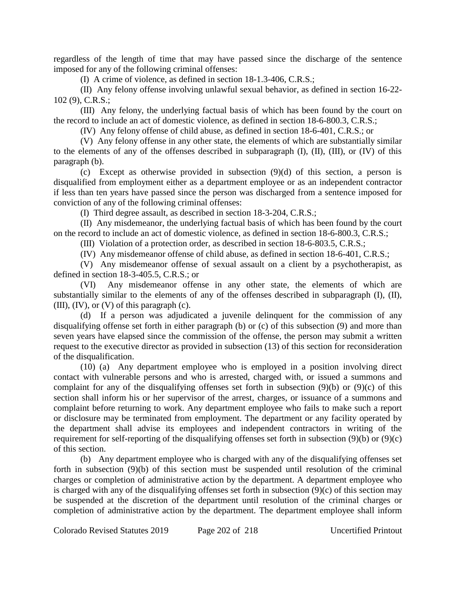regardless of the length of time that may have passed since the discharge of the sentence imposed for any of the following criminal offenses:

(I) A crime of violence, as defined in section 18-1.3-406, C.R.S.;

(II) Any felony offense involving unlawful sexual behavior, as defined in section 16-22- 102 (9), C.R.S.;

(III) Any felony, the underlying factual basis of which has been found by the court on the record to include an act of domestic violence, as defined in section 18-6-800.3, C.R.S.;

(IV) Any felony offense of child abuse, as defined in section 18-6-401, C.R.S.; or

(V) Any felony offense in any other state, the elements of which are substantially similar to the elements of any of the offenses described in subparagraph (I), (II), (III), or (IV) of this paragraph (b).

(c) Except as otherwise provided in subsection (9)(d) of this section, a person is disqualified from employment either as a department employee or as an independent contractor if less than ten years have passed since the person was discharged from a sentence imposed for conviction of any of the following criminal offenses:

(I) Third degree assault, as described in section 18-3-204, C.R.S.;

(II) Any misdemeanor, the underlying factual basis of which has been found by the court on the record to include an act of domestic violence, as defined in section 18-6-800.3, C.R.S.;

(III) Violation of a protection order, as described in section 18-6-803.5, C.R.S.;

(IV) Any misdemeanor offense of child abuse, as defined in section 18-6-401, C.R.S.;

(V) Any misdemeanor offense of sexual assault on a client by a psychotherapist, as defined in section 18-3-405.5, C.R.S.; or

(VI) Any misdemeanor offense in any other state, the elements of which are substantially similar to the elements of any of the offenses described in subparagraph (I), (II), (III),  $(IV)$ , or  $(V)$  of this paragraph  $(c)$ .

(d) If a person was adjudicated a juvenile delinquent for the commission of any disqualifying offense set forth in either paragraph (b) or (c) of this subsection (9) and more than seven years have elapsed since the commission of the offense, the person may submit a written request to the executive director as provided in subsection (13) of this section for reconsideration of the disqualification.

(10) (a) Any department employee who is employed in a position involving direct contact with vulnerable persons and who is arrested, charged with, or issued a summons and complaint for any of the disqualifying offenses set forth in subsection (9)(b) or (9)(c) of this section shall inform his or her supervisor of the arrest, charges, or issuance of a summons and complaint before returning to work. Any department employee who fails to make such a report or disclosure may be terminated from employment. The department or any facility operated by the department shall advise its employees and independent contractors in writing of the requirement for self-reporting of the disqualifying offenses set forth in subsection (9)(b) or (9)(c) of this section.

(b) Any department employee who is charged with any of the disqualifying offenses set forth in subsection (9)(b) of this section must be suspended until resolution of the criminal charges or completion of administrative action by the department. A department employee who is charged with any of the disqualifying offenses set forth in subsection (9)(c) of this section may be suspended at the discretion of the department until resolution of the criminal charges or completion of administrative action by the department. The department employee shall inform

Colorado Revised Statutes 2019 Page 202 of 218 Uncertified Printout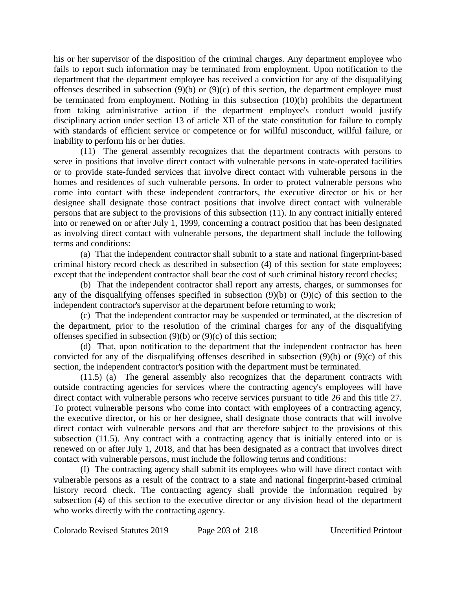his or her supervisor of the disposition of the criminal charges. Any department employee who fails to report such information may be terminated from employment. Upon notification to the department that the department employee has received a conviction for any of the disqualifying offenses described in subsection (9)(b) or (9)(c) of this section, the department employee must be terminated from employment. Nothing in this subsection (10)(b) prohibits the department from taking administrative action if the department employee's conduct would justify disciplinary action under section 13 of article XII of the state constitution for failure to comply with standards of efficient service or competence or for willful misconduct, willful failure, or inability to perform his or her duties.

(11) The general assembly recognizes that the department contracts with persons to serve in positions that involve direct contact with vulnerable persons in state-operated facilities or to provide state-funded services that involve direct contact with vulnerable persons in the homes and residences of such vulnerable persons. In order to protect vulnerable persons who come into contact with these independent contractors, the executive director or his or her designee shall designate those contract positions that involve direct contact with vulnerable persons that are subject to the provisions of this subsection (11). In any contract initially entered into or renewed on or after July 1, 1999, concerning a contract position that has been designated as involving direct contact with vulnerable persons, the department shall include the following terms and conditions:

(a) That the independent contractor shall submit to a state and national fingerprint-based criminal history record check as described in subsection (4) of this section for state employees; except that the independent contractor shall bear the cost of such criminal history record checks;

(b) That the independent contractor shall report any arrests, charges, or summonses for any of the disqualifying offenses specified in subsection (9)(b) or (9)(c) of this section to the independent contractor's supervisor at the department before returning to work;

(c) That the independent contractor may be suspended or terminated, at the discretion of the department, prior to the resolution of the criminal charges for any of the disqualifying offenses specified in subsection (9)(b) or (9)(c) of this section;

(d) That, upon notification to the department that the independent contractor has been convicted for any of the disqualifying offenses described in subsection (9)(b) or (9)(c) of this section, the independent contractor's position with the department must be terminated.

(11.5) (a) The general assembly also recognizes that the department contracts with outside contracting agencies for services where the contracting agency's employees will have direct contact with vulnerable persons who receive services pursuant to title 26 and this title 27. To protect vulnerable persons who come into contact with employees of a contracting agency, the executive director, or his or her designee, shall designate those contracts that will involve direct contact with vulnerable persons and that are therefore subject to the provisions of this subsection (11.5). Any contract with a contracting agency that is initially entered into or is renewed on or after July 1, 2018, and that has been designated as a contract that involves direct contact with vulnerable persons, must include the following terms and conditions:

(I) The contracting agency shall submit its employees who will have direct contact with vulnerable persons as a result of the contract to a state and national fingerprint-based criminal history record check. The contracting agency shall provide the information required by subsection (4) of this section to the executive director or any division head of the department who works directly with the contracting agency.

Colorado Revised Statutes 2019 Page 203 of 218 Uncertified Printout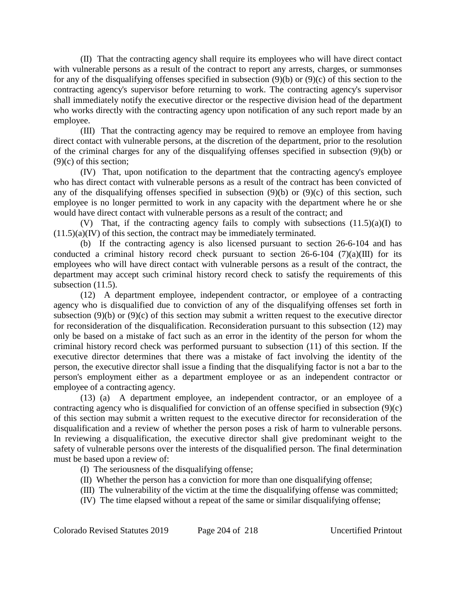(II) That the contracting agency shall require its employees who will have direct contact with vulnerable persons as a result of the contract to report any arrests, charges, or summonses for any of the disqualifying offenses specified in subsection (9)(b) or (9)(c) of this section to the contracting agency's supervisor before returning to work. The contracting agency's supervisor shall immediately notify the executive director or the respective division head of the department who works directly with the contracting agency upon notification of any such report made by an employee.

(III) That the contracting agency may be required to remove an employee from having direct contact with vulnerable persons, at the discretion of the department, prior to the resolution of the criminal charges for any of the disqualifying offenses specified in subsection (9)(b) or  $(9)(c)$  of this section:

(IV) That, upon notification to the department that the contracting agency's employee who has direct contact with vulnerable persons as a result of the contract has been convicted of any of the disqualifying offenses specified in subsection (9)(b) or (9)(c) of this section, such employee is no longer permitted to work in any capacity with the department where he or she would have direct contact with vulnerable persons as a result of the contract; and

(V) That, if the contracting agency fails to comply with subsections  $(11.5)(a)(I)$  to  $(11.5)(a)(IV)$  of this section, the contract may be immediately terminated.

(b) If the contracting agency is also licensed pursuant to section 26-6-104 and has conducted a criminal history record check pursuant to section  $26-6-104$  (7)(a)(III) for its employees who will have direct contact with vulnerable persons as a result of the contract, the department may accept such criminal history record check to satisfy the requirements of this subsection  $(11.5)$ .

(12) A department employee, independent contractor, or employee of a contracting agency who is disqualified due to conviction of any of the disqualifying offenses set forth in subsection (9)(b) or (9)(c) of this section may submit a written request to the executive director for reconsideration of the disqualification. Reconsideration pursuant to this subsection (12) may only be based on a mistake of fact such as an error in the identity of the person for whom the criminal history record check was performed pursuant to subsection (11) of this section. If the executive director determines that there was a mistake of fact involving the identity of the person, the executive director shall issue a finding that the disqualifying factor is not a bar to the person's employment either as a department employee or as an independent contractor or employee of a contracting agency.

(13) (a) A department employee, an independent contractor, or an employee of a contracting agency who is disqualified for conviction of an offense specified in subsection (9)(c) of this section may submit a written request to the executive director for reconsideration of the disqualification and a review of whether the person poses a risk of harm to vulnerable persons. In reviewing a disqualification, the executive director shall give predominant weight to the safety of vulnerable persons over the interests of the disqualified person. The final determination must be based upon a review of:

- (I) The seriousness of the disqualifying offense;
- (II) Whether the person has a conviction for more than one disqualifying offense;
- (III) The vulnerability of the victim at the time the disqualifying offense was committed;
- (IV) The time elapsed without a repeat of the same or similar disqualifying offense;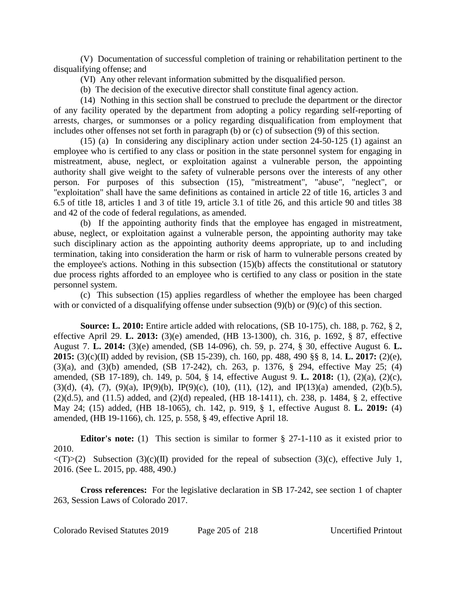(V) Documentation of successful completion of training or rehabilitation pertinent to the disqualifying offense; and

(VI) Any other relevant information submitted by the disqualified person.

(b) The decision of the executive director shall constitute final agency action.

(14) Nothing in this section shall be construed to preclude the department or the director of any facility operated by the department from adopting a policy regarding self-reporting of arrests, charges, or summonses or a policy regarding disqualification from employment that includes other offenses not set forth in paragraph (b) or (c) of subsection (9) of this section.

(15) (a) In considering any disciplinary action under section 24-50-125 (1) against an employee who is certified to any class or position in the state personnel system for engaging in mistreatment, abuse, neglect, or exploitation against a vulnerable person, the appointing authority shall give weight to the safety of vulnerable persons over the interests of any other person. For purposes of this subsection (15), "mistreatment", "abuse", "neglect", or "exploitation" shall have the same definitions as contained in article 22 of title 16, articles 3 and 6.5 of title 18, articles 1 and 3 of title 19, article 3.1 of title 26, and this article 90 and titles 38 and 42 of the code of federal regulations, as amended.

(b) If the appointing authority finds that the employee has engaged in mistreatment, abuse, neglect, or exploitation against a vulnerable person, the appointing authority may take such disciplinary action as the appointing authority deems appropriate, up to and including termination, taking into consideration the harm or risk of harm to vulnerable persons created by the employee's actions. Nothing in this subsection (15)(b) affects the constitutional or statutory due process rights afforded to an employee who is certified to any class or position in the state personnel system.

(c) This subsection (15) applies regardless of whether the employee has been charged with or convicted of a disqualifying offense under subsection (9)(b) or (9)(c) of this section.

**Source: L. 2010:** Entire article added with relocations, (SB 10-175), ch. 188, p. 762, § 2, effective April 29. **L. 2013:** (3)(e) amended, (HB 13-1300), ch. 316, p. 1692, § 87, effective August 7. **L. 2014:** (3)(e) amended, (SB 14-096), ch. 59, p. 274, § 30, effective August 6. **L. 2015:** (3)(c)(II) added by revision, (SB 15-239), ch. 160, pp. 488, 490 §§ 8, 14. **L. 2017:** (2)(e), (3)(a), and (3)(b) amended, (SB 17-242), ch. 263, p. 1376, § 294, effective May 25; (4) amended, (SB 17-189), ch. 149, p. 504, § 14, effective August 9. **L. 2018:** (1), (2)(a), (2)(c), (3)(d), (4), (7), (9)(a), IP(9)(b), IP(9)(c), (10), (11), (12), and IP(13)(a) amended, (2)(b.5), (2)(d.5), and (11.5) added, and (2)(d) repealed, (HB 18-1411), ch. 238, p. 1484, § 2, effective May 24; (15) added, (HB 18-1065), ch. 142, p. 919, § 1, effective August 8. **L. 2019:** (4) amended, (HB 19-1166), ch. 125, p. 558, § 49, effective April 18.

**Editor's note:** (1) This section is similar to former § 27-1-110 as it existed prior to 2010.

 $\langle (T) \rangle (2)$  Subsection (3)(c)(II) provided for the repeal of subsection (3)(c), effective July 1, 2016. (See L. 2015, pp. 488, 490.)

**Cross references:** For the legislative declaration in SB 17-242, see section 1 of chapter 263, Session Laws of Colorado 2017.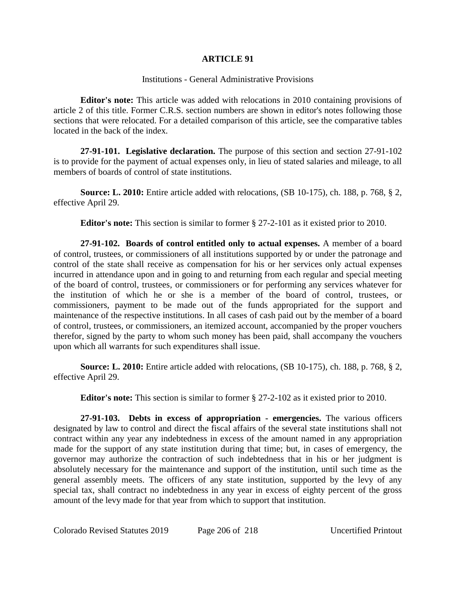#### **ARTICLE 91**

### Institutions - General Administrative Provisions

**Editor's note:** This article was added with relocations in 2010 containing provisions of article 2 of this title. Former C.R.S. section numbers are shown in editor's notes following those sections that were relocated. For a detailed comparison of this article, see the comparative tables located in the back of the index.

**27-91-101. Legislative declaration.** The purpose of this section and section 27-91-102 is to provide for the payment of actual expenses only, in lieu of stated salaries and mileage, to all members of boards of control of state institutions.

**Source: L. 2010:** Entire article added with relocations, (SB 10-175), ch. 188, p. 768, § 2, effective April 29.

**Editor's note:** This section is similar to former § 27-2-101 as it existed prior to 2010.

**27-91-102. Boards of control entitled only to actual expenses.** A member of a board of control, trustees, or commissioners of all institutions supported by or under the patronage and control of the state shall receive as compensation for his or her services only actual expenses incurred in attendance upon and in going to and returning from each regular and special meeting of the board of control, trustees, or commissioners or for performing any services whatever for the institution of which he or she is a member of the board of control, trustees, or commissioners, payment to be made out of the funds appropriated for the support and maintenance of the respective institutions. In all cases of cash paid out by the member of a board of control, trustees, or commissioners, an itemized account, accompanied by the proper vouchers therefor, signed by the party to whom such money has been paid, shall accompany the vouchers upon which all warrants for such expenditures shall issue.

**Source: L. 2010:** Entire article added with relocations, (SB 10-175), ch. 188, p. 768, § 2, effective April 29.

**Editor's note:** This section is similar to former § 27-2-102 as it existed prior to 2010.

**27-91-103. Debts in excess of appropriation - emergencies.** The various officers designated by law to control and direct the fiscal affairs of the several state institutions shall not contract within any year any indebtedness in excess of the amount named in any appropriation made for the support of any state institution during that time; but, in cases of emergency, the governor may authorize the contraction of such indebtedness that in his or her judgment is absolutely necessary for the maintenance and support of the institution, until such time as the general assembly meets. The officers of any state institution, supported by the levy of any special tax, shall contract no indebtedness in any year in excess of eighty percent of the gross amount of the levy made for that year from which to support that institution.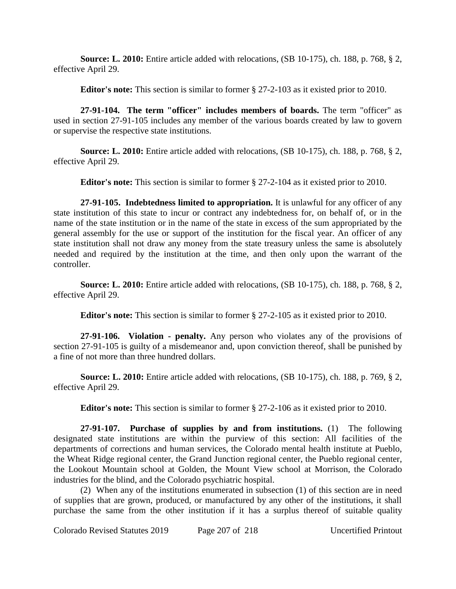**Source: L. 2010:** Entire article added with relocations, (SB 10-175), ch. 188, p. 768, § 2, effective April 29.

**Editor's note:** This section is similar to former § 27-2-103 as it existed prior to 2010.

**27-91-104. The term "officer" includes members of boards.** The term "officer" as used in section 27-91-105 includes any member of the various boards created by law to govern or supervise the respective state institutions.

**Source: L. 2010:** Entire article added with relocations, (SB 10-175), ch. 188, p. 768, § 2, effective April 29.

**Editor's note:** This section is similar to former § 27-2-104 as it existed prior to 2010.

**27-91-105. Indebtedness limited to appropriation.** It is unlawful for any officer of any state institution of this state to incur or contract any indebtedness for, on behalf of, or in the name of the state institution or in the name of the state in excess of the sum appropriated by the general assembly for the use or support of the institution for the fiscal year. An officer of any state institution shall not draw any money from the state treasury unless the same is absolutely needed and required by the institution at the time, and then only upon the warrant of the controller.

**Source: L. 2010:** Entire article added with relocations, (SB 10-175), ch. 188, p. 768, § 2, effective April 29.

**Editor's note:** This section is similar to former § 27-2-105 as it existed prior to 2010.

**27-91-106. Violation - penalty.** Any person who violates any of the provisions of section 27-91-105 is guilty of a misdemeanor and, upon conviction thereof, shall be punished by a fine of not more than three hundred dollars.

**Source: L. 2010:** Entire article added with relocations, (SB 10-175), ch. 188, p. 769, § 2, effective April 29.

**Editor's note:** This section is similar to former § 27-2-106 as it existed prior to 2010.

**27-91-107. Purchase of supplies by and from institutions.** (1) The following designated state institutions are within the purview of this section: All facilities of the departments of corrections and human services, the Colorado mental health institute at Pueblo, the Wheat Ridge regional center, the Grand Junction regional center, the Pueblo regional center, the Lookout Mountain school at Golden, the Mount View school at Morrison, the Colorado industries for the blind, and the Colorado psychiatric hospital.

(2) When any of the institutions enumerated in subsection (1) of this section are in need of supplies that are grown, produced, or manufactured by any other of the institutions, it shall purchase the same from the other institution if it has a surplus thereof of suitable quality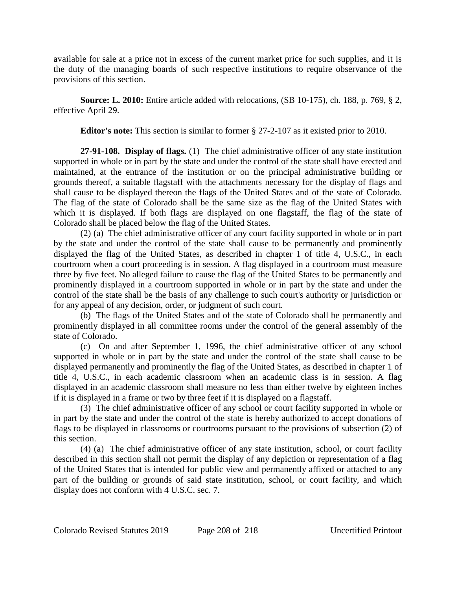available for sale at a price not in excess of the current market price for such supplies, and it is the duty of the managing boards of such respective institutions to require observance of the provisions of this section.

**Source: L. 2010:** Entire article added with relocations, (SB 10-175), ch. 188, p. 769, § 2, effective April 29.

**Editor's note:** This section is similar to former § 27-2-107 as it existed prior to 2010.

**27-91-108. Display of flags.** (1) The chief administrative officer of any state institution supported in whole or in part by the state and under the control of the state shall have erected and maintained, at the entrance of the institution or on the principal administrative building or grounds thereof, a suitable flagstaff with the attachments necessary for the display of flags and shall cause to be displayed thereon the flags of the United States and of the state of Colorado. The flag of the state of Colorado shall be the same size as the flag of the United States with which it is displayed. If both flags are displayed on one flagstaff, the flag of the state of Colorado shall be placed below the flag of the United States.

(2) (a) The chief administrative officer of any court facility supported in whole or in part by the state and under the control of the state shall cause to be permanently and prominently displayed the flag of the United States, as described in chapter 1 of title 4, U.S.C., in each courtroom when a court proceeding is in session. A flag displayed in a courtroom must measure three by five feet. No alleged failure to cause the flag of the United States to be permanently and prominently displayed in a courtroom supported in whole or in part by the state and under the control of the state shall be the basis of any challenge to such court's authority or jurisdiction or for any appeal of any decision, order, or judgment of such court.

(b) The flags of the United States and of the state of Colorado shall be permanently and prominently displayed in all committee rooms under the control of the general assembly of the state of Colorado.

(c) On and after September 1, 1996, the chief administrative officer of any school supported in whole or in part by the state and under the control of the state shall cause to be displayed permanently and prominently the flag of the United States, as described in chapter 1 of title 4, U.S.C., in each academic classroom when an academic class is in session. A flag displayed in an academic classroom shall measure no less than either twelve by eighteen inches if it is displayed in a frame or two by three feet if it is displayed on a flagstaff.

(3) The chief administrative officer of any school or court facility supported in whole or in part by the state and under the control of the state is hereby authorized to accept donations of flags to be displayed in classrooms or courtrooms pursuant to the provisions of subsection (2) of this section.

(4) (a) The chief administrative officer of any state institution, school, or court facility described in this section shall not permit the display of any depiction or representation of a flag of the United States that is intended for public view and permanently affixed or attached to any part of the building or grounds of said state institution, school, or court facility, and which display does not conform with 4 U.S.C. sec. 7.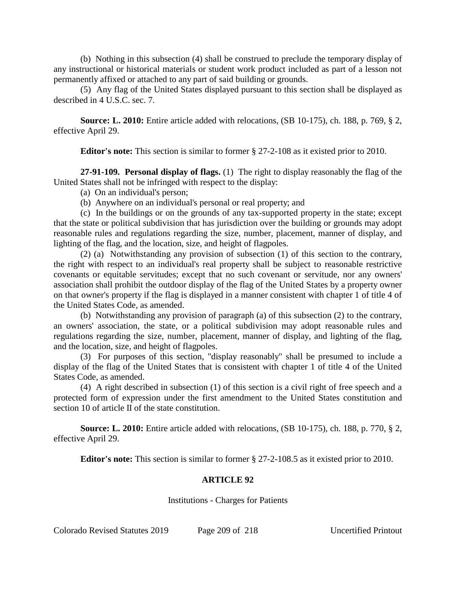(b) Nothing in this subsection (4) shall be construed to preclude the temporary display of any instructional or historical materials or student work product included as part of a lesson not permanently affixed or attached to any part of said building or grounds.

(5) Any flag of the United States displayed pursuant to this section shall be displayed as described in 4 U.S.C. sec. 7.

**Source: L. 2010:** Entire article added with relocations, (SB 10-175), ch. 188, p. 769, § 2, effective April 29.

**Editor's note:** This section is similar to former § 27-2-108 as it existed prior to 2010.

**27-91-109. Personal display of flags.** (1) The right to display reasonably the flag of the United States shall not be infringed with respect to the display:

(a) On an individual's person;

(b) Anywhere on an individual's personal or real property; and

(c) In the buildings or on the grounds of any tax-supported property in the state; except that the state or political subdivision that has jurisdiction over the building or grounds may adopt reasonable rules and regulations regarding the size, number, placement, manner of display, and lighting of the flag, and the location, size, and height of flagpoles.

(2) (a) Notwithstanding any provision of subsection (1) of this section to the contrary, the right with respect to an individual's real property shall be subject to reasonable restrictive covenants or equitable servitudes; except that no such covenant or servitude, nor any owners' association shall prohibit the outdoor display of the flag of the United States by a property owner on that owner's property if the flag is displayed in a manner consistent with chapter 1 of title 4 of the United States Code, as amended.

(b) Notwithstanding any provision of paragraph (a) of this subsection (2) to the contrary, an owners' association, the state, or a political subdivision may adopt reasonable rules and regulations regarding the size, number, placement, manner of display, and lighting of the flag, and the location, size, and height of flagpoles.

(3) For purposes of this section, "display reasonably" shall be presumed to include a display of the flag of the United States that is consistent with chapter 1 of title 4 of the United States Code, as amended.

(4) A right described in subsection (1) of this section is a civil right of free speech and a protected form of expression under the first amendment to the United States constitution and section 10 of article II of the state constitution.

**Source: L. 2010:** Entire article added with relocations, (SB 10-175), ch. 188, p. 770, § 2, effective April 29.

**Editor's note:** This section is similar to former § 27-2-108.5 as it existed prior to 2010.

## **ARTICLE 92**

Institutions - Charges for Patients

Colorado Revised Statutes 2019 Page 209 of 218 Uncertified Printout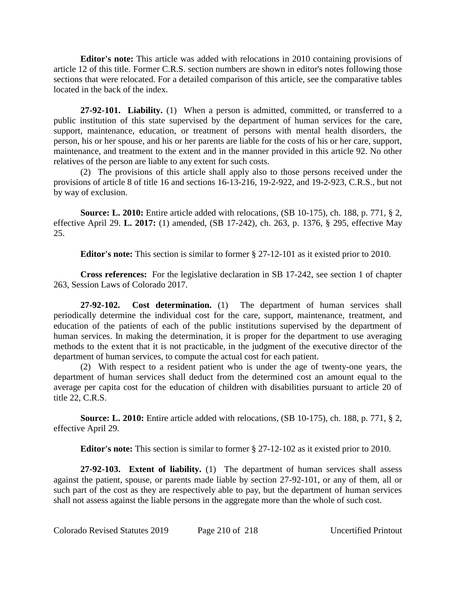**Editor's note:** This article was added with relocations in 2010 containing provisions of article 12 of this title. Former C.R.S. section numbers are shown in editor's notes following those sections that were relocated. For a detailed comparison of this article, see the comparative tables located in the back of the index.

**27-92-101. Liability.** (1) When a person is admitted, committed, or transferred to a public institution of this state supervised by the department of human services for the care, support, maintenance, education, or treatment of persons with mental health disorders, the person, his or her spouse, and his or her parents are liable for the costs of his or her care, support, maintenance, and treatment to the extent and in the manner provided in this article 92. No other relatives of the person are liable to any extent for such costs.

(2) The provisions of this article shall apply also to those persons received under the provisions of article 8 of title 16 and sections 16-13-216, 19-2-922, and 19-2-923, C.R.S., but not by way of exclusion.

**Source: L. 2010:** Entire article added with relocations, (SB 10-175), ch. 188, p. 771, § 2, effective April 29. **L. 2017:** (1) amended, (SB 17-242), ch. 263, p. 1376, § 295, effective May 25.

**Editor's note:** This section is similar to former § 27-12-101 as it existed prior to 2010.

**Cross references:** For the legislative declaration in SB 17-242, see section 1 of chapter 263, Session Laws of Colorado 2017.

**27-92-102. Cost determination.** (1) The department of human services shall periodically determine the individual cost for the care, support, maintenance, treatment, and education of the patients of each of the public institutions supervised by the department of human services. In making the determination, it is proper for the department to use averaging methods to the extent that it is not practicable, in the judgment of the executive director of the department of human services, to compute the actual cost for each patient.

(2) With respect to a resident patient who is under the age of twenty-one years, the department of human services shall deduct from the determined cost an amount equal to the average per capita cost for the education of children with disabilities pursuant to article 20 of title 22, C.R.S.

**Source: L. 2010:** Entire article added with relocations, (SB 10-175), ch. 188, p. 771, § 2, effective April 29.

**Editor's note:** This section is similar to former § 27-12-102 as it existed prior to 2010.

**27-92-103. Extent of liability.** (1) The department of human services shall assess against the patient, spouse, or parents made liable by section 27-92-101, or any of them, all or such part of the cost as they are respectively able to pay, but the department of human services shall not assess against the liable persons in the aggregate more than the whole of such cost.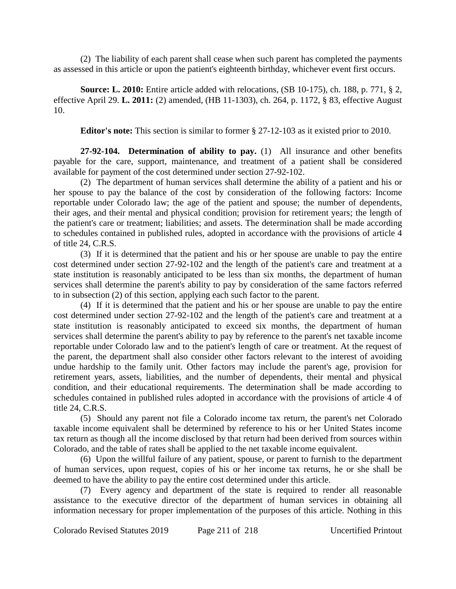(2) The liability of each parent shall cease when such parent has completed the payments as assessed in this article or upon the patient's eighteenth birthday, whichever event first occurs.

**Source: L. 2010:** Entire article added with relocations, (SB 10-175), ch. 188, p. 771, § 2, effective April 29. **L. 2011:** (2) amended, (HB 11-1303), ch. 264, p. 1172, § 83, effective August 10.

**Editor's note:** This section is similar to former § 27-12-103 as it existed prior to 2010.

**27-92-104. Determination of ability to pay.** (1) All insurance and other benefits payable for the care, support, maintenance, and treatment of a patient shall be considered available for payment of the cost determined under section 27-92-102.

(2) The department of human services shall determine the ability of a patient and his or her spouse to pay the balance of the cost by consideration of the following factors: Income reportable under Colorado law; the age of the patient and spouse; the number of dependents, their ages, and their mental and physical condition; provision for retirement years; the length of the patient's care or treatment; liabilities; and assets. The determination shall be made according to schedules contained in published rules, adopted in accordance with the provisions of article 4 of title 24, C.R.S.

(3) If it is determined that the patient and his or her spouse are unable to pay the entire cost determined under section 27-92-102 and the length of the patient's care and treatment at a state institution is reasonably anticipated to be less than six months, the department of human services shall determine the parent's ability to pay by consideration of the same factors referred to in subsection (2) of this section, applying each such factor to the parent.

(4) If it is determined that the patient and his or her spouse are unable to pay the entire cost determined under section 27-92-102 and the length of the patient's care and treatment at a state institution is reasonably anticipated to exceed six months, the department of human services shall determine the parent's ability to pay by reference to the parent's net taxable income reportable under Colorado law and to the patient's length of care or treatment. At the request of the parent, the department shall also consider other factors relevant to the interest of avoiding undue hardship to the family unit. Other factors may include the parent's age, provision for retirement years, assets, liabilities, and the number of dependents, their mental and physical condition, and their educational requirements. The determination shall be made according to schedules contained in published rules adopted in accordance with the provisions of article 4 of title 24, C.R.S.

(5) Should any parent not file a Colorado income tax return, the parent's net Colorado taxable income equivalent shall be determined by reference to his or her United States income tax return as though all the income disclosed by that return had been derived from sources within Colorado, and the table of rates shall be applied to the net taxable income equivalent.

(6) Upon the willful failure of any patient, spouse, or parent to furnish to the department of human services, upon request, copies of his or her income tax returns, he or she shall be deemed to have the ability to pay the entire cost determined under this article.

(7) Every agency and department of the state is required to render all reasonable assistance to the executive director of the department of human services in obtaining all information necessary for proper implementation of the purposes of this article. Nothing in this

Colorado Revised Statutes 2019 Page 211 of 218 Uncertified Printout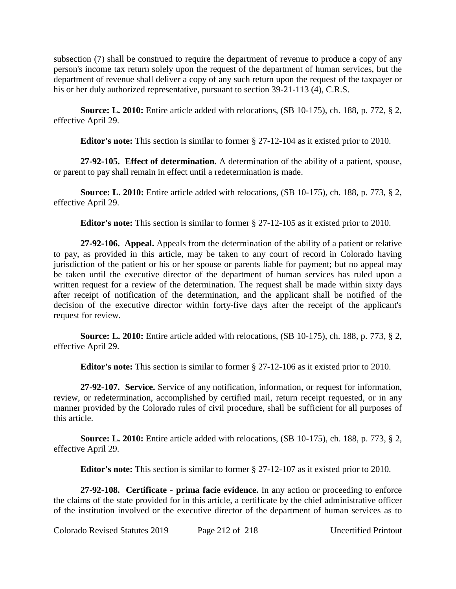subsection (7) shall be construed to require the department of revenue to produce a copy of any person's income tax return solely upon the request of the department of human services, but the department of revenue shall deliver a copy of any such return upon the request of the taxpayer or his or her duly authorized representative, pursuant to section 39-21-113 (4), C.R.S.

**Source: L. 2010:** Entire article added with relocations, (SB 10-175), ch. 188, p. 772, § 2, effective April 29.

**Editor's note:** This section is similar to former § 27-12-104 as it existed prior to 2010.

**27-92-105. Effect of determination.** A determination of the ability of a patient, spouse, or parent to pay shall remain in effect until a redetermination is made.

**Source: L. 2010:** Entire article added with relocations, (SB 10-175), ch. 188, p. 773, § 2, effective April 29.

**Editor's note:** This section is similar to former § 27-12-105 as it existed prior to 2010.

**27-92-106. Appeal.** Appeals from the determination of the ability of a patient or relative to pay, as provided in this article, may be taken to any court of record in Colorado having jurisdiction of the patient or his or her spouse or parents liable for payment; but no appeal may be taken until the executive director of the department of human services has ruled upon a written request for a review of the determination. The request shall be made within sixty days after receipt of notification of the determination, and the applicant shall be notified of the decision of the executive director within forty-five days after the receipt of the applicant's request for review.

**Source: L. 2010:** Entire article added with relocations, (SB 10-175), ch. 188, p. 773, § 2, effective April 29.

**Editor's note:** This section is similar to former § 27-12-106 as it existed prior to 2010.

**27-92-107. Service.** Service of any notification, information, or request for information, review, or redetermination, accomplished by certified mail, return receipt requested, or in any manner provided by the Colorado rules of civil procedure, shall be sufficient for all purposes of this article.

**Source: L. 2010:** Entire article added with relocations, (SB 10-175), ch. 188, p. 773, § 2, effective April 29.

**Editor's note:** This section is similar to former § 27-12-107 as it existed prior to 2010.

**27-92-108. Certificate - prima facie evidence.** In any action or proceeding to enforce the claims of the state provided for in this article, a certificate by the chief administrative officer of the institution involved or the executive director of the department of human services as to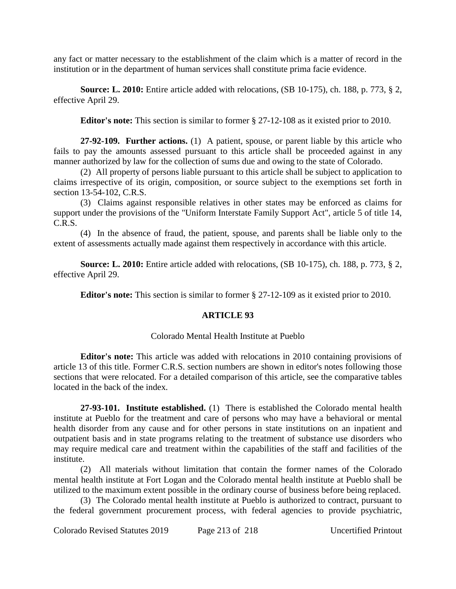any fact or matter necessary to the establishment of the claim which is a matter of record in the institution or in the department of human services shall constitute prima facie evidence.

**Source: L. 2010:** Entire article added with relocations, (SB 10-175), ch. 188, p. 773, § 2, effective April 29.

**Editor's note:** This section is similar to former § 27-12-108 as it existed prior to 2010.

**27-92-109. Further actions.** (1) A patient, spouse, or parent liable by this article who fails to pay the amounts assessed pursuant to this article shall be proceeded against in any manner authorized by law for the collection of sums due and owing to the state of Colorado.

(2) All property of persons liable pursuant to this article shall be subject to application to claims irrespective of its origin, composition, or source subject to the exemptions set forth in section 13-54-102, C.R.S.

(3) Claims against responsible relatives in other states may be enforced as claims for support under the provisions of the "Uniform Interstate Family Support Act", article 5 of title 14, C.R.S.

(4) In the absence of fraud, the patient, spouse, and parents shall be liable only to the extent of assessments actually made against them respectively in accordance with this article.

**Source: L. 2010:** Entire article added with relocations, (SB 10-175), ch. 188, p. 773, § 2, effective April 29.

**Editor's note:** This section is similar to former § 27-12-109 as it existed prior to 2010.

## **ARTICLE 93**

#### Colorado Mental Health Institute at Pueblo

**Editor's note:** This article was added with relocations in 2010 containing provisions of article 13 of this title. Former C.R.S. section numbers are shown in editor's notes following those sections that were relocated. For a detailed comparison of this article, see the comparative tables located in the back of the index.

**27-93-101. Institute established.** (1) There is established the Colorado mental health institute at Pueblo for the treatment and care of persons who may have a behavioral or mental health disorder from any cause and for other persons in state institutions on an inpatient and outpatient basis and in state programs relating to the treatment of substance use disorders who may require medical care and treatment within the capabilities of the staff and facilities of the institute.

(2) All materials without limitation that contain the former names of the Colorado mental health institute at Fort Logan and the Colorado mental health institute at Pueblo shall be utilized to the maximum extent possible in the ordinary course of business before being replaced.

(3) The Colorado mental health institute at Pueblo is authorized to contract, pursuant to the federal government procurement process, with federal agencies to provide psychiatric,

Colorado Revised Statutes 2019 Page 213 of 218 Uncertified Printout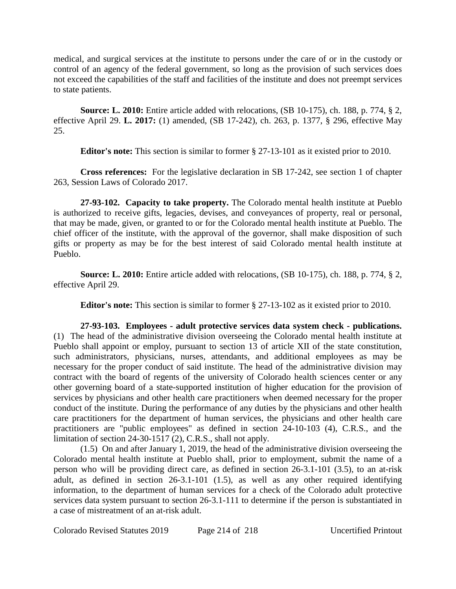medical, and surgical services at the institute to persons under the care of or in the custody or control of an agency of the federal government, so long as the provision of such services does not exceed the capabilities of the staff and facilities of the institute and does not preempt services to state patients.

**Source: L. 2010:** Entire article added with relocations, (SB 10-175), ch. 188, p. 774, § 2, effective April 29. **L. 2017:** (1) amended, (SB 17-242), ch. 263, p. 1377, § 296, effective May 25.

**Editor's note:** This section is similar to former § 27-13-101 as it existed prior to 2010.

**Cross references:** For the legislative declaration in SB 17-242, see section 1 of chapter 263, Session Laws of Colorado 2017.

**27-93-102. Capacity to take property.** The Colorado mental health institute at Pueblo is authorized to receive gifts, legacies, devises, and conveyances of property, real or personal, that may be made, given, or granted to or for the Colorado mental health institute at Pueblo. The chief officer of the institute, with the approval of the governor, shall make disposition of such gifts or property as may be for the best interest of said Colorado mental health institute at Pueblo.

**Source: L. 2010:** Entire article added with relocations, (SB 10-175), ch. 188, p. 774, § 2, effective April 29.

**Editor's note:** This section is similar to former § 27-13-102 as it existed prior to 2010.

**27-93-103. Employees - adult protective services data system check - publications.** (1) The head of the administrative division overseeing the Colorado mental health institute at Pueblo shall appoint or employ, pursuant to section 13 of article XII of the state constitution, such administrators, physicians, nurses, attendants, and additional employees as may be necessary for the proper conduct of said institute. The head of the administrative division may contract with the board of regents of the university of Colorado health sciences center or any other governing board of a state-supported institution of higher education for the provision of services by physicians and other health care practitioners when deemed necessary for the proper conduct of the institute. During the performance of any duties by the physicians and other health care practitioners for the department of human services, the physicians and other health care practitioners are "public employees" as defined in section 24-10-103 (4), C.R.S., and the limitation of section 24-30-1517 (2), C.R.S., shall not apply.

(1.5) On and after January 1, 2019, the head of the administrative division overseeing the Colorado mental health institute at Pueblo shall, prior to employment, submit the name of a person who will be providing direct care, as defined in section 26-3.1-101 (3.5), to an at-risk adult, as defined in section 26-3.1-101 (1.5), as well as any other required identifying information, to the department of human services for a check of the Colorado adult protective services data system pursuant to section 26-3.1-111 to determine if the person is substantiated in a case of mistreatment of an at-risk adult.

Colorado Revised Statutes 2019 Page 214 of 218 Uncertified Printout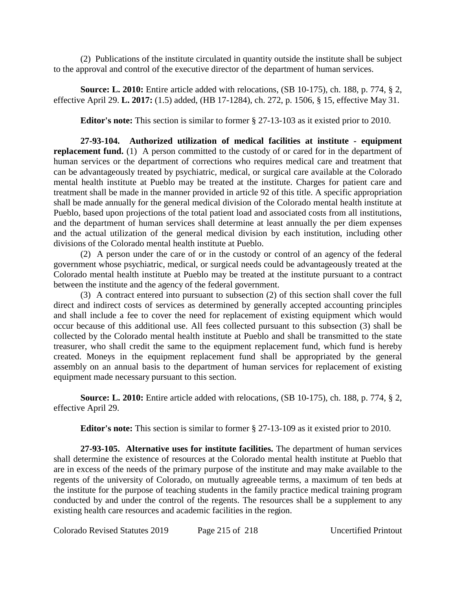(2) Publications of the institute circulated in quantity outside the institute shall be subject to the approval and control of the executive director of the department of human services.

**Source: L. 2010:** Entire article added with relocations, (SB 10-175), ch. 188, p. 774, § 2, effective April 29. **L. 2017:** (1.5) added, (HB 17-1284), ch. 272, p. 1506, § 15, effective May 31.

**Editor's note:** This section is similar to former § 27-13-103 as it existed prior to 2010.

**27-93-104. Authorized utilization of medical facilities at institute - equipment replacement fund.** (1) A person committed to the custody of or cared for in the department of human services or the department of corrections who requires medical care and treatment that can be advantageously treated by psychiatric, medical, or surgical care available at the Colorado mental health institute at Pueblo may be treated at the institute. Charges for patient care and treatment shall be made in the manner provided in article 92 of this title. A specific appropriation shall be made annually for the general medical division of the Colorado mental health institute at Pueblo, based upon projections of the total patient load and associated costs from all institutions, and the department of human services shall determine at least annually the per diem expenses and the actual utilization of the general medical division by each institution, including other divisions of the Colorado mental health institute at Pueblo.

(2) A person under the care of or in the custody or control of an agency of the federal government whose psychiatric, medical, or surgical needs could be advantageously treated at the Colorado mental health institute at Pueblo may be treated at the institute pursuant to a contract between the institute and the agency of the federal government.

(3) A contract entered into pursuant to subsection (2) of this section shall cover the full direct and indirect costs of services as determined by generally accepted accounting principles and shall include a fee to cover the need for replacement of existing equipment which would occur because of this additional use. All fees collected pursuant to this subsection (3) shall be collected by the Colorado mental health institute at Pueblo and shall be transmitted to the state treasurer, who shall credit the same to the equipment replacement fund, which fund is hereby created. Moneys in the equipment replacement fund shall be appropriated by the general assembly on an annual basis to the department of human services for replacement of existing equipment made necessary pursuant to this section.

**Source: L. 2010:** Entire article added with relocations, (SB 10-175), ch. 188, p. 774, § 2, effective April 29.

**Editor's note:** This section is similar to former § 27-13-109 as it existed prior to 2010.

**27-93-105. Alternative uses for institute facilities.** The department of human services shall determine the existence of resources at the Colorado mental health institute at Pueblo that are in excess of the needs of the primary purpose of the institute and may make available to the regents of the university of Colorado, on mutually agreeable terms, a maximum of ten beds at the institute for the purpose of teaching students in the family practice medical training program conducted by and under the control of the regents. The resources shall be a supplement to any existing health care resources and academic facilities in the region.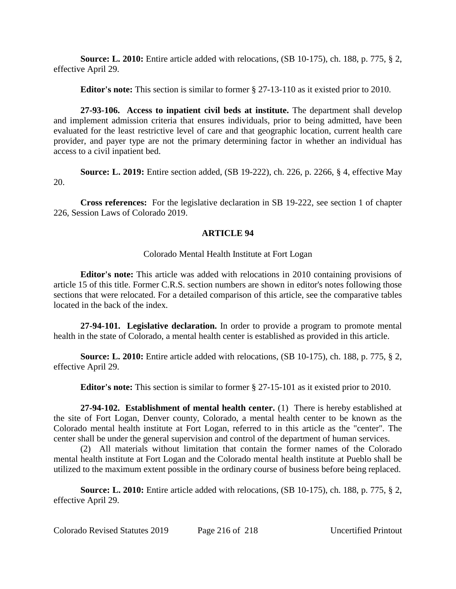**Source: L. 2010:** Entire article added with relocations, (SB 10-175), ch. 188, p. 775, § 2, effective April 29.

**Editor's note:** This section is similar to former § 27-13-110 as it existed prior to 2010.

**27-93-106. Access to inpatient civil beds at institute.** The department shall develop and implement admission criteria that ensures individuals, prior to being admitted, have been evaluated for the least restrictive level of care and that geographic location, current health care provider, and payer type are not the primary determining factor in whether an individual has access to a civil inpatient bed.

**Source: L. 2019:** Entire section added, (SB 19-222), ch. 226, p. 2266, § 4, effective May 20.

**Cross references:** For the legislative declaration in SB 19-222, see section 1 of chapter 226, Session Laws of Colorado 2019.

## **ARTICLE 94**

## Colorado Mental Health Institute at Fort Logan

**Editor's note:** This article was added with relocations in 2010 containing provisions of article 15 of this title. Former C.R.S. section numbers are shown in editor's notes following those sections that were relocated. For a detailed comparison of this article, see the comparative tables located in the back of the index.

**27-94-101. Legislative declaration.** In order to provide a program to promote mental health in the state of Colorado, a mental health center is established as provided in this article.

**Source: L. 2010:** Entire article added with relocations, (SB 10-175), ch. 188, p. 775, § 2, effective April 29.

**Editor's note:** This section is similar to former § 27-15-101 as it existed prior to 2010.

**27-94-102. Establishment of mental health center.** (1) There is hereby established at the site of Fort Logan, Denver county, Colorado, a mental health center to be known as the Colorado mental health institute at Fort Logan, referred to in this article as the "center". The center shall be under the general supervision and control of the department of human services.

(2) All materials without limitation that contain the former names of the Colorado mental health institute at Fort Logan and the Colorado mental health institute at Pueblo shall be utilized to the maximum extent possible in the ordinary course of business before being replaced.

**Source: L. 2010:** Entire article added with relocations, (SB 10-175), ch. 188, p. 775, § 2, effective April 29.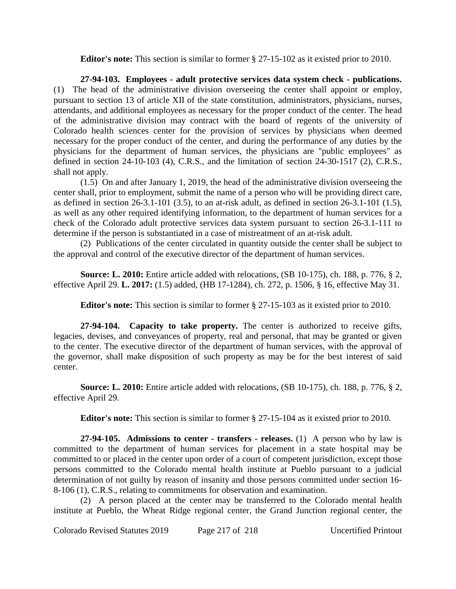**Editor's note:** This section is similar to former § 27-15-102 as it existed prior to 2010.

**27-94-103. Employees - adult protective services data system check - publications.** (1) The head of the administrative division overseeing the center shall appoint or employ, pursuant to section 13 of article XII of the state constitution, administrators, physicians, nurses, attendants, and additional employees as necessary for the proper conduct of the center. The head of the administrative division may contract with the board of regents of the university of Colorado health sciences center for the provision of services by physicians when deemed necessary for the proper conduct of the center, and during the performance of any duties by the physicians for the department of human services, the physicians are "public employees" as defined in section 24-10-103 (4), C.R.S., and the limitation of section 24-30-1517 (2), C.R.S., shall not apply.

(1.5) On and after January 1, 2019, the head of the administrative division overseeing the center shall, prior to employment, submit the name of a person who will be providing direct care, as defined in section 26-3.1-101 (3.5), to an at-risk adult, as defined in section 26-3.1-101 (1.5), as well as any other required identifying information, to the department of human services for a check of the Colorado adult protective services data system pursuant to section 26-3.1-111 to determine if the person is substantiated in a case of mistreatment of an at-risk adult.

(2) Publications of the center circulated in quantity outside the center shall be subject to the approval and control of the executive director of the department of human services.

**Source: L. 2010:** Entire article added with relocations, (SB 10-175), ch. 188, p. 776, § 2, effective April 29. **L. 2017:** (1.5) added, (HB 17-1284), ch. 272, p. 1506, § 16, effective May 31.

**Editor's note:** This section is similar to former § 27-15-103 as it existed prior to 2010.

**27-94-104. Capacity to take property.** The center is authorized to receive gifts, legacies, devises, and conveyances of property, real and personal, that may be granted or given to the center. The executive director of the department of human services, with the approval of the governor, shall make disposition of such property as may be for the best interest of said center.

**Source: L. 2010:** Entire article added with relocations, (SB 10-175), ch. 188, p. 776, § 2, effective April 29.

**Editor's note:** This section is similar to former § 27-15-104 as it existed prior to 2010.

**27-94-105. Admissions to center - transfers - releases.** (1) A person who by law is committed to the department of human services for placement in a state hospital may be committed to or placed in the center upon order of a court of competent jurisdiction, except those persons committed to the Colorado mental health institute at Pueblo pursuant to a judicial determination of not guilty by reason of insanity and those persons committed under section 16- 8-106 (1), C.R.S., relating to commitments for observation and examination.

(2) A person placed at the center may be transferred to the Colorado mental health institute at Pueblo, the Wheat Ridge regional center, the Grand Junction regional center, the